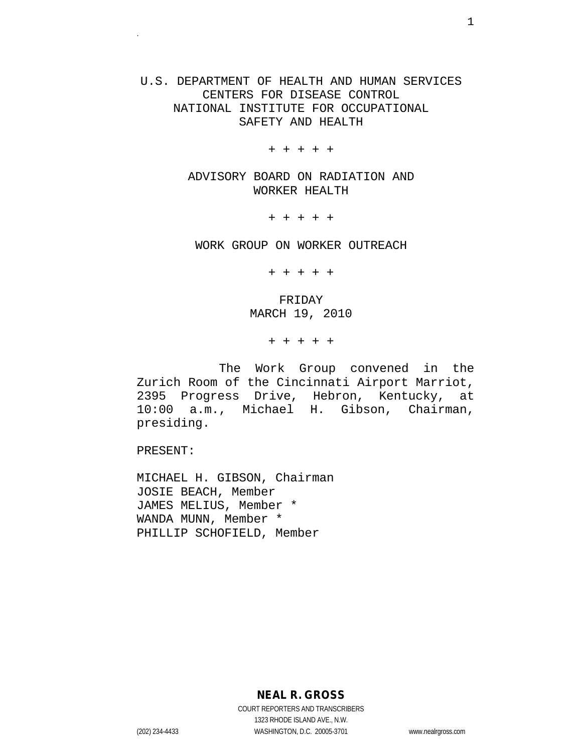# U.S. DEPARTMENT OF HEALTH AND HUMAN SERVICES CENTERS FOR DISEASE CONTROL NATIONAL INSTITUTE FOR OCCUPATIONAL SAFETY AND HEALTH

+ + + + +

ADVISORY BOARD ON RADIATION AND WORKER HEALTH

+ + + + +

WORK GROUP ON WORKER OUTREACH

+ + + + +

FRIDAY MARCH 19, 2010

+ + + + +

 The Work Group convened in the Zurich Room of the Cincinnati Airport Marriot, 2395 Progress Drive, Hebron, Kentucky, at 10:00 a.m., Michael H. Gibson, Chairman, presiding.

PRESENT:

MICHAEL H. GIBSON, Chairman JOSIE BEACH, Member JAMES MELIUS, Member \* WANDA MUNN, Member \* PHILLIP SCHOFIELD, Member

**NEAL R. GROSS**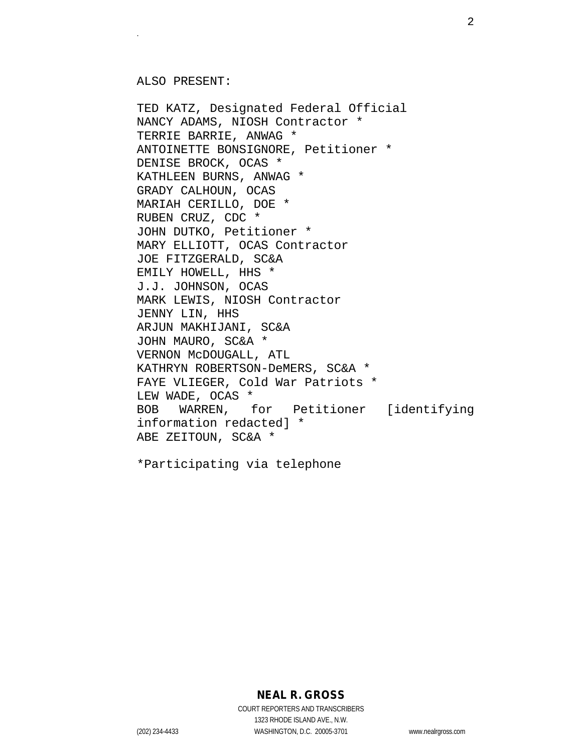ALSO PRESENT:

TED KATZ, Designated Federal Official NANCY ADAMS, NIOSH Contractor \* TERRIE BARRIE, ANWAG \* ANTOINETTE BONSIGNORE, Petitioner \* DENISE BROCK, OCAS \* KATHLEEN BURNS, ANWAG \* GRADY CALHOUN, OCAS MARIAH CERILLO, DOE \* RUBEN CRUZ, CDC \* JOHN DUTKO, Petitioner \* MARY ELLIOTT, OCAS Contractor JOE FITZGERALD, SC&A EMILY HOWELL, HHS \* J.J. JOHNSON, OCAS MARK LEWIS, NIOSH Contractor JENNY LIN, HHS ARJUN MAKHIJANI, SC&A JOHN MAURO, SC&A \* VERNON McDOUGALL, ATL KATHRYN ROBERTSON-DeMERS, SC&A \* FAYE VLIEGER, Cold War Patriots \* LEW WADE, OCAS \* BOB WARREN, for Petitioner [identifying information redacted] \* ABE ZEITOUN, SC&A \*

\*Participating via telephone

**NEAL R. GROSS**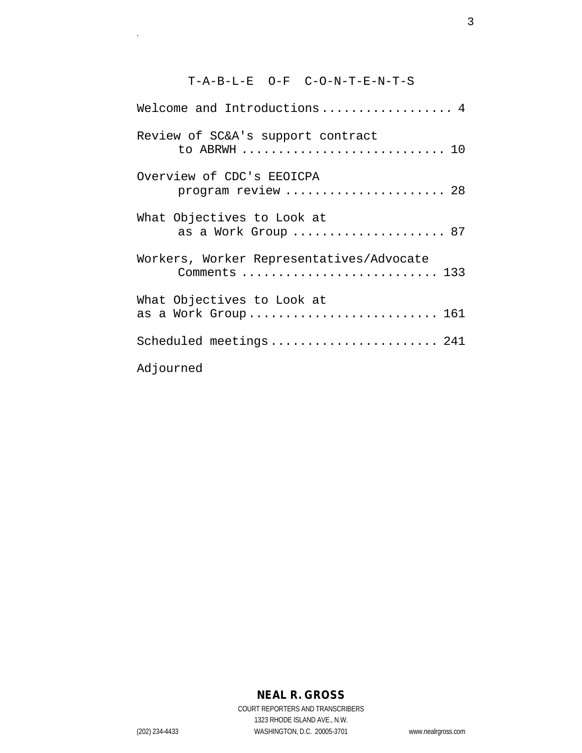# T-A-B-L-E O-F C-O-N-T-E-N-T-S

| Welcome and Introductions 4                               |  |  |
|-----------------------------------------------------------|--|--|
| Review of SC&A's support contract<br>to ABRWH  10         |  |  |
| Overview of CDC's EEOICPA<br>program review  28           |  |  |
| What Objectives to Look at<br>as a Work Group  87         |  |  |
| Workers, Worker Representatives/Advocate<br>Comments  133 |  |  |
| What Objectives to Look at<br>as a Work Group 161         |  |  |
| Scheduled meetings 241                                    |  |  |
| Adjourned                                                 |  |  |

# **NEAL R. GROSS**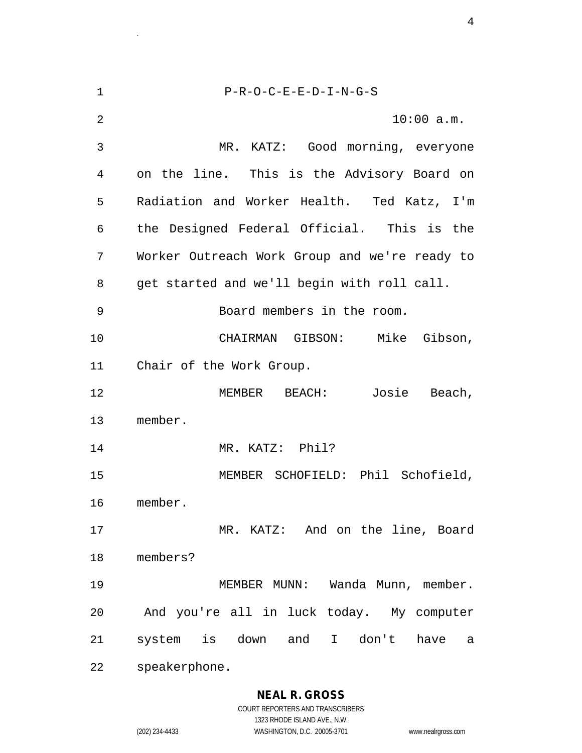1 P-R-O-C-E-E-D-I-N-G-S 2 10:00 a.m. 3 MR. KATZ: Good morning, everyone 4 on the line. This is the Advisory Board on 5 Radiation and Worker Health. Ted Katz, I'm 6 the Designed Federal Official. This is the 7 Worker Outreach Work Group and we're ready to 8 get started and we'll begin with roll call. 9 Board members in the room. 10 CHAIRMAN GIBSON: Mike Gibson, 11 Chair of the Work Group. 12 MEMBER BEACH: Josie Beach, 13 member. 14 MR. KATZ: Phil? 15 MEMBER SCHOFIELD: Phil Schofield, 16 member. 17 MR. KATZ: And on the line, Board 18 members? 19 MEMBER MUNN: Wanda Munn, member. 20 And you're all in luck today. My computer 21 system is down and I don't have a 22 speakerphone.

<sup>4</sup>.

# **NEAL R. GROSS**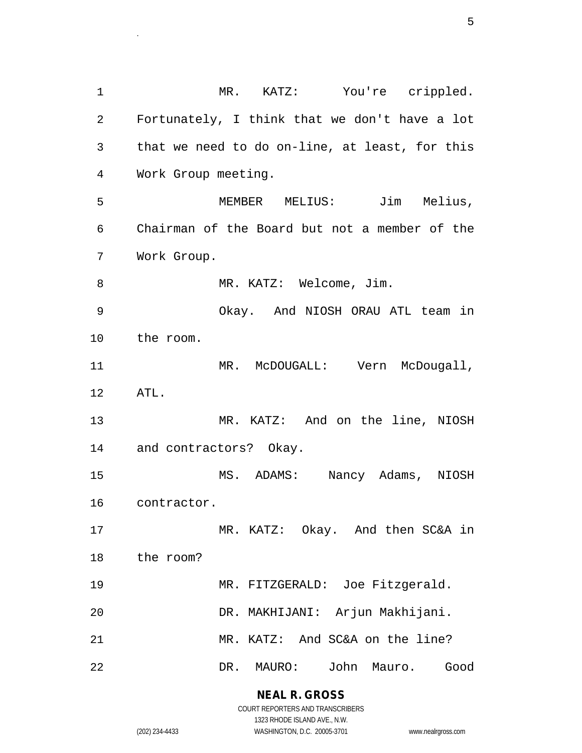1 MR. KATZ: You're crippled. 2 Fortunately, I think that we don't have a lot 3 that we need to do on-line, at least, for this 4 Work Group meeting. 5 MEMBER MELIUS: Jim Melius, 6 Chairman of the Board but not a member of the 7 Work Group. 8 MR. KATZ: Welcome, Jim. 9 Okay. And NIOSH ORAU ATL team in 10 the room. 11 MR. McDOUGALL: Vern McDougall, 12 ATL. 13 MR. KATZ: And on the line, NIOSH 14 and contractors? Okay. 15 MS. ADAMS: Nancy Adams, NIOSH 16 contractor. 17 MR. KATZ: Okay. And then SC&A in 18 the room? 19 MR. FITZGERALD: Joe Fitzgerald. 20 DR. MAKHIJANI: Arjun Makhijani. 21 MR. KATZ: And SC&A on the line? 22 DR. MAURO: John Mauro. Good

> **NEAL R. GROSS** COURT REPORTERS AND TRANSCRIBERS

> > 1323 RHODE ISLAND AVE., N.W.

entralizado en la contrada de la contrada de la contrada de la contrada de la contrada de la contrada de la co<br>En la contrada de la contrada de la contrada de la contrada de la contrada de la contrada de la contrada de la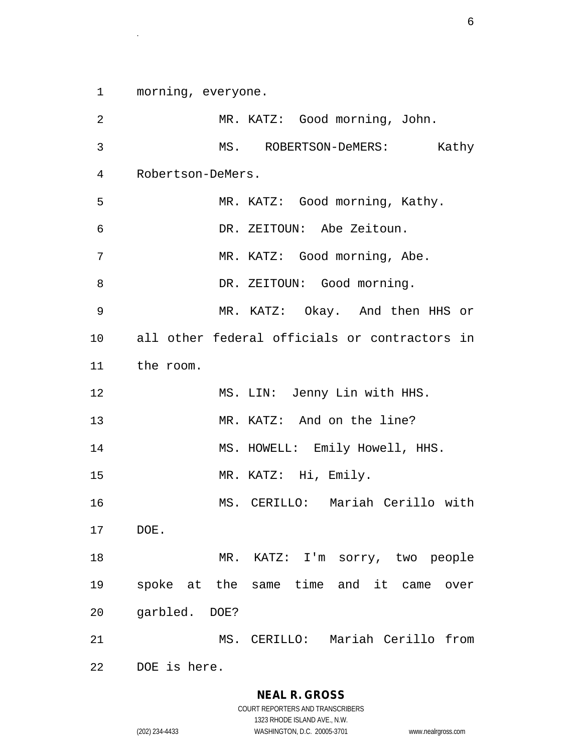1 morning, everyone.

2 MR. KATZ: Good morning, John. 3 MS. ROBERTSON-DeMERS: Kathy 4 Robertson-DeMers. 5 MR. KATZ: Good morning, Kathy. 6 DR. ZEITOUN: Abe Zeitoun. 7 MR. KATZ: Good morning, Abe. 8 DR. ZEITOUN: Good morning. 9 MR. KATZ: Okay. And then HHS or 10 all other federal officials or contractors in 11 the room. 12 MS. LIN: Jenny Lin with HHS. 13 MR. KATZ: And on the line? 14 MS. HOWELL: Emily Howell, HHS. 15 MR. KATZ: Hi, Emily. 16 MS. CERILLO: Mariah Cerillo with 17 DOE. 18 MR. KATZ: I'm sorry, two people 19 spoke at the same time and it came over 20 garbled. DOE? 21 MS. CERILLO: Mariah Cerillo from 22 DOE is here.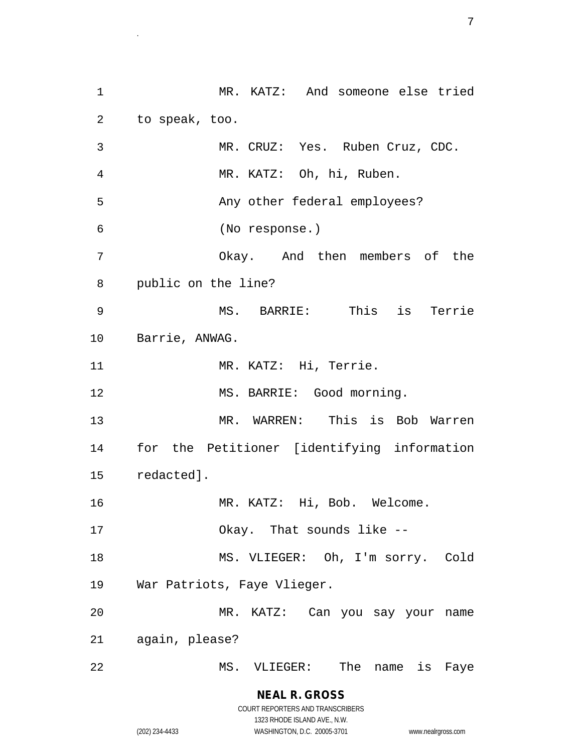1 MR. KATZ: And someone else tried 2 to speak, too. 3 MR. CRUZ: Yes. Ruben Cruz, CDC. 4 MR. KATZ: Oh, hi, Ruben. 5 Any other federal employees? 6 (No response.) 7 Okay. And then members of the 8 public on the line? 9 MS. BARRIE: This is Terrie 10 Barrie, ANWAG. 11 MR. KATZ: Hi, Terrie. 12 MS. BARRIE: Good morning. 13 MR. WARREN: This is Bob Warren 14 for the Petitioner [identifying information 15 redacted]. 16 MR. KATZ: Hi, Bob. Welcome. 17 Okay. That sounds like -- 18 MS. VLIEGER: Oh, I'm sorry. Cold 19 War Patriots, Faye Vlieger. 20 MR. KATZ: Can you say your name 21 again, please? 22 MS. VLIEGER: The name is Faye

<sup>7</sup>.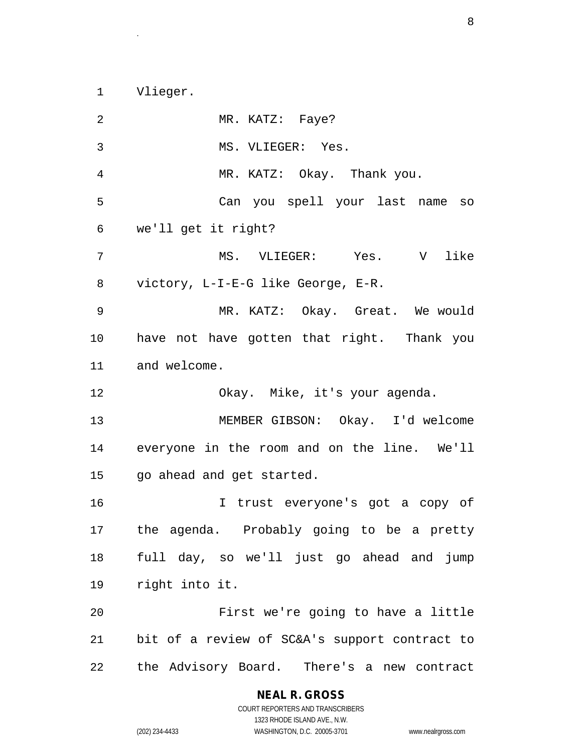1 Vlieger.

2 MR. KATZ: Faye? 3 MS. VLIEGER: Yes. 4 MR. KATZ: Okay. Thank you. 5 Can you spell your last name so 6 we'll get it right? 7 MS. VLIEGER: Yes. V like 8 victory, L-I-E-G like George, E-R. 9 MR. KATZ: Okay. Great. We would 10 have not have gotten that right. Thank you 11 and welcome. 12 Okay. Mike, it's your agenda. 13 MEMBER GIBSON: Okay. I'd welcome 14 everyone in the room and on the line. We'll 15 go ahead and get started. 16 I trust everyone's got a copy of 17 the agenda. Probably going to be a pretty 18 full day, so we'll just go ahead and jump 19 right into it. 20 First we're going to have a little 21 bit of a review of SC&A's support contract to 22 the Advisory Board. There's a new contract

**NEAL R. GROSS**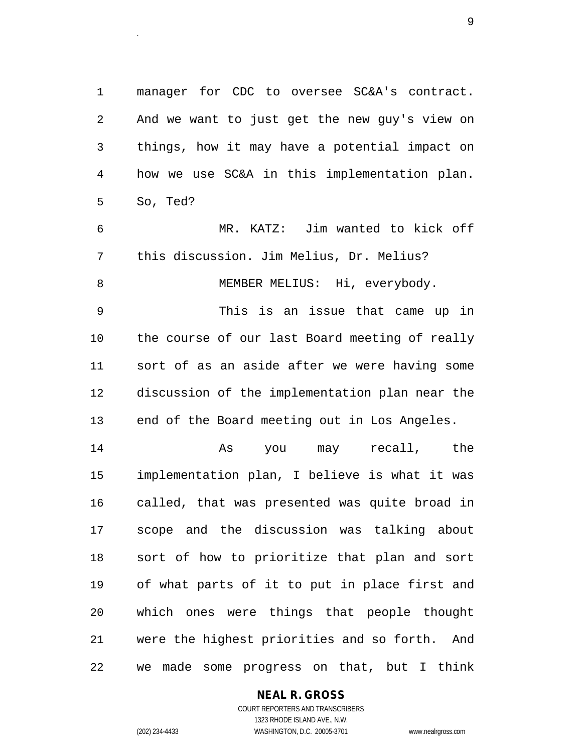1 manager for CDC to oversee SC&A's contract. 2 And we want to just get the new guy's view on 3 things, how it may have a potential impact on 4 how we use SC&A in this implementation plan. 5 So, Ted?

6 MR. KATZ: Jim wanted to kick off 7 this discussion. Jim Melius, Dr. Melius? 8 MEMBER MELIUS: Hi, everybody.

9 This is an issue that came up in 10 the course of our last Board meeting of really 11 sort of as an aside after we were having some 12 discussion of the implementation plan near the 13 end of the Board meeting out in Los Angeles.

14 As you may recall, the 15 implementation plan, I believe is what it was 16 called, that was presented was quite broad in 17 scope and the discussion was talking about 18 sort of how to prioritize that plan and sort 19 of what parts of it to put in place first and 20 which ones were things that people thought 21 were the highest priorities and so forth. And 22 we made some progress on that, but I think

#### **NEAL R. GROSS**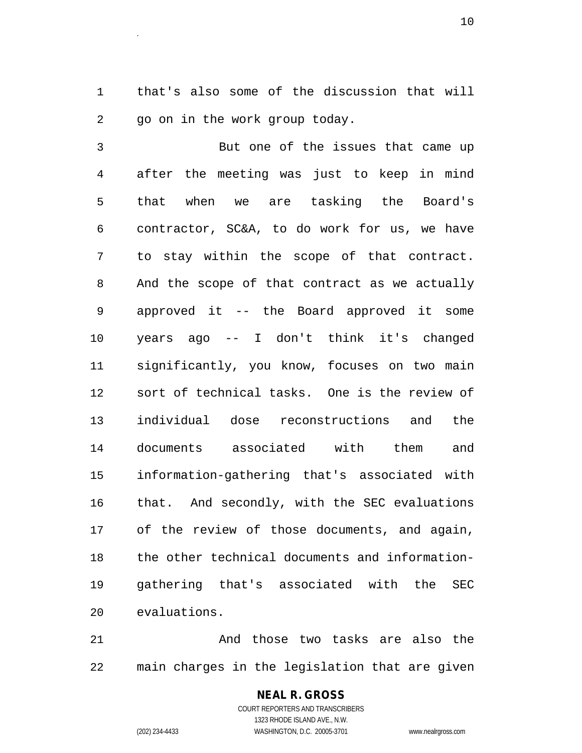1 that's also some of the discussion that will 2 go on in the work group today.

3 But one of the issues that came up 4 after the meeting was just to keep in mind 5 that when we are tasking the Board's 6 contractor, SC&A, to do work for us, we have 7 to stay within the scope of that contract. 8 And the scope of that contract as we actually 9 approved it -- the Board approved it some 10 years ago -- I don't think it's changed 11 significantly, you know, focuses on two main 12 sort of technical tasks. One is the review of 13 individual dose reconstructions and the 14 documents associated with them and 15 information-gathering that's associated with 16 that. And secondly, with the SEC evaluations 17 of the review of those documents, and again, 18 the other technical documents and information-19 gathering that's associated with the SEC 20 evaluations.

21 And those two tasks are also the 22 main charges in the legislation that are given

# **NEAL R. GROSS**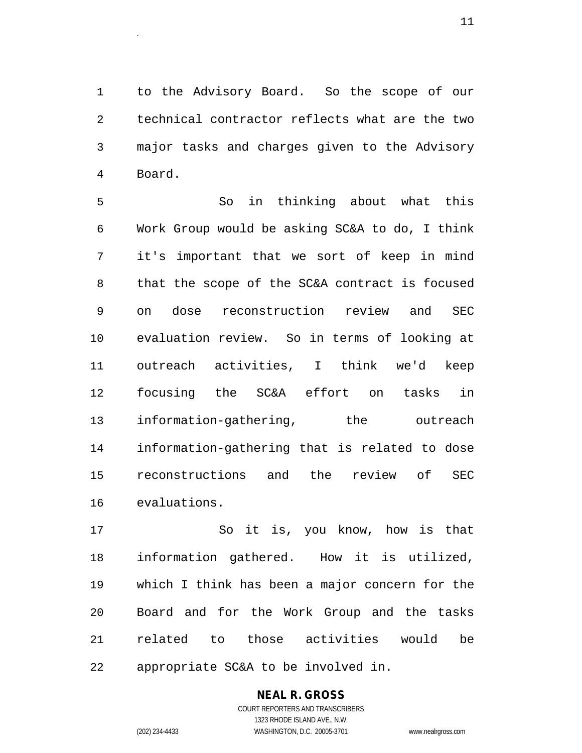1 to the Advisory Board. So the scope of our 2 technical contractor reflects what are the two 3 major tasks and charges given to the Advisory 4 Board.

5 So in thinking about what this 6 Work Group would be asking SC&A to do, I think 7 it's important that we sort of keep in mind 8 that the scope of the SC&A contract is focused 9 on dose reconstruction review and SEC 10 evaluation review. So in terms of looking at 11 outreach activities, I think we'd keep 12 focusing the SC&A effort on tasks in 13 information-gathering, the outreach 14 information-gathering that is related to dose 15 reconstructions and the review of SEC 16 evaluations.

17 So it is, you know, how is that 18 information gathered. How it is utilized, 19 which I think has been a major concern for the 20 Board and for the Work Group and the tasks 21 related to those activities would be 22 appropriate SC&A to be involved in.

# **NEAL R. GROSS**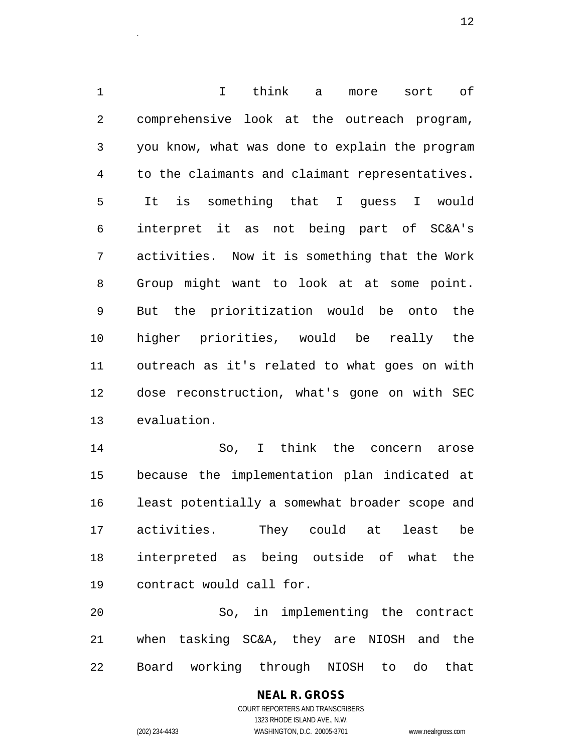1 I think a more sort of 2 comprehensive look at the outreach program, 3 you know, what was done to explain the program 4 to the claimants and claimant representatives. 5 It is something that I guess I would 6 interpret it as not being part of SC&A's 7 activities. Now it is something that the Work 8 Group might want to look at at some point. 9 But the prioritization would be onto the 10 higher priorities, would be really the 11 outreach as it's related to what goes on with 12 dose reconstruction, what's gone on with SEC 13 evaluation.

14 So, I think the concern arose 15 because the implementation plan indicated at 16 least potentially a somewhat broader scope and 17 activities. They could at least be 18 interpreted as being outside of what the 19 contract would call for.

20 So, in implementing the contract 21 when tasking SC&A, they are NIOSH and the 22 Board working through NIOSH to do that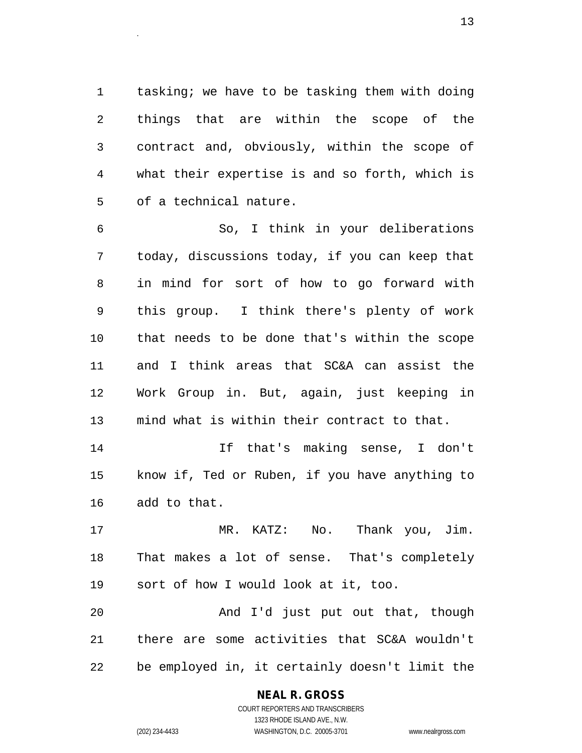1 tasking; we have to be tasking them with doing 2 things that are within the scope of the 3 contract and, obviously, within the scope of 4 what their expertise is and so forth, which is 5 of a technical nature.

<sup>13</sup>.

6 So, I think in your deliberations 7 today, discussions today, if you can keep that 8 in mind for sort of how to go forward with 9 this group. I think there's plenty of work 10 that needs to be done that's within the scope 11 and I think areas that SC&A can assist the 12 Work Group in. But, again, just keeping in 13 mind what is within their contract to that.

14 If that's making sense, I don't 15 know if, Ted or Ruben, if you have anything to 16 add to that.

17 MR. KATZ: No. Thank you, Jim. 18 That makes a lot of sense. That's completely 19 sort of how I would look at it, too.

20 And I'd just put out that, though 21 there are some activities that SC&A wouldn't 22 be employed in, it certainly doesn't limit the

# **NEAL R. GROSS**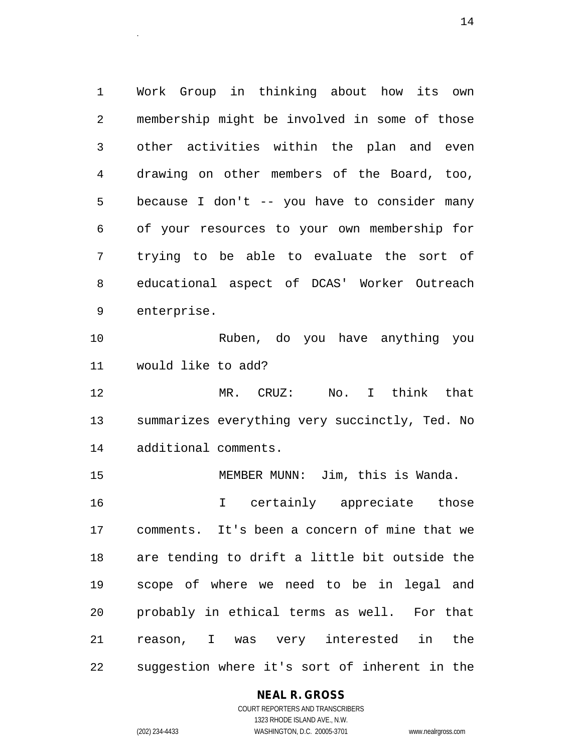1 Work Group in thinking about how its own 2 membership might be involved in some of those 3 other activities within the plan and even 4 drawing on other members of the Board, too, 5 because I don't -- you have to consider many 6 of your resources to your own membership for 7 trying to be able to evaluate the sort of 8 educational aspect of DCAS' Worker Outreach 9 enterprise.

<sup>14</sup>.

10 Ruben, do you have anything you 11 would like to add?

12 MR. CRUZ: No. I think that 13 summarizes everything very succinctly, Ted. No 14 additional comments.

15 MEMBER MUNN: Jim, this is Wanda.

16 I certainly appreciate those 17 comments. It's been a concern of mine that we 18 are tending to drift a little bit outside the 19 scope of where we need to be in legal and 20 probably in ethical terms as well. For that 21 reason, I was very interested in the 22 suggestion where it's sort of inherent in the

### **NEAL R. GROSS** COURT REPORTERS AND TRANSCRIBERS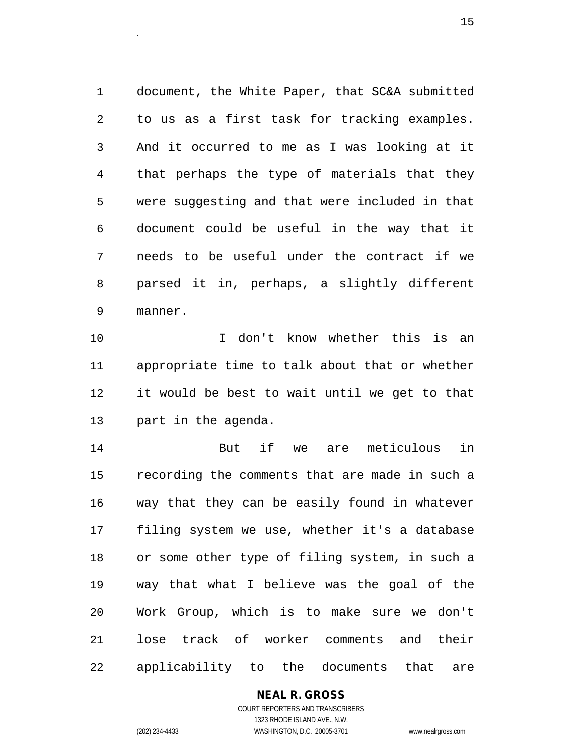1 document, the White Paper, that SC&A submitted 2 to us as a first task for tracking examples. 3 And it occurred to me as I was looking at it 4 that perhaps the type of materials that they 5 were suggesting and that were included in that 6 document could be useful in the way that it 7 needs to be useful under the contract if we 8 parsed it in, perhaps, a slightly different 9 manner.

10 I don't know whether this is an 11 appropriate time to talk about that or whether 12 it would be best to wait until we get to that 13 part in the agenda.

14 But if we are meticulous in 15 recording the comments that are made in such a 16 way that they can be easily found in whatever 17 filing system we use, whether it's a database 18 or some other type of filing system, in such a 19 way that what I believe was the goal of the 20 Work Group, which is to make sure we don't 21 lose track of worker comments and their 22 applicability to the documents that are

# **NEAL R. GROSS**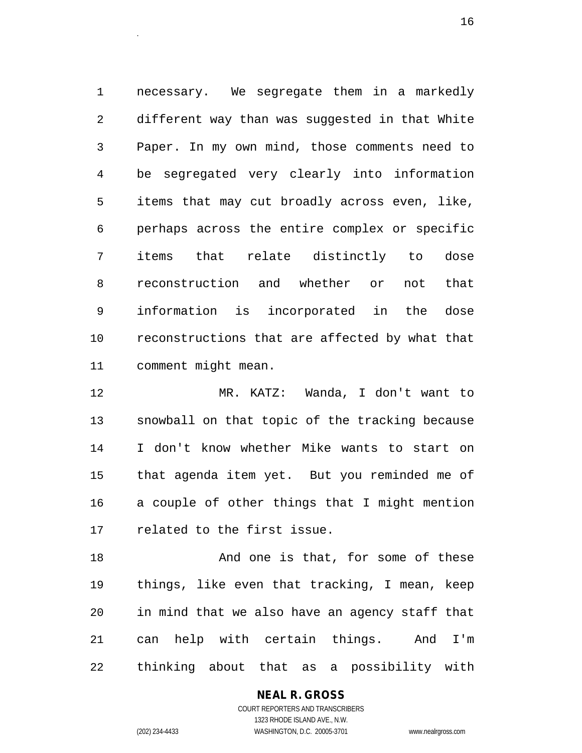1 necessary. We segregate them in a markedly 2 different way than was suggested in that White 3 Paper. In my own mind, those comments need to 4 be segregated very clearly into information 5 items that may cut broadly across even, like, 6 perhaps across the entire complex or specific 7 items that relate distinctly to dose 8 reconstruction and whether or not that 9 information is incorporated in the dose 10 reconstructions that are affected by what that 11 comment might mean.

12 MR. KATZ: Wanda, I don't want to 13 snowball on that topic of the tracking because 14 I don't know whether Mike wants to start on 15 that agenda item yet. But you reminded me of 16 a couple of other things that I might mention 17 related to the first issue.

18 And one is that, for some of these 19 things, like even that tracking, I mean, keep 20 in mind that we also have an agency staff that 21 can help with certain things. And I'm 22 thinking about that as a possibility with

## **NEAL R. GROSS**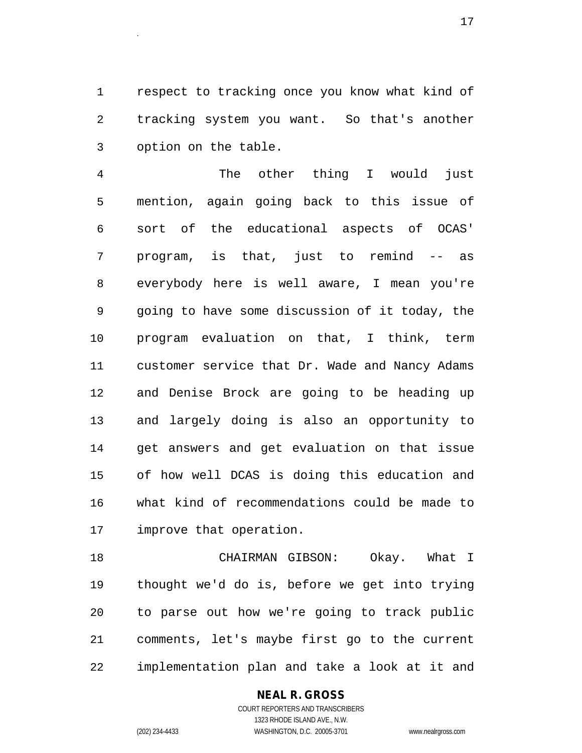1 respect to tracking once you know what kind of 2 tracking system you want. So that's another 3 option on the table.

4 The other thing I would just 5 mention, again going back to this issue of 6 sort of the educational aspects of OCAS' 7 program, is that, just to remind -- as 8 everybody here is well aware, I mean you're 9 going to have some discussion of it today, the 10 program evaluation on that, I think, term 11 customer service that Dr. Wade and Nancy Adams 12 and Denise Brock are going to be heading up 13 and largely doing is also an opportunity to 14 get answers and get evaluation on that issue 15 of how well DCAS is doing this education and 16 what kind of recommendations could be made to 17 improve that operation.

18 CHAIRMAN GIBSON: Okay. What I 19 thought we'd do is, before we get into trying 20 to parse out how we're going to track public 21 comments, let's maybe first go to the current 22 implementation plan and take a look at it and

## **NEAL R. GROSS**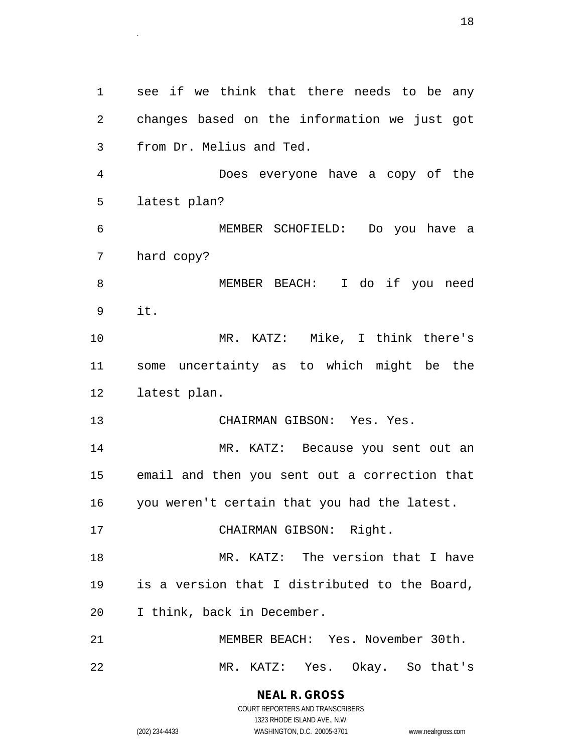1 see if we think that there needs to be any 2 changes based on the information we just got 3 from Dr. Melius and Ted. 4 Does everyone have a copy of the 5 latest plan? 6 MEMBER SCHOFIELD: Do you have a 7 hard copy? 8 MEMBER BEACH: I do if you need 9 it. 10 MR. KATZ: Mike, I think there's 11 some uncertainty as to which might be the 12 latest plan. 13 CHAIRMAN GIBSON: Yes. Yes. 14 MR. KATZ: Because you sent out an 15 email and then you sent out a correction that 16 you weren't certain that you had the latest. 17 CHAIRMAN GIBSON: Right. 18 MR. KATZ: The version that I have 19 is a version that I distributed to the Board, 20 I think, back in December. 21 MEMBER BEACH: Yes. November 30th. 22 MR. KATZ: Yes. Okay. So that's

> **NEAL R. GROSS** COURT REPORTERS AND TRANSCRIBERS

> > 1323 RHODE ISLAND AVE., N.W.

(202) 234-4433 WASHINGTON, D.C. 20005-3701 www.nealrgross.com

entities and the set of the set of the set of the set of the set of the set of the set of the set of the set o<br>The set of the set of the set of the set of the set of the set of the set of the set of the set of the set of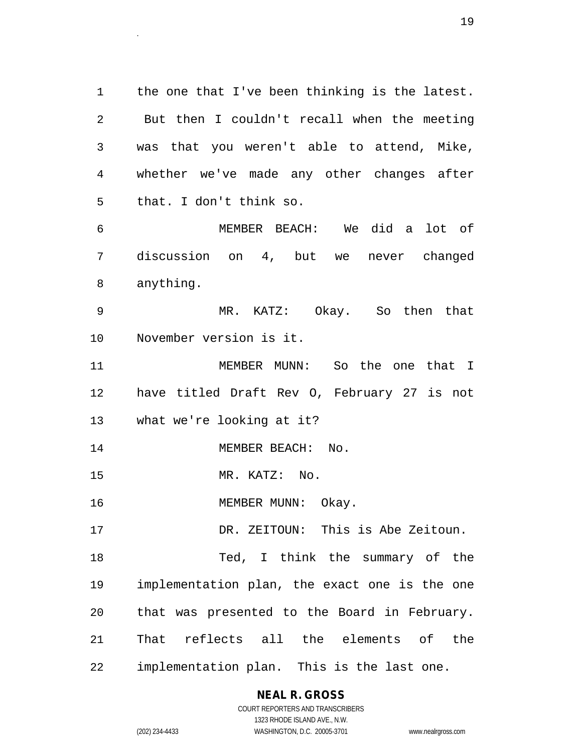1 the one that I've been thinking is the latest. 2 But then I couldn't recall when the meeting 3 was that you weren't able to attend, Mike, 4 whether we've made any other changes after 5 that. I don't think so.

6 MEMBER BEACH: We did a lot of 7 discussion on 4, but we never changed 8 anything.

9 MR. KATZ: Okay. So then that 10 November version is it.

11 MEMBER MUNN: So the one that I 12 have titled Draft Rev O, February 27 is not 13 what we're looking at it?

14 MEMBER BEACH: No.

15 MR. KATZ: No.

16 MEMBER MUNN: Okay.

17 DR. ZEITOUN: This is Abe Zeitoun.

18 Ted, I think the summary of the 19 implementation plan, the exact one is the one 20 that was presented to the Board in February. 21 That reflects all the elements of the 22 implementation plan. This is the last one.

> **NEAL R. GROSS** COURT REPORTERS AND TRANSCRIBERS

1323 RHODE ISLAND AVE., N.W. (202) 234-4433 WASHINGTON, D.C. 20005-3701 www.nealrgross.com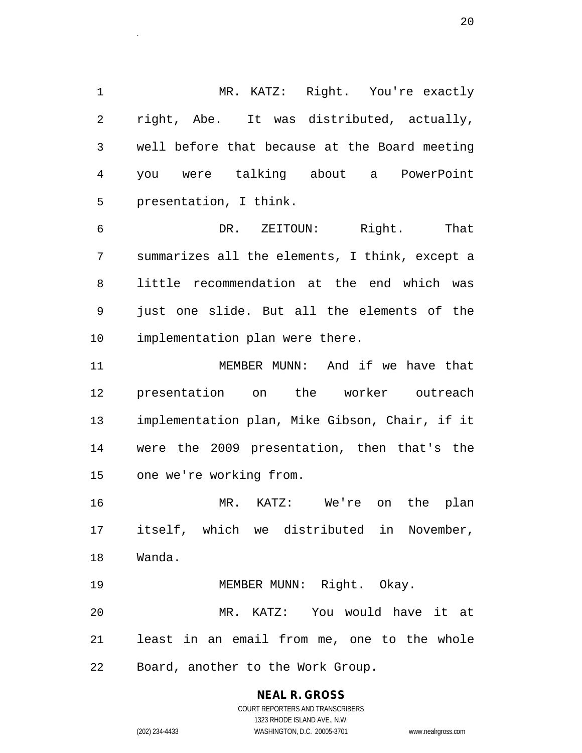1 MR. KATZ: Right. You're exactly 2 right, Abe. It was distributed, actually, 3 well before that because at the Board meeting 4 you were talking about a PowerPoint 5 presentation, I think.

 $20$ 

6 DR. ZEITOUN: Right. That 7 summarizes all the elements, I think, except a 8 little recommendation at the end which was 9 just one slide. But all the elements of the 10 implementation plan were there.

11 MEMBER MUNN: And if we have that 12 presentation on the worker outreach 13 implementation plan, Mike Gibson, Chair, if it 14 were the 2009 presentation, then that's the 15 one we're working from.

16 MR. KATZ: We're on the plan 17 itself, which we distributed in November, 18 Wanda.

19 MEMBER MUNN: Right. Okay. 20 MR. KATZ: You would have it at 21 least in an email from me, one to the whole 22 Board, another to the Work Group.

# **NEAL R. GROSS**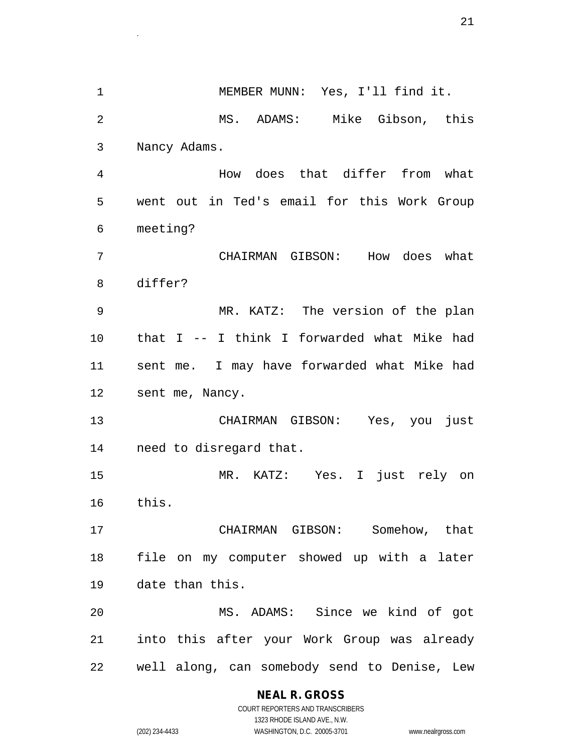1 MEMBER MUNN: Yes, I'll find it. 2 MS. ADAMS: Mike Gibson, this 3 Nancy Adams. 4 How does that differ from what 5 went out in Ted's email for this Work Group 6 meeting? 7 CHAIRMAN GIBSON: How does what 8 differ? 9 MR. KATZ: The version of the plan 10 that I -- I think I forwarded what Mike had 11 sent me. I may have forwarded what Mike had 12 sent me, Nancy. 13 CHAIRMAN GIBSON: Yes, you just 14 need to disregard that. 15 MR. KATZ: Yes. I just rely on 16 this. 17 CHAIRMAN GIBSON: Somehow, that 18 file on my computer showed up with a later 19 date than this. 20 MS. ADAMS: Since we kind of got 21 into this after your Work Group was already 22 well along, can somebody send to Denise, Lew

## **NEAL R. GROSS**

COURT REPORTERS AND TRANSCRIBERS 1323 RHODE ISLAND AVE., N.W. (202) 234-4433 WASHINGTON, D.C. 20005-3701 www.nealrgross.com

 $\sim$  21.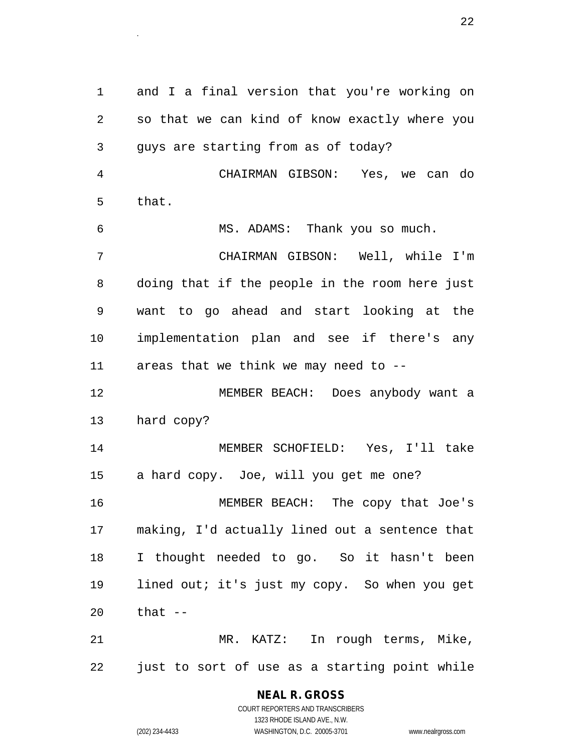1 and I a final version that you're working on 2 so that we can kind of know exactly where you 3 guys are starting from as of today? 4 CHAIRMAN GIBSON: Yes, we can do 5 that. 6 MS. ADAMS: Thank you so much. 7 CHAIRMAN GIBSON: Well, while I'm 8 doing that if the people in the room here just 9 want to go ahead and start looking at the 10 implementation plan and see if there's any 11 areas that we think we may need to -- 12 MEMBER BEACH: Does anybody want a 13 hard copy? 14 MEMBER SCHOFIELD: Yes, I'll take 15 a hard copy. Joe, will you get me one? 16 MEMBER BEACH: The copy that Joe's 17 making, I'd actually lined out a sentence that 18 I thought needed to go. So it hasn't been 19 lined out; it's just my copy. So when you get 20 that -- 21 MR. KATZ: In rough terms, Mike,

22 just to sort of use as a starting point while

**NEAL R. GROSS** COURT REPORTERS AND TRANSCRIBERS

1323 RHODE ISLAND AVE., N.W.

(202) 234-4433 WASHINGTON, D.C. 20005-3701 www.nealrgross.com

 $22$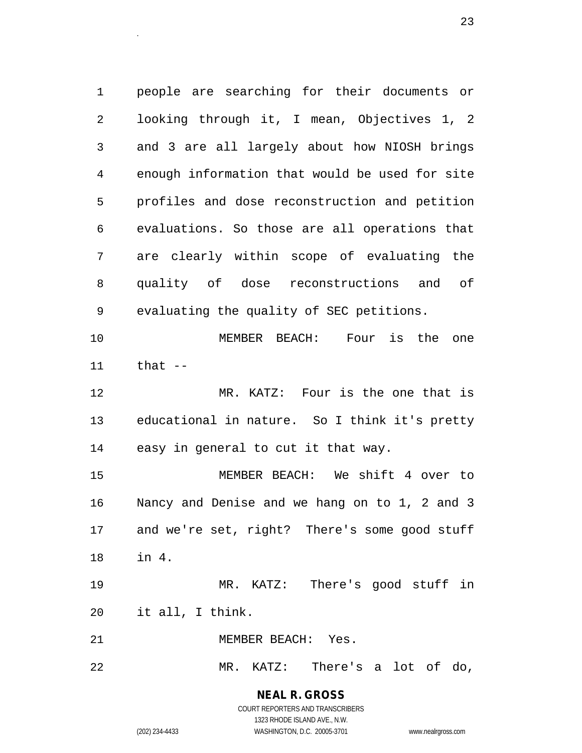1 people are searching for their documents or 2 looking through it, I mean, Objectives 1, 2 3 and 3 are all largely about how NIOSH brings 4 enough information that would be used for site 5 profiles and dose reconstruction and petition 6 evaluations. So those are all operations that 7 are clearly within scope of evaluating the 8 quality of dose reconstructions and of 9 evaluating the quality of SEC petitions.

10 MEMBER BEACH: Four is the one 11 that --

12 MR. KATZ: Four is the one that is 13 educational in nature. So I think it's pretty 14 easy in general to cut it that way.

15 MEMBER BEACH: We shift 4 over to 16 Nancy and Denise and we hang on to 1, 2 and 3 17 and we're set, right? There's some good stuff 18 in 4.

19 MR. KATZ: There's good stuff in 20 it all, I think.

21 MEMBER BEACH: Yes.

22 MR. KATZ: There's a lot of do,

# **NEAL R. GROSS**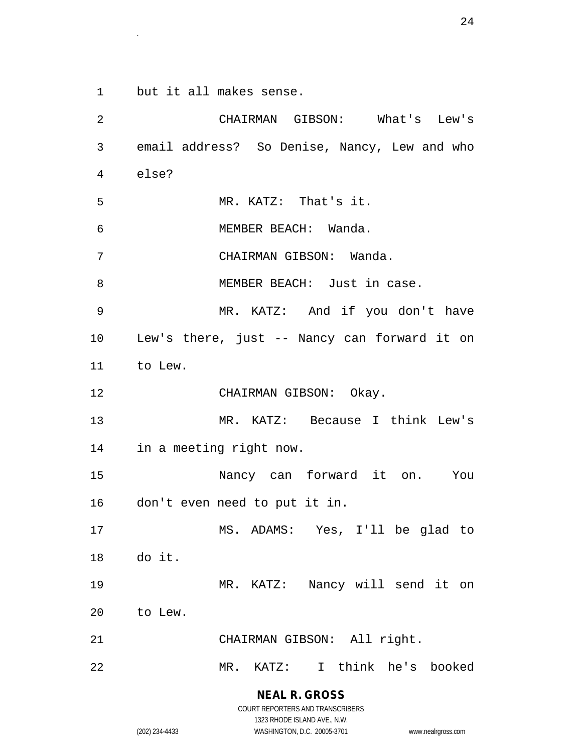1 but it all makes sense.

2 CHAIRMAN GIBSON: What's Lew's 3 email address? So Denise, Nancy, Lew and who 4 else? 5 MR. KATZ: That's it. 6 MEMBER BEACH: Wanda. 7 CHAIRMAN GIBSON: Wanda. 8 MEMBER BEACH: Just in case. 9 MR. KATZ: And if you don't have 10 Lew's there, just -- Nancy can forward it on 11 to Lew. 12 CHAIRMAN GIBSON: Okay. 13 MR. KATZ: Because I think Lew's 14 in a meeting right now. 15 Nancy can forward it on. You 16 don't even need to put it in. 17 MS. ADAMS: Yes, I'll be glad to 18 do it. 19 MR. KATZ: Nancy will send it on 20 to Lew. 21 CHAIRMAN GIBSON: All right. 22 MR. KATZ: I think he's booked

> **NEAL R. GROSS** COURT REPORTERS AND TRANSCRIBERS

1323 RHODE ISLAND AVE., N.W. (202) 234-4433 WASHINGTON, D.C. 20005-3701 www.nealrgross.com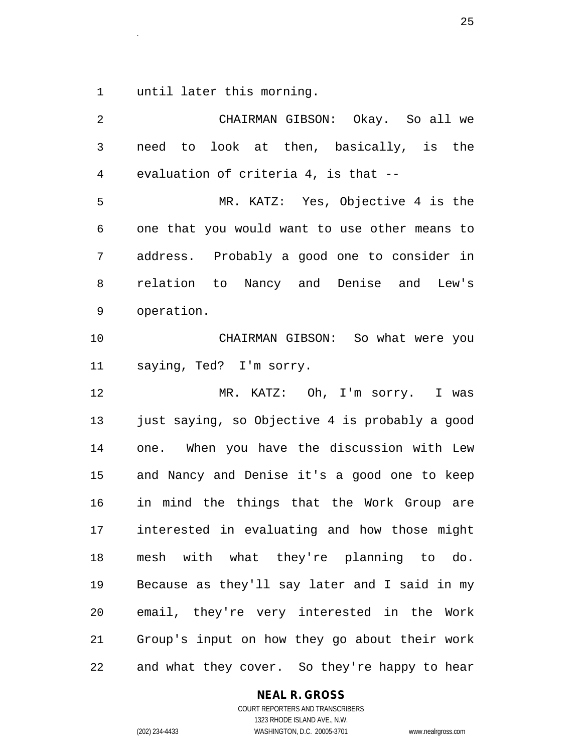1 until later this morning.

| $\overline{2}$ | CHAIRMAN GIBSON: Okay. So all we               |
|----------------|------------------------------------------------|
| $\mathbf{3}$   | need to look at then, basically, is the        |
| 4              | evaluation of criteria 4, is that --           |
| 5              | MR. KATZ: Yes, Objective 4 is the              |
| 6              | one that you would want to use other means to  |
| 7              | address. Probably a good one to consider in    |
| 8              | relation to Nancy and Denise and Lew's         |
| 9              | operation.                                     |
| 10             | CHAIRMAN GIBSON: So what were you              |
| 11             | saying, Ted? I'm sorry.                        |
| 12             | MR. KATZ: Oh, I'm sorry. I was                 |
| 13             | just saying, so Objective 4 is probably a good |
| 14             | one. When you have the discussion with Lew     |
| 15             | and Nancy and Denise it's a good one to keep   |
| 16             | in mind the things that the Work Group are     |
| 17             | interested in evaluating and how those might   |
| 18             | mesh with what they're planning to do.         |
| 19             | Because as they'll say later and I said in my  |
| 20             | email, they're very interested in the Work     |
| 21             | Group's input on how they go about their work  |
| 22             | and what they cover. So they're happy to hear  |

**NEAL R. GROSS**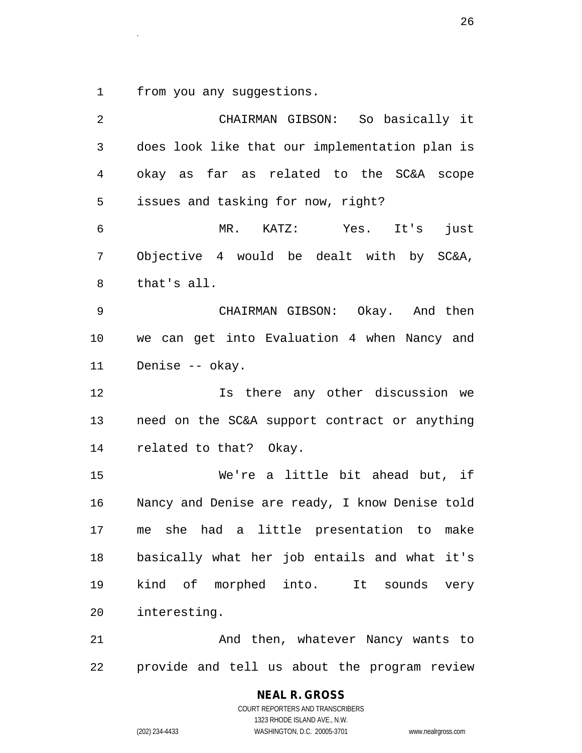1 from you any suggestions.

| 2  | CHAIRMAN GIBSON: So basically it               |
|----|------------------------------------------------|
| 3  | does look like that our implementation plan is |
| 4  | okay as far as related to the SC&A scope       |
| 5  | issues and tasking for now, right?             |
| 6  | MR. KATZ: Yes. It's<br>just                    |
| 7  | Objective 4 would be dealt with by SC&A,       |
| 8  | that's all.                                    |
| 9  | CHAIRMAN GIBSON: Okay. And then                |
| 10 | we can get into Evaluation 4 when Nancy and    |
| 11 | Denise -- okay.                                |
| 12 | Is there any other discussion we               |
| 13 | need on the SC&A support contract or anything  |
| 14 | related to that? Okay.                         |
| 15 | We're a little bit ahead but, if               |
| 16 | Nancy and Denise are ready, I know Denise told |
| 17 | me she had a little presentation to make       |
| 18 | basically what her job entails and what it's   |
| 19 | kind of morphed into. It sounds very           |
| 20 | interesting.                                   |
| 21 | And then, whatever Nancy wants to              |
| 22 | provide and tell us about the program review   |

**NEAL R. GROSS** COURT REPORTERS AND TRANSCRIBERS 1323 RHODE ISLAND AVE., N.W.

(202) 234-4433 WASHINGTON, D.C. 20005-3701 www.nealrgross.com

 $26$ .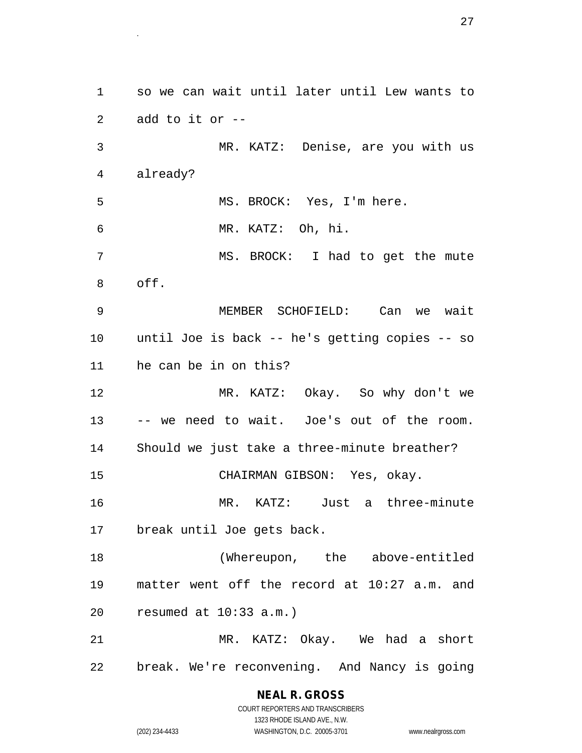1 so we can wait until later until Lew wants to 2 add to it or -- 3 MR. KATZ: Denise, are you with us 4 already? 5 MS. BROCK: Yes, I'm here. 6 MR. KATZ: Oh, hi. 7 MS. BROCK: I had to get the mute 8 off. 9 MEMBER SCHOFIELD: Can we wait 10 until Joe is back -- he's getting copies -- so 11 he can be in on this? 12 MR. KATZ: Okay. So why don't we 13 -- we need to wait. Joe's out of the room. 14 Should we just take a three-minute breather? 15 CHAIRMAN GIBSON: Yes, okay. 16 MR. KATZ: Just a three-minute 17 break until Joe gets back. 18 (Whereupon, the above-entitled 19 matter went off the record at 10:27 a.m. and 20 resumed at 10:33 a.m.) 21 MR. KATZ: Okay. We had a short 22 break. We're reconvening. And Nancy is going

 $27$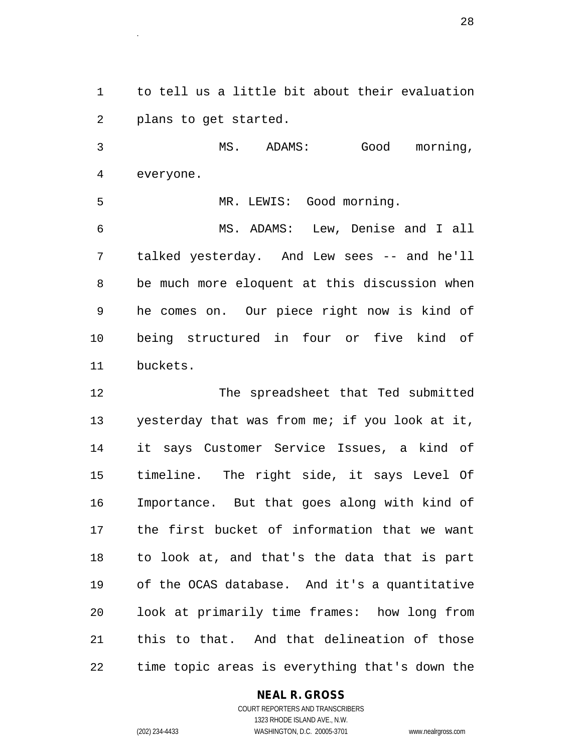1 to tell us a little bit about their evaluation 2 plans to get started.

3 MS. ADAMS: Good morning, 4 everyone.

5 MR. LEWIS: Good morning.

6 MS. ADAMS: Lew, Denise and I all 7 talked yesterday. And Lew sees -- and he'll 8 be much more eloquent at this discussion when 9 he comes on. Our piece right now is kind of 10 being structured in four or five kind of 11 buckets.

12 The spreadsheet that Ted submitted 13 yesterday that was from me; if you look at it, 14 it says Customer Service Issues, a kind of 15 timeline. The right side, it says Level Of 16 Importance. But that goes along with kind of 17 the first bucket of information that we want 18 to look at, and that's the data that is part 19 of the OCAS database. And it's a quantitative 20 look at primarily time frames: how long from 21 this to that. And that delineation of those 22 time topic areas is everything that's down the

## **NEAL R. GROSS**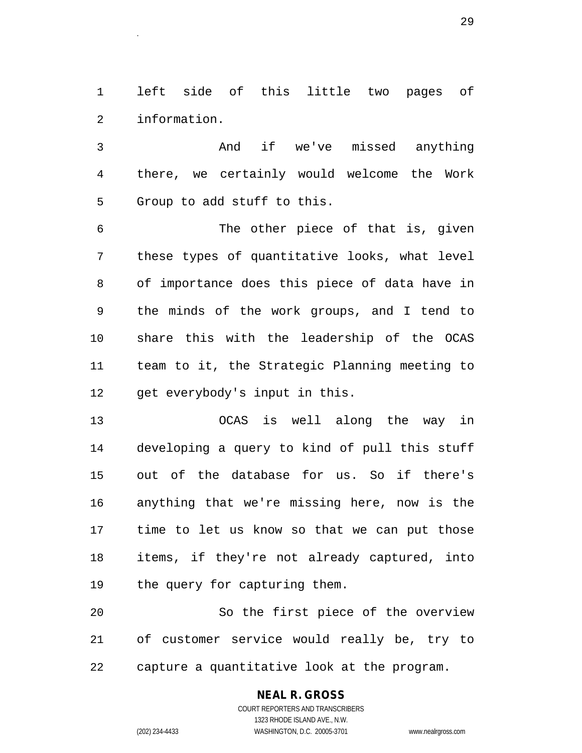1 left side of this little two pages of 2 information.

3 And if we've missed anything 4 there, we certainly would welcome the Work 5 Group to add stuff to this.

6 The other piece of that is, given 7 these types of quantitative looks, what level 8 of importance does this piece of data have in 9 the minds of the work groups, and I tend to 10 share this with the leadership of the OCAS 11 team to it, the Strategic Planning meeting to 12 get everybody's input in this.

13 OCAS is well along the way in 14 developing a query to kind of pull this stuff 15 out of the database for us. So if there's 16 anything that we're missing here, now is the 17 time to let us know so that we can put those 18 items, if they're not already captured, into 19 the query for capturing them.

20 So the first piece of the overview 21 of customer service would really be, try to 22 capture a quantitative look at the program.

# **NEAL R. GROSS**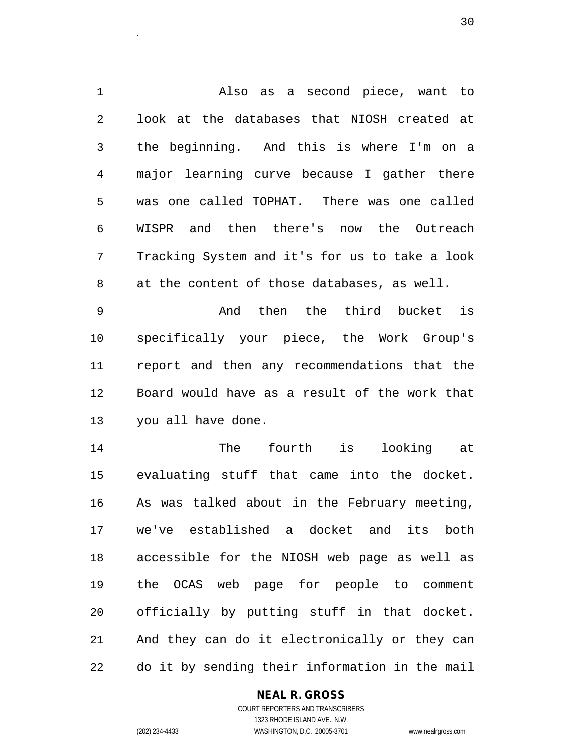1 Also as a second piece, want to 2 look at the databases that NIOSH created at 3 the beginning. And this is where I'm on a 4 major learning curve because I gather there 5 was one called TOPHAT. There was one called 6 WISPR and then there's now the Outreach 7 Tracking System and it's for us to take a look 8 at the content of those databases, as well.

9 And then the third bucket is 10 specifically your piece, the Work Group's 11 report and then any recommendations that the 12 Board would have as a result of the work that 13 you all have done.

14 The fourth is looking at 15 evaluating stuff that came into the docket. 16 As was talked about in the February meeting, 17 we've established a docket and its both 18 accessible for the NIOSH web page as well as 19 the OCAS web page for people to comment 20 officially by putting stuff in that docket. 21 And they can do it electronically or they can 22 do it by sending their information in the mail

## **NEAL R. GROSS**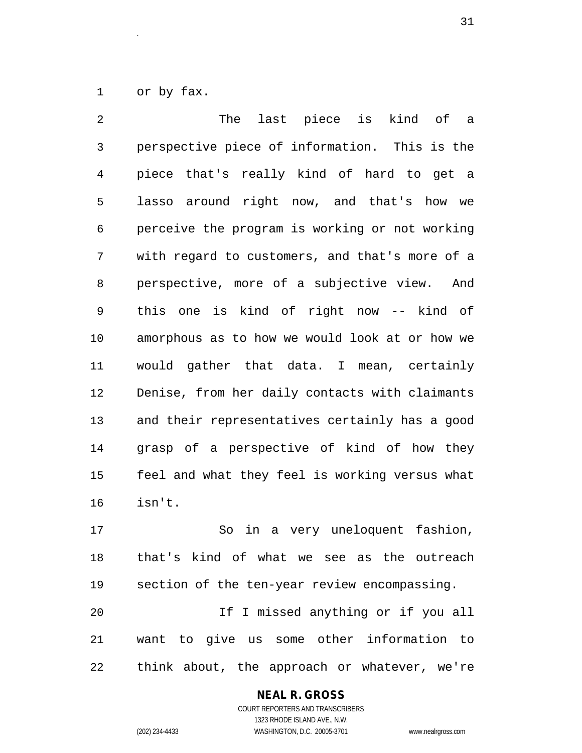1 or by fax.

2 The last piece is kind of a 3 perspective piece of information. This is the 4 piece that's really kind of hard to get a 5 lasso around right now, and that's how we 6 perceive the program is working or not working 7 with regard to customers, and that's more of a 8 perspective, more of a subjective view. And 9 this one is kind of right now -- kind of 10 amorphous as to how we would look at or how we 11 would gather that data. I mean, certainly 12 Denise, from her daily contacts with claimants 13 and their representatives certainly has a good 14 grasp of a perspective of kind of how they 15 feel and what they feel is working versus what 16 isn't.

17 So in a very uneloquent fashion, 18 that's kind of what we see as the outreach 19 section of the ten-year review encompassing. 20 If I missed anything or if you all 21 want to give us some other information to 22 think about, the approach or whatever, we're

### **NEAL R. GROSS** COURT REPORTERS AND TRANSCRIBERS

1323 RHODE ISLAND AVE., N.W.

(202) 234-4433 WASHINGTON, D.C. 20005-3701 www.nealrgross.com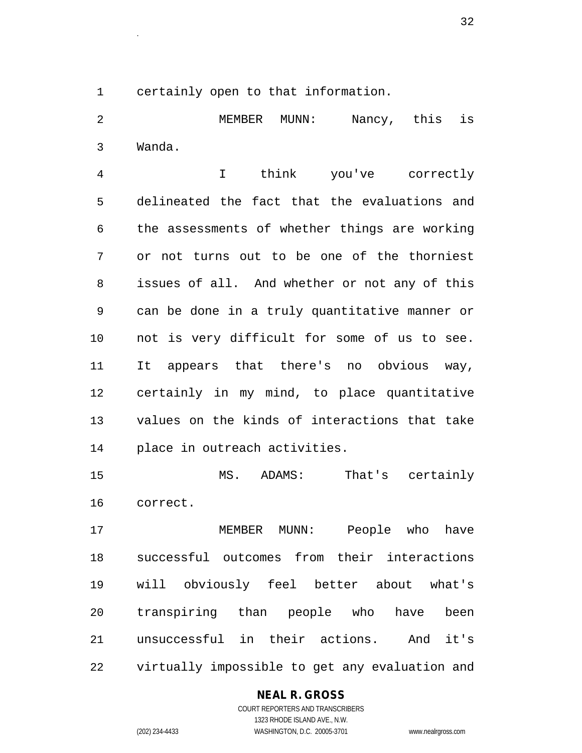1 certainly open to that information.

2 MEMBER MUNN: Nancy, this is 3 Wanda.

4 I think you've correctly 5 delineated the fact that the evaluations and 6 the assessments of whether things are working 7 or not turns out to be one of the thorniest 8 issues of all. And whether or not any of this 9 can be done in a truly quantitative manner or 10 not is very difficult for some of us to see. 11 It appears that there's no obvious way, 12 certainly in my mind, to place quantitative 13 values on the kinds of interactions that take 14 place in outreach activities.

15 MS. ADAMS: That's certainly 16 correct.

17 MEMBER MUNN: People who have 18 successful outcomes from their interactions 19 will obviously feel better about what's 20 transpiring than people who have been 21 unsuccessful in their actions. And it's 22 virtually impossible to get any evaluation and

## **NEAL R. GROSS**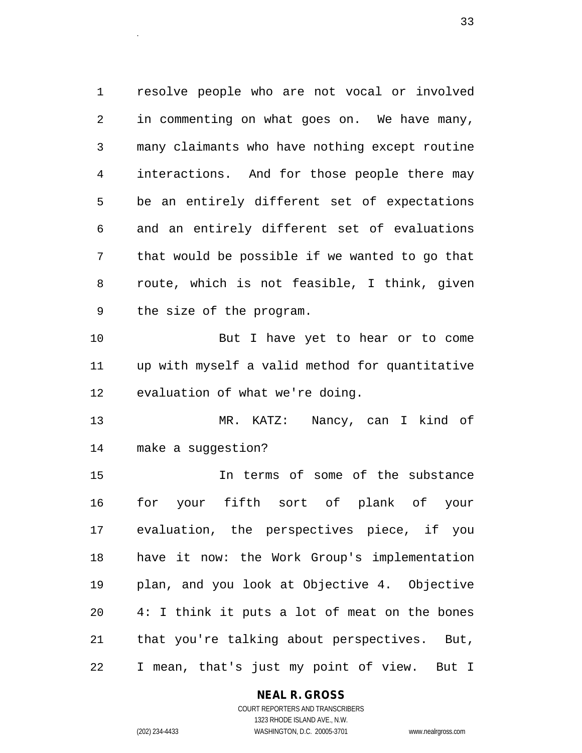1 resolve people who are not vocal or involved 2 in commenting on what goes on. We have many, 3 many claimants who have nothing except routine 4 interactions. And for those people there may 5 be an entirely different set of expectations 6 and an entirely different set of evaluations 7 that would be possible if we wanted to go that 8 route, which is not feasible, I think, given 9 the size of the program. 10 But I have yet to hear or to come

11 up with myself a valid method for quantitative 12 evaluation of what we're doing.

13 MR. KATZ: Nancy, can I kind of 14 make a suggestion?

15 In terms of some of the substance 16 for your fifth sort of plank of your 17 evaluation, the perspectives piece, if you 18 have it now: the Work Group's implementation 19 plan, and you look at Objective 4. Objective 20 4: I think it puts a lot of meat on the bones 21 that you're talking about perspectives. But, 22 I mean, that's just my point of view. But I

## **NEAL R. GROSS**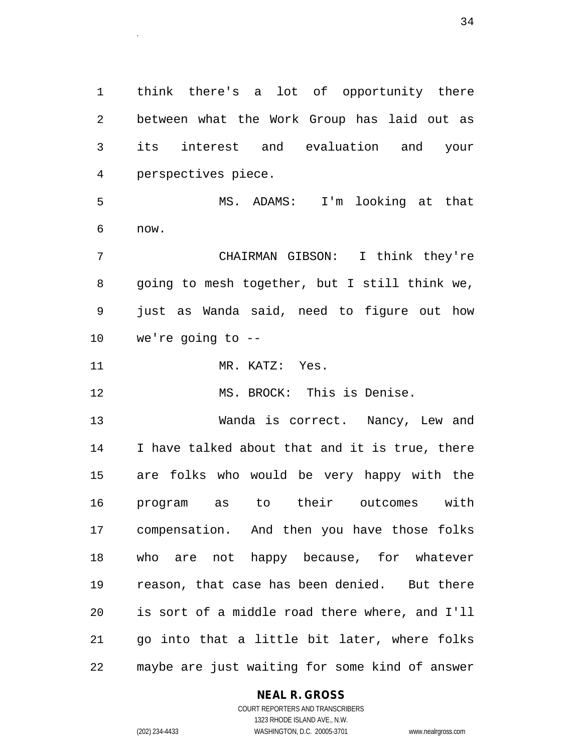1 think there's a lot of opportunity there 2 between what the Work Group has laid out as 3 its interest and evaluation and your 4 perspectives piece.

5 MS. ADAMS: I'm looking at that 6 now.

7 CHAIRMAN GIBSON: I think they're 8 going to mesh together, but I still think we, 9 just as Wanda said, need to figure out how 10 we're going to --

11 MR. KATZ: Yes.

12 MS. BROCK: This is Denise.

13 Wanda is correct. Nancy, Lew and 14 I have talked about that and it is true, there 15 are folks who would be very happy with the 16 program as to their outcomes with 17 compensation. And then you have those folks 18 who are not happy because, for whatever 19 reason, that case has been denied. But there 20 is sort of a middle road there where, and I'll 21 go into that a little bit later, where folks 22 maybe are just waiting for some kind of answer

## **NEAL R. GROSS**

COURT REPORTERS AND TRANSCRIBERS 1323 RHODE ISLAND AVE., N.W. (202) 234-4433 WASHINGTON, D.C. 20005-3701 www.nealrgross.com

 $34$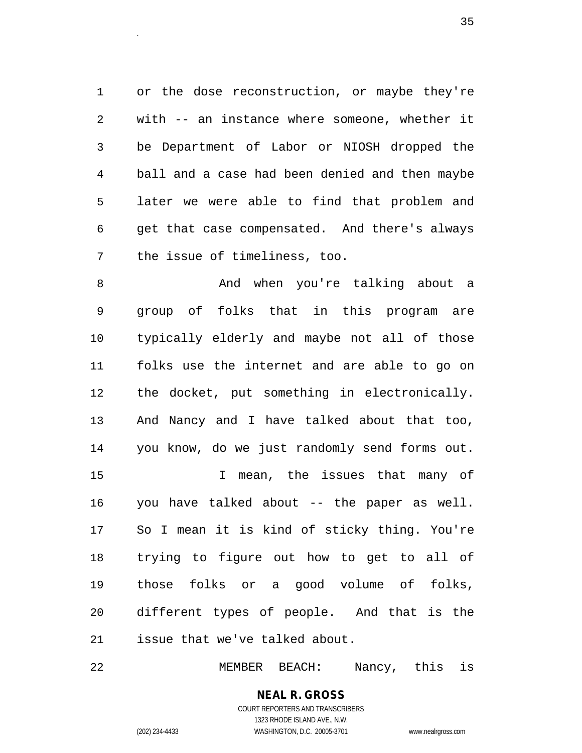1 or the dose reconstruction, or maybe they're 2 with -- an instance where someone, whether it 3 be Department of Labor or NIOSH dropped the 4 ball and a case had been denied and then maybe 5 later we were able to find that problem and 6 get that case compensated. And there's always 7 the issue of timeliness, too.

8 And when you're talking about a 9 group of folks that in this program are 10 typically elderly and maybe not all of those 11 folks use the internet and are able to go on 12 the docket, put something in electronically. 13 And Nancy and I have talked about that too, 14 you know, do we just randomly send forms out. 15 I mean, the issues that many of 16 you have talked about -- the paper as well. 17 So I mean it is kind of sticky thing. You're 18 trying to figure out how to get to all of 19 those folks or a good volume of folks, 20 different types of people. And that is the 21 issue that we've talked about.

22 MEMBER BEACH: Nancy, this is

**NEAL R. GROSS** COURT REPORTERS AND TRANSCRIBERS 1323 RHODE ISLAND AVE., N.W.

(202) 234-4433 WASHINGTON, D.C. 20005-3701 www.nealrgross.com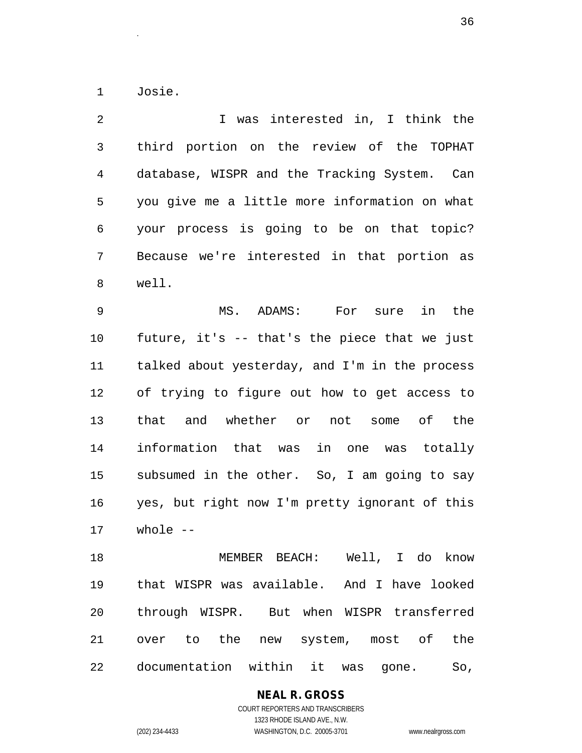1 Josie.

2 1 Was interested in, I think the 3 third portion on the review of the TOPHAT 4 database, WISPR and the Tracking System. Can 5 you give me a little more information on what 6 your process is going to be on that topic? 7 Because we're interested in that portion as 8 well.

9 MS. ADAMS: For sure in the 10 future, it's -- that's the piece that we just 11 talked about yesterday, and I'm in the process 12 of trying to figure out how to get access to 13 that and whether or not some of the 14 information that was in one was totally 15 subsumed in the other. So, I am going to say 16 yes, but right now I'm pretty ignorant of this 17 whole --

18 MEMBER BEACH: Well, I do know 19 that WISPR was available. And I have looked 20 through WISPR. But when WISPR transferred 21 over to the new system, most of the 22 documentation within it was gone. So,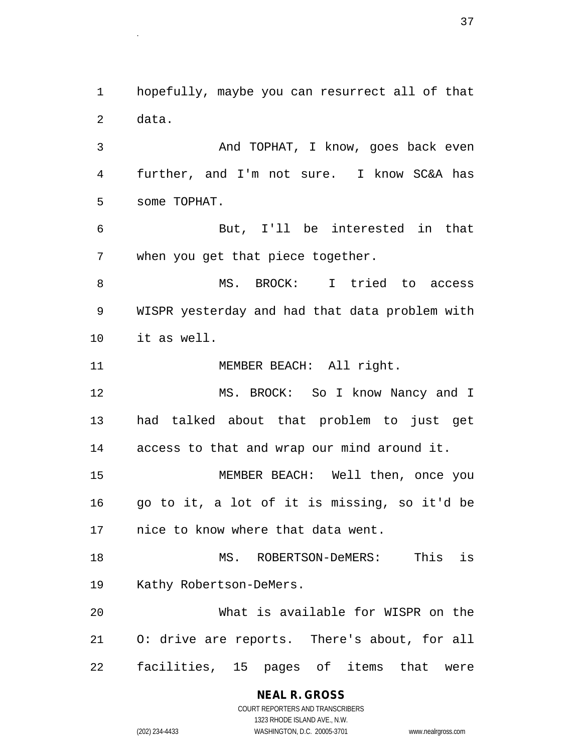1 hopefully, maybe you can resurrect all of that 2 data.

3 And TOPHAT, I know, goes back even 4 further, and I'm not sure. I know SC&A has 5 some TOPHAT.

6 But, I'll be interested in that 7 when you get that piece together.

8 MS. BROCK: I tried to access 9 WISPR yesterday and had that data problem with 10 it as well.

11 MEMBER BEACH: All right.

12 MS. BROCK: So I know Nancy and I 13 had talked about that problem to just get 14 access to that and wrap our mind around it.

15 MEMBER BEACH: Well then, once you 16 go to it, a lot of it is missing, so it'd be 17 nice to know where that data went.

18 MS. ROBERTSON-DeMERS: This is 19 Kathy Robertson-DeMers.

20 What is available for WISPR on the 21 O: drive are reports. There's about, for all 22 facilities, 15 pages of items that were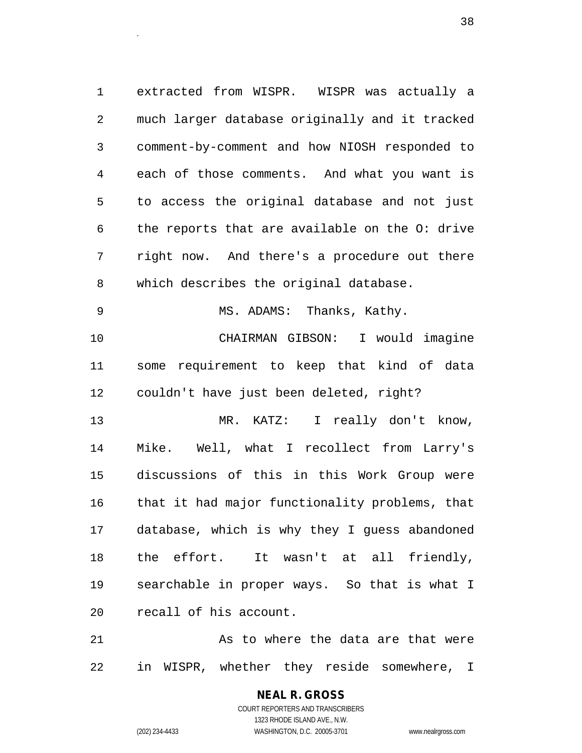1 extracted from WISPR. WISPR was actually a 2 much larger database originally and it tracked 3 comment-by-comment and how NIOSH responded to 4 each of those comments. And what you want is 5 to access the original database and not just 6 the reports that are available on the O: drive 7 right now. And there's a procedure out there 8 which describes the original database. 9 MS. ADAMS: Thanks, Kathy. 10 CHAIRMAN GIBSON: I would imagine 11 some requirement to keep that kind of data 12 couldn't have just been deleted, right? 13 MR. KATZ: I really don't know, 14 Mike. Well, what I recollect from Larry's 15 discussions of this in this Work Group were

20 recall of his account.

21 As to where the data are that were 22 in WISPR, whether they reside somewhere, I

16 that it had major functionality problems, that

17 database, which is why they I guess abandoned

18 the effort. It wasn't at all friendly,

19 searchable in proper ways. So that is what I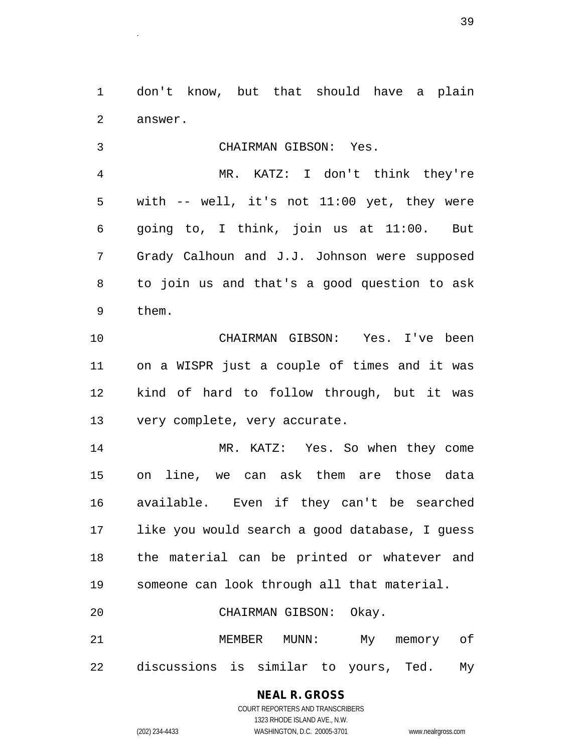1 don't know, but that should have a plain 2 answer.

3 CHAIRMAN GIBSON: Yes. 4 MR. KATZ: I don't think they're 5 with -- well, it's not 11:00 yet, they were 6 going to, I think, join us at 11:00. But 7 Grady Calhoun and J.J. Johnson were supposed 8 to join us and that's a good question to ask 9 them. 10 CHAIRMAN GIBSON: Yes. I've been 11 on a WISPR just a couple of times and it was 12 kind of hard to follow through, but it was 13 very complete, very accurate. 14 MR. KATZ: Yes. So when they come 15 on line, we can ask them are those data 16 available. Even if they can't be searched 17 like you would search a good database, I guess 18 the material can be printed or whatever and 19 someone can look through all that material. 20 CHAIRMAN GIBSON: Okay. 21 MEMBER MUNN: My memory of 22 discussions is similar to yours, Ted. My

#### **NEAL R. GROSS**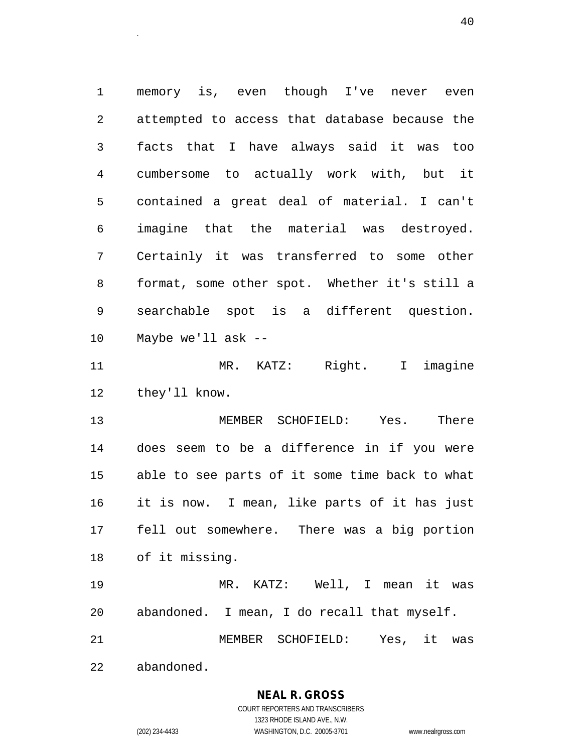1 memory is, even though I've never even 2 attempted to access that database because the 3 facts that I have always said it was too 4 cumbersome to actually work with, but it 5 contained a great deal of material. I can't 6 imagine that the material was destroyed. 7 Certainly it was transferred to some other 8 format, some other spot. Whether it's still a 9 searchable spot is a different question. 10 Maybe we'll ask --

<sup>40</sup>.

11 MR. KATZ: Right. I imagine 12 they'll know.

13 MEMBER SCHOFIELD: Yes. There 14 does seem to be a difference in if you were 15 able to see parts of it some time back to what 16 it is now. I mean, like parts of it has just 17 fell out somewhere. There was a big portion 18 of it missing.

19 MR. KATZ: Well, I mean it was 20 abandoned. I mean, I do recall that myself. 21 MEMBER SCHOFIELD: Yes, it was

22 abandoned.

**NEAL R. GROSS**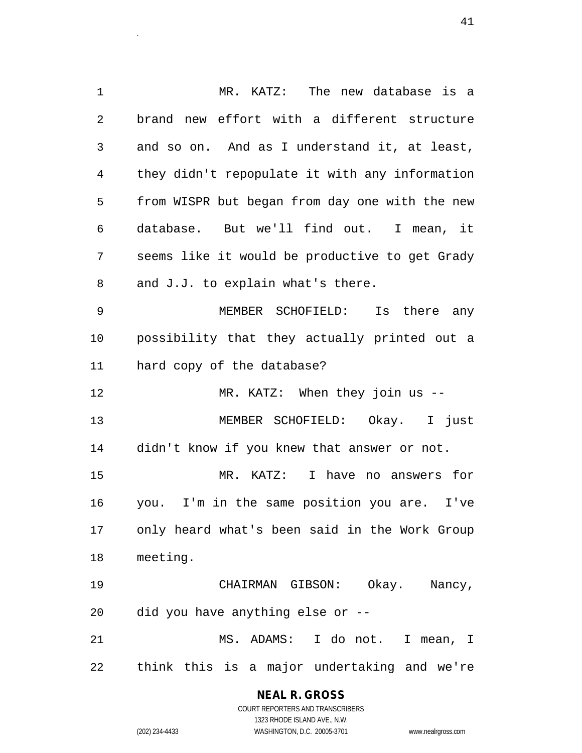1 MR. KATZ: The new database is a 2 brand new effort with a different structure 3 and so on. And as I understand it, at least, 4 they didn't repopulate it with any information 5 from WISPR but began from day one with the new 6 database. But we'll find out. I mean, it 7 seems like it would be productive to get Grady 8 and J.J. to explain what's there. 9 MEMBER SCHOFIELD: Is there any 10 possibility that they actually printed out a 11 hard copy of the database? 12 MR. KATZ: When they join us -- 13 MEMBER SCHOFIELD: Okay. I just 14 didn't know if you knew that answer or not. 15 MR. KATZ: I have no answers for 16 you. I'm in the same position you are. I've 17 only heard what's been said in the Work Group 18 meeting. 19 CHAIRMAN GIBSON: Okay. Nancy, 20 did you have anything else or -- 21 MS. ADAMS: I do not. I mean, I

22 think this is a major undertaking and we're

**NEAL R. GROSS** COURT REPORTERS AND TRANSCRIBERS

1323 RHODE ISLAND AVE., N.W.

(202) 234-4433 WASHINGTON, D.C. 20005-3701 www.nealrgross.com

<sup>41</sup>.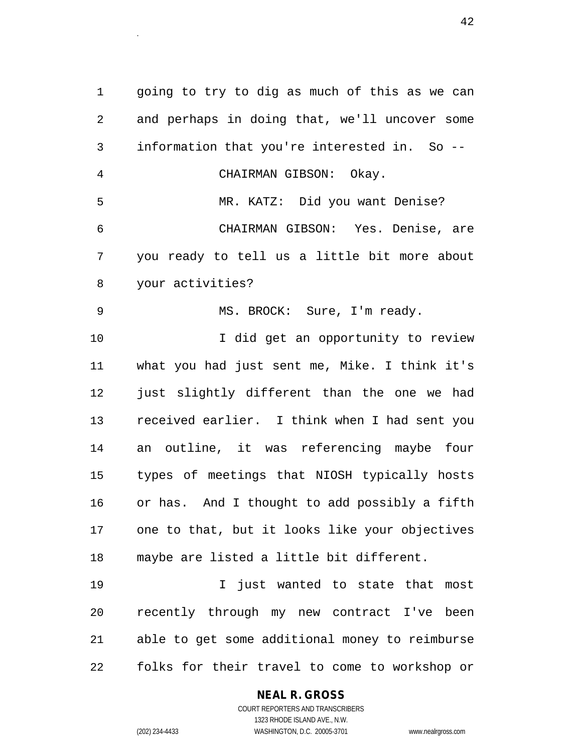1 going to try to dig as much of this as we can 2 and perhaps in doing that, we'll uncover some 3 information that you're interested in. So -- 4 CHAIRMAN GIBSON: Okay. 5 MR. KATZ: Did you want Denise? 6 CHAIRMAN GIBSON: Yes. Denise, are 7 you ready to tell us a little bit more about 8 your activities? 9 MS. BROCK: Sure, I'm ready. 10 I did get an opportunity to review 11 what you had just sent me, Mike. I think it's 12 just slightly different than the one we had 13 received earlier. I think when I had sent you 14 an outline, it was referencing maybe four 15 types of meetings that NIOSH typically hosts 16 or has. And I thought to add possibly a fifth 17 one to that, but it looks like your objectives 18 maybe are listed a little bit different. 19 I just wanted to state that most 20 recently through my new contract I've been 21 able to get some additional money to reimburse 22 folks for their travel to come to workshop or

**NEAL R. GROSS**

COURT REPORTERS AND TRANSCRIBERS 1323 RHODE ISLAND AVE., N.W. (202) 234-4433 WASHINGTON, D.C. 20005-3701 www.nealrgross.com

 $42$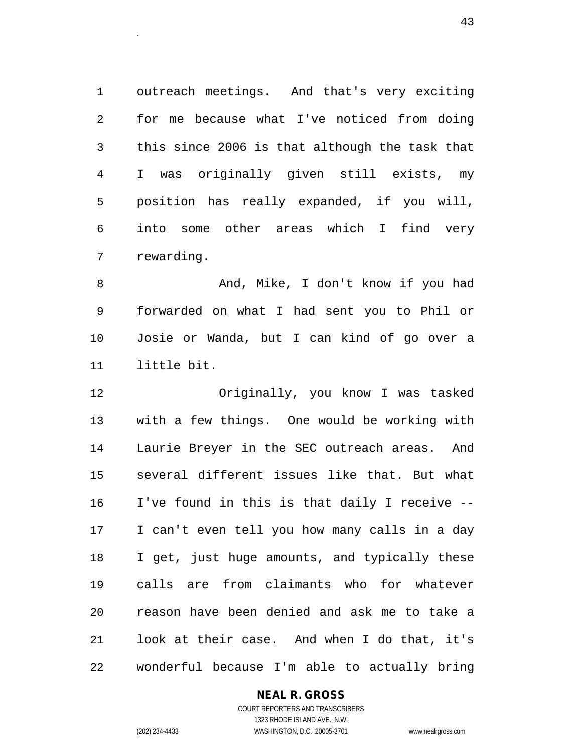1 outreach meetings. And that's very exciting 2 for me because what I've noticed from doing 3 this since 2006 is that although the task that 4 I was originally given still exists, my 5 position has really expanded, if you will, 6 into some other areas which I find very 7 rewarding.

8 And, Mike, I don't know if you had 9 forwarded on what I had sent you to Phil or 10 Josie or Wanda, but I can kind of go over a 11 little bit.

12 Originally, you know I was tasked 13 with a few things. One would be working with 14 Laurie Breyer in the SEC outreach areas. And 15 several different issues like that. But what 16 I've found in this is that daily I receive -- 17 I can't even tell you how many calls in a day 18 I get, just huge amounts, and typically these 19 calls are from claimants who for whatever 20 reason have been denied and ask me to take a 21 look at their case. And when I do that, it's 22 wonderful because I'm able to actually bring

#### **NEAL R. GROSS**

COURT REPORTERS AND TRANSCRIBERS 1323 RHODE ISLAND AVE., N.W. (202) 234-4433 WASHINGTON, D.C. 20005-3701 www.nealrgross.com

 $43.$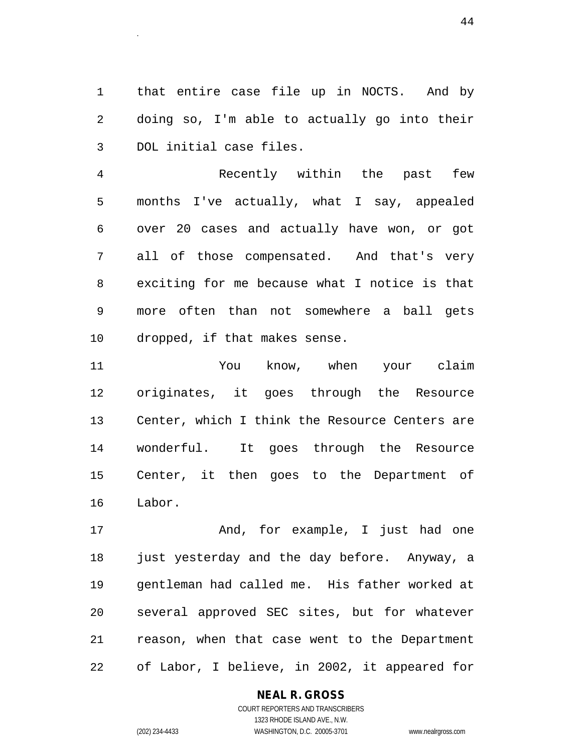1 that entire case file up in NOCTS. And by 2 doing so, I'm able to actually go into their 3 DOL initial case files.

4 Recently within the past few 5 months I've actually, what I say, appealed 6 over 20 cases and actually have won, or got 7 all of those compensated. And that's very 8 exciting for me because what I notice is that 9 more often than not somewhere a ball gets 10 dropped, if that makes sense.

11 You know, when your claim 12 originates, it goes through the Resource 13 Center, which I think the Resource Centers are 14 wonderful. It goes through the Resource 15 Center, it then goes to the Department of 16 Labor.

17 And, for example, I just had one 18 just yesterday and the day before. Anyway, a 19 gentleman had called me. His father worked at 20 several approved SEC sites, but for whatever 21 reason, when that case went to the Department 22 of Labor, I believe, in 2002, it appeared for

#### **NEAL R. GROSS**

COURT REPORTERS AND TRANSCRIBERS 1323 RHODE ISLAND AVE., N.W. (202) 234-4433 WASHINGTON, D.C. 20005-3701 www.nealrgross.com

<sup>44</sup>.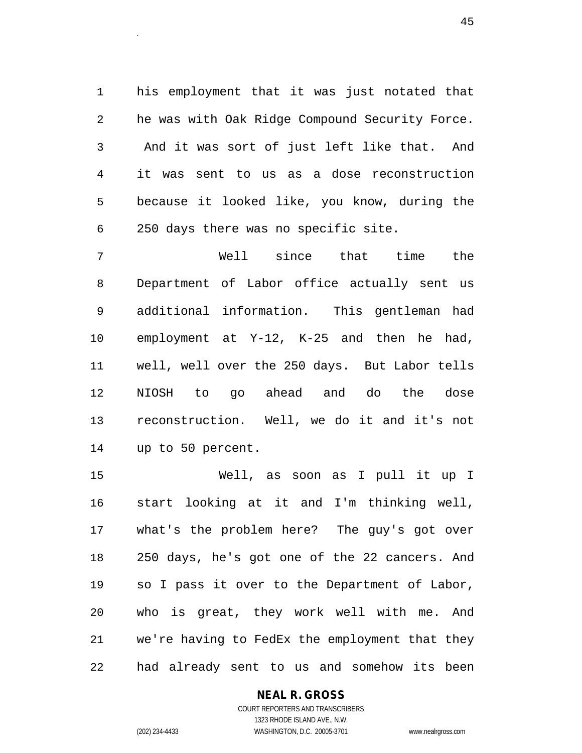1 his employment that it was just notated that 2 he was with Oak Ridge Compound Security Force. 3 And it was sort of just left like that. And 4 it was sent to us as a dose reconstruction 5 because it looked like, you know, during the 6 250 days there was no specific site.

7 Well since that time the 8 Department of Labor office actually sent us 9 additional information. This gentleman had 10 employment at Y-12, K-25 and then he had, 11 well, well over the 250 days. But Labor tells 12 NIOSH to go ahead and do the dose 13 reconstruction. Well, we do it and it's not 14 up to 50 percent.

15 Well, as soon as I pull it up I 16 start looking at it and I'm thinking well, 17 what's the problem here? The guy's got over 18 250 days, he's got one of the 22 cancers. And 19 so I pass it over to the Department of Labor, 20 who is great, they work well with me. And 21 we're having to FedEx the employment that they 22 had already sent to us and somehow its been

#### **NEAL R. GROSS**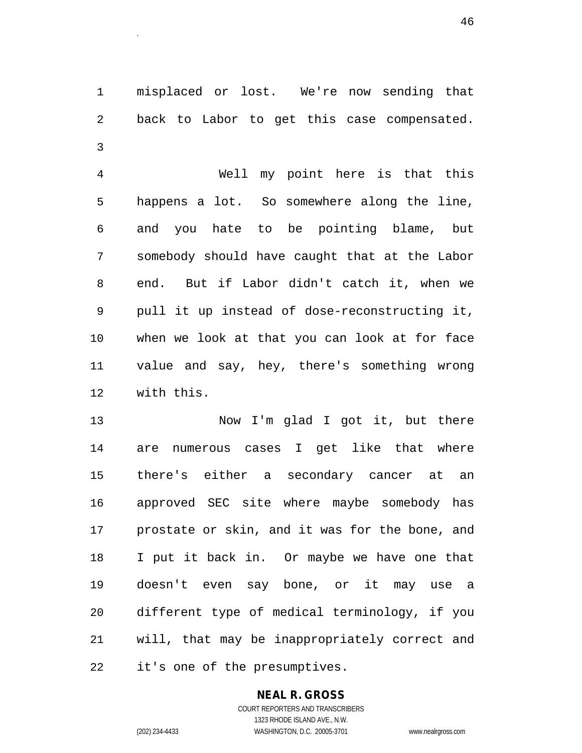1 misplaced or lost. We're now sending that 2 back to Labor to get this case compensated. 3

4 Well my point here is that this 5 happens a lot. So somewhere along the line, 6 and you hate to be pointing blame, but 7 somebody should have caught that at the Labor 8 end. But if Labor didn't catch it, when we 9 pull it up instead of dose-reconstructing it, 10 when we look at that you can look at for face 11 value and say, hey, there's something wrong 12 with this.

13 Now I'm glad I got it, but there 14 are numerous cases I get like that where 15 there's either a secondary cancer at an 16 approved SEC site where maybe somebody has 17 prostate or skin, and it was for the bone, and 18 I put it back in. Or maybe we have one that 19 doesn't even say bone, or it may use a 20 different type of medical terminology, if you 21 will, that may be inappropriately correct and 22 it's one of the presumptives.

#### **NEAL R. GROSS**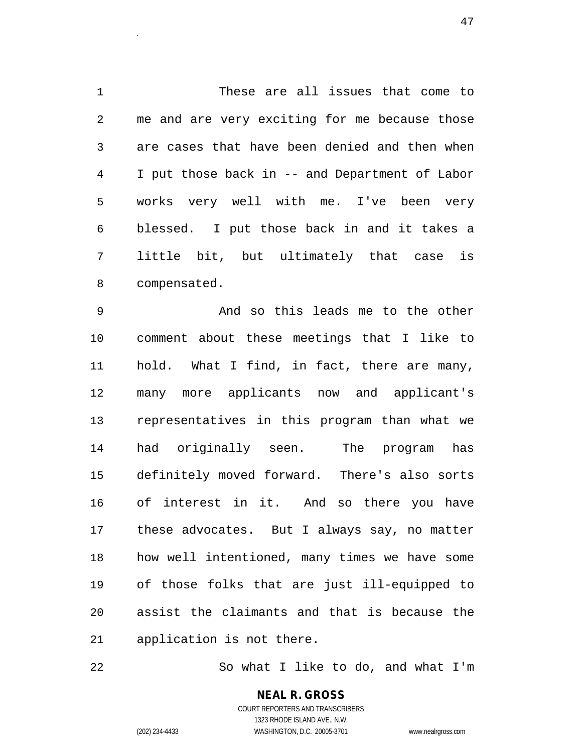1 These are all issues that come to 2 me and are very exciting for me because those 3 are cases that have been denied and then when 4 I put those back in -- and Department of Labor 5 works very well with me. I've been very 6 blessed. I put those back in and it takes a 7 little bit, but ultimately that case is 8 compensated.

<sup>47</sup>.

9 And so this leads me to the other 10 comment about these meetings that I like to 11 hold. What I find, in fact, there are many, 12 many more applicants now and applicant's 13 representatives in this program than what we 14 had originally seen. The program has 15 definitely moved forward. There's also sorts 16 of interest in it. And so there you have 17 these advocates. But I always say, no matter 18 how well intentioned, many times we have some 19 of those folks that are just ill-equipped to 20 assist the claimants and that is because the 21 application is not there.

22 So what I like to do, and what I'm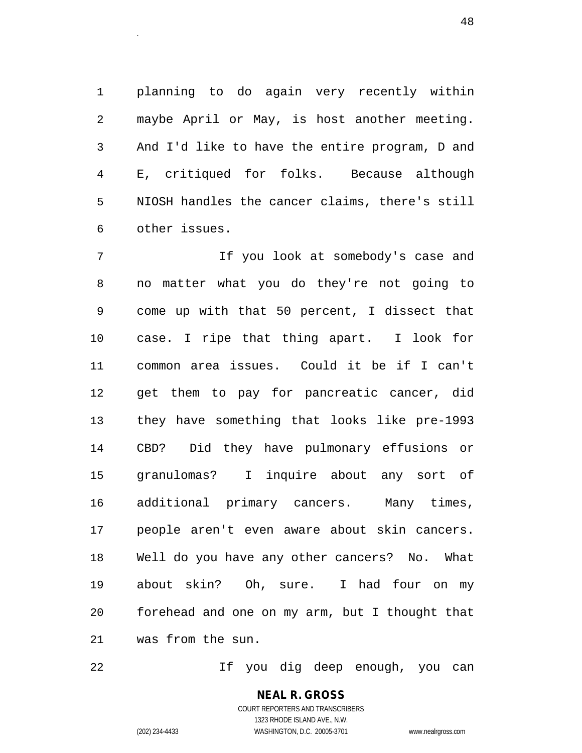1 planning to do again very recently within 2 maybe April or May, is host another meeting. 3 And I'd like to have the entire program, D and 4 E, critiqued for folks. Because although 5 NIOSH handles the cancer claims, there's still 6 other issues.

example and the contract of the contract of the contract of the contract of the contract of the contract of the contract of the contract of the contract of the contract of the contract of the contract of the contract of th

7 11 If you look at somebody's case and 8 no matter what you do they're not going to 9 come up with that 50 percent, I dissect that 10 case. I ripe that thing apart. I look for 11 common area issues. Could it be if I can't 12 get them to pay for pancreatic cancer, did 13 they have something that looks like pre-1993 14 CBD? Did they have pulmonary effusions or 15 granulomas? I inquire about any sort of 16 additional primary cancers. Many times, 17 people aren't even aware about skin cancers. 18 Well do you have any other cancers? No. What 19 about skin? Oh, sure. I had four on my 20 forehead and one on my arm, but I thought that 21 was from the sun.

22 If you dig deep enough, you can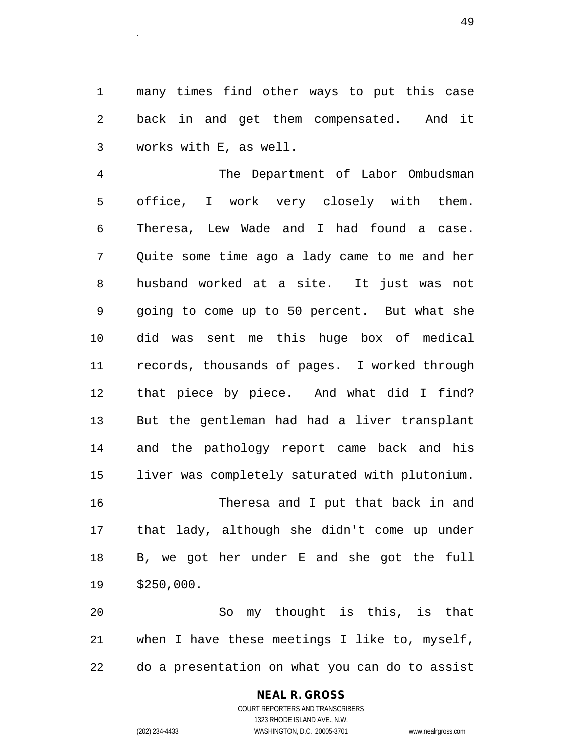1 many times find other ways to put this case 2 back in and get them compensated. And it 3 works with E, as well.

4 The Department of Labor Ombudsman 5 office, I work very closely with them. 6 Theresa, Lew Wade and I had found a case. 7 Quite some time ago a lady came to me and her 8 husband worked at a site. It just was not 9 going to come up to 50 percent. But what she 10 did was sent me this huge box of medical 11 records, thousands of pages. I worked through 12 that piece by piece. And what did I find? 13 But the gentleman had had a liver transplant 14 and the pathology report came back and his 15 liver was completely saturated with plutonium. 16 Theresa and I put that back in and 17 that lady, although she didn't come up under 18 B, we got her under E and she got the full 19 \$250,000.

20 So my thought is this, is that 21 when I have these meetings I like to, myself, 22 do a presentation on what you can do to assist

#### **NEAL R. GROSS**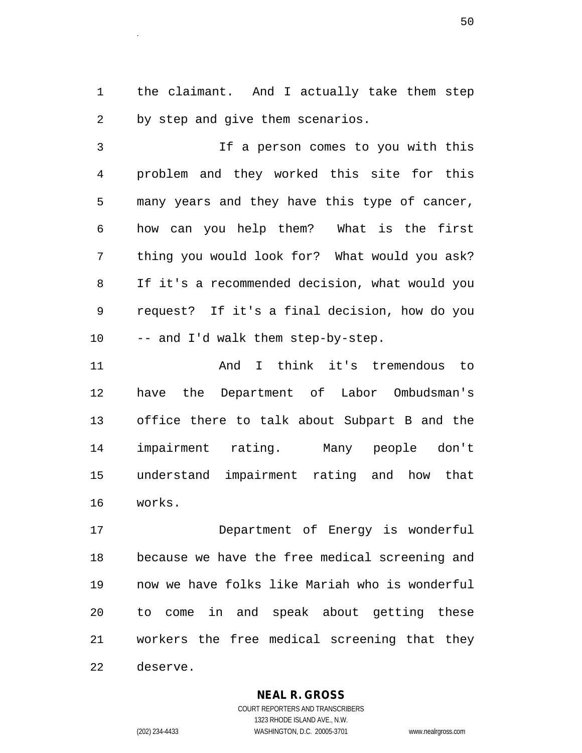1 the claimant. And I actually take them step 2 by step and give them scenarios.

3 If a person comes to you with this 4 problem and they worked this site for this 5 many years and they have this type of cancer, 6 how can you help them? What is the first 7 thing you would look for? What would you ask? 8 If it's a recommended decision, what would you 9 request? If it's a final decision, how do you 10 -- and I'd walk them step-by-step.

11 And I think it's tremendous to 12 have the Department of Labor Ombudsman's 13 office there to talk about Subpart B and the 14 impairment rating. Many people don't 15 understand impairment rating and how that 16 works.

17 Department of Energy is wonderful 18 because we have the free medical screening and 19 now we have folks like Mariah who is wonderful 20 to come in and speak about getting these 21 workers the free medical screening that they 22 deserve.

**NEAL R. GROSS**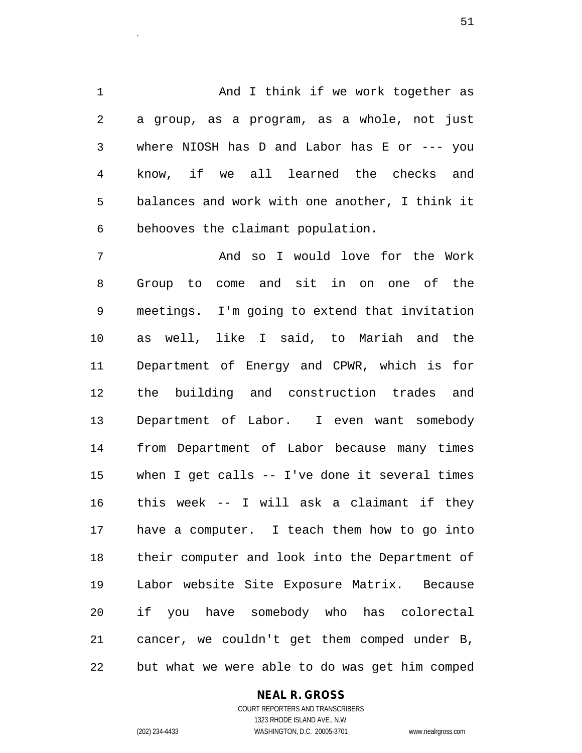1 And I think if we work together as 2 a group, as a program, as a whole, not just 3 where NIOSH has D and Labor has E or --- you 4 know, if we all learned the checks and 5 balances and work with one another, I think it 6 behooves the claimant population.

7 And so I would love for the Work 8 Group to come and sit in on one of the 9 meetings. I'm going to extend that invitation 10 as well, like I said, to Mariah and the 11 Department of Energy and CPWR, which is for 12 the building and construction trades and 13 Department of Labor. I even want somebody 14 from Department of Labor because many times 15 when I get calls -- I've done it several times 16 this week -- I will ask a claimant if they 17 have a computer. I teach them how to go into 18 their computer and look into the Department of 19 Labor website Site Exposure Matrix. Because 20 if you have somebody who has colorectal 21 cancer, we couldn't get them comped under B, 22 but what we were able to do was get him comped

#### **NEAL R. GROSS**

COURT REPORTERS AND TRANSCRIBERS 1323 RHODE ISLAND AVE., N.W. (202) 234-4433 WASHINGTON, D.C. 20005-3701 www.nealrgross.com

 $\sim$  51.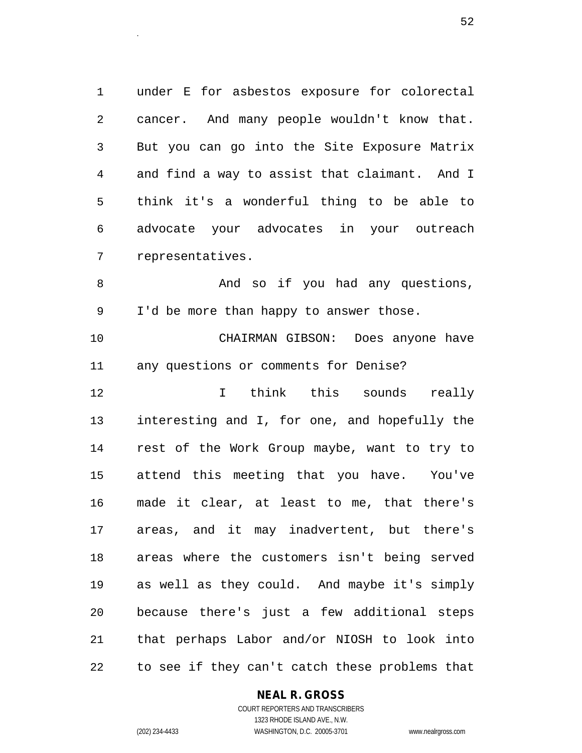1 under E for asbestos exposure for colorectal 2 cancer. And many people wouldn't know that. 3 But you can go into the Site Exposure Matrix 4 and find a way to assist that claimant. And I 5 think it's a wonderful thing to be able to 6 advocate your advocates in your outreach 7 representatives.

8 And so if you had any questions, 9 I'd be more than happy to answer those.

10 CHAIRMAN GIBSON: Does anyone have 11 any questions or comments for Denise?

12 I think this sounds really 13 interesting and I, for one, and hopefully the 14 rest of the Work Group maybe, want to try to 15 attend this meeting that you have. You've 16 made it clear, at least to me, that there's 17 areas, and it may inadvertent, but there's 18 areas where the customers isn't being served 19 as well as they could. And maybe it's simply 20 because there's just a few additional steps 21 that perhaps Labor and/or NIOSH to look into 22 to see if they can't catch these problems that

#### **NEAL R. GROSS**

COURT REPORTERS AND TRANSCRIBERS 1323 RHODE ISLAND AVE., N.W. (202) 234-4433 WASHINGTON, D.C. 20005-3701 www.nealrgross.com

 $52.$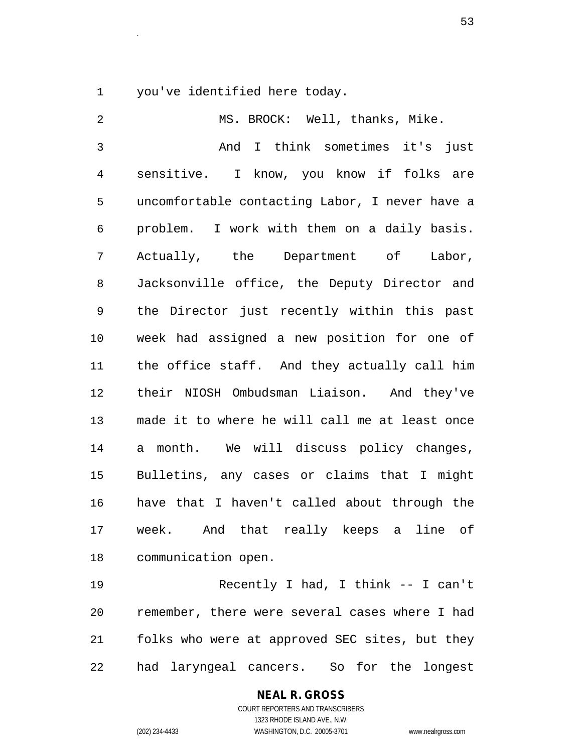1 you've identified here today.

2 MS. BROCK: Well, thanks, Mike. 3 And I think sometimes it's just 4 sensitive. I know, you know if folks are 5 uncomfortable contacting Labor, I never have a 6 problem. I work with them on a daily basis. 7 Actually, the Department of Labor, 8 Jacksonville office, the Deputy Director and 9 the Director just recently within this past 10 week had assigned a new position for one of 11 the office staff. And they actually call him 12 their NIOSH Ombudsman Liaison. And they've 13 made it to where he will call me at least once 14 a month. We will discuss policy changes, 15 Bulletins, any cases or claims that I might 16 have that I haven't called about through the 17 week. And that really keeps a line of 18 communication open.

19 Recently I had, I think -- I can't 20 remember, there were several cases where I had 21 folks who were at approved SEC sites, but they 22 had laryngeal cancers. So for the longest

## **NEAL R. GROSS**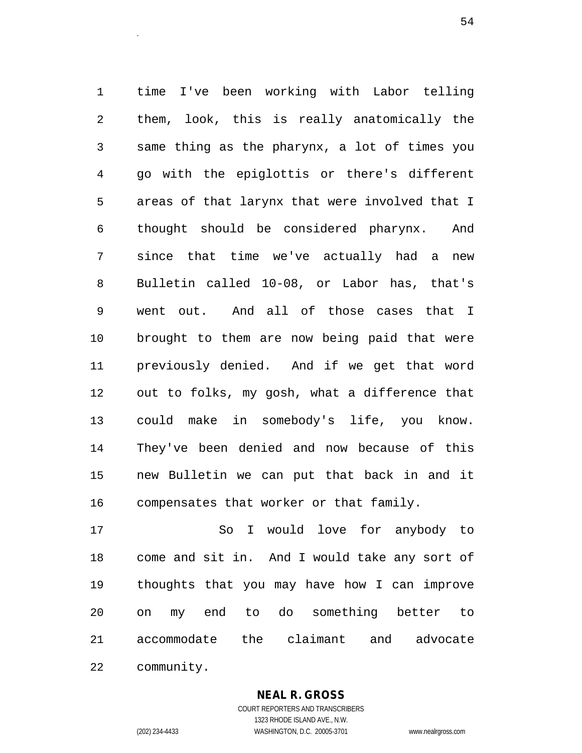1 time I've been working with Labor telling 2 them, look, this is really anatomically the 3 same thing as the pharynx, a lot of times you 4 go with the epiglottis or there's different 5 areas of that larynx that were involved that I 6 thought should be considered pharynx. And 7 since that time we've actually had a new 8 Bulletin called 10-08, or Labor has, that's 9 went out. And all of those cases that I 10 brought to them are now being paid that were 11 previously denied. And if we get that word 12 out to folks, my gosh, what a difference that 13 could make in somebody's life, you know. 14 They've been denied and now because of this 15 new Bulletin we can put that back in and it 16 compensates that worker or that family.

 $54$ 

17 So I would love for anybody to 18 come and sit in. And I would take any sort of 19 thoughts that you may have how I can improve 20 on my end to do something better to 21 accommodate the claimant and advocate 22 community.

> **NEAL R. GROSS** COURT REPORTERS AND TRANSCRIBERS

1323 RHODE ISLAND AVE., N.W. (202) 234-4433 WASHINGTON, D.C. 20005-3701 www.nealrgross.com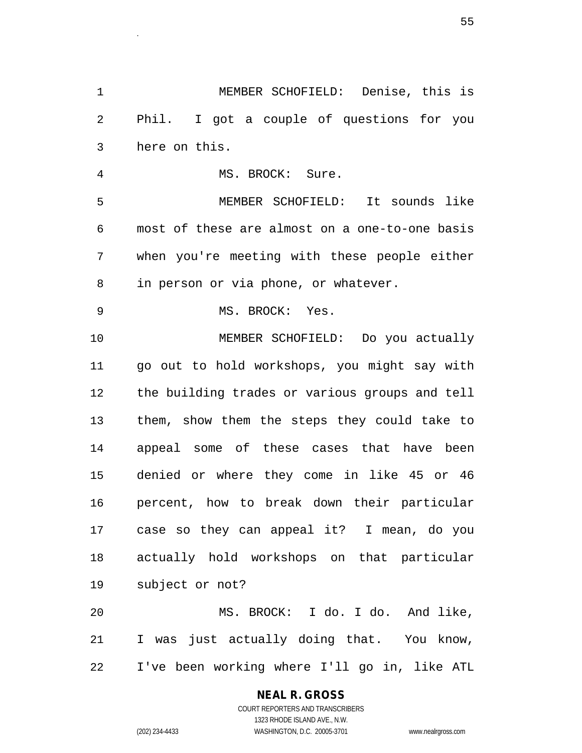1 MEMBER SCHOFIELD: Denise, this is 2 Phil. I got a couple of questions for you 3 here on this. 4 MS. BROCK: Sure. 5 MEMBER SCHOFIELD: It sounds like 6 most of these are almost on a one-to-one basis 7 when you're meeting with these people either 8 in person or via phone, or whatever. 9 MS. BROCK: Yes. 10 MEMBER SCHOFIELD: Do you actually 11 go out to hold workshops, you might say with 12 the building trades or various groups and tell 13 them, show them the steps they could take to 14 appeal some of these cases that have been 15 denied or where they come in like 45 or 46 16 percent, how to break down their particular 17 case so they can appeal it? I mean, do you 18 actually hold workshops on that particular 19 subject or not? 20 MS. BROCK: I do. I do. And like, 21 I was just actually doing that. You know,

22 I've been working where I'll go in, like ATL

#### **NEAL R. GROSS**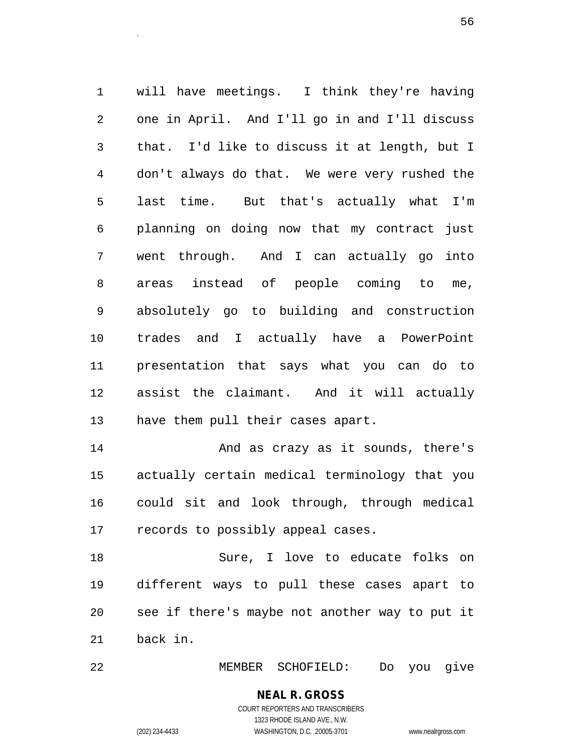1 will have meetings. I think they're having 2 one in April. And I'll go in and I'll discuss 3 that. I'd like to discuss it at length, but I 4 don't always do that. We were very rushed the 5 last time. But that's actually what I'm 6 planning on doing now that my contract just 7 went through. And I can actually go into 8 areas instead of people coming to me, 9 absolutely go to building and construction 10 trades and I actually have a PowerPoint 11 presentation that says what you can do to 12 assist the claimant. And it will actually 13 have them pull their cases apart.

entities and the contract of the contract of the contract of the contract of the contract of the contract of t<br>The contract of the contract of the contract of the contract of the contract of the contract of the contract o

14 And as crazy as it sounds, there's 15 actually certain medical terminology that you 16 could sit and look through, through medical 17 records to possibly appeal cases.

18 Sure, I love to educate folks on 19 different ways to pull these cases apart to 20 see if there's maybe not another way to put it 21 back in.

22 MEMBER SCHOFIELD: Do you give

## **NEAL R. GROSS**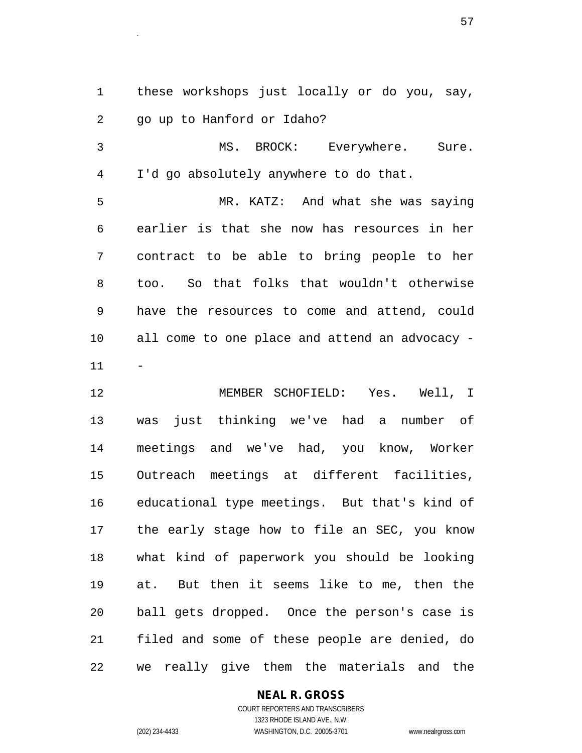1 these workshops just locally or do you, say, 2 go up to Hanford or Idaho?

3 MS. BROCK: Everywhere. Sure. 4 I'd go absolutely anywhere to do that.

5 MR. KATZ: And what she was saying 6 earlier is that she now has resources in her 7 contract to be able to bring people to her 8 too. So that folks that wouldn't otherwise 9 have the resources to come and attend, could 10 all come to one place and attend an advocacy - 11 -

12 MEMBER SCHOFIELD: Yes. Well, I 13 was just thinking we've had a number of 14 meetings and we've had, you know, Worker 15 Outreach meetings at different facilities, 16 educational type meetings. But that's kind of 17 the early stage how to file an SEC, you know 18 what kind of paperwork you should be looking 19 at. But then it seems like to me, then the 20 ball gets dropped. Once the person's case is 21 filed and some of these people are denied, do 22 we really give them the materials and the

#### **NEAL R. GROSS**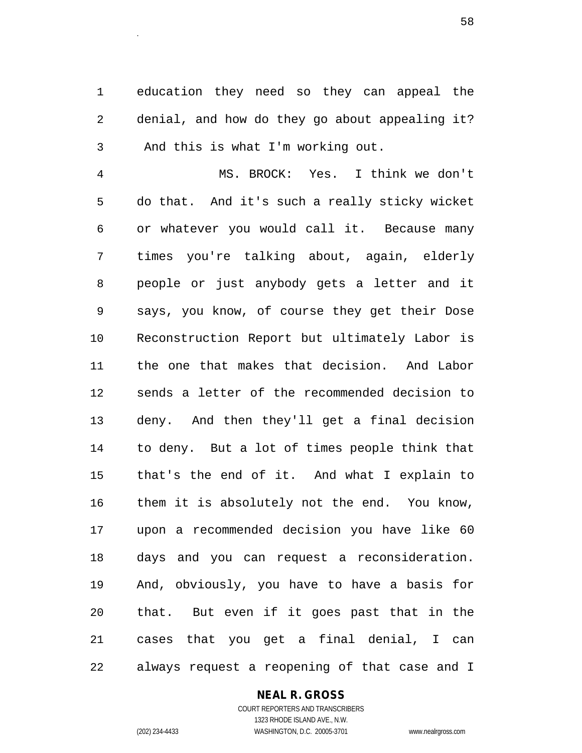1 education they need so they can appeal the 2 denial, and how do they go about appealing it? 3 And this is what I'm working out.

4 MS. BROCK: Yes. I think we don't 5 do that. And it's such a really sticky wicket 6 or whatever you would call it. Because many 7 times you're talking about, again, elderly 8 people or just anybody gets a letter and it 9 says, you know, of course they get their Dose 10 Reconstruction Report but ultimately Labor is 11 the one that makes that decision. And Labor 12 sends a letter of the recommended decision to 13 deny. And then they'll get a final decision 14 to deny. But a lot of times people think that 15 that's the end of it. And what I explain to 16 them it is absolutely not the end. You know, 17 upon a recommended decision you have like 60 18 days and you can request a reconsideration. 19 And, obviously, you have to have a basis for 20 that. But even if it goes past that in the 21 cases that you get a final denial, I can 22 always request a reopening of that case and I

#### **NEAL R. GROSS**

COURT REPORTERS AND TRANSCRIBERS 1323 RHODE ISLAND AVE., N.W. (202) 234-4433 WASHINGTON, D.C. 20005-3701 www.nealrgross.com

entities and the contract of the contract of the contract of the contract of the contract of the contract of t<br>The contract of the contract of the contract of the contract of the contract of the contract of the contract o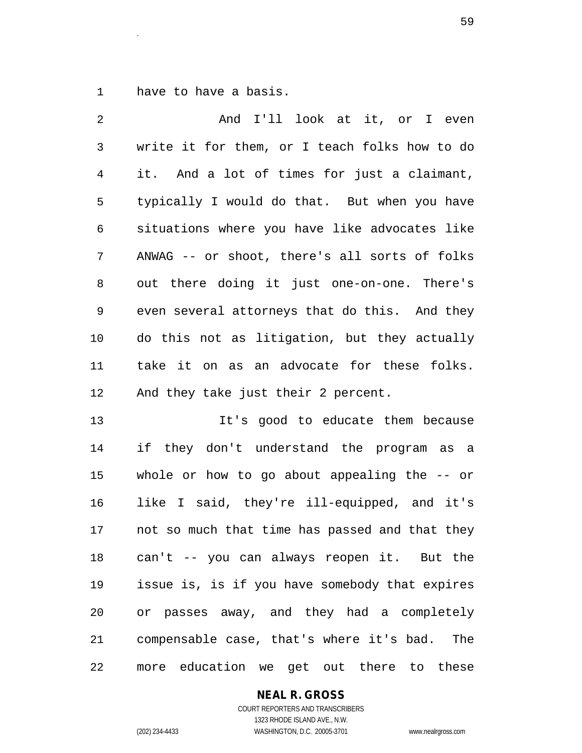1 have to have a basis.

2 And I'll look at it, or I even 3 write it for them, or I teach folks how to do 4 it. And a lot of times for just a claimant, 5 typically I would do that. But when you have 6 situations where you have like advocates like 7 ANWAG -- or shoot, there's all sorts of folks 8 out there doing it just one-on-one. There's 9 even several attorneys that do this. And they 10 do this not as litigation, but they actually 11 take it on as an advocate for these folks. 12 And they take just their 2 percent. 13 It's good to educate them because 14 if they don't understand the program as a

15 whole or how to go about appealing the -- or 16 like I said, they're ill-equipped, and it's 17 not so much that time has passed and that they 18 can't -- you can always reopen it. But the 19 issue is, is if you have somebody that expires 20 or passes away, and they had a completely 21 compensable case, that's where it's bad. The 22 more education we get out there to these

#### **NEAL R. GROSS**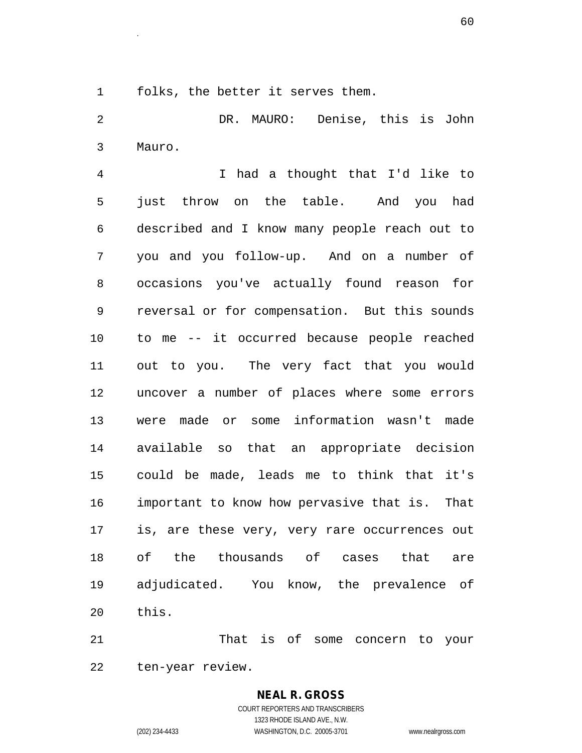1 folks, the better it serves them.

2 DR. MAURO: Denise, this is John 3 Mauro.

4 I had a thought that I'd like to 5 just throw on the table. And you had 6 described and I know many people reach out to 7 you and you follow-up. And on a number of 8 occasions you've actually found reason for 9 reversal or for compensation. But this sounds 10 to me -- it occurred because people reached 11 out to you. The very fact that you would 12 uncover a number of places where some errors 13 were made or some information wasn't made 14 available so that an appropriate decision 15 could be made, leads me to think that it's 16 important to know how pervasive that is. That 17 is, are these very, very rare occurrences out 18 of the thousands of cases that are 19 adjudicated. You know, the prevalence of 20 this.

21 That is of some concern to your 22 ten-year review.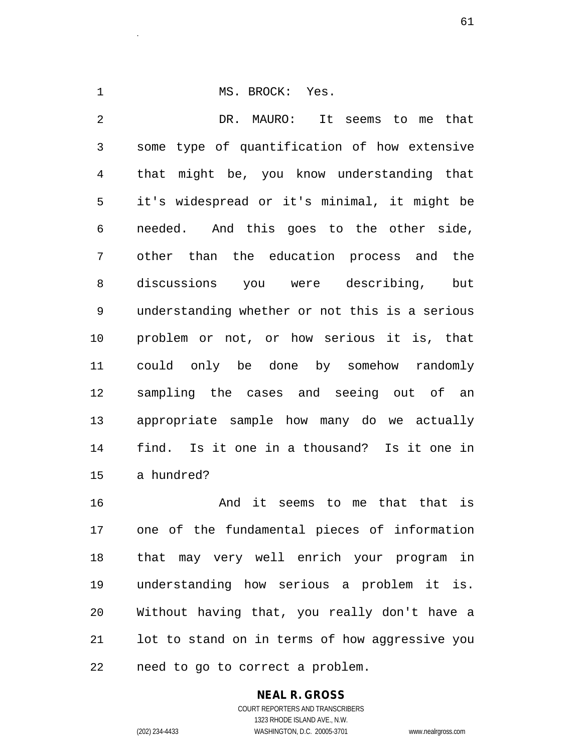1 MS. BROCK: Yes. 2 DR. MAURO: It seems to me that 3 some type of quantification of how extensive 4 that might be, you know understanding that 5 it's widespread or it's minimal, it might be 6 needed. And this goes to the other side, 7 other than the education process and the 8 discussions you were describing, but 9 understanding whether or not this is a serious 10 problem or not, or how serious it is, that 11 could only be done by somehow randomly 12 sampling the cases and seeing out of an 13 appropriate sample how many do we actually 14 find. Is it one in a thousand? Is it one in 15 a hundred?

16 And it seems to me that that is 17 one of the fundamental pieces of information 18 that may very well enrich your program in 19 understanding how serious a problem it is. 20 Without having that, you really don't have a 21 lot to stand on in terms of how aggressive you 22 need to go to correct a problem.

## **NEAL R. GROSS**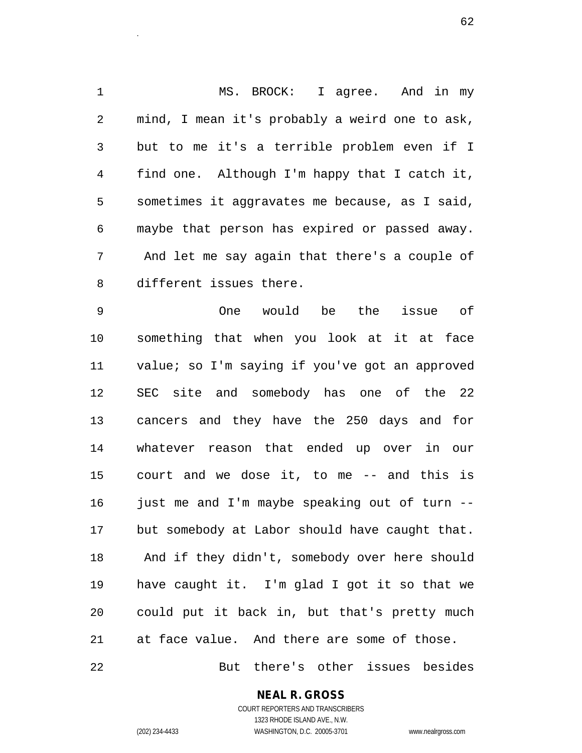1 MS. BROCK: I agree. And in my 2 mind, I mean it's probably a weird one to ask, 3 but to me it's a terrible problem even if I 4 find one. Although I'm happy that I catch it, 5 sometimes it aggravates me because, as I said, 6 maybe that person has expired or passed away. 7 And let me say again that there's a couple of 8 different issues there.

9 One would be the issue of 10 something that when you look at it at face 11 value; so I'm saying if you've got an approved 12 SEC site and somebody has one of the 22 13 cancers and they have the 250 days and for 14 whatever reason that ended up over in our 15 court and we dose it, to me -- and this is 16 just me and I'm maybe speaking out of turn --17 but somebody at Labor should have caught that. 18 And if they didn't, somebody over here should 19 have caught it. I'm glad I got it so that we 20 could put it back in, but that's pretty much 21 at face value. And there are some of those.

22 But there's other issues besides

**NEAL R. GROSS**

COURT REPORTERS AND TRANSCRIBERS 1323 RHODE ISLAND AVE., N.W. (202) 234-4433 WASHINGTON, D.C. 20005-3701 www.nealrgross.com

 $\sim$  62.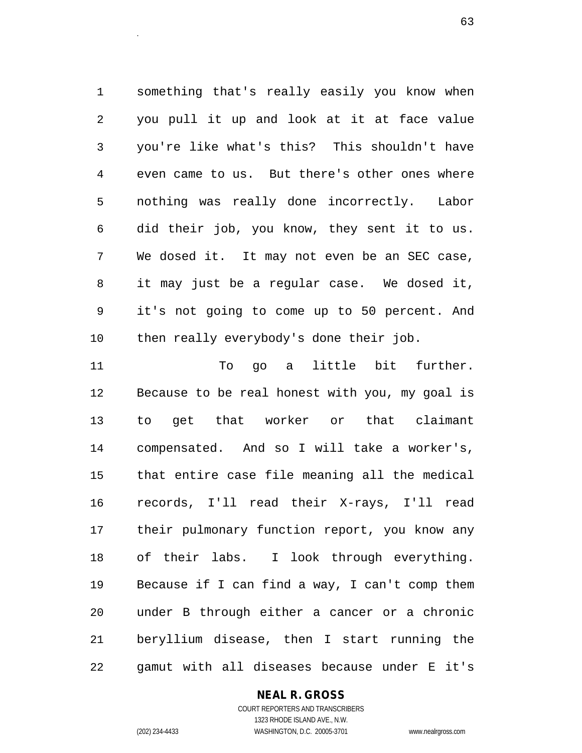1 something that's really easily you know when 2 you pull it up and look at it at face value 3 you're like what's this? This shouldn't have 4 even came to us. But there's other ones where 5 nothing was really done incorrectly. Labor 6 did their job, you know, they sent it to us. 7 We dosed it. It may not even be an SEC case, 8 it may just be a regular case. We dosed it, 9 it's not going to come up to 50 percent. And 10 then really everybody's done their job.

 $\sim$  63.

11 To go a little bit further. 12 Because to be real honest with you, my goal is 13 to get that worker or that claimant 14 compensated. And so I will take a worker's, 15 that entire case file meaning all the medical 16 records, I'll read their X-rays, I'll read 17 their pulmonary function report, you know any 18 of their labs. I look through everything. 19 Because if I can find a way, I can't comp them 20 under B through either a cancer or a chronic 21 beryllium disease, then I start running the 22 gamut with all diseases because under E it's

#### **NEAL R. GROSS**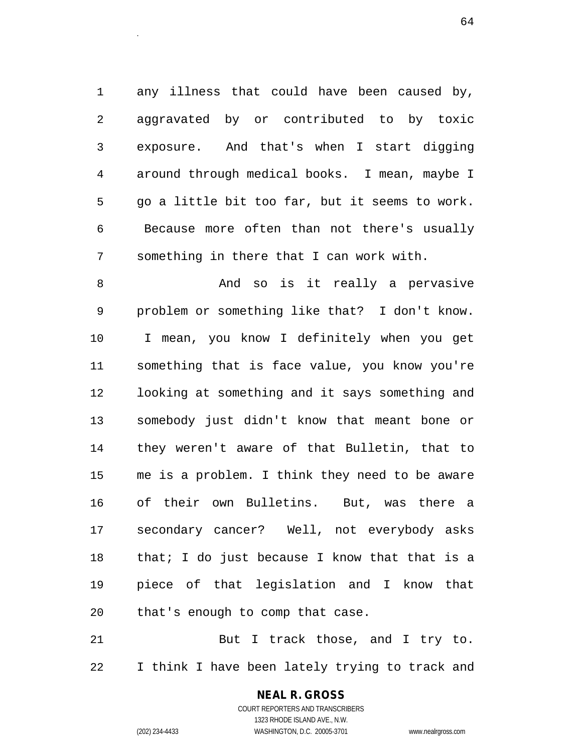1 any illness that could have been caused by, 2 aggravated by or contributed to by toxic 3 exposure. And that's when I start digging 4 around through medical books. I mean, maybe I 5 go a little bit too far, but it seems to work. 6 Because more often than not there's usually 7 something in there that I can work with.

8 And so is it really a pervasive 9 problem or something like that? I don't know. 10 I mean, you know I definitely when you get 11 something that is face value, you know you're 12 looking at something and it says something and 13 somebody just didn't know that meant bone or 14 they weren't aware of that Bulletin, that to 15 me is a problem. I think they need to be aware 16 of their own Bulletins. But, was there a 17 secondary cancer? Well, not everybody asks 18 that; I do just because I know that that is a 19 piece of that legislation and I know that 20 that's enough to comp that case.

21 But I track those, and I try to. 22 I think I have been lately trying to track and

## **NEAL R. GROSS**

COURT REPORTERS AND TRANSCRIBERS 1323 RHODE ISLAND AVE., N.W. (202) 234-4433 WASHINGTON, D.C. 20005-3701 www.nealrgross.com

 $64$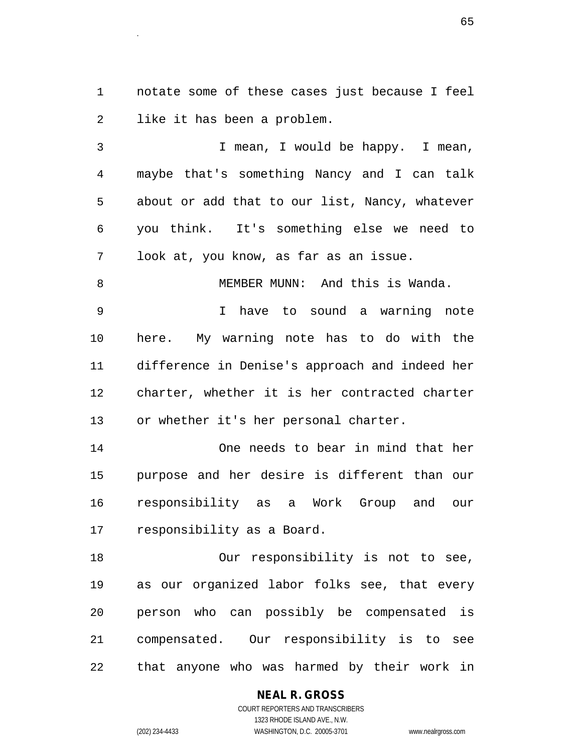1 notate some of these cases just because I feel 2 like it has been a problem.

estados de la contradición de la contradición de la contradición de la contradición de la contradición de la c<br>Entre de la contradición de la contradición de la contradición de la contradición de la contradición de la con

3 I mean, I would be happy. I mean, 4 maybe that's something Nancy and I can talk 5 about or add that to our list, Nancy, whatever 6 you think. It's something else we need to 7 look at, you know, as far as an issue.

8 MEMBER MUNN: And this is Wanda.

9 I have to sound a warning note 10 here. My warning note has to do with the 11 difference in Denise's approach and indeed her 12 charter, whether it is her contracted charter 13 or whether it's her personal charter.

14 One needs to bear in mind that her 15 purpose and her desire is different than our 16 responsibility as a Work Group and our 17 responsibility as a Board.

18 Our responsibility is not to see, 19 as our organized labor folks see, that every 20 person who can possibly be compensated is 21 compensated. Our responsibility is to see 22 that anyone who was harmed by their work in

#### **NEAL R. GROSS**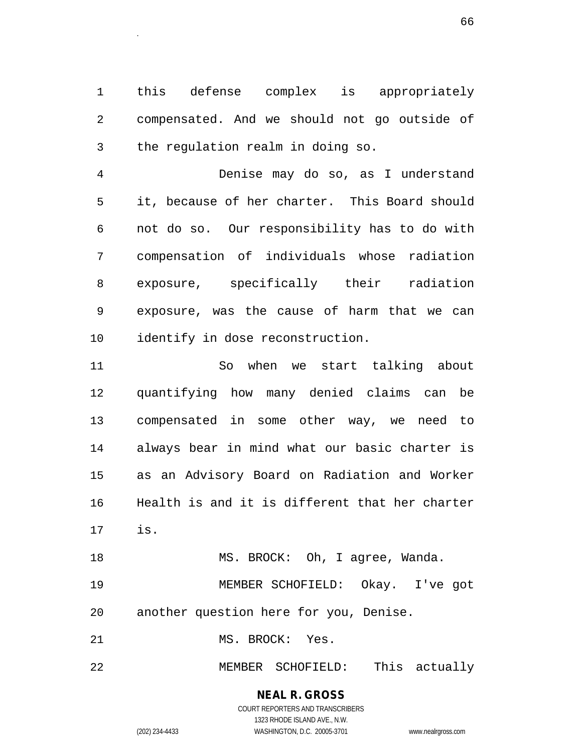1 this defense complex is appropriately 2 compensated. And we should not go outside of 3 the regulation realm in doing so.

4 Denise may do so, as I understand 5 it, because of her charter. This Board should 6 not do so. Our responsibility has to do with 7 compensation of individuals whose radiation 8 exposure, specifically their radiation 9 exposure, was the cause of harm that we can 10 identify in dose reconstruction.

11 So when we start talking about 12 quantifying how many denied claims can be 13 compensated in some other way, we need to 14 always bear in mind what our basic charter is 15 as an Advisory Board on Radiation and Worker 16 Health is and it is different that her charter 17 is.

19 MEMBER SCHOFIELD: Okay. I've got 20 another question here for you, Denise.

18 MS. BROCK: Oh, I agree, Wanda.

21 MS. BROCK: Yes.

22 MEMBER SCHOFIELD: This actually

**NEAL R. GROSS** COURT REPORTERS AND TRANSCRIBERS

1323 RHODE ISLAND AVE., N.W.

(202) 234-4433 WASHINGTON, D.C. 20005-3701 www.nealrgross.com

 $\sim$  66.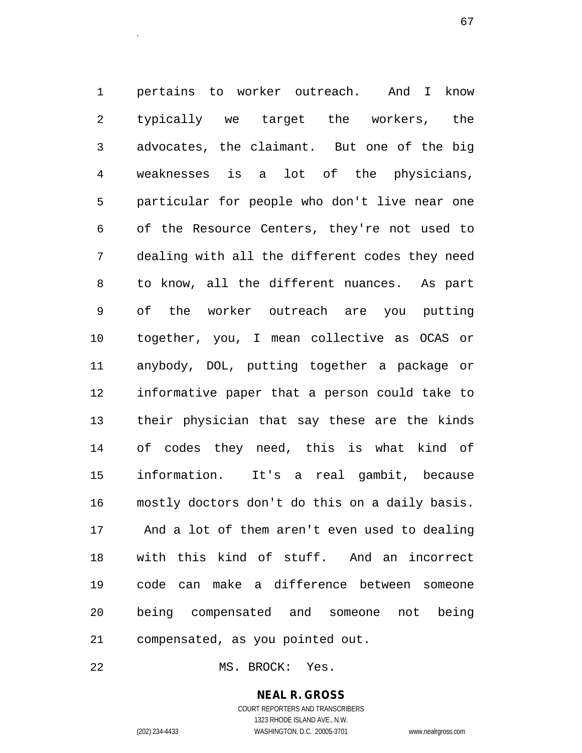1 pertains to worker outreach. And I know 2 typically we target the workers, the 3 advocates, the claimant. But one of the big 4 weaknesses is a lot of the physicians, 5 particular for people who don't live near one 6 of the Resource Centers, they're not used to 7 dealing with all the different codes they need 8 to know, all the different nuances. As part 9 of the worker outreach are you putting 10 together, you, I mean collective as OCAS or 11 anybody, DOL, putting together a package or 12 informative paper that a person could take to 13 their physician that say these are the kinds 14 of codes they need, this is what kind of 15 information. It's a real gambit, because 16 mostly doctors don't do this on a daily basis. 17 And a lot of them aren't even used to dealing 18 with this kind of stuff. And an incorrect 19 code can make a difference between someone 20 being compensated and someone not being 21 compensated, as you pointed out.

европей и производство в село в 1972 године в 1972 године в 1972 године в 1972 године в 1972 године в 1972 год<br>Село в 1972 године в 1972 године в 1972 године в 1972 године в 1972 године в 1972 године в 1972 године в 1972

22 MS. BROCK: Yes.

#### **NEAL R. GROSS**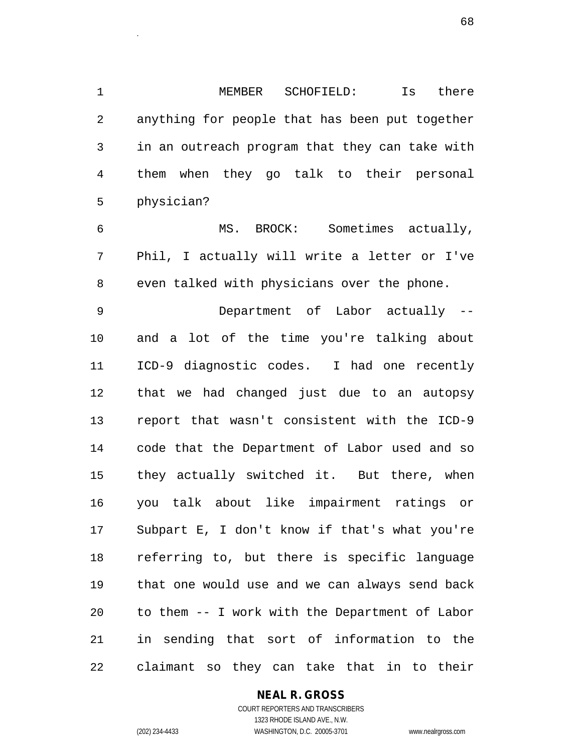1 MEMBER SCHOFIELD: Is there 2 anything for people that has been put together 3 in an outreach program that they can take with 4 them when they go talk to their personal 5 physician?

6 MS. BROCK: Sometimes actually, 7 Phil, I actually will write a letter or I've 8 even talked with physicians over the phone.

9 Department of Labor actually -- 10 and a lot of the time you're talking about 11 ICD-9 diagnostic codes. I had one recently 12 that we had changed just due to an autopsy 13 report that wasn't consistent with the ICD-9 14 code that the Department of Labor used and so 15 they actually switched it. But there, when 16 you talk about like impairment ratings or 17 Subpart E, I don't know if that's what you're 18 referring to, but there is specific language 19 that one would use and we can always send back 20 to them -- I work with the Department of Labor 21 in sending that sort of information to the 22 claimant so they can take that in to their

#### **NEAL R. GROSS**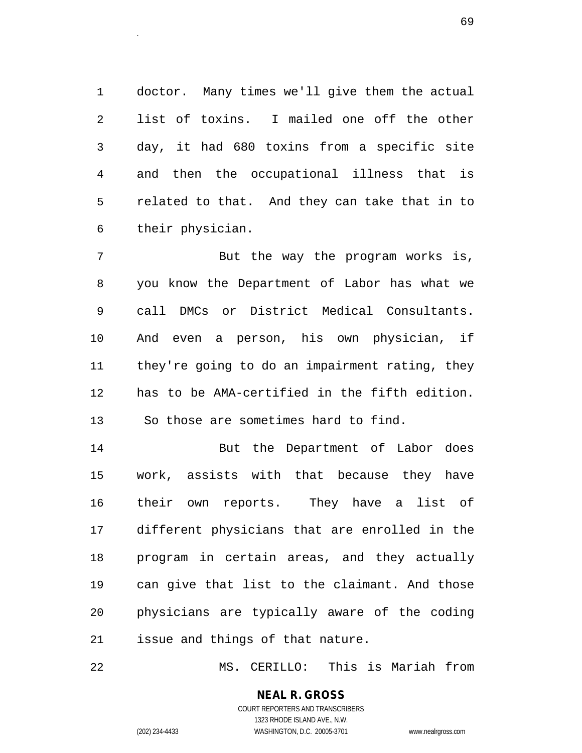1 doctor. Many times we'll give them the actual 2 list of toxins. I mailed one off the other 3 day, it had 680 toxins from a specific site 4 and then the occupational illness that is 5 related to that. And they can take that in to 6 their physician.

es and the contract of the contract of the contract of the contract of the contract of the contract of the contract of the contract of the contract of the contract of the contract of the contract of the contract of the con

7 But the way the program works is, 8 you know the Department of Labor has what we 9 call DMCs or District Medical Consultants. 10 And even a person, his own physician, if 11 they're going to do an impairment rating, they 12 has to be AMA-certified in the fifth edition. 13 So those are sometimes hard to find.

14 But the Department of Labor does 15 work, assists with that because they have 16 their own reports. They have a list of 17 different physicians that are enrolled in the 18 program in certain areas, and they actually 19 can give that list to the claimant. And those 20 physicians are typically aware of the coding 21 issue and things of that nature.

22 MS. CERILLO: This is Mariah from

## **NEAL R. GROSS**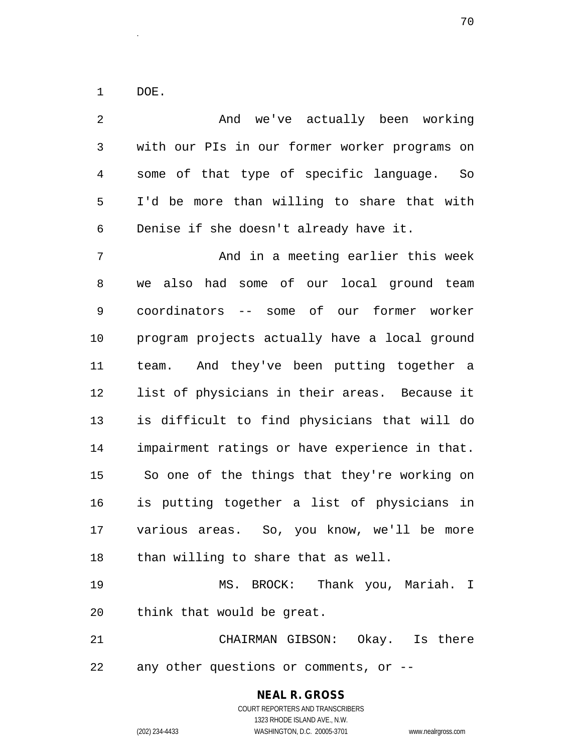1 DOE.

2 And we've actually been working 3 with our PIs in our former worker programs on 4 some of that type of specific language. So 5 I'd be more than willing to share that with 6 Denise if she doesn't already have it. 7 And in a meeting earlier this week 8 we also had some of our local ground team 9 coordinators -- some of our former worker 10 program projects actually have a local ground 11 team. And they've been putting together a 12 list of physicians in their areas. Because it 13 is difficult to find physicians that will do 14 impairment ratings or have experience in that. 15 So one of the things that they're working on 16 is putting together a list of physicians in 17 various areas. So, you know, we'll be more 18 than willing to share that as well. 19 MS. BROCK: Thank you, Mariah. I 20 think that would be great. 21 CHAIRMAN GIBSON: Okay. Is there 22 any other questions or comments, or --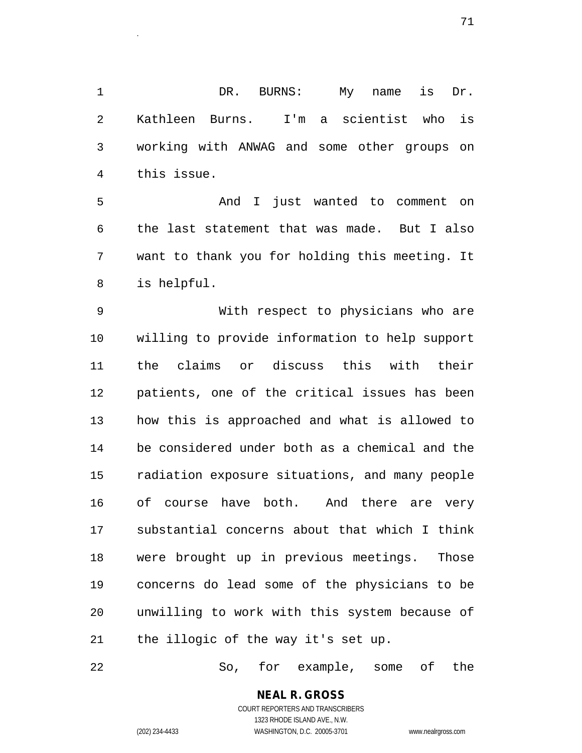1 DR. BURNS: My name is Dr. 2 Kathleen Burns. I'm a scientist who is 3 working with ANWAG and some other groups on 4 this issue.

5 And I just wanted to comment on 6 the last statement that was made. But I also 7 want to thank you for holding this meeting. It 8 is helpful.

9 With respect to physicians who are 10 willing to provide information to help support 11 the claims or discuss this with their 12 patients, one of the critical issues has been 13 how this is approached and what is allowed to 14 be considered under both as a chemical and the 15 radiation exposure situations, and many people 16 of course have both. And there are very 17 substantial concerns about that which I think 18 were brought up in previous meetings. Those 19 concerns do lead some of the physicians to be 20 unwilling to work with this system because of 21 the illogic of the way it's set up.

22 So, for example, some of the

# **NEAL R. GROSS**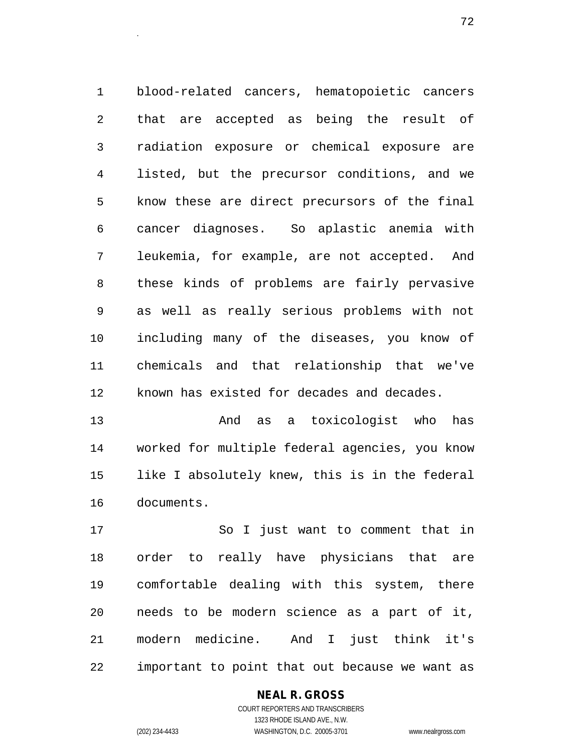1 blood-related cancers, hematopoietic cancers 2 that are accepted as being the result of 3 radiation exposure or chemical exposure are 4 listed, but the precursor conditions, and we 5 know these are direct precursors of the final 6 cancer diagnoses. So aplastic anemia with 7 leukemia, for example, are not accepted. And 8 these kinds of problems are fairly pervasive 9 as well as really serious problems with not 10 including many of the diseases, you know of 11 chemicals and that relationship that we've 12 known has existed for decades and decades.

13 And as a toxicologist who has 14 worked for multiple federal agencies, you know 15 like I absolutely knew, this is in the federal 16 documents.

17 So I just want to comment that in 18 order to really have physicians that are 19 comfortable dealing with this system, there 20 needs to be modern science as a part of it, 21 modern medicine. And I just think it's 22 important to point that out because we want as

#### **NEAL R. GROSS**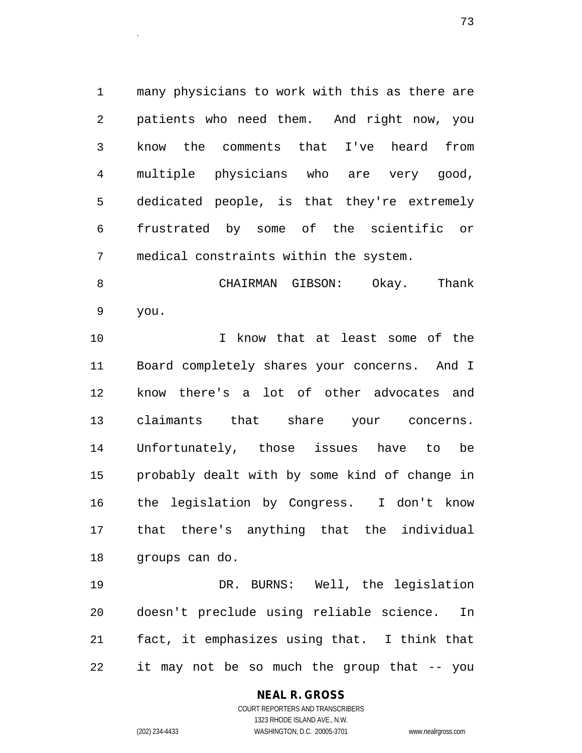1 many physicians to work with this as there are 2 patients who need them. And right now, you 3 know the comments that I've heard from 4 multiple physicians who are very good, 5 dedicated people, is that they're extremely 6 frustrated by some of the scientific or 7 medical constraints within the system.

8 CHAIRMAN GIBSON: Okay. Thank 9 you.

10 I know that at least some of the 11 Board completely shares your concerns. And I 12 know there's a lot of other advocates and 13 claimants that share your concerns. 14 Unfortunately, those issues have to be 15 probably dealt with by some kind of change in 16 the legislation by Congress. I don't know 17 that there's anything that the individual 18 groups can do.

19 DR. BURNS: Well, the legislation 20 doesn't preclude using reliable science. In 21 fact, it emphasizes using that. I think that 22 it may not be so much the group that -- you

#### **NEAL R. GROSS** COURT REPORTERS AND TRANSCRIBERS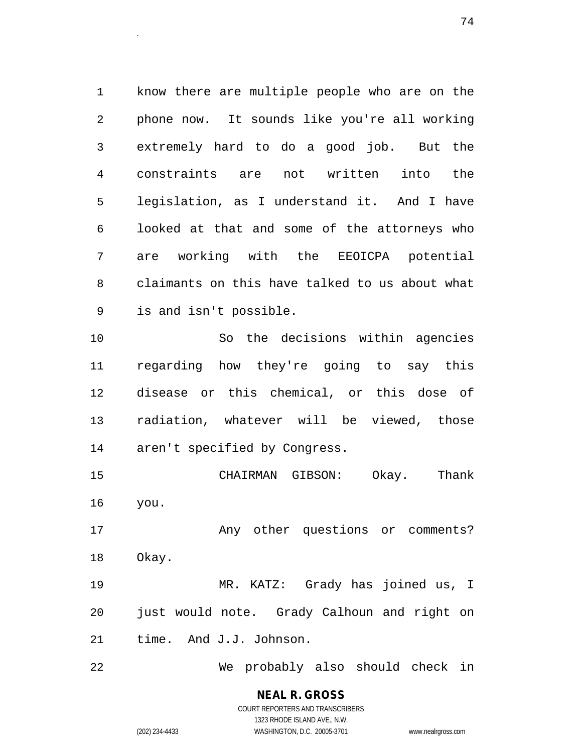1 know there are multiple people who are on the 2 phone now. It sounds like you're all working 3 extremely hard to do a good job. But the 4 constraints are not written into the 5 legislation, as I understand it. And I have 6 looked at that and some of the attorneys who 7 are working with the EEOICPA potential 8 claimants on this have talked to us about what 9 is and isn't possible.

10 So the decisions within agencies 11 regarding how they're going to say this 12 disease or this chemical, or this dose of 13 radiation, whatever will be viewed, those 14 aren't specified by Congress.

15 CHAIRMAN GIBSON: Okay. Thank 16 you.

17 Any other questions or comments? 18 Okay.

19 MR. KATZ: Grady has joined us, I 20 just would note. Grady Calhoun and right on 21 time. And J.J. Johnson.

22 We probably also should check in

**NEAL R. GROSS** COURT REPORTERS AND TRANSCRIBERS

1323 RHODE ISLAND AVE., N.W.

(202) 234-4433 WASHINGTON, D.C. 20005-3701 www.nealrgross.com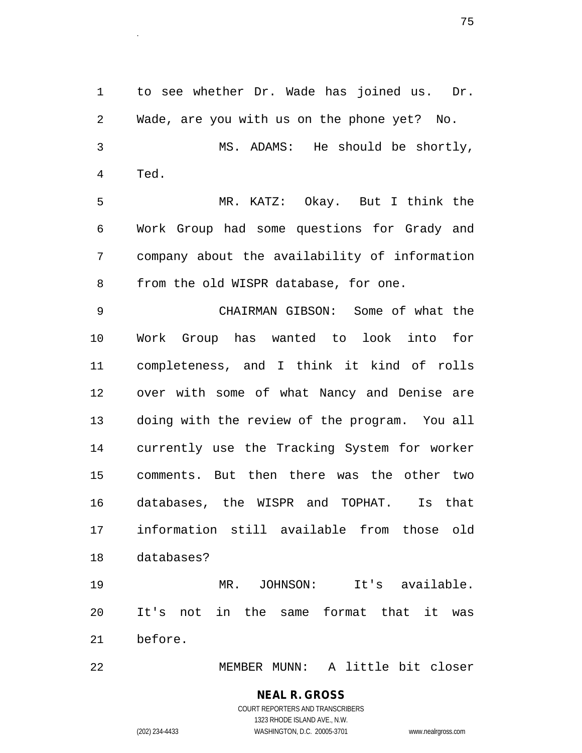1 to see whether Dr. Wade has joined us. Dr. 2 Wade, are you with us on the phone yet? No. 3 MS. ADAMS: He should be shortly, 4 Ted. 5 MR. KATZ: Okay. But I think the 6 Work Group had some questions for Grady and 7 company about the availability of information 8 from the old WISPR database, for one. 9 CHAIRMAN GIBSON: Some of what the 10 Work Group has wanted to look into for 11 completeness, and I think it kind of rolls 12 over with some of what Nancy and Denise are 13 doing with the review of the program. You all 14 currently use the Tracking System for worker 15 comments. But then there was the other two 16 databases, the WISPR and TOPHAT. Is that 17 information still available from those old 18 databases? 19 MR. JOHNSON: It's available.

20 It's not in the same format that it was 21 before.

22 MEMBER MUNN: A little bit closer

## **NEAL R. GROSS** COURT REPORTERS AND TRANSCRIBERS

1323 RHODE ISLAND AVE., N.W. (202) 234-4433 WASHINGTON, D.C. 20005-3701 www.nealrgross.com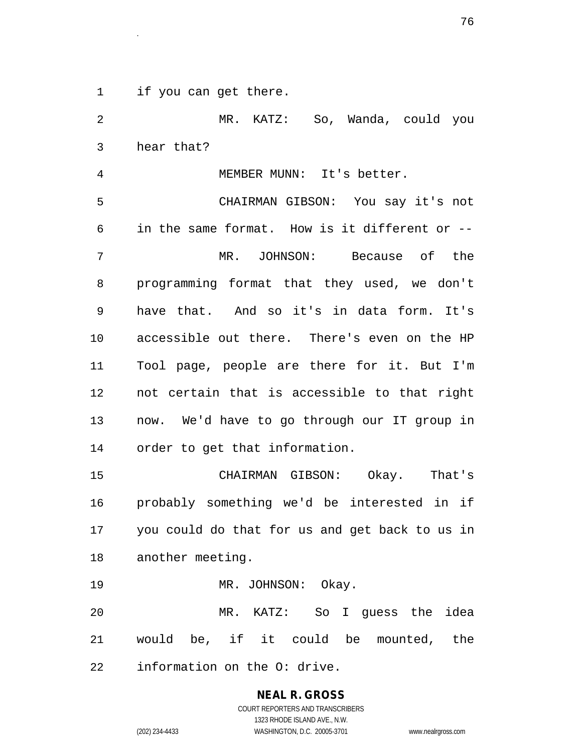1 if you can get there.

2 MR. KATZ: So, Wanda, could you 3 hear that? 4 MEMBER MUNN: It's better. 5 CHAIRMAN GIBSON: You say it's not 6 in the same format. How is it different or -- 7 MR. JOHNSON: Because of the 8 programming format that they used, we don't 9 have that. And so it's in data form. It's 10 accessible out there. There's even on the HP 11 Tool page, people are there for it. But I'm 12 not certain that is accessible to that right 13 now. We'd have to go through our IT group in 14 order to get that information. 15 CHAIRMAN GIBSON: Okay. That's 16 probably something we'd be interested in if 17 you could do that for us and get back to us in 18 another meeting. 19 MR. JOHNSON: Okay. 20 MR. KATZ: So I guess the idea 21 would be, if it could be mounted, the 22 information on the O: drive.

> **NEAL R. GROSS** COURT REPORTERS AND TRANSCRIBERS

1323 RHODE ISLAND AVE., N.W. (202) 234-4433 WASHINGTON, D.C. 20005-3701 www.nealrgross.com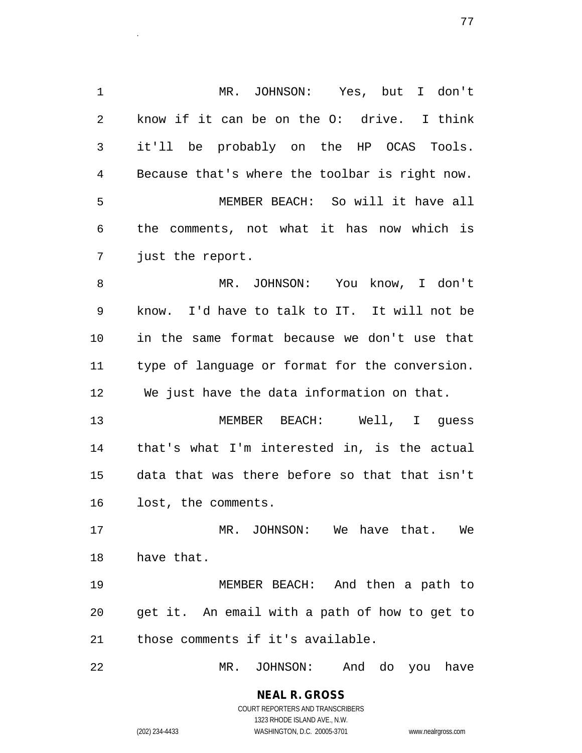1 MR. JOHNSON: Yes, but I don't 2 know if it can be on the O: drive. I think 3 it'll be probably on the HP OCAS Tools. 4 Because that's where the toolbar is right now. 5 MEMBER BEACH: So will it have all 6 the comments, not what it has now which is 7 just the report. 8 MR. JOHNSON: You know, I don't 9 know. I'd have to talk to IT. It will not be 10 in the same format because we don't use that 11 type of language or format for the conversion. 12 We just have the data information on that. 13 MEMBER BEACH: Well, I guess 14 that's what I'm interested in, is the actual 15 data that was there before so that that isn't 16 lost, the comments. 17 MR. JOHNSON: We have that. We 18 have that. 19 MEMBER BEACH: And then a path to 20 get it. An email with a path of how to get to 21 those comments if it's available.

22 MR. JOHNSON: And do you have

**NEAL R. GROSS** COURT REPORTERS AND TRANSCRIBERS 1323 RHODE ISLAND AVE., N.W.

(202) 234-4433 WASHINGTON, D.C. 20005-3701 www.nealrgross.com

е производите поставите на 1972 године на 1972 године в 1972 године в 1972 године и 1973 године в 1973 године<br>Село в 1974 године в 1982 године в 1982 године в 1982 године в 1982 године в 1982 године в 1982 године в 1982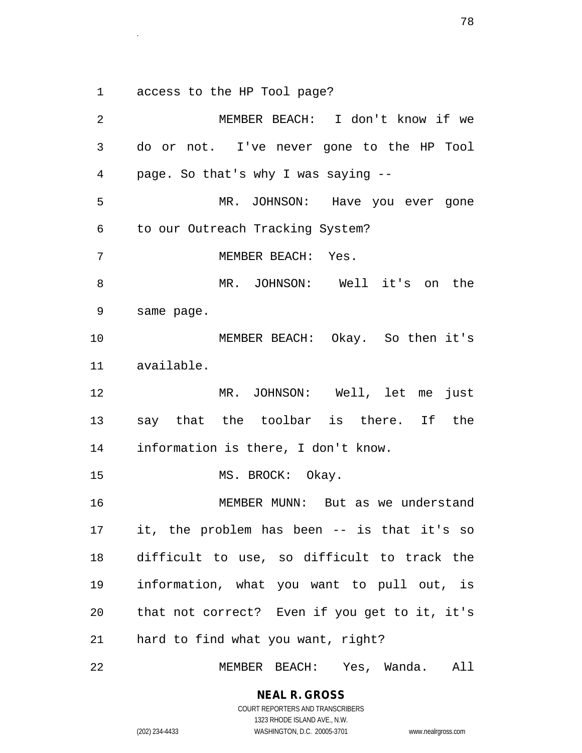1 access to the HP Tool page?

2 MEMBER BEACH: I don't know if we 3 do or not. I've never gone to the HP Tool 4 page. So that's why I was saying -- 5 MR. JOHNSON: Have you ever gone 6 to our Outreach Tracking System? 7 MEMBER BEACH: Yes. 8 MR. JOHNSON: Well it's on the 9 same page. 10 MEMBER BEACH: Okay. So then it's 11 available. 12 MR. JOHNSON: Well, let me just 13 say that the toolbar is there. If the 14 information is there, I don't know. 15 MS. BROCK: Okay. 16 MEMBER MUNN: But as we understand 17 it, the problem has been -- is that it's so 18 difficult to use, so difficult to track the 19 information, what you want to pull out, is 20 that not correct? Even if you get to it, it's 21 hard to find what you want, right?

22 MEMBER BEACH: Yes, Wanda. All

**NEAL R. GROSS**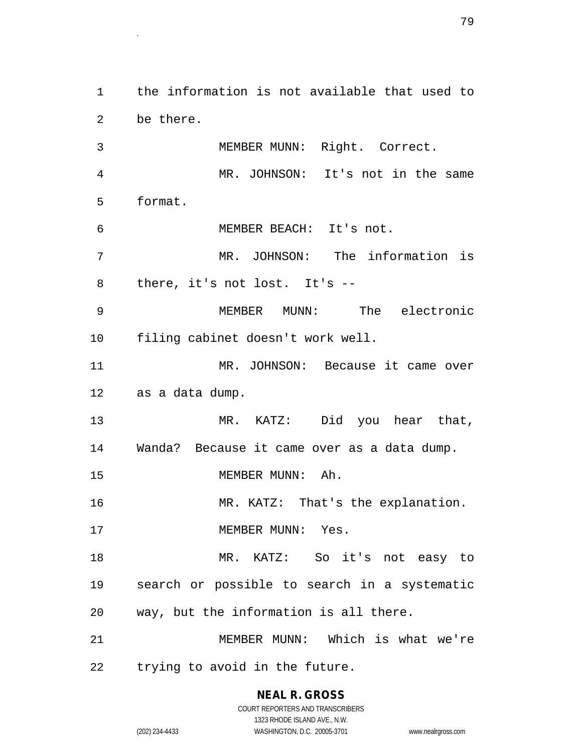1 the information is not available that used to 2 be there. 3 MEMBER MUNN: Right. Correct. 4 MR. JOHNSON: It's not in the same 5 format. 6 MEMBER BEACH: It's not. 7 MR. JOHNSON: The information is 8 there, it's not lost. It's -- 9 MEMBER MUNN: The electronic 10 filing cabinet doesn't work well. 11 MR. JOHNSON: Because it came over 12 as a data dump. 13 MR. KATZ: Did you hear that, 14 Wanda? Because it came over as a data dump. 15 MEMBER MUNN: Ah. 16 MR. KATZ: That's the explanation. 17 MEMBER MUNN: Yes. 18 MR. KATZ: So it's not easy to 19 search or possible to search in a systematic 20 way, but the information is all there. 21 MEMBER MUNN: Which is what we're 22 trying to avoid in the future.

> **NEAL R. GROSS** COURT REPORTERS AND TRANSCRIBERS

> > 1323 RHODE ISLAND AVE., N.W.

(202) 234-4433 WASHINGTON, D.C. 20005-3701 www.nealrgross.com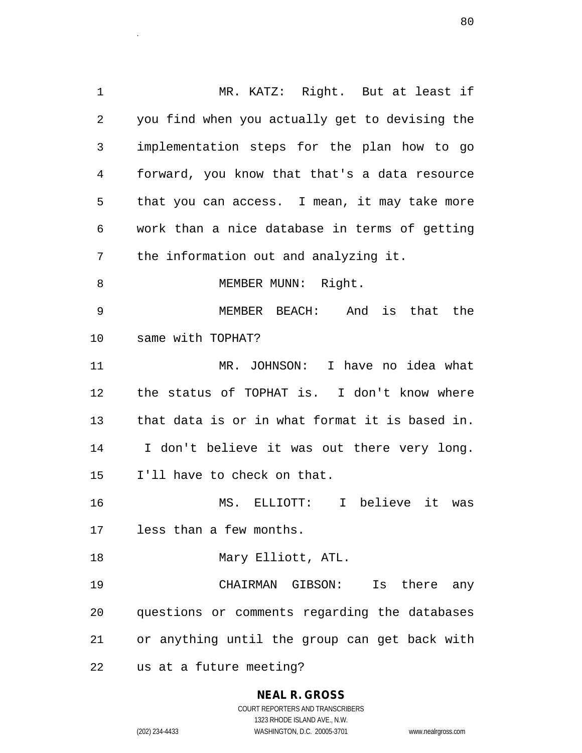1 MR. KATZ: Right. But at least if 2 you find when you actually get to devising the 3 implementation steps for the plan how to go 4 forward, you know that that's a data resource 5 that you can access. I mean, it may take more 6 work than a nice database in terms of getting 7 the information out and analyzing it. 8 MEMBER MUNN: Right. 9 MEMBER BEACH: And is that the 10 same with TOPHAT? 11 MR. JOHNSON: I have no idea what 12 the status of TOPHAT is. I don't know where 13 that data is or in what format it is based in. 14 I don't believe it was out there very long. 15 I'll have to check on that. 16 MS. ELLIOTT: I believe it was 17 less than a few months. 18 Mary Elliott, ATL. 19 CHAIRMAN GIBSON: Is there any 20 questions or comments regarding the databases 21 or anything until the group can get back with 22 us at a future meeting?

entities and the second state of the second state of the second state of the second state of the second state <br>The second state of the second state of the second state of the second state of the second state of the second

## **NEAL R. GROSS**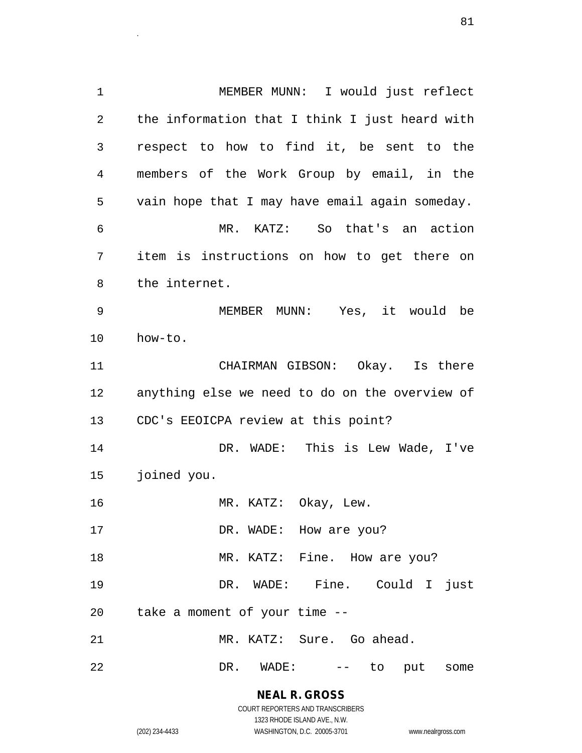1 MEMBER MUNN: I would just reflect 2 the information that I think I just heard with 3 respect to how to find it, be sent to the 4 members of the Work Group by email, in the 5 vain hope that I may have email again someday. 6 MR. KATZ: So that's an action 7 item is instructions on how to get there on 8 the internet. 9 MEMBER MUNN: Yes, it would be 10 how-to. 11 CHAIRMAN GIBSON: Okay. Is there 12 anything else we need to do on the overview of 13 CDC's EEOICPA review at this point? 14 DR. WADE: This is Lew Wade, I've 15 joined you. 16 MR. KATZ: Okay, Lew. 17 DR. WADE: How are you? 18 MR. KATZ: Fine. How are you? 19 DR. WADE: Fine. Could I just 20 take a moment of your time -- 21 MR. KATZ: Sure. Go ahead. 22 DR. WADE: -- to put some

> **NEAL R. GROSS** COURT REPORTERS AND TRANSCRIBERS

1323 RHODE ISLAND AVE., N.W. (202) 234-4433 WASHINGTON, D.C. 20005-3701 www.nealrgross.com

entities and the second state of the second state of the second state of the second state of the second state <br>The second state of the second state of the second state of the second state of the second state of the second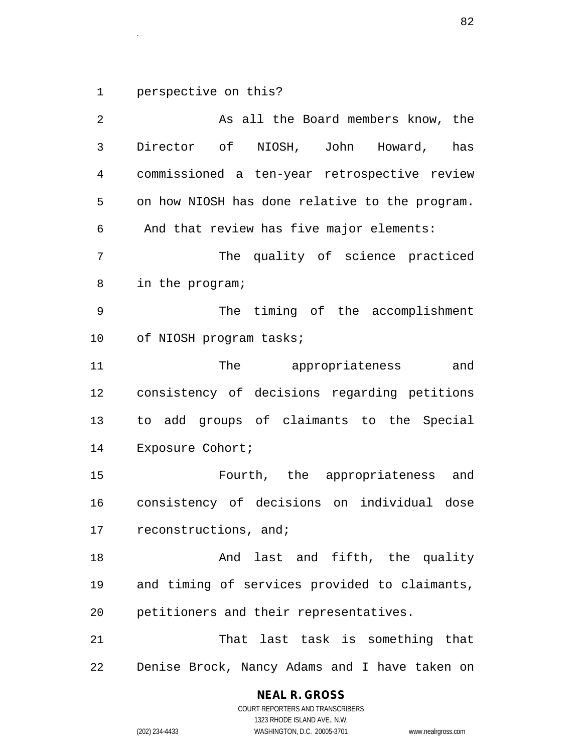1 perspective on this?

2 As all the Board members know, the 3 Director of NIOSH, John Howard, has 4 commissioned a ten-year retrospective review 5 on how NIOSH has done relative to the program. 6 And that review has five major elements: 7 The quality of science practiced 8 in the program; 9 The timing of the accomplishment 10 of NIOSH program tasks; 11 The appropriateness and 12 consistency of decisions regarding petitions 13 to add groups of claimants to the Special 14 Exposure Cohort; 15 Fourth, the appropriateness and 16 consistency of decisions on individual dose 17 reconstructions, and; 18 And last and fifth, the quality 19 and timing of services provided to claimants, 20 petitioners and their representatives. 21 That last task is something that 22 Denise Brock, Nancy Adams and I have taken on

**NEAL R. GROSS**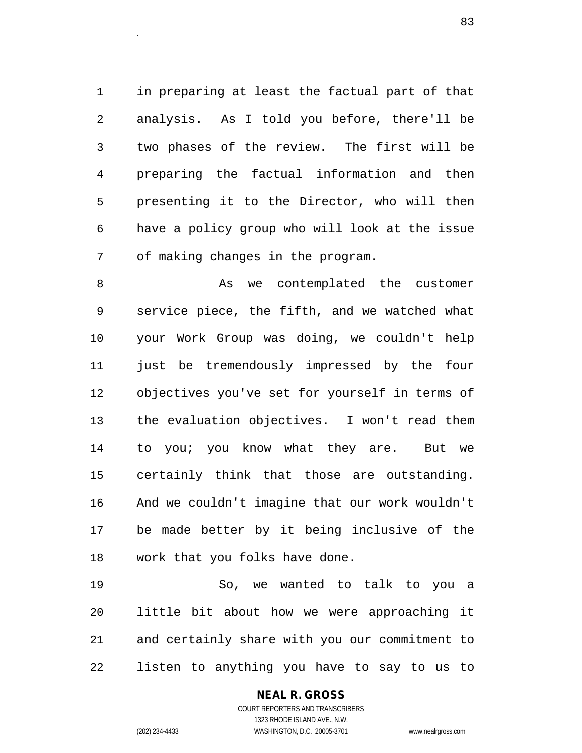1 in preparing at least the factual part of that 2 analysis. As I told you before, there'll be 3 two phases of the review. The first will be 4 preparing the factual information and then 5 presenting it to the Director, who will then 6 have a policy group who will look at the issue 7 of making changes in the program.

8 As we contemplated the customer 9 service piece, the fifth, and we watched what 10 your Work Group was doing, we couldn't help 11 just be tremendously impressed by the four 12 objectives you've set for yourself in terms of 13 the evaluation objectives. I won't read them 14 to you; you know what they are. But we 15 certainly think that those are outstanding. 16 And we couldn't imagine that our work wouldn't 17 be made better by it being inclusive of the 18 work that you folks have done.

19 So, we wanted to talk to you a 20 little bit about how we were approaching it 21 and certainly share with you our commitment to 22 listen to anything you have to say to us to

## **NEAL R. GROSS**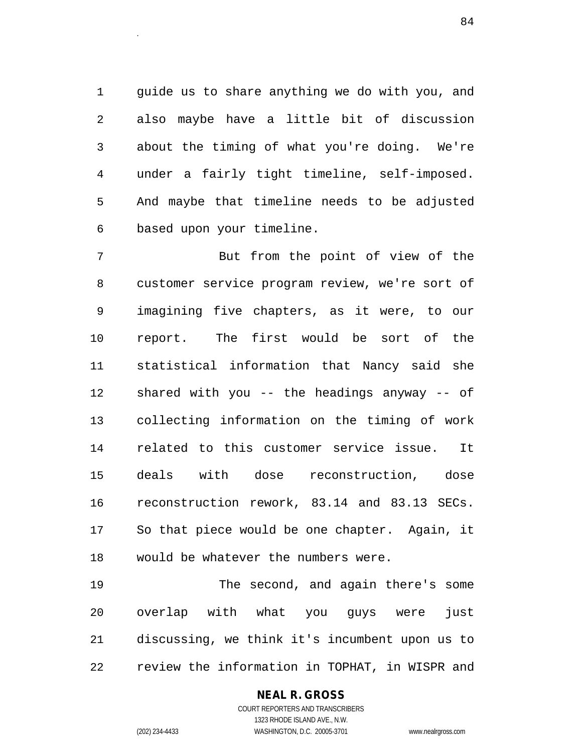1 guide us to share anything we do with you, and 2 also maybe have a little bit of discussion 3 about the timing of what you're doing. We're 4 under a fairly tight timeline, self-imposed. 5 And maybe that timeline needs to be adjusted 6 based upon your timeline.

7 But from the point of view of the 8 customer service program review, we're sort of 9 imagining five chapters, as it were, to our 10 report. The first would be sort of the 11 statistical information that Nancy said she 12 shared with you -- the headings anyway -- of 13 collecting information on the timing of work 14 related to this customer service issue. It 15 deals with dose reconstruction, dose 16 reconstruction rework, 83.14 and 83.13 SECs. 17 So that piece would be one chapter. Again, it 18 would be whatever the numbers were.

19 The second, and again there's some 20 overlap with what you guys were just 21 discussing, we think it's incumbent upon us to 22 review the information in TOPHAT, in WISPR and

## **NEAL R. GROSS**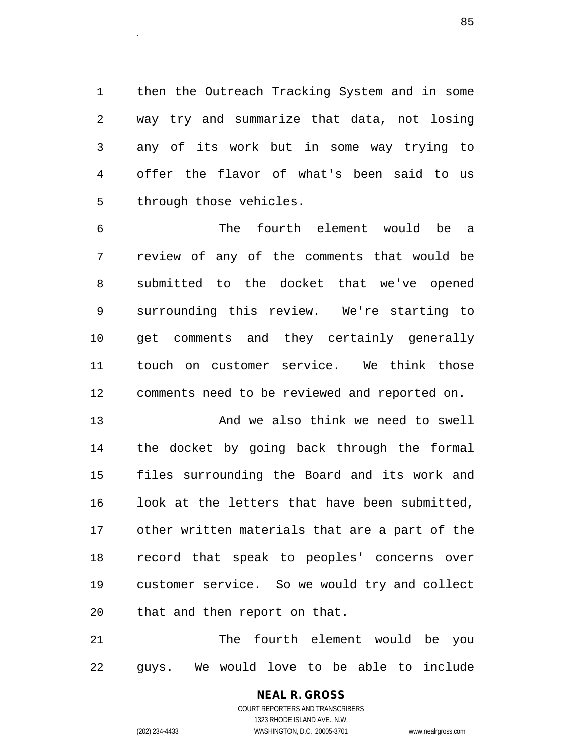1 then the Outreach Tracking System and in some 2 way try and summarize that data, not losing 3 any of its work but in some way trying to 4 offer the flavor of what's been said to us 5 through those vehicles.

6 The fourth element would be a 7 review of any of the comments that would be 8 submitted to the docket that we've opened 9 surrounding this review. We're starting to 10 get comments and they certainly generally 11 touch on customer service. We think those 12 comments need to be reviewed and reported on.

13 And we also think we need to swell 14 the docket by going back through the formal 15 files surrounding the Board and its work and 16 look at the letters that have been submitted, 17 other written materials that are a part of the 18 record that speak to peoples' concerns over 19 customer service. So we would try and collect 20 that and then report on that.

21 The fourth element would be you 22 guys. We would love to be able to include

# **NEAL R. GROSS**

COURT REPORTERS AND TRANSCRIBERS 1323 RHODE ISLAND AVE., N.W. (202) 234-4433 WASHINGTON, D.C. 20005-3701 www.nealrgross.com

estados de la contrada de la contrada de la contrada de la contrada de la contrada de la contrada de la contra<br>En la contrada de la contrada de la contrada de la contrada de la contrada de la contrada de la contrada de la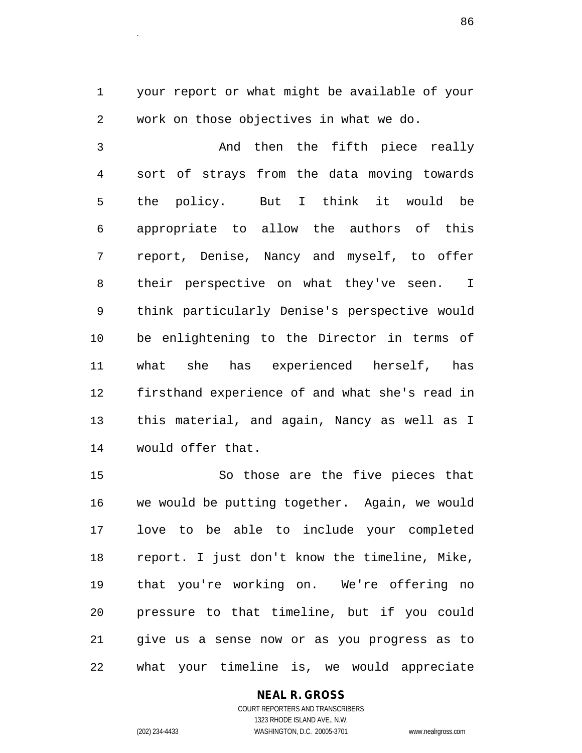1 your report or what might be available of your 2 work on those objectives in what we do.

3 And then the fifth piece really 4 sort of strays from the data moving towards 5 the policy. But I think it would be 6 appropriate to allow the authors of this 7 report, Denise, Nancy and myself, to offer 8 their perspective on what they've seen. I 9 think particularly Denise's perspective would 10 be enlightening to the Director in terms of 11 what she has experienced herself, has 12 firsthand experience of and what she's read in 13 this material, and again, Nancy as well as I 14 would offer that.

15 So those are the five pieces that 16 we would be putting together. Again, we would 17 love to be able to include your completed 18 report. I just don't know the timeline, Mike, 19 that you're working on. We're offering no 20 pressure to that timeline, but if you could 21 give us a sense now or as you progress as to 22 what your timeline is, we would appreciate

## **NEAL R. GROSS**

COURT REPORTERS AND TRANSCRIBERS 1323 RHODE ISLAND AVE., N.W. (202) 234-4433 WASHINGTON, D.C. 20005-3701 www.nealrgross.com

entities and the contract of the contract of the contract of the contract of the contract of the contract of the<br>The contract of the contract of the contract of the contract of the contract of the contract of the contract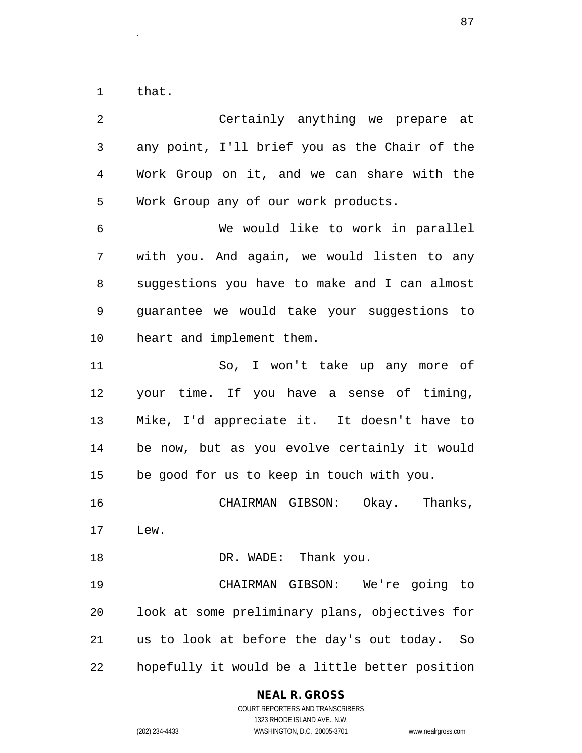1 that.

2 Certainly anything we prepare at 3 any point, I'll brief you as the Chair of the 4 Work Group on it, and we can share with the 5 Work Group any of our work products. 6 We would like to work in parallel 7 with you. And again, we would listen to any 8 suggestions you have to make and I can almost 9 guarantee we would take your suggestions to 10 heart and implement them. 11 So, I won't take up any more of 12 your time. If you have a sense of timing, 13 Mike, I'd appreciate it. It doesn't have to 14 be now, but as you evolve certainly it would 15 be good for us to keep in touch with you. 16 CHAIRMAN GIBSON: Okay. Thanks, 17 Lew. 18 DR. WADE: Thank you. 19 CHAIRMAN GIBSON: We're going to 20 look at some preliminary plans, objectives for 21 us to look at before the day's out today. So 22 hopefully it would be a little better position

**NEAL R. GROSS**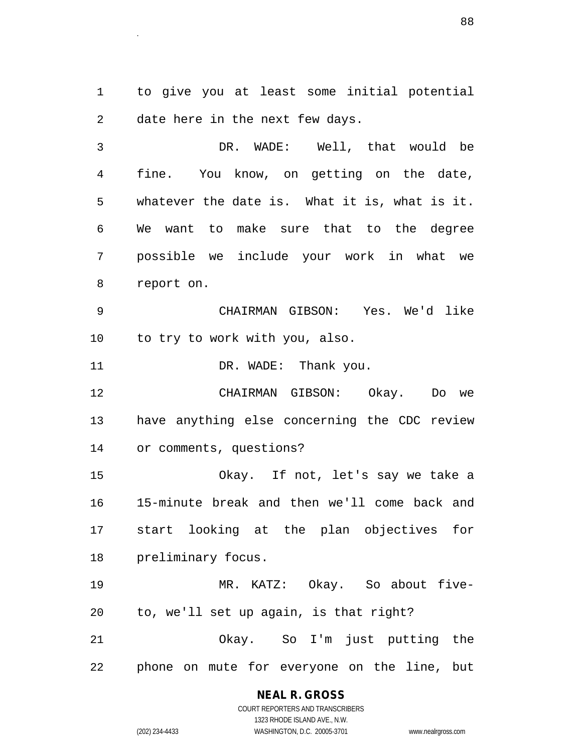1 to give you at least some initial potential 2 date here in the next few days.

en de la construction de la construction de la construction de la construction de la construction de la constr<br>Le construction de la construction de la construction de la construction de la construction de la construction

3 DR. WADE: Well, that would be 4 fine. You know, on getting on the date, 5 whatever the date is. What it is, what is it. 6 We want to make sure that to the degree 7 possible we include your work in what we 8 report on.

9 CHAIRMAN GIBSON: Yes. We'd like 10 to try to work with you, also.

11 DR. WADE: Thank you.

12 CHAIRMAN GIBSON: Okay. Do we 13 have anything else concerning the CDC review 14 or comments, questions?

15 Okay. If not, let's say we take a 16 15-minute break and then we'll come back and 17 start looking at the plan objectives for 18 preliminary focus.

19 MR. KATZ: Okay. So about five-20 to, we'll set up again, is that right?

21 Okay. So I'm just putting the 22 phone on mute for everyone on the line, but

#### **NEAL R. GROSS** COURT REPORTERS AND TRANSCRIBERS

1323 RHODE ISLAND AVE., N.W. (202) 234-4433 WASHINGTON, D.C. 20005-3701 www.nealrgross.com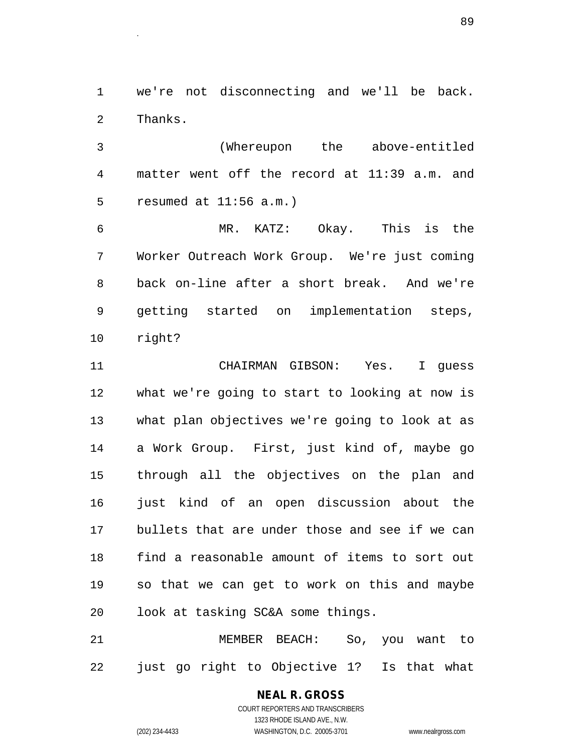1 we're not disconnecting and we'll be back. 2 Thanks.

3 (Whereupon the above-entitled 4 matter went off the record at 11:39 a.m. and 5 resumed at 11:56 a.m.)

6 MR. KATZ: Okay. This is the 7 Worker Outreach Work Group. We're just coming 8 back on-line after a short break. And we're 9 getting started on implementation steps, 10 right?

11 CHAIRMAN GIBSON: Yes. I guess 12 what we're going to start to looking at now is 13 what plan objectives we're going to look at as 14 a Work Group. First, just kind of, maybe go 15 through all the objectives on the plan and 16 just kind of an open discussion about the 17 bullets that are under those and see if we can 18 find a reasonable amount of items to sort out 19 so that we can get to work on this and maybe 20 look at tasking SC&A some things.

21 MEMBER BEACH: So, you want to 22 just go right to Objective 1? Is that what

# **NEAL R. GROSS**

COURT REPORTERS AND TRANSCRIBERS 1323 RHODE ISLAND AVE., N.W. (202) 234-4433 WASHINGTON, D.C. 20005-3701 www.nealrgross.com

es and the set of the set of the set of the set of the set of the set of the set of the set of the set of the<br>The set of the set of the set of the set of the set of the set of the set of the set of the set of the set of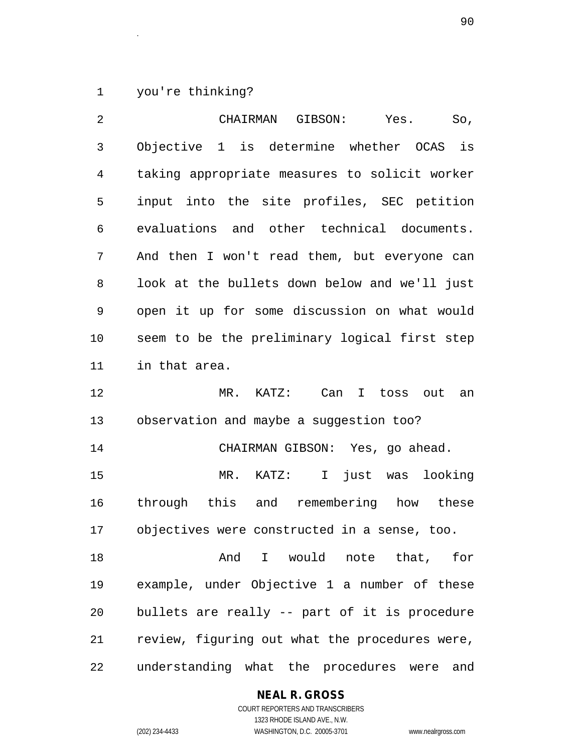1 you're thinking?

| $\overline{2}$ | CHAIRMAN GIBSON:<br>Yes.<br>So,                          |
|----------------|----------------------------------------------------------|
| $\mathbf{3}$   | Objective 1 is determine whether OCAS<br>is              |
| 4              | taking appropriate measures to solicit worker            |
| 5              | input into the site profiles, SEC petition               |
| 6              | evaluations and other technical documents.               |
| 7              | And then I won't read them, but everyone can             |
| 8              | look at the bullets down below and we'll just            |
| 9              | open it up for some discussion on what would             |
| 10             | seem to be the preliminary logical first step            |
| 11             | in that area.                                            |
| 12             | $MR$ .<br>KATZ:<br>Can<br>$\mathbb{I}$<br>toss out<br>an |
| 13             | observation and maybe a suggestion too?                  |
| 14             | CHAIRMAN GIBSON: Yes, go ahead.                          |
| 15             | $MR$ .<br>KATZ: I just was<br>looking                    |
| 16             | through this and remembering how these                   |
| 17             | objectives were constructed in a sense, too.             |
| 18             | And I would note that, for                               |
| 19             | example, under Objective 1 a number of these             |
| 20             | bullets are really -- part of it is procedure            |
| 21             | review, figuring out what the procedures were,           |
| 22             | understanding what the procedures were and               |

## **NEAL R. GROSS**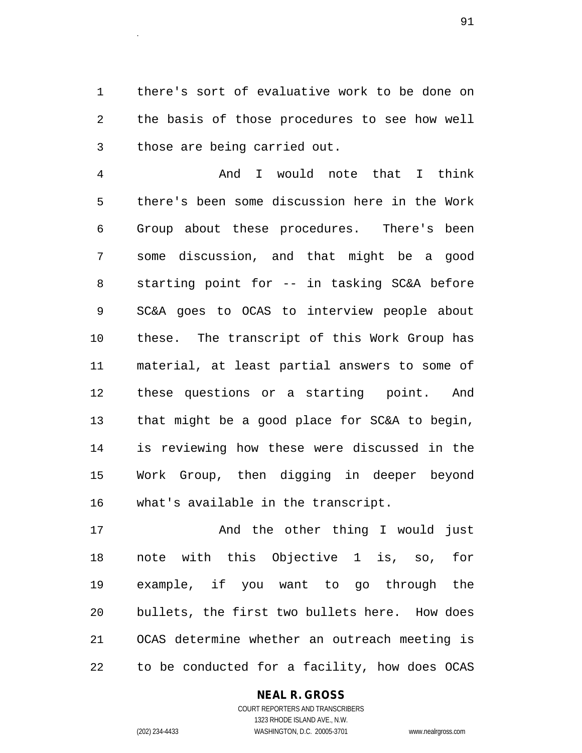1 there's sort of evaluative work to be done on 2 the basis of those procedures to see how well 3 those are being carried out.

example 2014 and 2014 and 2014 and 2014 and 2014 and 2014 and 2014 and 2014 and 2014 and 2014 and 2014 and 201<br>Contract the contract of the contract of the contract of the contract of the contract of the contract of the c

4 And I would note that I think 5 there's been some discussion here in the Work 6 Group about these procedures. There's been 7 some discussion, and that might be a good 8 starting point for -- in tasking SC&A before 9 SC&A goes to OCAS to interview people about 10 these. The transcript of this Work Group has 11 material, at least partial answers to some of 12 these questions or a starting point. And 13 that might be a good place for SC&A to begin, 14 is reviewing how these were discussed in the 15 Work Group, then digging in deeper beyond 16 what's available in the transcript.

17 And the other thing I would just 18 note with this Objective 1 is, so, for 19 example, if you want to go through the 20 bullets, the first two bullets here. How does 21 OCAS determine whether an outreach meeting is 22 to be conducted for a facility, how does OCAS

## **NEAL R. GROSS**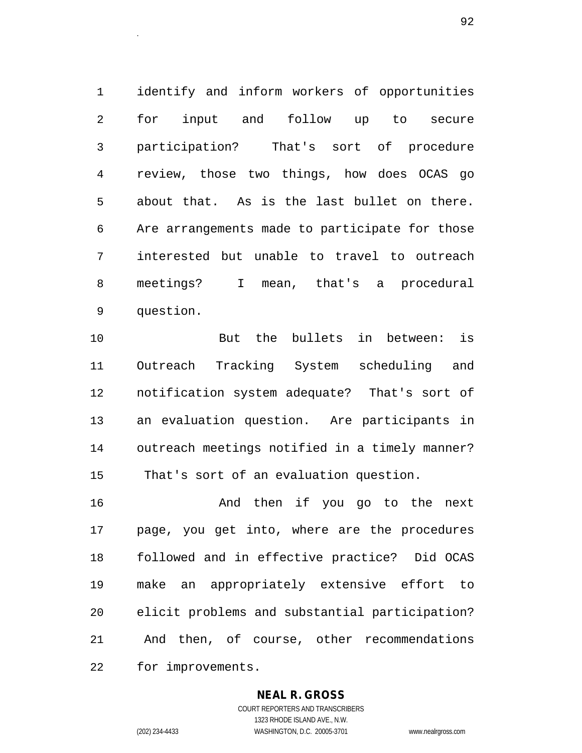1 identify and inform workers of opportunities 2 for input and follow up to secure 3 participation? That's sort of procedure 4 review, those two things, how does OCAS go 5 about that. As is the last bullet on there. 6 Are arrangements made to participate for those 7 interested but unable to travel to outreach 8 meetings? I mean, that's a procedural 9 question.

10 But the bullets in between: is 11 Outreach Tracking System scheduling and 12 notification system adequate? That's sort of 13 an evaluation question. Are participants in 14 outreach meetings notified in a timely manner? 15 That's sort of an evaluation question.

16 And then if you go to the next 17 page, you get into, where are the procedures 18 followed and in effective practice? Did OCAS 19 make an appropriately extensive effort to 20 elicit problems and substantial participation? 21 And then, of course, other recommendations 22 for improvements.

## **NEAL R. GROSS**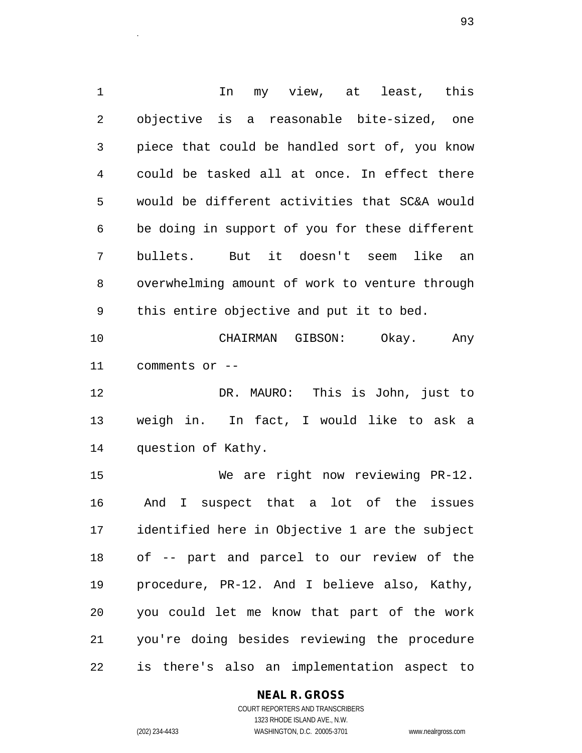1 1 In my view, at least, this 2 objective is a reasonable bite-sized, one 3 piece that could be handled sort of, you know 4 could be tasked all at once. In effect there 5 would be different activities that SC&A would 6 be doing in support of you for these different 7 bullets. But it doesn't seem like an 8 overwhelming amount of work to venture through 9 this entire objective and put it to bed.

10 CHAIRMAN GIBSON: Okay. Any 11 comments or --

12 DR. MAURO: This is John, just to 13 weigh in. In fact, I would like to ask a 14 question of Kathy.

15 We are right now reviewing PR-12. 16 And I suspect that a lot of the issues 17 identified here in Objective 1 are the subject 18 of -- part and parcel to our review of the 19 procedure, PR-12. And I believe also, Kathy, 20 you could let me know that part of the work 21 you're doing besides reviewing the procedure 22 is there's also an implementation aspect to

## **NEAL R. GROSS**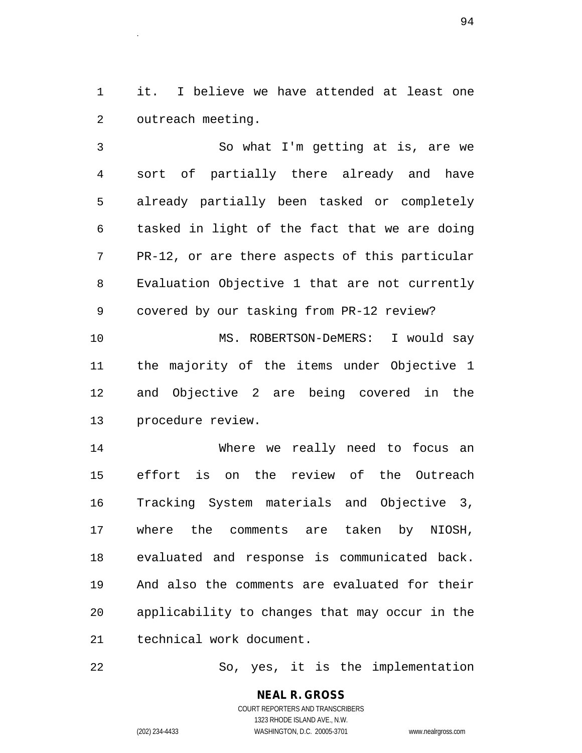1 it. I believe we have attended at least one 2 outreach meeting.

3 So what I'm getting at is, are we 4 sort of partially there already and have 5 already partially been tasked or completely 6 tasked in light of the fact that we are doing 7 PR-12, or are there aspects of this particular 8 Evaluation Objective 1 that are not currently 9 covered by our tasking from PR-12 review? 10 MS. ROBERTSON-DeMERS: I would say 11 the majority of the items under Objective 1 12 and Objective 2 are being covered in the 13 procedure review. 14 Where we really need to focus an

15 effort is on the review of the Outreach 16 Tracking System materials and Objective 3, 17 where the comments are taken by NIOSH, 18 evaluated and response is communicated back. 19 And also the comments are evaluated for their 20 applicability to changes that may occur in the 21 technical work document.

22 So, yes, it is the implementation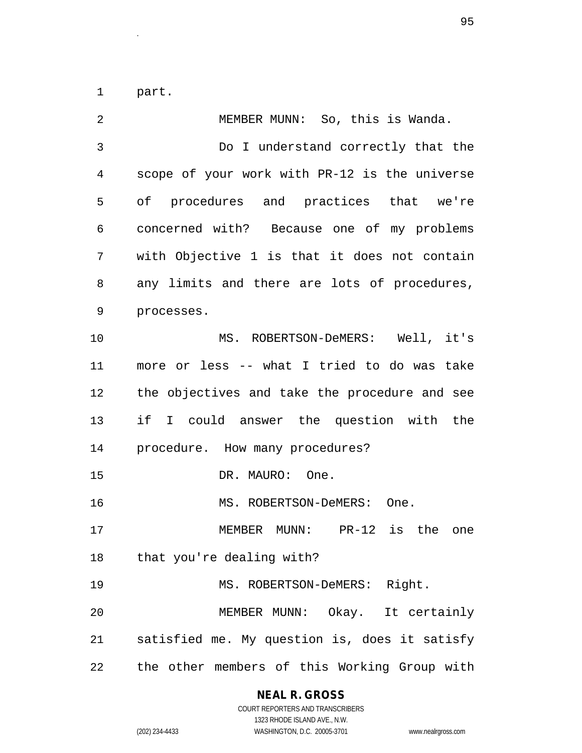1 part.

| 2  | MEMBER MUNN: So, this is Wanda.               |
|----|-----------------------------------------------|
| 3  | Do I understand correctly that the            |
| 4  | scope of your work with PR-12 is the universe |
| 5  | of procedures and practices that we're        |
| 6  | concerned with? Because one of my problems    |
| 7  | with Objective 1 is that it does not contain  |
| 8  | any limits and there are lots of procedures,  |
| 9  | processes.                                    |
| 10 | MS. ROBERTSON-DeMERS: Well, it's              |
| 11 | more or less -- what I tried to do was take   |
| 12 | the objectives and take the procedure and see |
| 13 | if I could answer the question with the       |
| 14 | procedure. How many procedures?               |
| 15 | DR. MAURO: One.                               |
| 16 | MS. ROBERTSON-DeMERS: One.                    |
| 17 | MEMBER MUNN: PR-12 is the one                 |
| 18 | that you're dealing with?                     |
| 19 | MS. ROBERTSON-DeMERS: Right.                  |
| 20 | MEMBER MUNN: Okay. It certainly               |
| 21 | satisfied me. My question is, does it satisfy |
| 22 | the other members of this Working Group with  |

## **NEAL R. GROSS**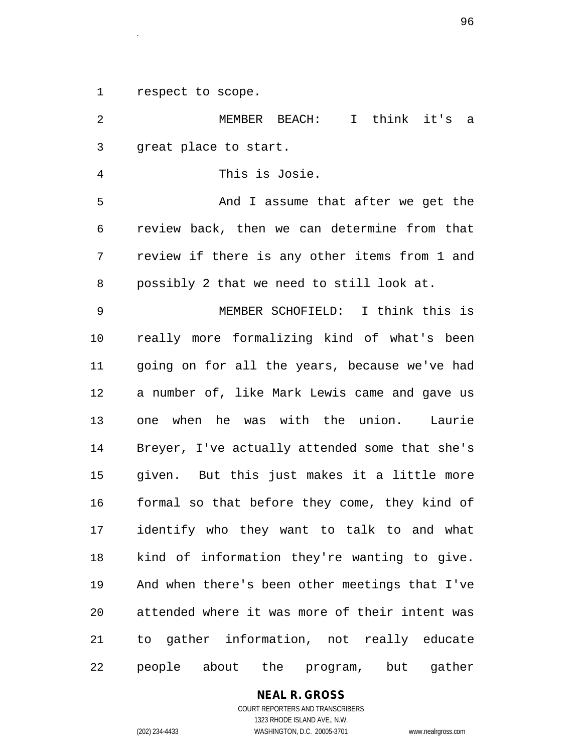1 respect to scope.

2 MEMBER BEACH: I think it's a 3 great place to start. 4 This is Josie. 5 And I assume that after we get the 6 review back, then we can determine from that 7 review if there is any other items from 1 and 8 possibly 2 that we need to still look at. 9 MEMBER SCHOFIELD: I think this is 10 really more formalizing kind of what's been 11 going on for all the years, because we've had 12 a number of, like Mark Lewis came and gave us 13 one when he was with the union. Laurie 14 Breyer, I've actually attended some that she's 15 given. But this just makes it a little more 16 formal so that before they come, they kind of 17 identify who they want to talk to and what 18 kind of information they're wanting to give. 19 And when there's been other meetings that I've 20 attended where it was more of their intent was 21 to gather information, not really educate 22 people about the program, but gather

## **NEAL R. GROSS**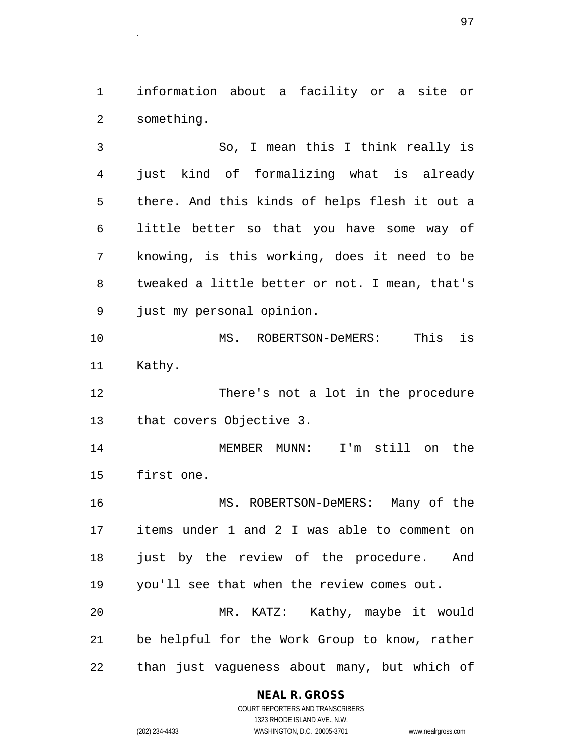1 information about a facility or a site or 2 something.

3 So, I mean this I think really is 4 just kind of formalizing what is already 5 there. And this kinds of helps flesh it out a 6 little better so that you have some way of 7 knowing, is this working, does it need to be 8 tweaked a little better or not. I mean, that's 9 just my personal opinion.

10 MS. ROBERTSON-DeMERS: This is 11 Kathy.

12 There's not a lot in the procedure 13 that covers Objective 3.

14 MEMBER MUNN: I'm still on the 15 first one.

16 MS. ROBERTSON-DeMERS: Many of the 17 items under 1 and 2 I was able to comment on 18 just by the review of the procedure. And 19 you'll see that when the review comes out. 20 MR. KATZ: Kathy, maybe it would 21 be helpful for the Work Group to know, rather

22 than just vagueness about many, but which of

## **NEAL R. GROSS**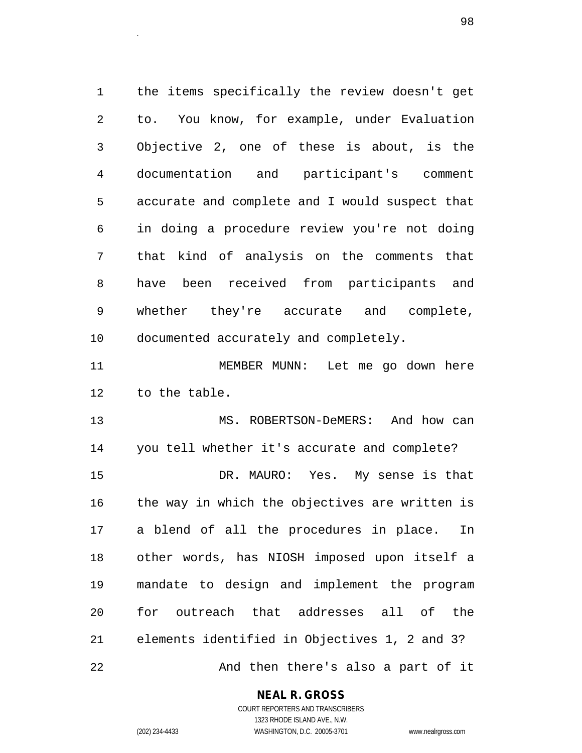1 the items specifically the review doesn't get 2 to. You know, for example, under Evaluation 3 Objective 2, one of these is about, is the 4 documentation and participant's comment 5 accurate and complete and I would suspect that 6 in doing a procedure review you're not doing 7 that kind of analysis on the comments that 8 have been received from participants and 9 whether they're accurate and complete, 10 documented accurately and completely.

entities and the contract of the contract of the contract of the contract of the contract of the contract of t<br>The contract of the contract of the contract of the contract of the contract of the contract of the contract o

11 MEMBER MUNN: Let me go down here 12 to the table.

13 MS. ROBERTSON-DeMERS: And how can 14 you tell whether it's accurate and complete? 15 DR. MAURO: Yes. My sense is that 16 the way in which the objectives are written is 17 a blend of all the procedures in place. In 18 other words, has NIOSH imposed upon itself a 19 mandate to design and implement the program 20 for outreach that addresses all of the 21 elements identified in Objectives 1, 2 and 3? 22 And then there's also a part of it

**NEAL R. GROSS**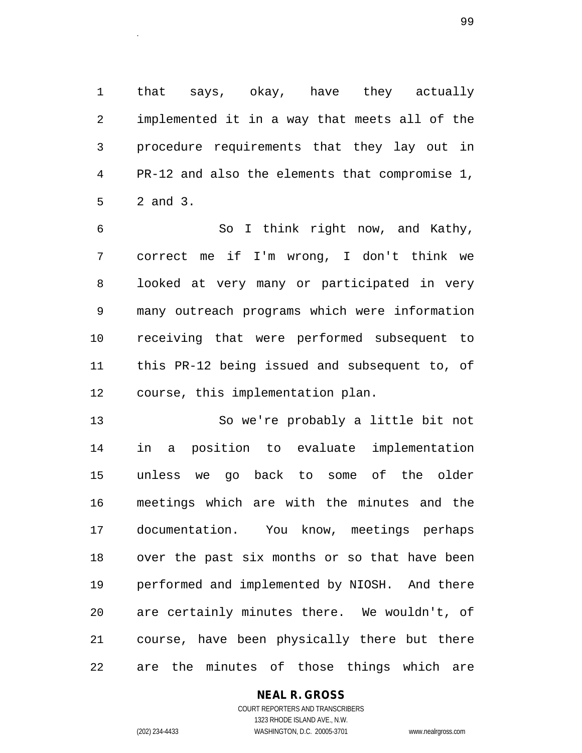1 that says, okay, have they actually 2 implemented it in a way that meets all of the 3 procedure requirements that they lay out in 4 PR-12 and also the elements that compromise 1, 5 2 and 3.

6 So I think right now, and Kathy, 7 correct me if I'm wrong, I don't think we 8 looked at very many or participated in very 9 many outreach programs which were information 10 receiving that were performed subsequent to 11 this PR-12 being issued and subsequent to, of 12 course, this implementation plan.

13 So we're probably a little bit not 14 in a position to evaluate implementation 15 unless we go back to some of the older 16 meetings which are with the minutes and the 17 documentation. You know, meetings perhaps 18 over the past six months or so that have been 19 performed and implemented by NIOSH. And there 20 are certainly minutes there. We wouldn't, of 21 course, have been physically there but there 22 are the minutes of those things which are

## **NEAL R. GROSS**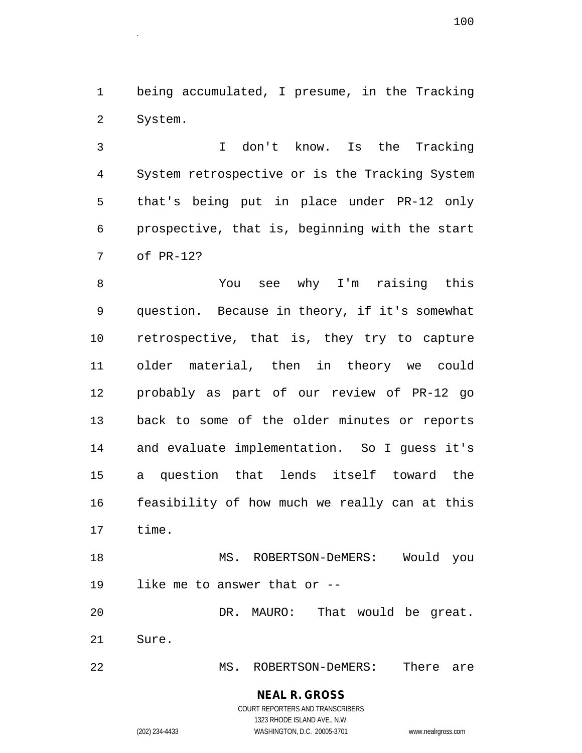1 being accumulated, I presume, in the Tracking 2 System.

3 I don't know. Is the Tracking 4 System retrospective or is the Tracking System 5 that's being put in place under PR-12 only 6 prospective, that is, beginning with the start 7 of PR-12?

8 You see why I'm raising this 9 question. Because in theory, if it's somewhat 10 retrospective, that is, they try to capture 11 older material, then in theory we could 12 probably as part of our review of PR-12 go 13 back to some of the older minutes or reports 14 and evaluate implementation. So I guess it's 15 a question that lends itself toward the 16 feasibility of how much we really can at this 17 time.

18 MS. ROBERTSON-DeMERS: Would you 19 like me to answer that or --

20 DR. MAURO: That would be great. 21 Sure.

22 MS. ROBERTSON-DeMERS: There are

**NEAL R. GROSS** COURT REPORTERS AND TRANSCRIBERS

1323 RHODE ISLAND AVE., N.W.

(202) 234-4433 WASHINGTON, D.C. 20005-3701 www.nealrgross.com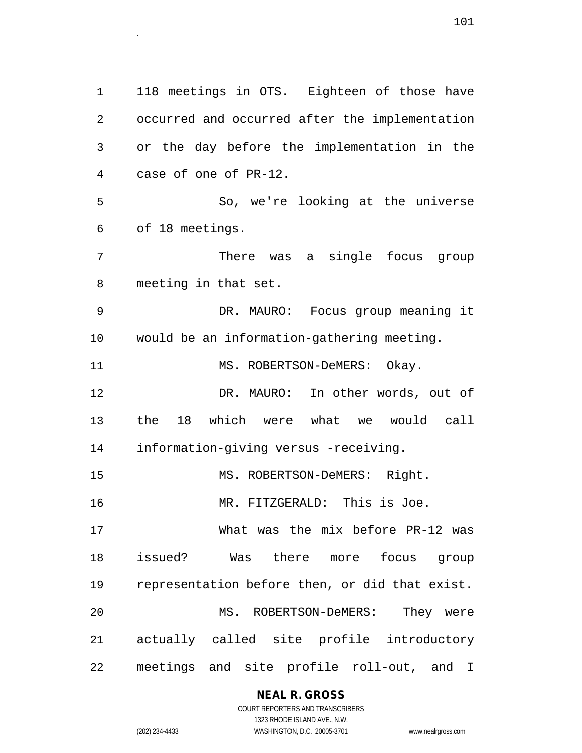1 118 meetings in OTS. Eighteen of those have 2 occurred and occurred after the implementation 3 or the day before the implementation in the 4 case of one of PR-12. 5 So, we're looking at the universe 6 of 18 meetings. 7 There was a single focus group 8 meeting in that set. 9 DR. MAURO: Focus group meaning it 10 would be an information-gathering meeting. 11 MS. ROBERTSON-DeMERS: Okay. 12 DR. MAURO: In other words, out of 13 the 18 which were what we would call 14 information-giving versus -receiving. 15 MS. ROBERTSON-DeMERS: Right. 16 MR. FITZGERALD: This is Joe. 17 What was the mix before PR-12 was 18 issued? Was there more focus group 19 representation before then, or did that exist. 20 MS. ROBERTSON-DeMERS: They were 21 actually called site profile introductory 22 meetings and site profile roll-out, and I

## **NEAL R. GROSS**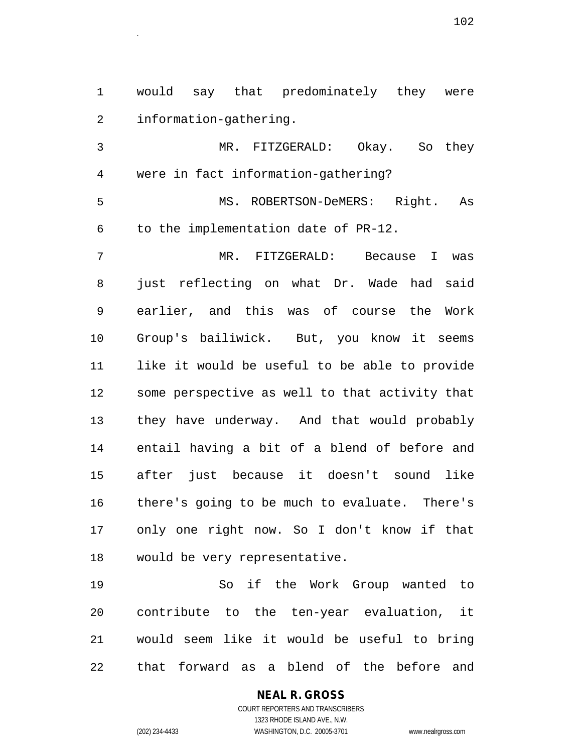1 would say that predominately they were 2 information-gathering.

3 MR. FITZGERALD: Okay. So they 4 were in fact information-gathering?

5 MS. ROBERTSON-DeMERS: Right. As 6 to the implementation date of PR-12.

7 MR. FITZGERALD: Because I was 8 just reflecting on what Dr. Wade had said 9 earlier, and this was of course the Work 10 Group's bailiwick. But, you know it seems 11 like it would be useful to be able to provide 12 some perspective as well to that activity that 13 they have underway. And that would probably 14 entail having a bit of a blend of before and 15 after just because it doesn't sound like 16 there's going to be much to evaluate. There's 17 only one right now. So I don't know if that 18 would be very representative.

19 So if the Work Group wanted to 20 contribute to the ten-year evaluation, it 21 would seem like it would be useful to bring 22 that forward as a blend of the before and

> COURT REPORTERS AND TRANSCRIBERS 1323 RHODE ISLAND AVE., N.W. (202) 234-4433 WASHINGTON, D.C. 20005-3701 www.nealrgross.com

**NEAL R. GROSS**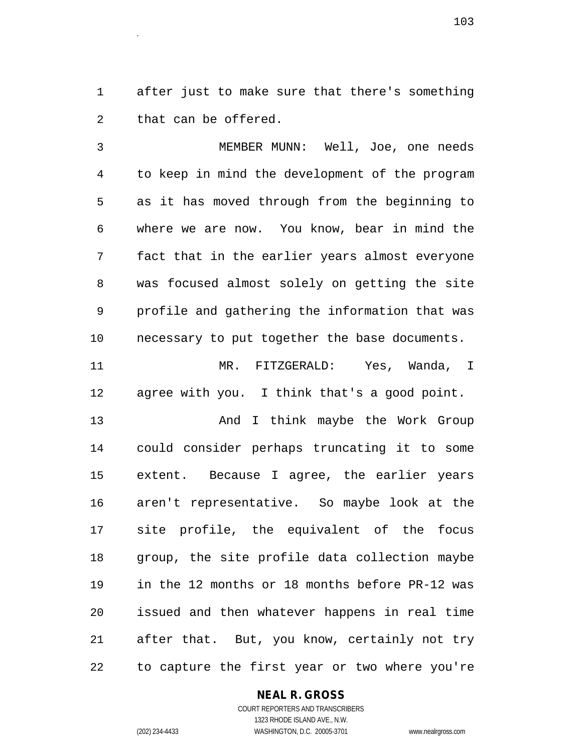1 after just to make sure that there's something 2 that can be offered.

3 MEMBER MUNN: Well, Joe, one needs 4 to keep in mind the development of the program 5 as it has moved through from the beginning to 6 where we are now. You know, bear in mind the 7 fact that in the earlier years almost everyone 8 was focused almost solely on getting the site 9 profile and gathering the information that was 10 necessary to put together the base documents.

11 MR. FITZGERALD: Yes, Wanda, I 12 agree with you. I think that's a good point.

13 And I think maybe the Work Group 14 could consider perhaps truncating it to some 15 extent. Because I agree, the earlier years 16 aren't representative. So maybe look at the 17 site profile, the equivalent of the focus 18 group, the site profile data collection maybe 19 in the 12 months or 18 months before PR-12 was 20 issued and then whatever happens in real time 21 after that. But, you know, certainly not try 22 to capture the first year or two where you're

#### **NEAL R. GROSS** COURT REPORTERS AND TRANSCRIBERS

1323 RHODE ISLAND AVE., N.W. (202) 234-4433 WASHINGTON, D.C. 20005-3701 www.nealrgross.com

 $103$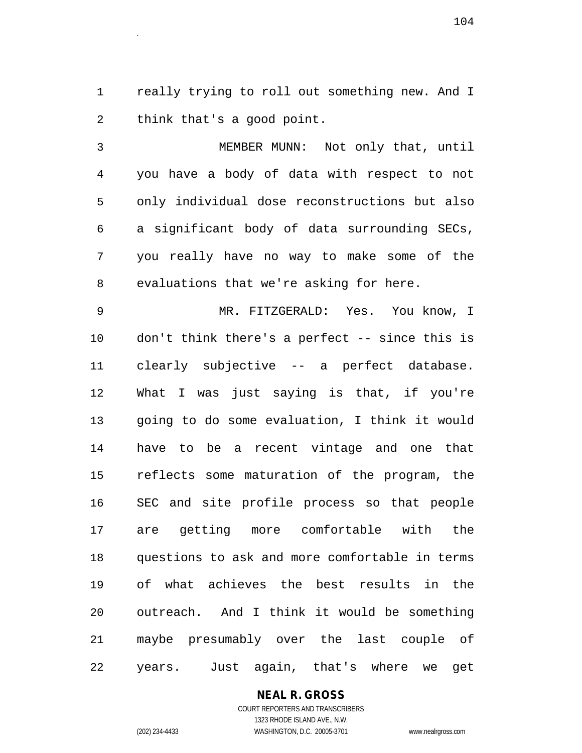1 really trying to roll out something new. And I 2 think that's a good point.

3 MEMBER MUNN: Not only that, until 4 you have a body of data with respect to not 5 only individual dose reconstructions but also 6 a significant body of data surrounding SECs, 7 you really have no way to make some of the 8 evaluations that we're asking for here.

9 MR. FITZGERALD: Yes. You know, I 10 don't think there's a perfect -- since this is 11 clearly subjective -- a perfect database. 12 What I was just saying is that, if you're 13 going to do some evaluation, I think it would 14 have to be a recent vintage and one that 15 reflects some maturation of the program, the 16 SEC and site profile process so that people 17 are getting more comfortable with the 18 questions to ask and more comfortable in terms 19 of what achieves the best results in the 20 outreach. And I think it would be something 21 maybe presumably over the last couple of 22 years. Just again, that's where we get

**NEAL R. GROSS**

COURT REPORTERS AND TRANSCRIBERS 1323 RHODE ISLAND AVE., N.W. (202) 234-4433 WASHINGTON, D.C. 20005-3701 www.nealrgross.com

 $104$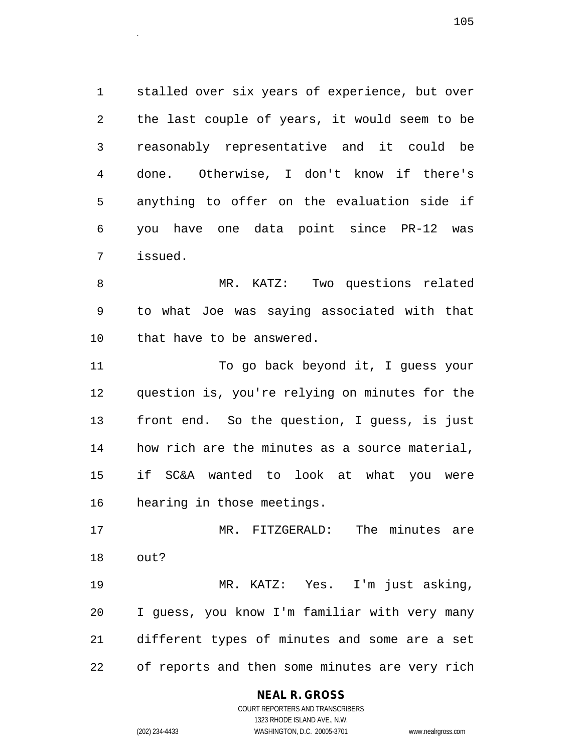1 stalled over six years of experience, but over 2 the last couple of years, it would seem to be 3 reasonably representative and it could be 4 done. Otherwise, I don't know if there's 5 anything to offer on the evaluation side if 6 you have one data point since PR-12 was 7 issued.

8 MR. KATZ: Two questions related 9 to what Joe was saying associated with that 10 that have to be answered.

11 To go back beyond it, I guess your 12 question is, you're relying on minutes for the 13 front end. So the question, I guess, is just 14 how rich are the minutes as a source material, 15 if SC&A wanted to look at what you were 16 hearing in those meetings.

17 MR. FITZGERALD: The minutes are 18 out?

19 MR. KATZ: Yes. I'm just asking, 20 I guess, you know I'm familiar with very many 21 different types of minutes and some are a set 22 of reports and then some minutes are very rich

## **NEAL R. GROSS**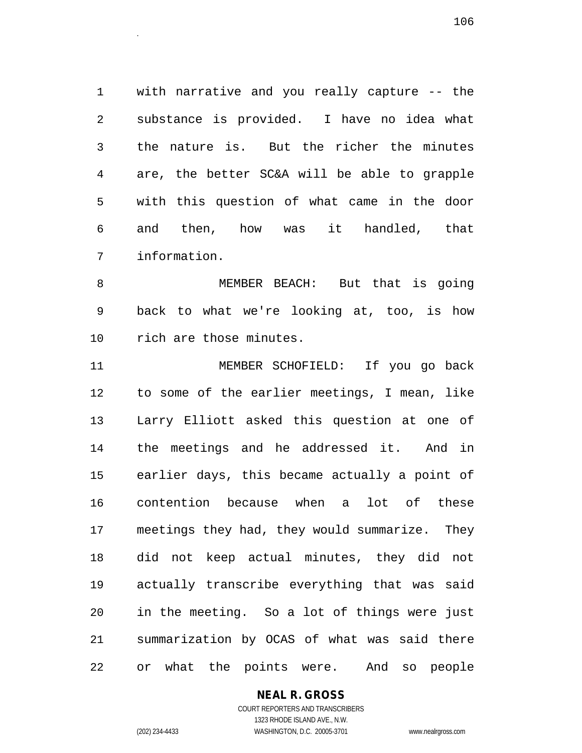1 with narrative and you really capture -- the 2 substance is provided. I have no idea what 3 the nature is. But the richer the minutes 4 are, the better SC&A will be able to grapple 5 with this question of what came in the door 6 and then, how was it handled, that 7 information.

8 MEMBER BEACH: But that is going 9 back to what we're looking at, too, is how 10 rich are those minutes.

11 MEMBER SCHOFIELD: If you go back 12 to some of the earlier meetings, I mean, like 13 Larry Elliott asked this question at one of 14 the meetings and he addressed it. And in 15 earlier days, this became actually a point of 16 contention because when a lot of these 17 meetings they had, they would summarize. They 18 did not keep actual minutes, they did not 19 actually transcribe everything that was said 20 in the meeting. So a lot of things were just 21 summarization by OCAS of what was said there 22 or what the points were. And so people

## **NEAL R. GROSS**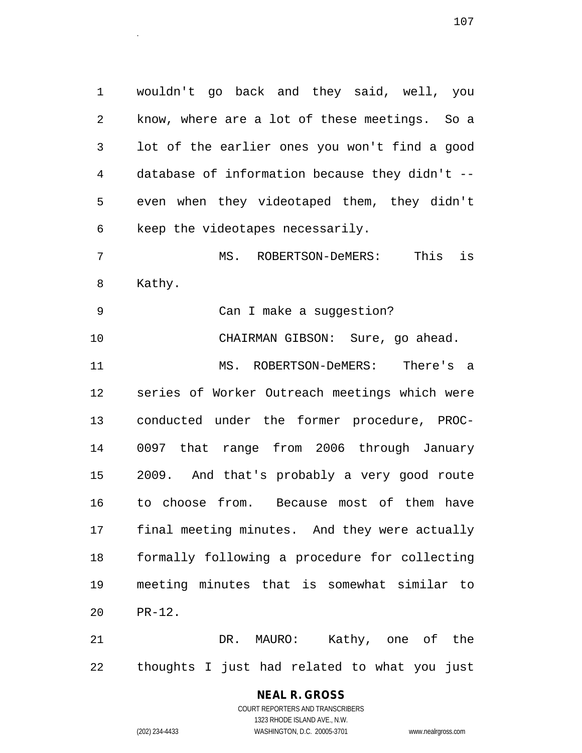1 wouldn't go back and they said, well, you 2 know, where are a lot of these meetings. So a 3 lot of the earlier ones you won't find a good 4 database of information because they didn't -- 5 even when they videotaped them, they didn't 6 keep the videotapes necessarily.

7 MS. ROBERTSON-DeMERS: This is 8 Kathy.

9 Can I make a suggestion?

10 CHAIRMAN GIBSON: Sure, go ahead. 11 MS. ROBERTSON-DeMERS: There's a 12 series of Worker Outreach meetings which were 13 conducted under the former procedure, PROC-14 0097 that range from 2006 through January 15 2009. And that's probably a very good route 16 to choose from. Because most of them have 17 final meeting minutes. And they were actually 18 formally following a procedure for collecting 19 meeting minutes that is somewhat similar to 20 PR-12.

21 DR. MAURO: Kathy, one of the 22 thoughts I just had related to what you just

# **NEAL R. GROSS**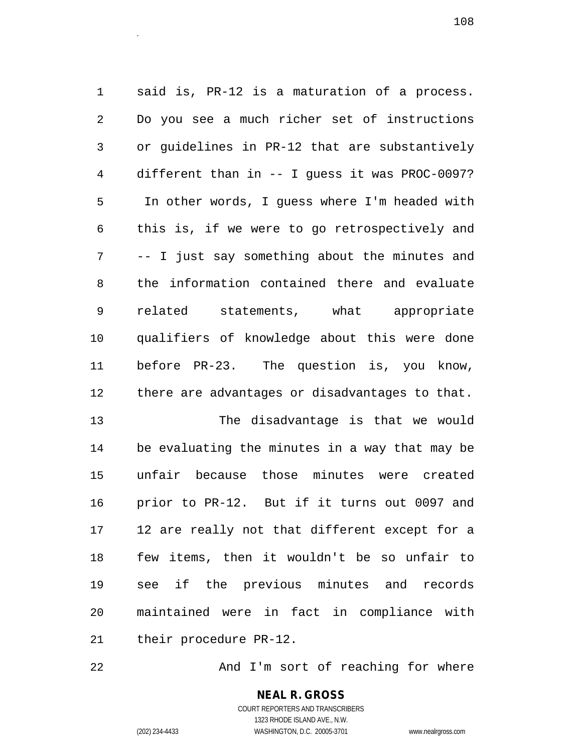1 said is, PR-12 is a maturation of a process. 2 Do you see a much richer set of instructions 3 or guidelines in PR-12 that are substantively 4 different than in -- I guess it was PROC-0097? 5 In other words, I guess where I'm headed with 6 this is, if we were to go retrospectively and 7 -- I just say something about the minutes and 8 the information contained there and evaluate 9 related statements, what appropriate 10 qualifiers of knowledge about this were done 11 before PR-23. The question is, you know, 12 there are advantages or disadvantages to that.

13 The disadvantage is that we would 14 be evaluating the minutes in a way that may be 15 unfair because those minutes were created 16 prior to PR-12. But if it turns out 0097 and 17 12 are really not that different except for a 18 few items, then it wouldn't be so unfair to 19 see if the previous minutes and records 20 maintained were in fact in compliance with 21 their procedure PR-12.

22 And I'm sort of reaching for where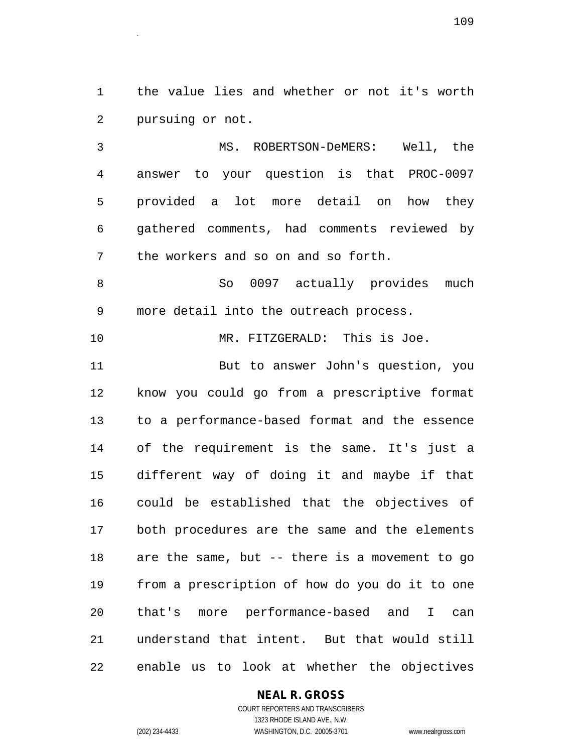1 the value lies and whether or not it's worth 2 pursuing or not.

3 MS. ROBERTSON-DeMERS: Well, the 4 answer to your question is that PROC-0097 5 provided a lot more detail on how they 6 gathered comments, had comments reviewed by 7 the workers and so on and so forth.

8 So 0097 actually provides much 9 more detail into the outreach process.

10 MR. FITZGERALD: This is Joe.

11 But to answer John's question, you 12 know you could go from a prescriptive format 13 to a performance-based format and the essence 14 of the requirement is the same. It's just a 15 different way of doing it and maybe if that 16 could be established that the objectives of 17 both procedures are the same and the elements 18 are the same, but -- there is a movement to go 19 from a prescription of how do you do it to one 20 that's more performance-based and I can 21 understand that intent. But that would still 22 enable us to look at whether the objectives

**NEAL R. GROSS**

COURT REPORTERS AND TRANSCRIBERS 1323 RHODE ISLAND AVE., N.W. (202) 234-4433 WASHINGTON, D.C. 20005-3701 www.nealrgross.com

 $109$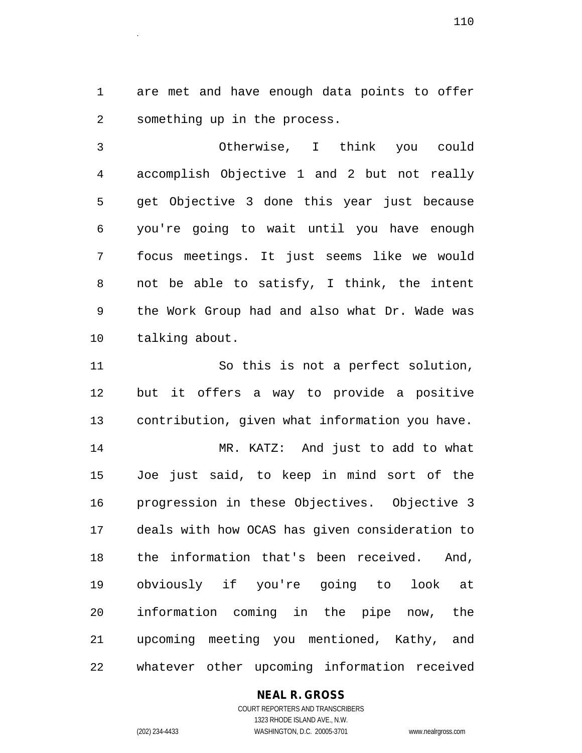1 are met and have enough data points to offer 2 something up in the process.

3 Otherwise, I think you could 4 accomplish Objective 1 and 2 but not really 5 get Objective 3 done this year just because 6 you're going to wait until you have enough 7 focus meetings. It just seems like we would 8 not be able to satisfy, I think, the intent 9 the Work Group had and also what Dr. Wade was 10 talking about.

11 So this is not a perfect solution, 12 but it offers a way to provide a positive 13 contribution, given what information you have. 14 MR. KATZ: And just to add to what 15 Joe just said, to keep in mind sort of the 16 progression in these Objectives. Objective 3 17 deals with how OCAS has given consideration to 18 the information that's been received. And, 19 obviously if you're going to look at 20 information coming in the pipe now, the 21 upcoming meeting you mentioned, Kathy, and 22 whatever other upcoming information received

## **NEAL R. GROSS**

<sup>110</sup>.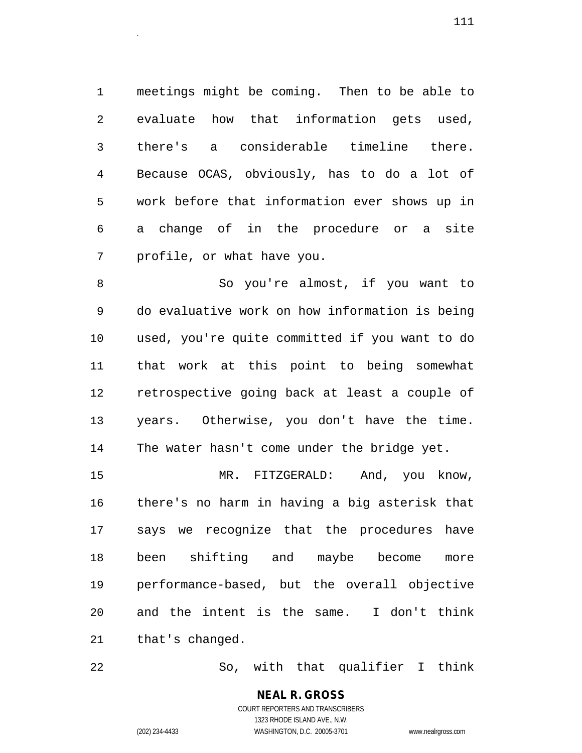1 meetings might be coming. Then to be able to 2 evaluate how that information gets used, 3 there's a considerable timeline there. 4 Because OCAS, obviously, has to do a lot of 5 work before that information ever shows up in 6 a change of in the procedure or a site 7 profile, or what have you.

8 So you're almost, if you want to 9 do evaluative work on how information is being 10 used, you're quite committed if you want to do 11 that work at this point to being somewhat 12 retrospective going back at least a couple of 13 years. Otherwise, you don't have the time. 14 The water hasn't come under the bridge yet.

15 MR. FITZGERALD: And, you know, 16 there's no harm in having a big asterisk that 17 says we recognize that the procedures have 18 been shifting and maybe become more 19 performance-based, but the overall objective 20 and the intent is the same. I don't think 21 that's changed.

22 So, with that qualifier I think

**NEAL R. GROSS** COURT REPORTERS AND TRANSCRIBERS 1323 RHODE ISLAND AVE., N.W.

(202) 234-4433 WASHINGTON, D.C. 20005-3701 www.nealrgross.com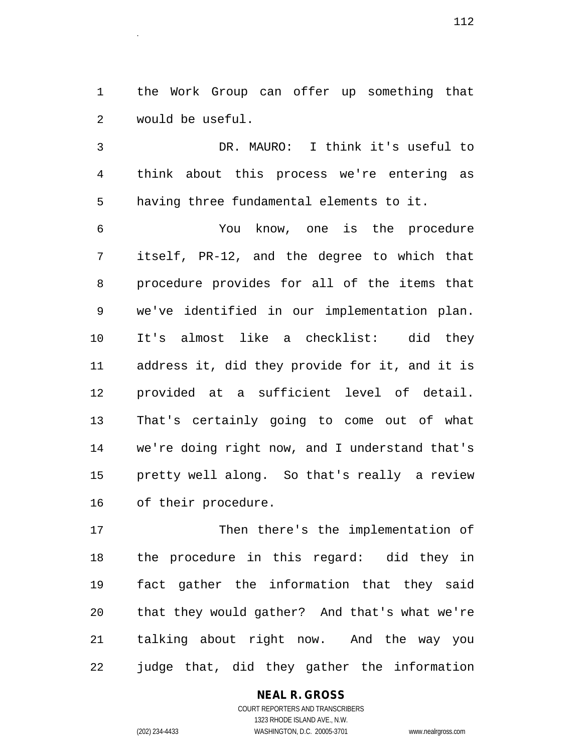1 the Work Group can offer up something that 2 would be useful.

3 DR. MAURO: I think it's useful to 4 think about this process we're entering as 5 having three fundamental elements to it.

6 You know, one is the procedure 7 itself, PR-12, and the degree to which that 8 procedure provides for all of the items that 9 we've identified in our implementation plan. 10 It's almost like a checklist: did they 11 address it, did they provide for it, and it is 12 provided at a sufficient level of detail. 13 That's certainly going to come out of what 14 we're doing right now, and I understand that's 15 pretty well along. So that's really a review 16 of their procedure.

17 Then there's the implementation of 18 the procedure in this regard: did they in 19 fact gather the information that they said 20 that they would gather? And that's what we're 21 talking about right now. And the way you 22 judge that, did they gather the information

> **NEAL R. GROSS** COURT REPORTERS AND TRANSCRIBERS 1323 RHODE ISLAND AVE., N.W.

(202) 234-4433 WASHINGTON, D.C. 20005-3701 www.nealrgross.com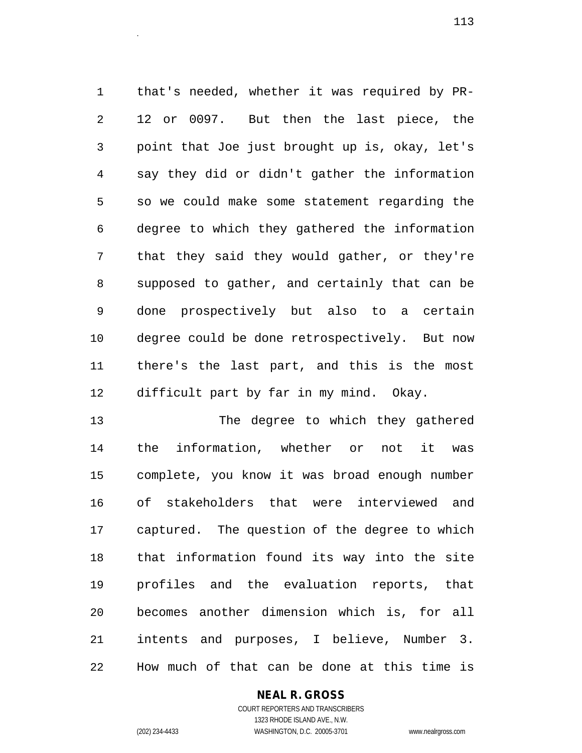1 that's needed, whether it was required by PR-2 12 or 0097. But then the last piece, the 3 point that Joe just brought up is, okay, let's 4 say they did or didn't gather the information 5 so we could make some statement regarding the 6 degree to which they gathered the information 7 that they said they would gather, or they're 8 supposed to gather, and certainly that can be 9 done prospectively but also to a certain 10 degree could be done retrospectively. But now 11 there's the last part, and this is the most 12 difficult part by far in my mind. Okay.

13 The degree to which they gathered 14 the information, whether or not it was 15 complete, you know it was broad enough number 16 of stakeholders that were interviewed and 17 captured. The question of the degree to which 18 that information found its way into the site 19 profiles and the evaluation reports, that 20 becomes another dimension which is, for all 21 intents and purposes, I believe, Number 3. 22 How much of that can be done at this time is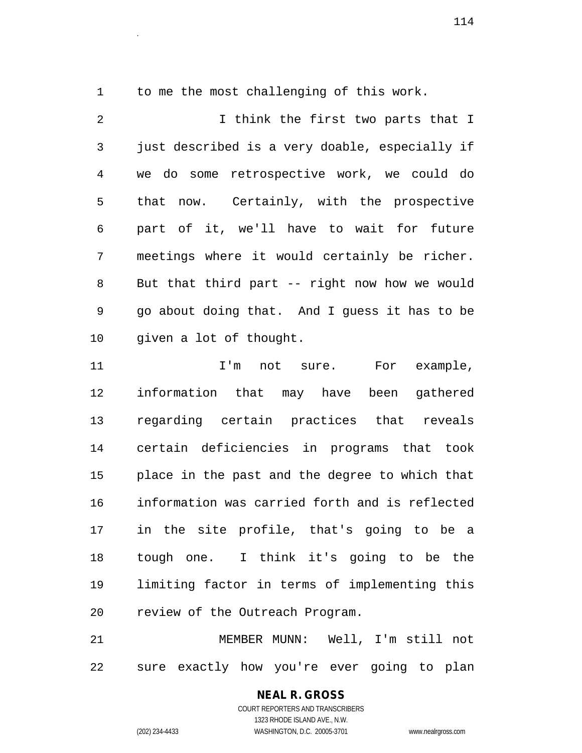1 to me the most challenging of this work.

2 I think the first two parts that I 3 just described is a very doable, especially if 4 we do some retrospective work, we could do 5 that now. Certainly, with the prospective 6 part of it, we'll have to wait for future 7 meetings where it would certainly be richer. 8 But that third part -- right now how we would 9 go about doing that. And I guess it has to be 10 given a lot of thought.

11 11 I'm not sure. For example, 12 information that may have been gathered 13 regarding certain practices that reveals 14 certain deficiencies in programs that took 15 place in the past and the degree to which that 16 information was carried forth and is reflected 17 in the site profile, that's going to be a 18 tough one. I think it's going to be the 19 limiting factor in terms of implementing this 20 review of the Outreach Program.

21 MEMBER MUNN: Well, I'm still not 22 sure exactly how you're ever going to plan

## **NEAL R. GROSS** COURT REPORTERS AND TRANSCRIBERS 1323 RHODE ISLAND AVE., N.W.

(202) 234-4433 WASHINGTON, D.C. 20005-3701 www.nealrgross.com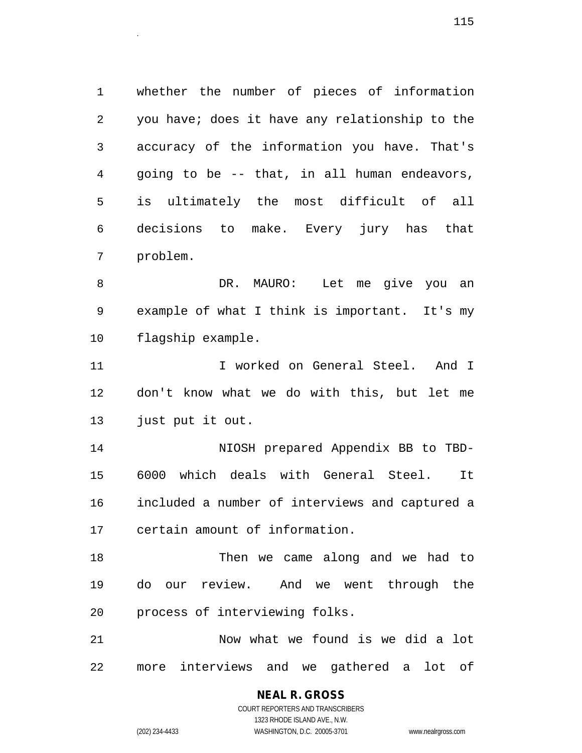1 whether the number of pieces of information 2 you have; does it have any relationship to the 3 accuracy of the information you have. That's 4 going to be -- that, in all human endeavors, 5 is ultimately the most difficult of all 6 decisions to make. Every jury has that 7 problem.

8 DR. MAURO: Let me give you an 9 example of what I think is important. It's my 10 flagship example.

11 12 I worked on General Steel. And I 12 don't know what we do with this, but let me 13 just put it out.

14 NIOSH prepared Appendix BB to TBD-15 6000 which deals with General Steel. It 16 included a number of interviews and captured a 17 certain amount of information.

18 Then we came along and we had to 19 do our review. And we went through the 20 process of interviewing folks.

21 Now what we found is we did a lot 22 more interviews and we gathered a lot of

> **NEAL R. GROSS** COURT REPORTERS AND TRANSCRIBERS

1323 RHODE ISLAND AVE., N.W. (202) 234-4433 WASHINGTON, D.C. 20005-3701 www.nealrgross.com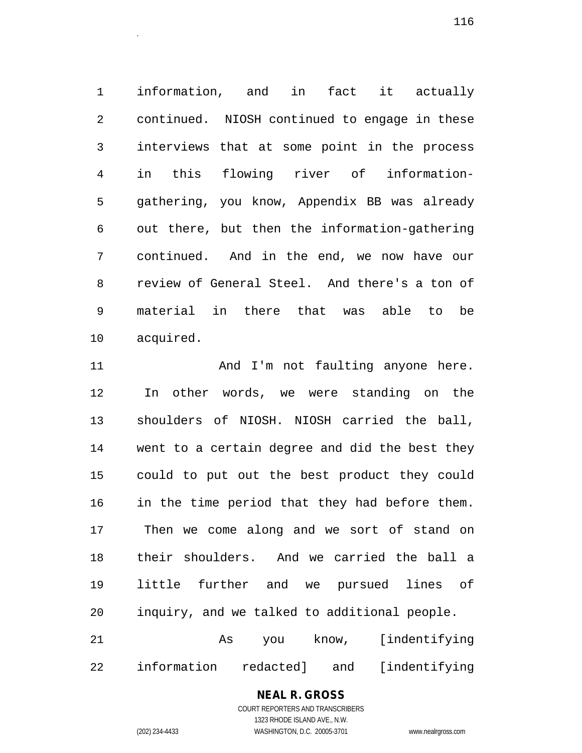1 information, and in fact it actually 2 continued. NIOSH continued to engage in these 3 interviews that at some point in the process 4 in this flowing river of information-5 gathering, you know, Appendix BB was already 6 out there, but then the information-gathering 7 continued. And in the end, we now have our 8 review of General Steel. And there's a ton of 9 material in there that was able to be 10 acquired.

11 And I'm not faulting anyone here. 12 In other words, we were standing on the 13 shoulders of NIOSH. NIOSH carried the ball, 14 went to a certain degree and did the best they 15 could to put out the best product they could 16 in the time period that they had before them. 17 Then we come along and we sort of stand on 18 their shoulders. And we carried the ball a 19 little further and we pursued lines of 20 inquiry, and we talked to additional people. 21 As you know, [indentifying 22 information redacted] and [indentifying

> **NEAL R. GROSS** COURT REPORTERS AND TRANSCRIBERS

> > 1323 RHODE ISLAND AVE., N.W.

(202) 234-4433 WASHINGTON, D.C. 20005-3701 www.nealrgross.com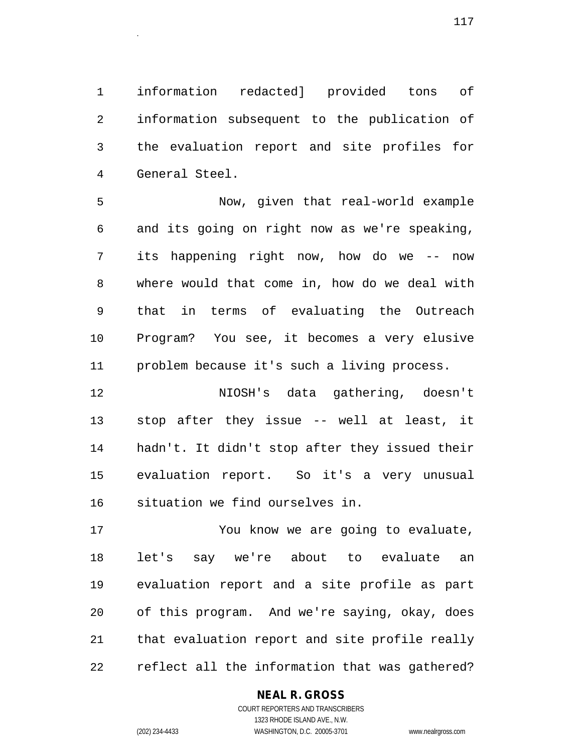1 information redacted] provided tons of 2 information subsequent to the publication of 3 the evaluation report and site profiles for 4 General Steel.

5 Now, given that real-world example 6 and its going on right now as we're speaking, 7 its happening right now, how do we -- now 8 where would that come in, how do we deal with 9 that in terms of evaluating the Outreach 10 Program? You see, it becomes a very elusive 11 problem because it's such a living process.

12 NIOSH's data gathering, doesn't 13 stop after they issue -- well at least, it 14 hadn't. It didn't stop after they issued their 15 evaluation report. So it's a very unusual 16 situation we find ourselves in.

17 You know we are going to evaluate, 18 let's say we're about to evaluate an 19 evaluation report and a site profile as part 20 of this program. And we're saying, okay, does 21 that evaluation report and site profile really 22 reflect all the information that was gathered?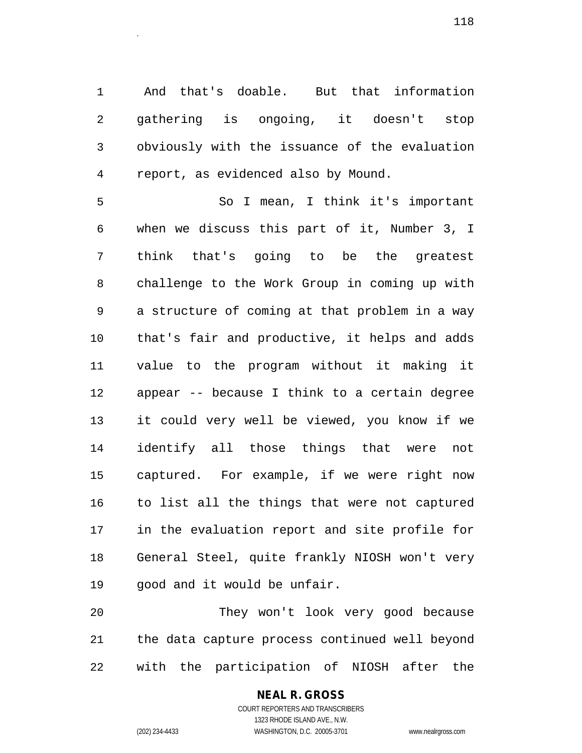1 And that's doable. But that information 2 gathering is ongoing, it doesn't stop 3 obviously with the issuance of the evaluation 4 report, as evidenced also by Mound.

5 So I mean, I think it's important 6 when we discuss this part of it, Number 3, I 7 think that's going to be the greatest 8 challenge to the Work Group in coming up with 9 a structure of coming at that problem in a way 10 that's fair and productive, it helps and adds 11 value to the program without it making it 12 appear -- because I think to a certain degree 13 it could very well be viewed, you know if we 14 identify all those things that were not 15 captured. For example, if we were right now 16 to list all the things that were not captured 17 in the evaluation report and site profile for 18 General Steel, quite frankly NIOSH won't very 19 good and it would be unfair.

20 They won't look very good because 21 the data capture process continued well beyond 22 with the participation of NIOSH after the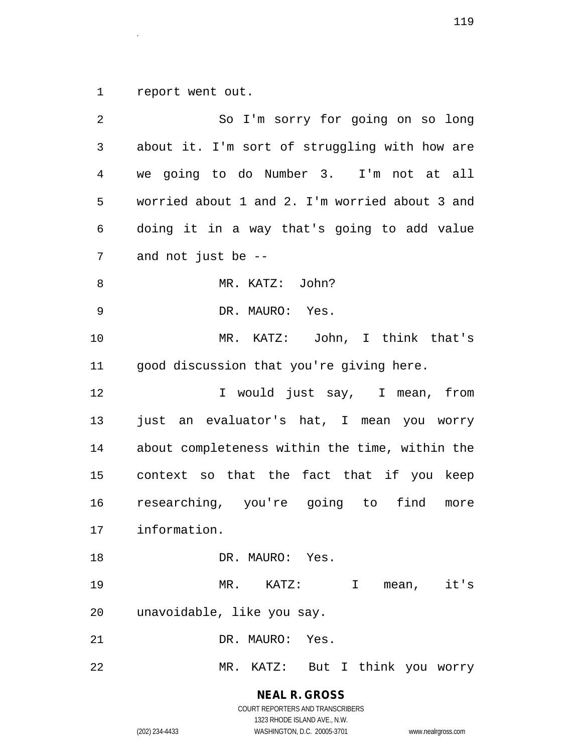1 report went out.

| 2  | So I'm sorry for going on so long              |
|----|------------------------------------------------|
| 3  | about it. I'm sort of struggling with how are  |
| 4  | we going to do Number 3. I'm not at all        |
| 5  | worried about 1 and 2. I'm worried about 3 and |
| 6  | doing it in a way that's going to add value    |
| 7  | and not just be --                             |
| 8  | MR. KATZ: John?                                |
| 9  | DR. MAURO: Yes.                                |
| 10 | MR. KATZ: John, I think that's                 |
| 11 | good discussion that you're giving here.       |
| 12 | I would just say, I mean, from                 |
| 13 | just an evaluator's hat, I mean you worry      |
| 14 | about completeness within the time, within the |
| 15 | context so that the fact that if you keep      |
| 16 | researching, you're going to find<br>more      |
| 17 | information.                                   |
| 18 | DR. MAURO: Yes.                                |
| 19 | $MR.$ $KATZ:$<br>I mean, it's                  |
| 20 | unavoidable, like you say.                     |
| 21 | DR. MAURO: Yes.                                |
| 22 | MR. KATZ: But I think you worry                |

**NEAL R. GROSS** COURT REPORTERS AND TRANSCRIBERS

1323 RHODE ISLAND AVE., N.W. (202) 234-4433 WASHINGTON, D.C. 20005-3701 www.nealrgross.com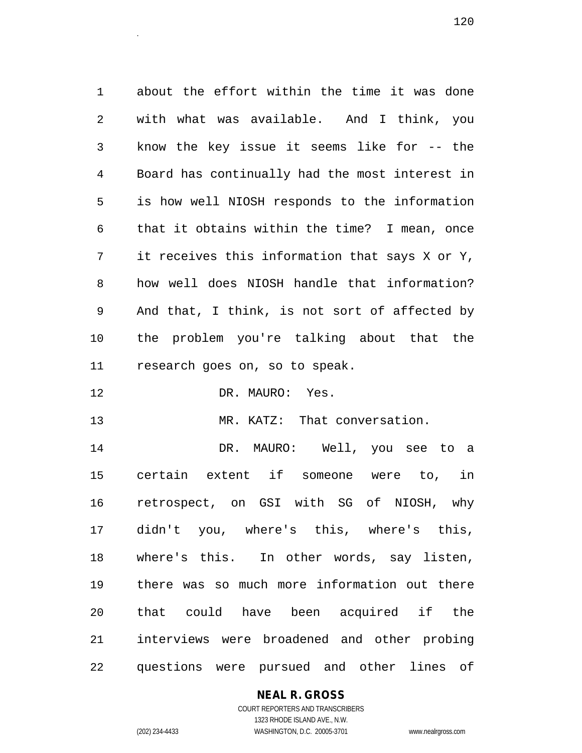1 about the effort within the time it was done 2 with what was available. And I think, you 3 know the key issue it seems like for -- the 4 Board has continually had the most interest in 5 is how well NIOSH responds to the information 6 that it obtains within the time? I mean, once 7 it receives this information that says X or Y, 8 how well does NIOSH handle that information? 9 And that, I think, is not sort of affected by 10 the problem you're talking about that the 11 research goes on, so to speak.

12 DR. MAURO: Yes.

13 MR. KATZ: That conversation.

14 DR. MAURO: Well, you see to a 15 certain extent if someone were to, in 16 retrospect, on GSI with SG of NIOSH, why 17 didn't you, where's this, where's this, 18 where's this. In other words, say listen, 19 there was so much more information out there 20 that could have been acquired if the 21 interviews were broadened and other probing 22 questions were pursued and other lines of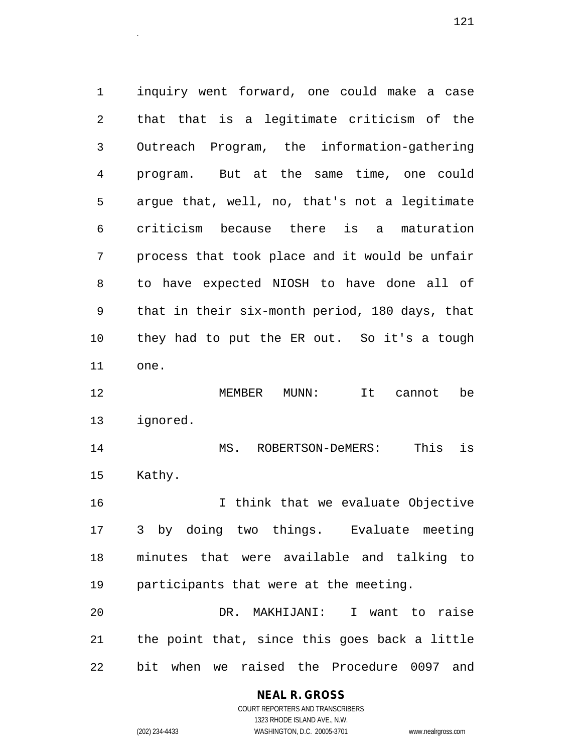1 inquiry went forward, one could make a case 2 that that is a legitimate criticism of the 3 Outreach Program, the information-gathering 4 program. But at the same time, one could 5 argue that, well, no, that's not a legitimate 6 criticism because there is a maturation 7 process that took place and it would be unfair 8 to have expected NIOSH to have done all of 9 that in their six-month period, 180 days, that 10 they had to put the ER out. So it's a tough 11 one. 12 MEMBER MUNN: It cannot be 13 ignored. 14 MS. ROBERTSON-DeMERS: This is 15 Kathy. 16 I think that we evaluate Objective 17 3 by doing two things. Evaluate meeting 18 minutes that were available and talking to 19 participants that were at the meeting. 20 DR. MAKHIJANI: I want to raise 21 the point that, since this goes back a little 22 bit when we raised the Procedure 0097 and

#### **NEAL R. GROSS**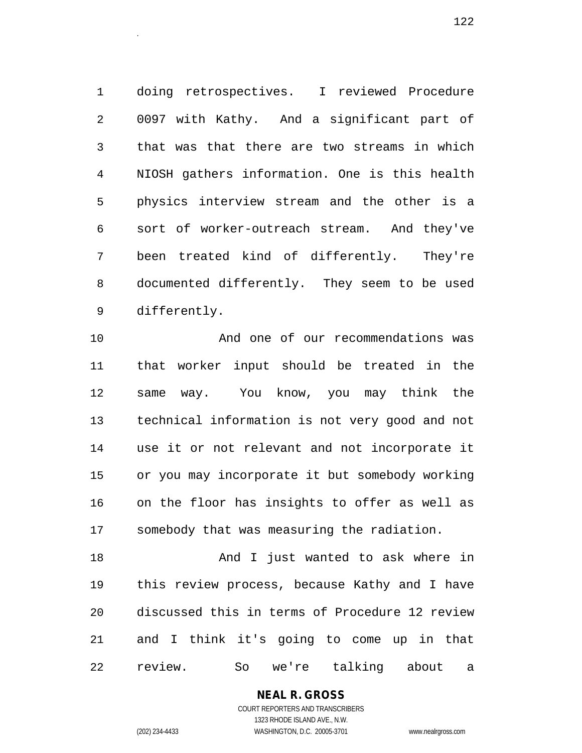1 doing retrospectives. I reviewed Procedure 2 0097 with Kathy. And a significant part of 3 that was that there are two streams in which 4 NIOSH gathers information. One is this health 5 physics interview stream and the other is a 6 sort of worker-outreach stream. And they've 7 been treated kind of differently. They're 8 documented differently. They seem to be used 9 differently.

10 And one of our recommendations was 11 that worker input should be treated in the 12 same way. You know, you may think the 13 technical information is not very good and not 14 use it or not relevant and not incorporate it 15 or you may incorporate it but somebody working 16 on the floor has insights to offer as well as 17 somebody that was measuring the radiation.

18 And I just wanted to ask where in 19 this review process, because Kathy and I have 20 discussed this in terms of Procedure 12 review 21 and I think it's going to come up in that 22 review. So we're talking about a

> COURT REPORTERS AND TRANSCRIBERS 1323 RHODE ISLAND AVE., N.W. (202) 234-4433 WASHINGTON, D.C. 20005-3701 www.nealrgross.com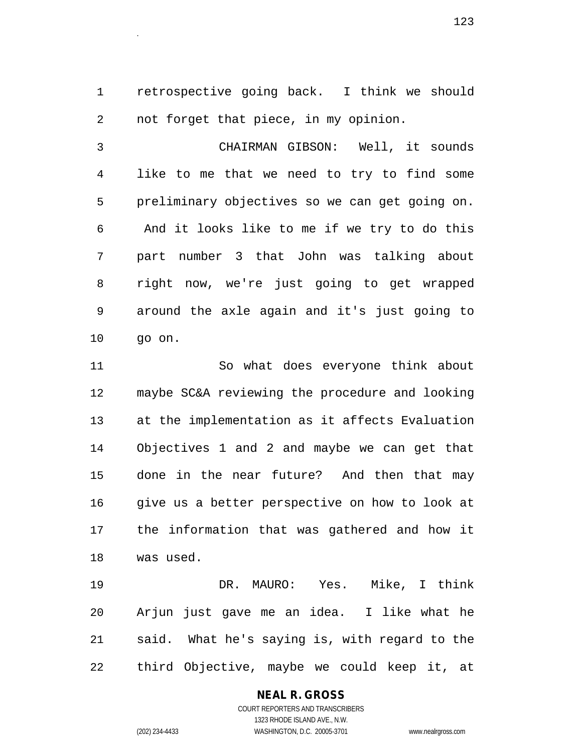1 retrospective going back. I think we should 2 not forget that piece, in my opinion.

3 CHAIRMAN GIBSON: Well, it sounds 4 like to me that we need to try to find some 5 preliminary objectives so we can get going on. 6 And it looks like to me if we try to do this 7 part number 3 that John was talking about 8 right now, we're just going to get wrapped 9 around the axle again and it's just going to 10 go on.

11 So what does everyone think about 12 maybe SC&A reviewing the procedure and looking 13 at the implementation as it affects Evaluation 14 Objectives 1 and 2 and maybe we can get that 15 done in the near future? And then that may 16 give us a better perspective on how to look at 17 the information that was gathered and how it 18 was used.

19 DR. MAURO: Yes. Mike, I think 20 Arjun just gave me an idea. I like what he 21 said. What he's saying is, with regard to the 22 third Objective, maybe we could keep it, at

# **NEAL R. GROSS**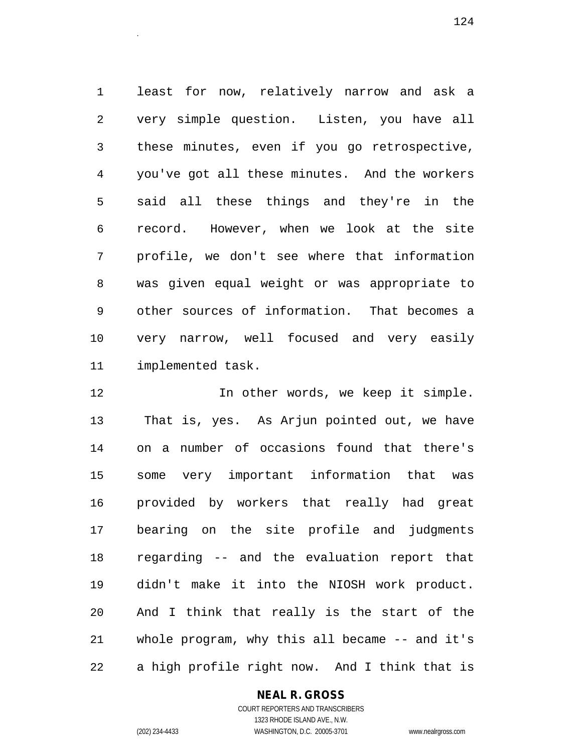1 least for now, relatively narrow and ask a 2 very simple question. Listen, you have all 3 these minutes, even if you go retrospective, 4 you've got all these minutes. And the workers 5 said all these things and they're in the 6 record. However, when we look at the site 7 profile, we don't see where that information 8 was given equal weight or was appropriate to 9 other sources of information. That becomes a 10 very narrow, well focused and very easily 11 implemented task.

12 In other words, we keep it simple. 13 That is, yes. As Arjun pointed out, we have 14 on a number of occasions found that there's 15 some very important information that was 16 provided by workers that really had great 17 bearing on the site profile and judgments 18 regarding -- and the evaluation report that 19 didn't make it into the NIOSH work product. 20 And I think that really is the start of the 21 whole program, why this all became -- and it's 22 a high profile right now. And I think that is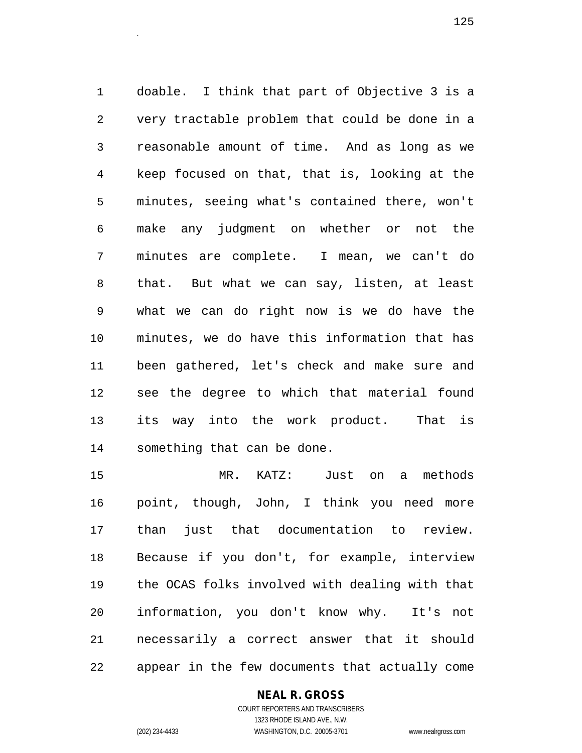1 doable. I think that part of Objective 3 is a 2 very tractable problem that could be done in a 3 reasonable amount of time. And as long as we 4 keep focused on that, that is, looking at the 5 minutes, seeing what's contained there, won't 6 make any judgment on whether or not the 7 minutes are complete. I mean, we can't do 8 that. But what we can say, listen, at least 9 what we can do right now is we do have the 10 minutes, we do have this information that has 11 been gathered, let's check and make sure and 12 see the degree to which that material found 13 its way into the work product. That is 14 something that can be done.

15 MR. KATZ: Just on a methods 16 point, though, John, I think you need more 17 than just that documentation to review. 18 Because if you don't, for example, interview 19 the OCAS folks involved with dealing with that 20 information, you don't know why. It's not 21 necessarily a correct answer that it should 22 appear in the few documents that actually come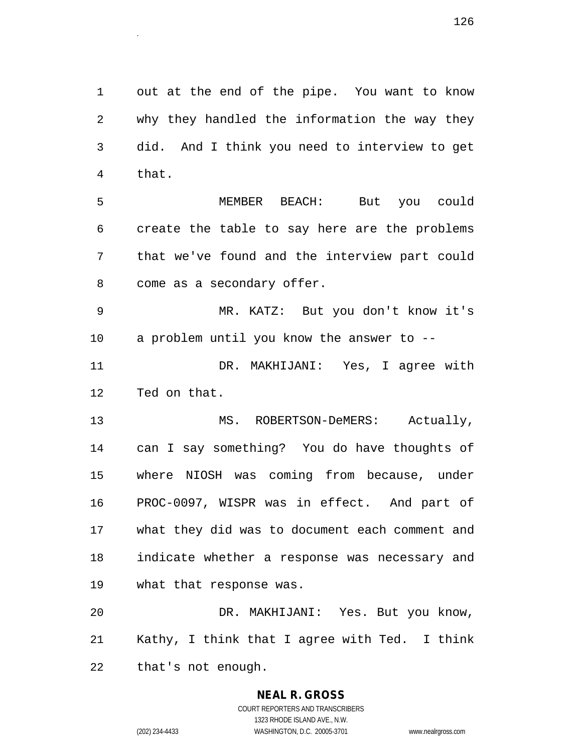1 out at the end of the pipe. You want to know 2 why they handled the information the way they 3 did. And I think you need to interview to get 4 that.

5 MEMBER BEACH: But you could 6 create the table to say here are the problems 7 that we've found and the interview part could 8 come as a secondary offer.

9 MR. KATZ: But you don't know it's 10 a problem until you know the answer to --

11 DR. MAKHIJANI: Yes, I agree with 12 Ted on that.

13 MS. ROBERTSON-DeMERS: Actually, 14 can I say something? You do have thoughts of 15 where NIOSH was coming from because, under 16 PROC-0097, WISPR was in effect. And part of 17 what they did was to document each comment and 18 indicate whether a response was necessary and 19 what that response was.

20 DR. MAKHIJANI: Yes. But you know, 21 Kathy, I think that I agree with Ted. I think 22 that's not enough.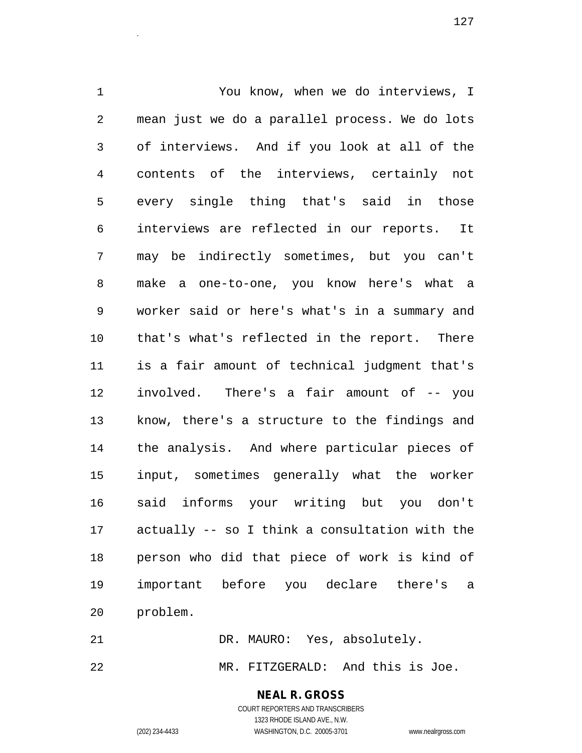1 You know, when we do interviews, I 2 mean just we do a parallel process. We do lots 3 of interviews. And if you look at all of the 4 contents of the interviews, certainly not 5 every single thing that's said in those 6 interviews are reflected in our reports. It 7 may be indirectly sometimes, but you can't 8 make a one-to-one, you know here's what a 9 worker said or here's what's in a summary and 10 that's what's reflected in the report. There 11 is a fair amount of technical judgment that's 12 involved. There's a fair amount of -- you 13 know, there's a structure to the findings and 14 the analysis. And where particular pieces of 15 input, sometimes generally what the worker 16 said informs your writing but you don't 17 actually -- so I think a consultation with the 18 person who did that piece of work is kind of 19 important before you declare there's a 20 problem.

21 DR. MAURO: Yes, absolutely. 22 MR. FITZGERALD: And this is Joe.

**NEAL R. GROSS**

COURT REPORTERS AND TRANSCRIBERS

1323 RHODE ISLAND AVE., N.W. (202) 234-4433 WASHINGTON, D.C. 20005-3701 www.nealrgross.com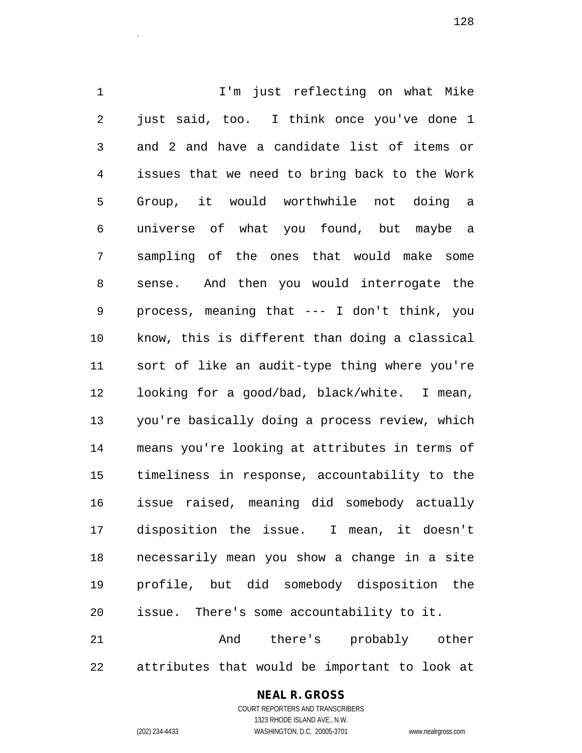1 I'm just reflecting on what Mike 2 just said, too. I think once you've done 1 3 and 2 and have a candidate list of items or 4 issues that we need to bring back to the Work 5 Group, it would worthwhile not doing a 6 universe of what you found, but maybe a 7 sampling of the ones that would make some 8 sense. And then you would interrogate the 9 process, meaning that --- I don't think, you 10 know, this is different than doing a classical 11 sort of like an audit-type thing where you're 12 looking for a good/bad, black/white. I mean, 13 you're basically doing a process review, which 14 means you're looking at attributes in terms of 15 timeliness in response, accountability to the 16 issue raised, meaning did somebody actually 17 disposition the issue. I mean, it doesn't 18 necessarily mean you show a change in a site 19 profile, but did somebody disposition the 20 issue. There's some accountability to it. 21 And there's probably other

22 attributes that would be important to look at

## **NEAL R. GROSS**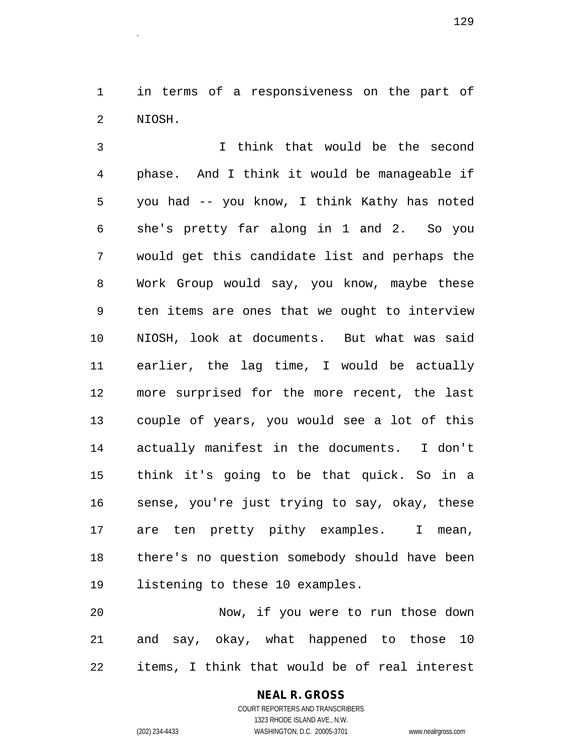1 in terms of a responsiveness on the part of 2 NIOSH.

3 I think that would be the second 4 phase. And I think it would be manageable if 5 you had -- you know, I think Kathy has noted 6 she's pretty far along in 1 and 2. So you 7 would get this candidate list and perhaps the 8 Work Group would say, you know, maybe these 9 ten items are ones that we ought to interview 10 NIOSH, look at documents. But what was said 11 earlier, the lag time, I would be actually 12 more surprised for the more recent, the last 13 couple of years, you would see a lot of this 14 actually manifest in the documents. I don't 15 think it's going to be that quick. So in a 16 sense, you're just trying to say, okay, these 17 are ten pretty pithy examples. I mean, 18 there's no question somebody should have been 19 listening to these 10 examples.

20 Now, if you were to run those down 21 and say, okay, what happened to those 10 22 items, I think that would be of real interest

## **NEAL R. GROSS**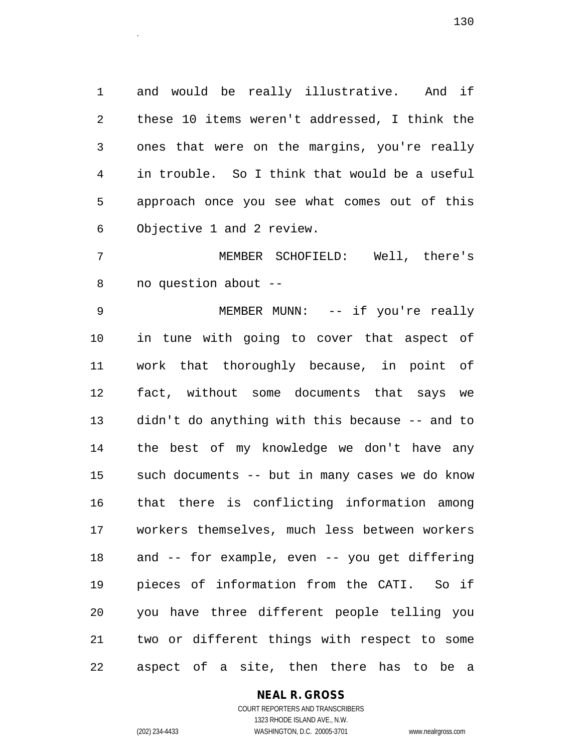1 and would be really illustrative. And if 2 these 10 items weren't addressed, I think the 3 ones that were on the margins, you're really 4 in trouble. So I think that would be a useful 5 approach once you see what comes out of this 6 Objective 1 and 2 review.

7 MEMBER SCHOFIELD: Well, there's 8 no question about --

9 MEMBER MUNN: -- if you're really 10 in tune with going to cover that aspect of 11 work that thoroughly because, in point of 12 fact, without some documents that says we 13 didn't do anything with this because -- and to 14 the best of my knowledge we don't have any 15 such documents -- but in many cases we do know 16 that there is conflicting information among 17 workers themselves, much less between workers 18 and -- for example, even -- you get differing 19 pieces of information from the CATI. So if 20 you have three different people telling you 21 two or different things with respect to some 22 aspect of a site, then there has to be a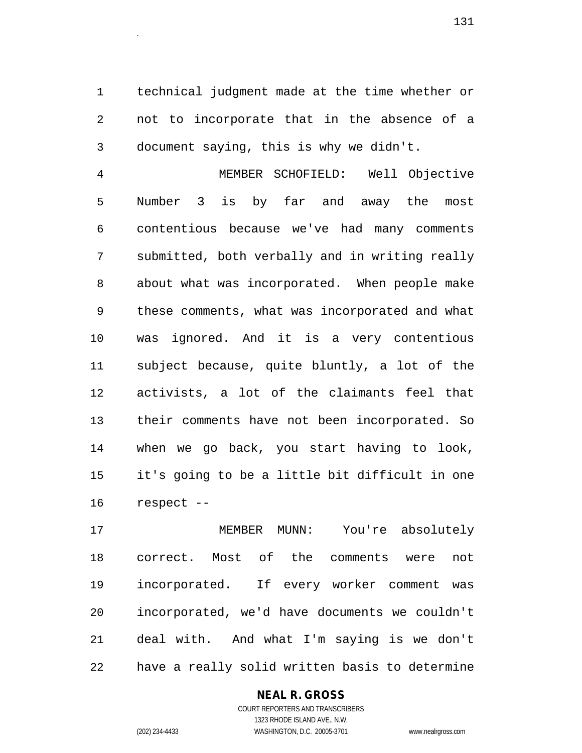1 technical judgment made at the time whether or 2 not to incorporate that in the absence of a 3 document saying, this is why we didn't.

4 MEMBER SCHOFIELD: Well Objective 5 Number 3 is by far and away the most 6 contentious because we've had many comments 7 submitted, both verbally and in writing really 8 about what was incorporated. When people make 9 these comments, what was incorporated and what 10 was ignored. And it is a very contentious 11 subject because, quite bluntly, a lot of the 12 activists, a lot of the claimants feel that 13 their comments have not been incorporated. So 14 when we go back, you start having to look, 15 it's going to be a little bit difficult in one 16 respect --

17 MEMBER MUNN: You're absolutely 18 correct. Most of the comments were not 19 incorporated. If every worker comment was 20 incorporated, we'd have documents we couldn't 21 deal with. And what I'm saying is we don't 22 have a really solid written basis to determine

## **NEAL R. GROSS**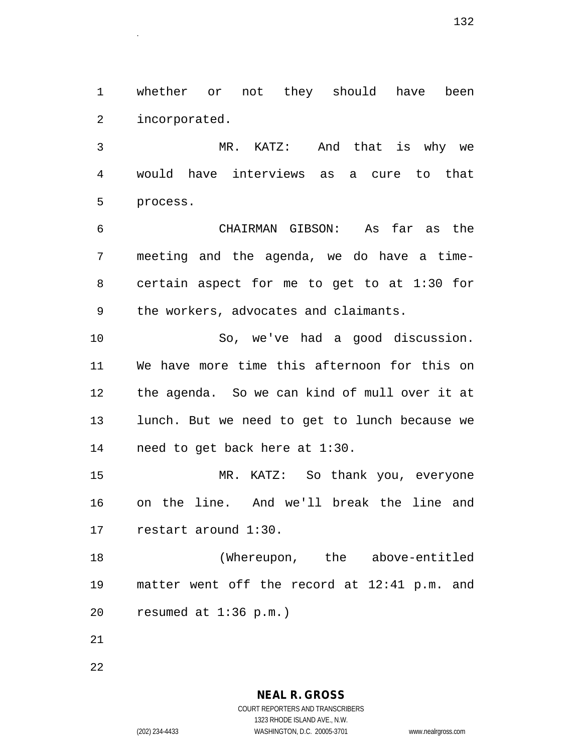1 whether or not they should have been 2 incorporated.

3 MR. KATZ: And that is why we 4 would have interviews as a cure to that 5 process.

6 CHAIRMAN GIBSON: As far as the 7 meeting and the agenda, we do have a time-8 certain aspect for me to get to at 1:30 for 9 the workers, advocates and claimants.

10 So, we've had a good discussion. 11 We have more time this afternoon for this on 12 the agenda. So we can kind of mull over it at 13 lunch. But we need to get to lunch because we 14 need to get back here at 1:30.

15 MR. KATZ: So thank you, everyone 16 on the line. And we'll break the line and 17 restart around 1:30.

18 (Whereupon, the above-entitled 19 matter went off the record at 12:41 p.m. and 20 resumed at 1:36 p.m.)

21

22

**NEAL R. GROSS** COURT REPORTERS AND TRANSCRIBERS

1323 RHODE ISLAND AVE., N.W.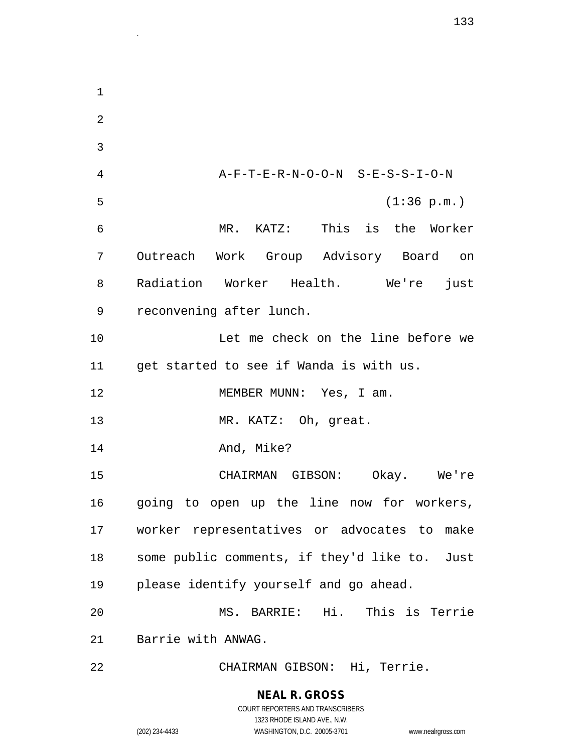1 2 3 4 A-F-T-E-R-N-O-O-N S-E-S-S-I-O-N 5 (1:36 p.m.) 6 MR. KATZ: This is the Worker 7 Outreach Work Group Advisory Board on 8 Radiation Worker Health. We're just 9 reconvening after lunch. 10 Let me check on the line before we 11 get started to see if Wanda is with us. 12 MEMBER MUNN: Yes, I am. 13 MR. KATZ: Oh, great. 14 And, Mike? 15 CHAIRMAN GIBSON: Okay. We're 16 going to open up the line now for workers, 17 worker representatives or advocates to make 18 some public comments, if they'd like to. Just 19 please identify yourself and go ahead. 20 MS. BARRIE: Hi. This is Terrie 21 Barrie with ANWAG. 22 CHAIRMAN GIBSON: Hi, Terrie.

1323 RHODE ISLAND AVE., N.W.

(202) 234-4433 WASHINGTON, D.C. 20005-3701 www.nealrgross.com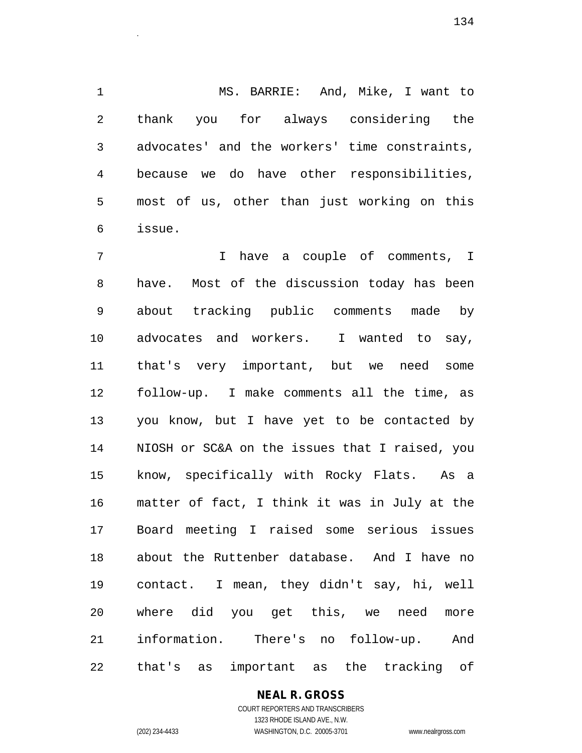1 MS. BARRIE: And, Mike, I want to 2 thank you for always considering the 3 advocates' and the workers' time constraints, 4 because we do have other responsibilities, 5 most of us, other than just working on this 6 issue.

 $134$ 

7 I have a couple of comments, I 8 have. Most of the discussion today has been 9 about tracking public comments made by 10 advocates and workers. I wanted to say, 11 that's very important, but we need some 12 follow-up. I make comments all the time, as 13 you know, but I have yet to be contacted by 14 NIOSH or SC&A on the issues that I raised, you 15 know, specifically with Rocky Flats. As a 16 matter of fact, I think it was in July at the 17 Board meeting I raised some serious issues 18 about the Ruttenber database. And I have no 19 contact. I mean, they didn't say, hi, well 20 where did you get this, we need more 21 information. There's no follow-up. And 22 that's as important as the tracking of

> **NEAL R. GROSS** COURT REPORTERS AND TRANSCRIBERS

1323 RHODE ISLAND AVE., N.W. (202) 234-4433 WASHINGTON, D.C. 20005-3701 www.nealrgross.com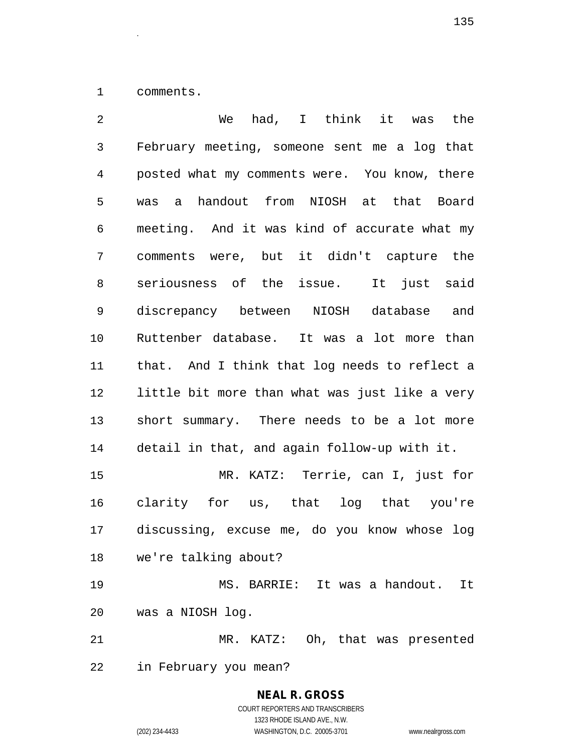1 comments.

2 We had, I think it was the 3 February meeting, someone sent me a log that 4 posted what my comments were. You know, there 5 was a handout from NIOSH at that Board 6 meeting. And it was kind of accurate what my 7 comments were, but it didn't capture the 8 seriousness of the issue. It just said 9 discrepancy between NIOSH database and 10 Ruttenber database. It was a lot more than 11 that. And I think that log needs to reflect a 12 little bit more than what was just like a very 13 short summary. There needs to be a lot more 14 detail in that, and again follow-up with it. 15 MR. KATZ: Terrie, can I, just for 16 clarity for us, that log that you're 17 discussing, excuse me, do you know whose log 18 we're talking about? 19 MS. BARRIE: It was a handout. It 20 was a NIOSH log. 21 MR. KATZ: Oh, that was presented 22 in February you mean?

> **NEAL R. GROSS** COURT REPORTERS AND TRANSCRIBERS

> > 1323 RHODE ISLAND AVE., N.W.

(202) 234-4433 WASHINGTON, D.C. 20005-3701 www.nealrgross.com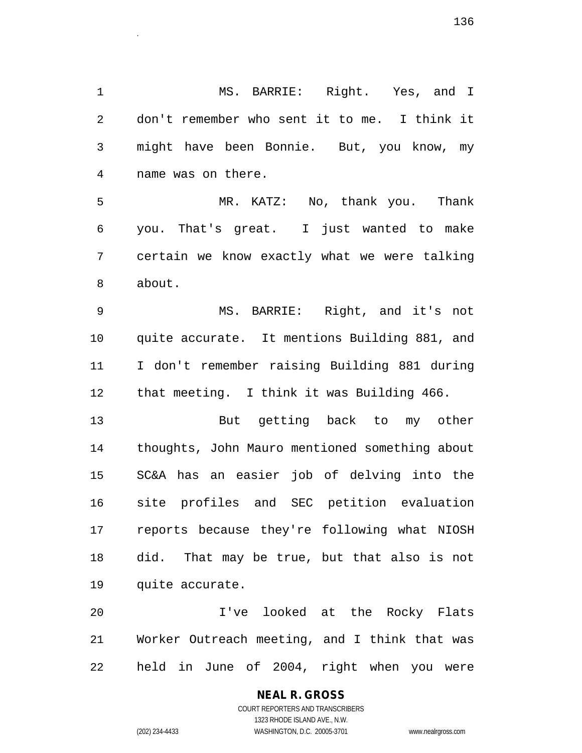1 MS. BARRIE: Right. Yes, and I 2 don't remember who sent it to me. I think it 3 might have been Bonnie. But, you know, my 4 name was on there.

5 MR. KATZ: No, thank you. Thank 6 you. That's great. I just wanted to make 7 certain we know exactly what we were talking 8 about.

9 MS. BARRIE: Right, and it's not 10 quite accurate. It mentions Building 881, and 11 I don't remember raising Building 881 during 12 that meeting. I think it was Building 466.

13 But getting back to my other 14 thoughts, John Mauro mentioned something about 15 SC&A has an easier job of delving into the 16 site profiles and SEC petition evaluation 17 reports because they're following what NIOSH 18 did. That may be true, but that also is not 19 quite accurate.

20 I've looked at the Rocky Flats 21 Worker Outreach meeting, and I think that was 22 held in June of 2004, right when you were

> COURT REPORTERS AND TRANSCRIBERS 1323 RHODE ISLAND AVE., N.W. (202) 234-4433 WASHINGTON, D.C. 20005-3701 www.nealrgross.com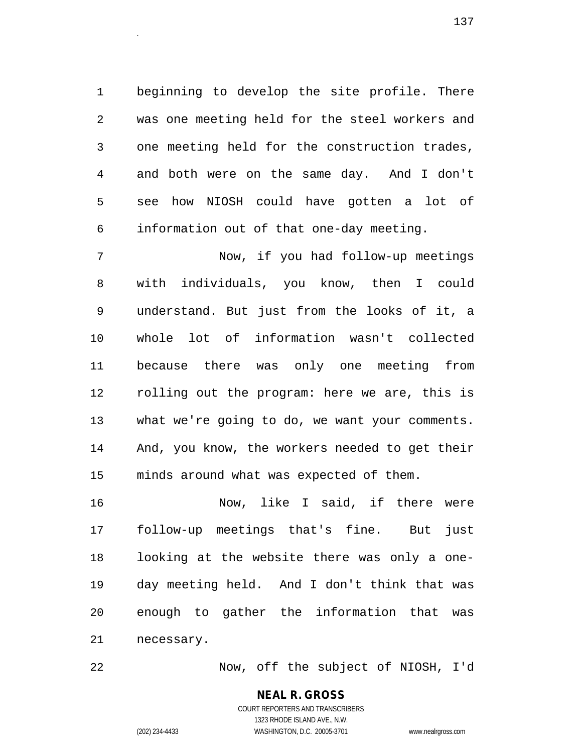1 beginning to develop the site profile. There 2 was one meeting held for the steel workers and 3 one meeting held for the construction trades, 4 and both were on the same day. And I don't 5 see how NIOSH could have gotten a lot of 6 information out of that one-day meeting.

137<sup>.</sup><br>.

7 Now, if you had follow-up meetings 8 with individuals, you know, then I could 9 understand. But just from the looks of it, a 10 whole lot of information wasn't collected 11 because there was only one meeting from 12 rolling out the program: here we are, this is 13 what we're going to do, we want your comments. 14 And, you know, the workers needed to get their 15 minds around what was expected of them.

16 Now, like I said, if there were 17 follow-up meetings that's fine. But just 18 looking at the website there was only a one-19 day meeting held. And I don't think that was 20 enough to gather the information that was 21 necessary.

22 Now, off the subject of NIOSH, I'd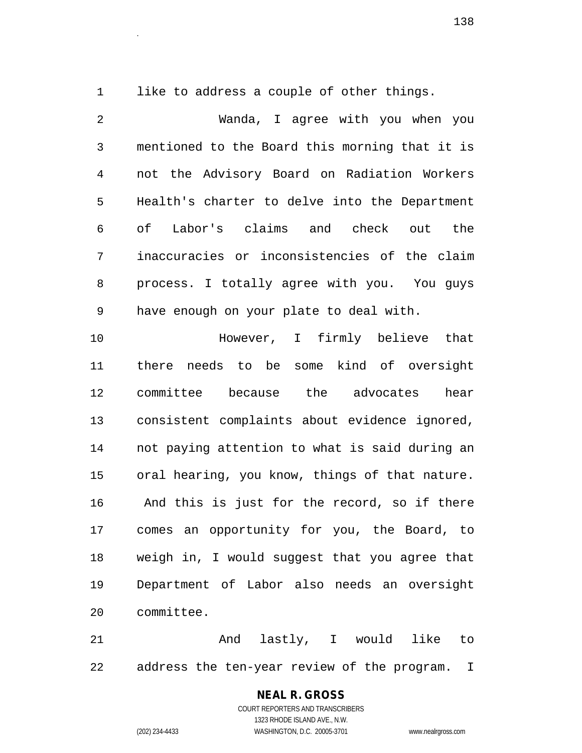1 like to address a couple of other things.

2 Wanda, I agree with you when you 3 mentioned to the Board this morning that it is 4 not the Advisory Board on Radiation Workers 5 Health's charter to delve into the Department 6 of Labor's claims and check out the 7 inaccuracies or inconsistencies of the claim 8 process. I totally agree with you. You guys 9 have enough on your plate to deal with. 10 However, I firmly believe that 11 there needs to be some kind of oversight 12 committee because the advocates hear 13 consistent complaints about evidence ignored, 14 not paying attention to what is said during an 15 oral hearing, you know, things of that nature. 16 And this is just for the record, so if there 17 comes an opportunity for you, the Board, to 18 weigh in, I would suggest that you agree that

19 Department of Labor also needs an oversight 20 committee.

21 and lastly, I would like to 22 address the ten-year review of the program. I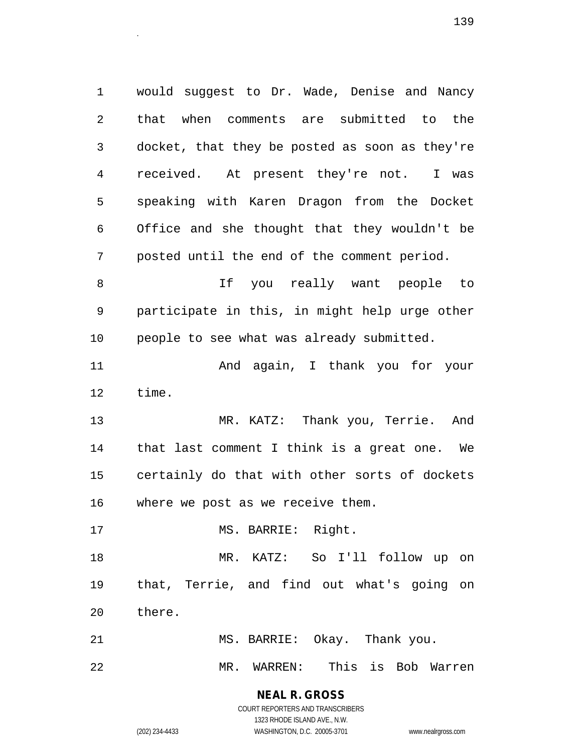1 would suggest to Dr. Wade, Denise and Nancy 2 that when comments are submitted to the 3 docket, that they be posted as soon as they're 4 received. At present they're not. I was 5 speaking with Karen Dragon from the Docket 6 Office and she thought that they wouldn't be 7 posted until the end of the comment period. 8 If you really want people to 9 participate in this, in might help urge other 10 people to see what was already submitted. 11 And again, I thank you for your 12 time. 13 MR. KATZ: Thank you, Terrie. And 14 that last comment I think is a great one. We 15 certainly do that with other sorts of dockets 16 where we post as we receive them. 17 MS. BARRIE: Right. 18 MR. KATZ: So I'll follow up on 19 that, Terrie, and find out what's going on

20 there.

21 MS. BARRIE: Okay. Thank you.

22 MR. WARREN: This is Bob Warren

**NEAL R. GROSS** COURT REPORTERS AND TRANSCRIBERS

1323 RHODE ISLAND AVE., N.W.

(202) 234-4433 WASHINGTON, D.C. 20005-3701 www.nealrgross.com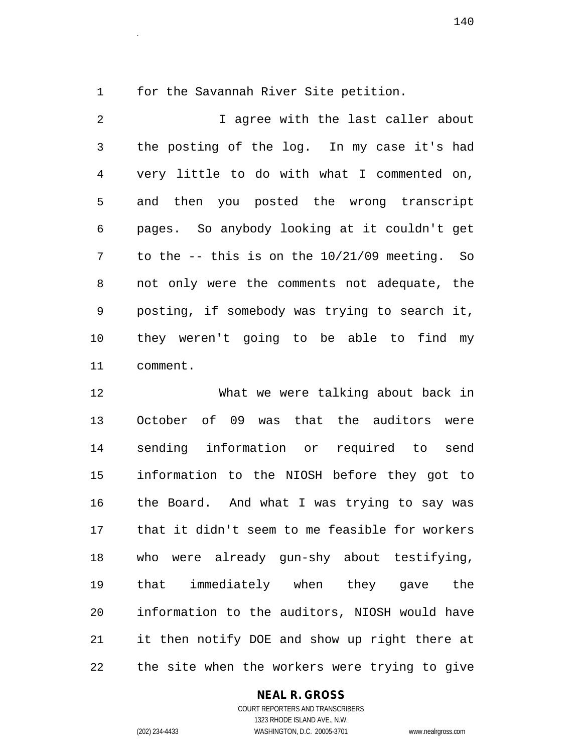1 for the Savannah River Site petition.

2 I agree with the last caller about 3 the posting of the log. In my case it's had 4 very little to do with what I commented on, 5 and then you posted the wrong transcript 6 pages. So anybody looking at it couldn't get 7 to the -- this is on the 10/21/09 meeting. So 8 not only were the comments not adequate, the 9 posting, if somebody was trying to search it, 10 they weren't going to be able to find my 11 comment.

12 What we were talking about back in 13 October of 09 was that the auditors were 14 sending information or required to send 15 information to the NIOSH before they got to 16 the Board. And what I was trying to say was 17 that it didn't seem to me feasible for workers 18 who were already gun-shy about testifying, 19 that immediately when they gave the 20 information to the auditors, NIOSH would have 21 it then notify DOE and show up right there at 22 the site when the workers were trying to give

#### **NEAL R. GROSS**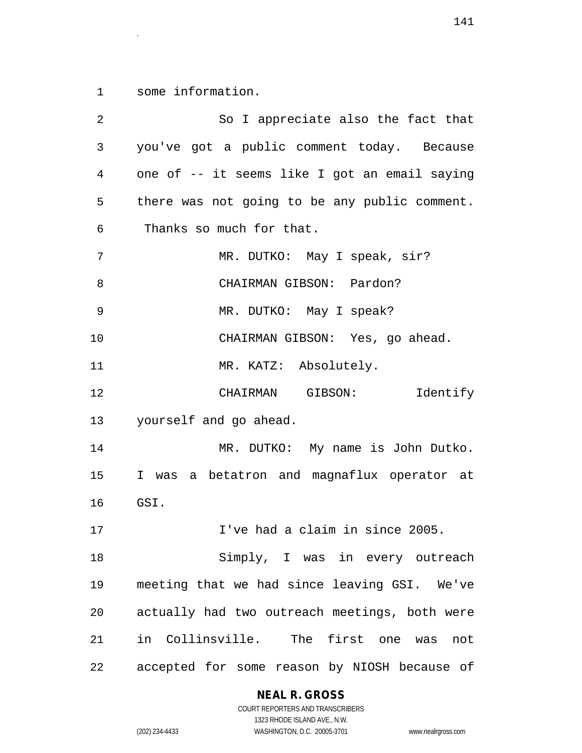1 some information.

| 2  | So I appreciate also the fact that            |
|----|-----------------------------------------------|
| 3  | you've got a public comment today. Because    |
| 4  | one of -- it seems like I got an email saying |
| 5  | there was not going to be any public comment. |
| 6  | Thanks so much for that.                      |
| 7  | MR. DUTKO: May I speak, sir?                  |
| 8  | CHAIRMAN GIBSON: Pardon?                      |
| 9  | MR. DUTKO: May I speak?                       |
| 10 | CHAIRMAN GIBSON: Yes, go ahead.               |
| 11 | MR. KATZ: Absolutely.                         |
| 12 | CHAIRMAN GIBSON:<br>Identify                  |
| 13 | yourself and go ahead.                        |
| 14 | MR. DUTKO: My name is John Dutko.             |
| 15 | I was a betatron and magnaflux operator at    |
| 16 | GSI.                                          |
| 17 | I've had a claim in since 2005.               |
| 18 | Simply, I was in every outreach               |
| 19 | meeting that we had since leaving GSI. We've  |
| 20 | actually had two outreach meetings, both were |
| 21 | in Collinsville. The first one was<br>not     |
| 22 | accepted for some reason by NIOSH because of  |

# **NEAL R. GROSS**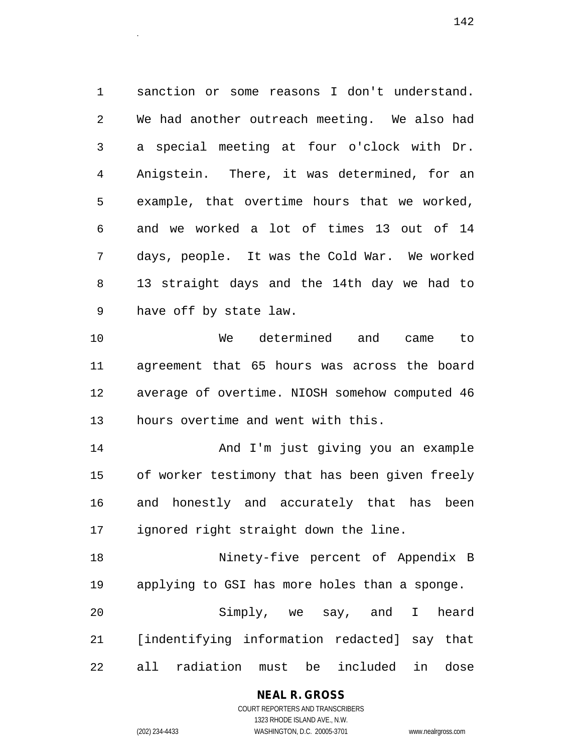1 sanction or some reasons I don't understand. 2 We had another outreach meeting. We also had 3 a special meeting at four o'clock with Dr. 4 Anigstein. There, it was determined, for an 5 example, that overtime hours that we worked, 6 and we worked a lot of times 13 out of 14 7 days, people. It was the Cold War. We worked 8 13 straight days and the 14th day we had to 9 have off by state law.

10 We determined and came to 11 agreement that 65 hours was across the board 12 average of overtime. NIOSH somehow computed 46 13 hours overtime and went with this.

14 And I'm just giving you an example 15 of worker testimony that has been given freely 16 and honestly and accurately that has been 17 ignored right straight down the line.

18 Ninety-five percent of Appendix B 19 applying to GSI has more holes than a sponge. 20 Simply, we say, and I heard 21 [indentifying information redacted] say that 22 all radiation must be included in dose

> **NEAL R. GROSS** COURT REPORTERS AND TRANSCRIBERS

1323 RHODE ISLAND AVE., N.W. (202) 234-4433 WASHINGTON, D.C. 20005-3701 www.nealrgross.com

 $142$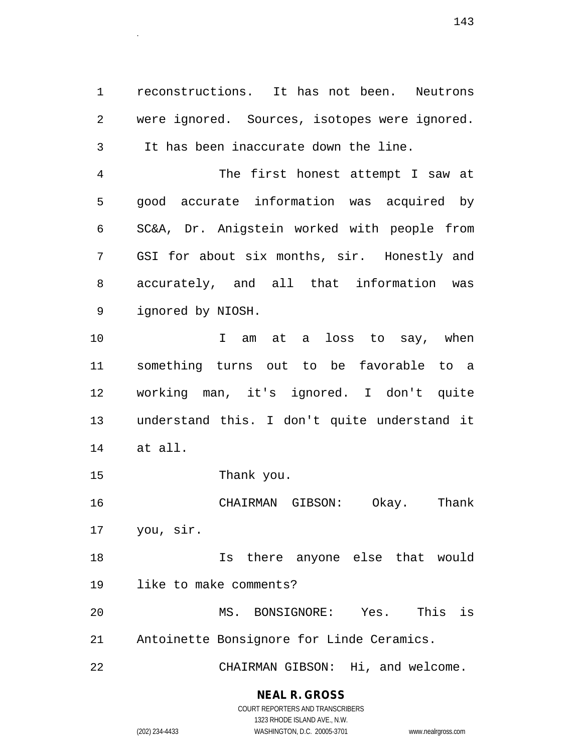1 reconstructions. It has not been. Neutrons 2 were ignored. Sources, isotopes were ignored. 3 It has been inaccurate down the line.

4 The first honest attempt I saw at 5 good accurate information was acquired by 6 SC&A, Dr. Anigstein worked with people from 7 GSI for about six months, sir. Honestly and 8 accurately, and all that information was 9 ignored by NIOSH.

10 I am at a loss to say, when 11 something turns out to be favorable to a 12 working man, it's ignored. I don't quite 13 understand this. I don't quite understand it 14 at all.

15 Thank you.

16 CHAIRMAN GIBSON: Okay. Thank 17 you, sir.

18 Is there anyone else that would 19 like to make comments?

20 MS. BONSIGNORE: Yes. This is 21 Antoinette Bonsignore for Linde Ceramics.

22 CHAIRMAN GIBSON: Hi, and welcome.

# **NEAL R. GROSS**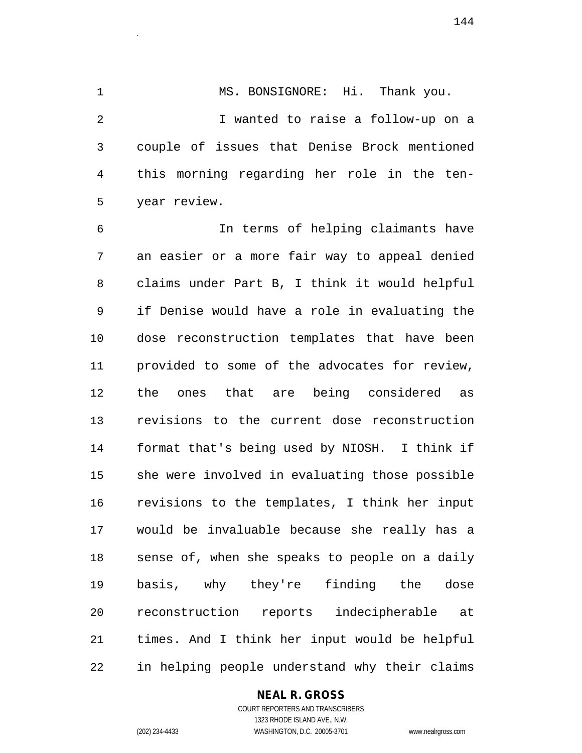1 MS. BONSIGNORE: Hi. Thank you. 2 I wanted to raise a follow-up on a 3 couple of issues that Denise Brock mentioned 4 this morning regarding her role in the ten-5 year review.

6 In terms of helping claimants have 7 an easier or a more fair way to appeal denied 8 claims under Part B, I think it would helpful 9 if Denise would have a role in evaluating the 10 dose reconstruction templates that have been 11 provided to some of the advocates for review, 12 the ones that are being considered as 13 revisions to the current dose reconstruction 14 format that's being used by NIOSH. I think if 15 she were involved in evaluating those possible 16 revisions to the templates, I think her input 17 would be invaluable because she really has a 18 sense of, when she speaks to people on a daily 19 basis, why they're finding the dose 20 reconstruction reports indecipherable at 21 times. And I think her input would be helpful 22 in helping people understand why their claims

#### **NEAL R. GROSS**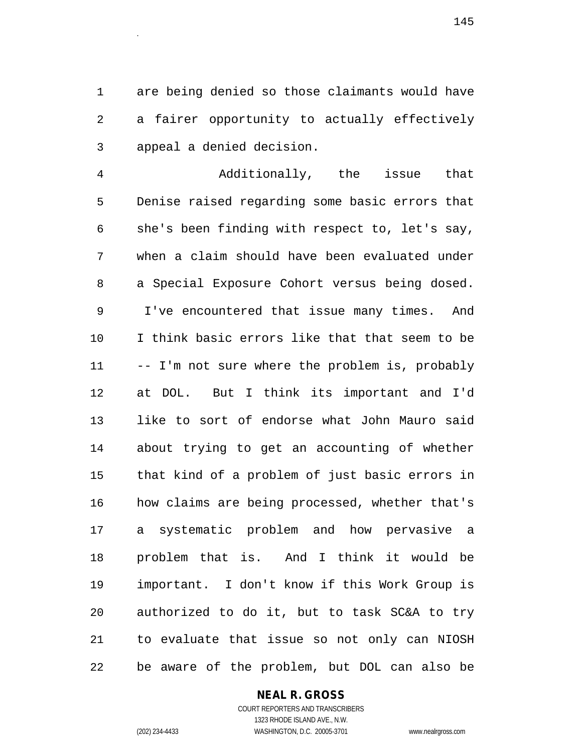1 are being denied so those claimants would have 2 a fairer opportunity to actually effectively 3 appeal a denied decision.

4 Additionally, the issue that 5 Denise raised regarding some basic errors that 6 she's been finding with respect to, let's say, 7 when a claim should have been evaluated under 8 a Special Exposure Cohort versus being dosed. 9 I've encountered that issue many times. And 10 I think basic errors like that that seem to be 11 -- I'm not sure where the problem is, probably 12 at DOL. But I think its important and I'd 13 like to sort of endorse what John Mauro said 14 about trying to get an accounting of whether 15 that kind of a problem of just basic errors in 16 how claims are being processed, whether that's 17 a systematic problem and how pervasive a 18 problem that is. And I think it would be 19 important. I don't know if this Work Group is 20 authorized to do it, but to task SC&A to try 21 to evaluate that issue so not only can NIOSH 22 be aware of the problem, but DOL can also be

#### **NEAL R. GROSS**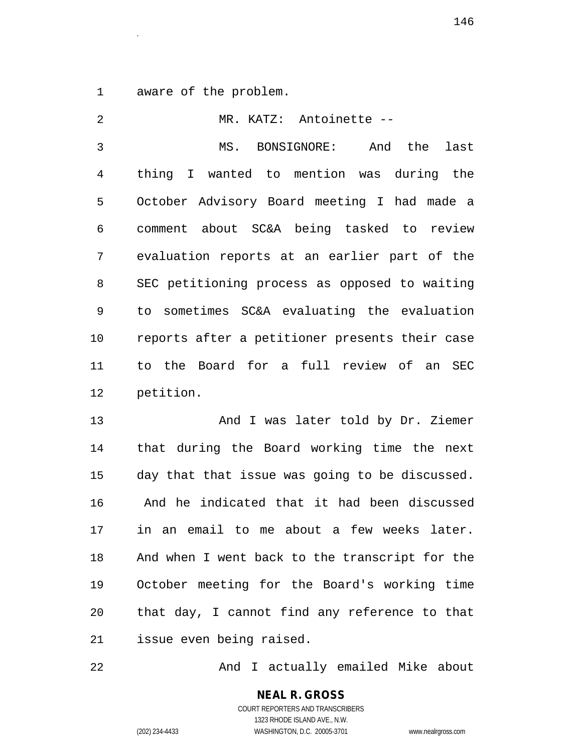1 aware of the problem.

2 MR. KATZ: Antoinette -- 3 MS. BONSIGNORE: And the last 4 thing I wanted to mention was during the 5 October Advisory Board meeting I had made a 6 comment about SC&A being tasked to review 7 evaluation reports at an earlier part of the 8 SEC petitioning process as opposed to waiting 9 to sometimes SC&A evaluating the evaluation 10 reports after a petitioner presents their case 11 to the Board for a full review of an SEC 12 petition.

13 And I was later told by Dr. Ziemer 14 that during the Board working time the next 15 day that that issue was going to be discussed. 16 And he indicated that it had been discussed 17 in an email to me about a few weeks later. 18 And when I went back to the transcript for the 19 October meeting for the Board's working time 20 that day, I cannot find any reference to that 21 issue even being raised.

22 And I actually emailed Mike about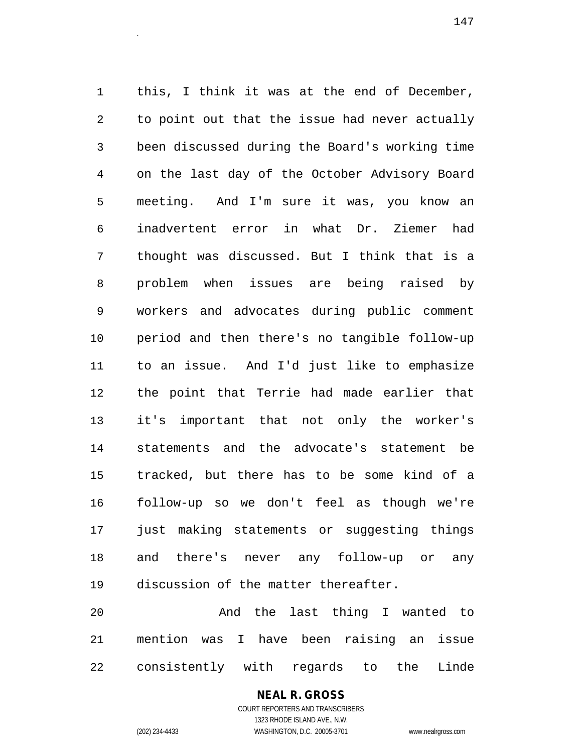1 this, I think it was at the end of December, 2 to point out that the issue had never actually 3 been discussed during the Board's working time 4 on the last day of the October Advisory Board 5 meeting. And I'm sure it was, you know an 6 inadvertent error in what Dr. Ziemer had 7 thought was discussed. But I think that is a 8 problem when issues are being raised by 9 workers and advocates during public comment 10 period and then there's no tangible follow-up 11 to an issue. And I'd just like to emphasize 12 the point that Terrie had made earlier that 13 it's important that not only the worker's 14 statements and the advocate's statement be 15 tracked, but there has to be some kind of a 16 follow-up so we don't feel as though we're 17 just making statements or suggesting things 18 and there's never any follow-up or any 19 discussion of the matter thereafter.

20 And the last thing I wanted to 21 mention was I have been raising an issue 22 consistently with regards to the Linde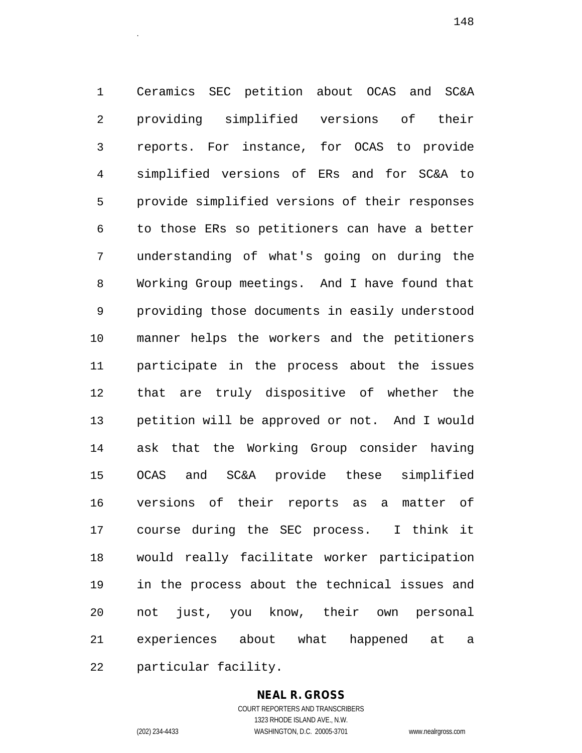1 Ceramics SEC petition about OCAS and SC&A 2 providing simplified versions of their 3 reports. For instance, for OCAS to provide 4 simplified versions of ERs and for SC&A to 5 provide simplified versions of their responses 6 to those ERs so petitioners can have a better 7 understanding of what's going on during the 8 Working Group meetings. And I have found that 9 providing those documents in easily understood 10 manner helps the workers and the petitioners 11 participate in the process about the issues 12 that are truly dispositive of whether the 13 petition will be approved or not. And I would 14 ask that the Working Group consider having 15 OCAS and SC&A provide these simplified 16 versions of their reports as a matter of 17 course during the SEC process. I think it 18 would really facilitate worker participation 19 in the process about the technical issues and 20 not just, you know, their own personal 21 experiences about what happened at a 22 particular facility.

#### **NEAL R. GROSS**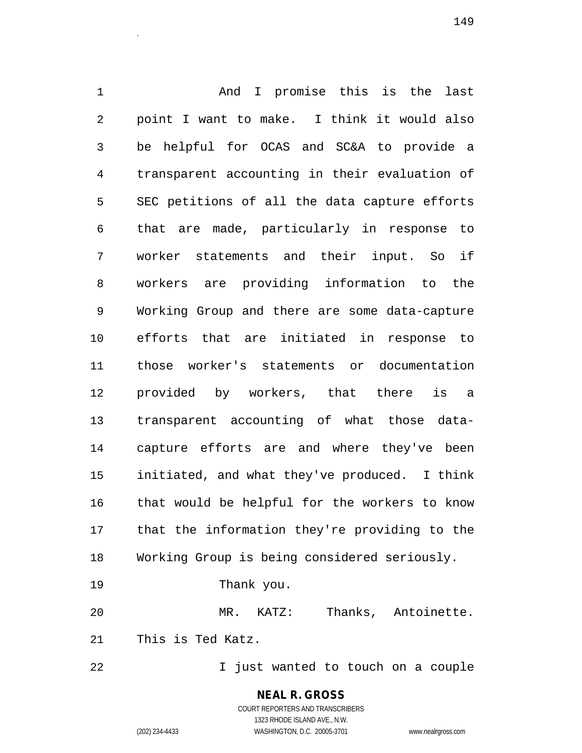1 And I promise this is the last 2 point I want to make. I think it would also 3 be helpful for OCAS and SC&A to provide a 4 transparent accounting in their evaluation of 5 SEC petitions of all the data capture efforts 6 that are made, particularly in response to 7 worker statements and their input. So if 8 workers are providing information to the 9 Working Group and there are some data-capture 10 efforts that are initiated in response to 11 those worker's statements or documentation 12 provided by workers, that there is a 13 transparent accounting of what those data-14 capture efforts are and where they've been 15 initiated, and what they've produced. I think 16 that would be helpful for the workers to know 17 that the information they're providing to the 18 Working Group is being considered seriously.

19 Thank you.

20 MR. KATZ: Thanks, Antoinette. 21 This is Ted Katz.

22 I just wanted to touch on a couple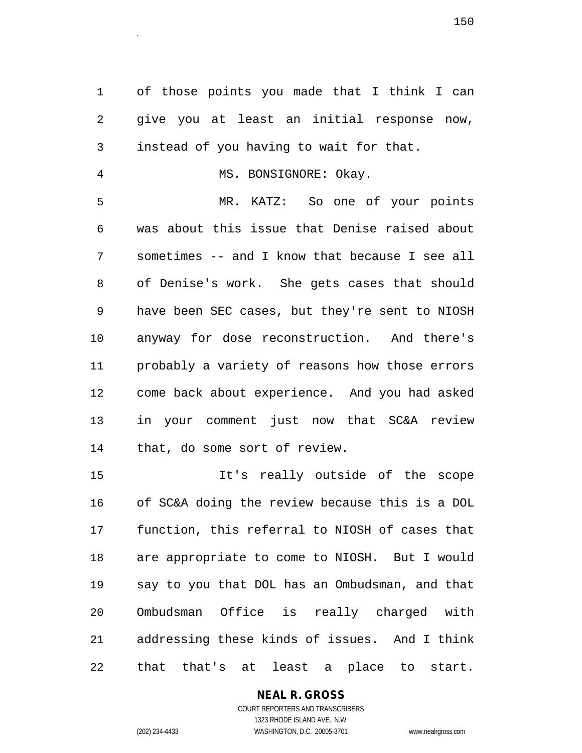1 of those points you made that I think I can 2 give you at least an initial response now, 3 instead of you having to wait for that.

4 MS. BONSIGNORE: Okay.

5 MR. KATZ: So one of your points 6 was about this issue that Denise raised about 7 sometimes -- and I know that because I see all 8 of Denise's work. She gets cases that should 9 have been SEC cases, but they're sent to NIOSH 10 anyway for dose reconstruction. And there's 11 probably a variety of reasons how those errors 12 come back about experience. And you had asked 13 in your comment just now that SC&A review 14 that, do some sort of review.

15 It's really outside of the scope 16 of SC&A doing the review because this is a DOL 17 function, this referral to NIOSH of cases that 18 are appropriate to come to NIOSH. But I would 19 say to you that DOL has an Ombudsman, and that 20 Ombudsman Office is really charged with 21 addressing these kinds of issues. And I think 22 that that's at least a place to start.

# **NEAL R. GROSS**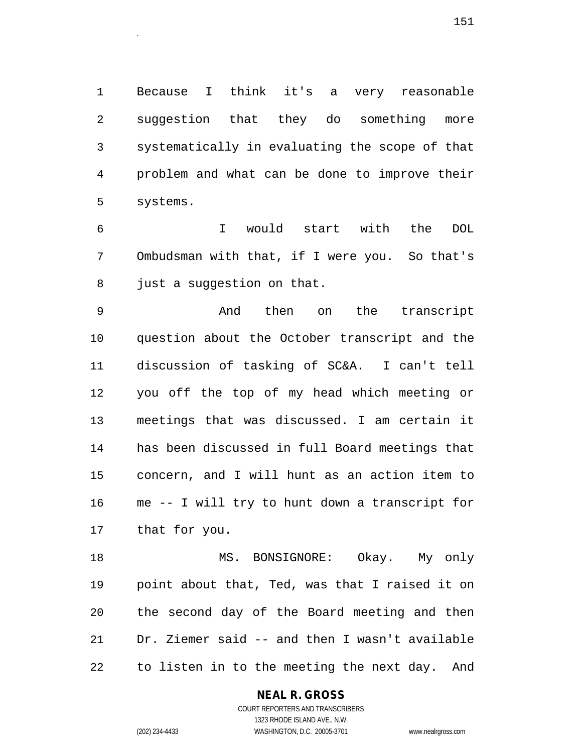1 Because I think it's a very reasonable 2 suggestion that they do something more 3 systematically in evaluating the scope of that 4 problem and what can be done to improve their 5 systems.

6 I would start with the DOL 7 Ombudsman with that, if I were you. So that's 8 just a suggestion on that.

9 And then on the transcript 10 question about the October transcript and the 11 discussion of tasking of SC&A. I can't tell 12 you off the top of my head which meeting or 13 meetings that was discussed. I am certain it 14 has been discussed in full Board meetings that 15 concern, and I will hunt as an action item to 16 me -- I will try to hunt down a transcript for 17 that for you.

18 MS. BONSIGNORE: Okay. My only 19 point about that, Ted, was that I raised it on 20 the second day of the Board meeting and then 21 Dr. Ziemer said -- and then I wasn't available 22 to listen in to the meeting the next day. And

## **NEAL R. GROSS**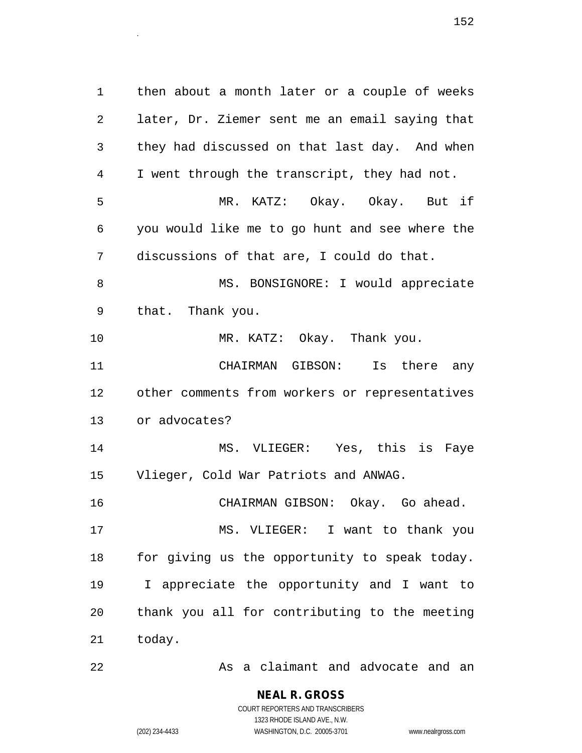1 then about a month later or a couple of weeks 2 later, Dr. Ziemer sent me an email saying that 3 they had discussed on that last day. And when 4 I went through the transcript, they had not. 5 MR. KATZ: Okay. Okay. But if 6 you would like me to go hunt and see where the 7 discussions of that are, I could do that. 8 MS. BONSIGNORE: I would appreciate 9 that. Thank you. 10 MR. KATZ: Okay. Thank you. 11 CHAIRMAN GIBSON: Is there any 12 other comments from workers or representatives 13 or advocates? 14 MS. VLIEGER: Yes, this is Faye 15 Vlieger, Cold War Patriots and ANWAG. 16 CHAIRMAN GIBSON: Okay. Go ahead. 17 MS. VLIEGER: I want to thank you 18 for giving us the opportunity to speak today. 19 I appreciate the opportunity and I want to 20 thank you all for contributing to the meeting 21 today.

22 As a claimant and advocate and an

**NEAL R. GROSS** COURT REPORTERS AND TRANSCRIBERS

1323 RHODE ISLAND AVE., N.W.

(202) 234-4433 WASHINGTON, D.C. 20005-3701 www.nealrgross.com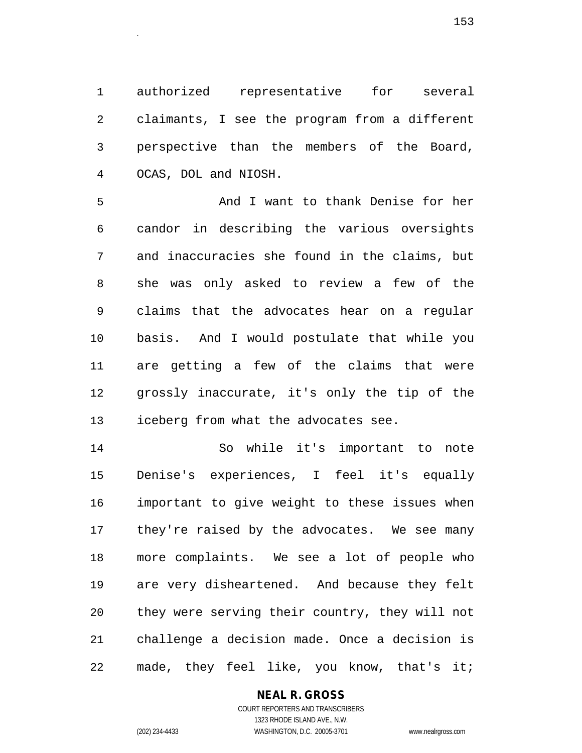1 authorized representative for several 2 claimants, I see the program from a different 3 perspective than the members of the Board, 4 OCAS, DOL and NIOSH.

5 And I want to thank Denise for her 6 candor in describing the various oversights 7 and inaccuracies she found in the claims, but 8 she was only asked to review a few of the 9 claims that the advocates hear on a regular 10 basis. And I would postulate that while you 11 are getting a few of the claims that were 12 grossly inaccurate, it's only the tip of the 13 iceberg from what the advocates see.

14 So while it's important to note 15 Denise's experiences, I feel it's equally 16 important to give weight to these issues when 17 they're raised by the advocates. We see many 18 more complaints. We see a lot of people who 19 are very disheartened. And because they felt 20 they were serving their country, they will not 21 challenge a decision made. Once a decision is 22 made, they feel like, you know, that's it;

# **NEAL R. GROSS**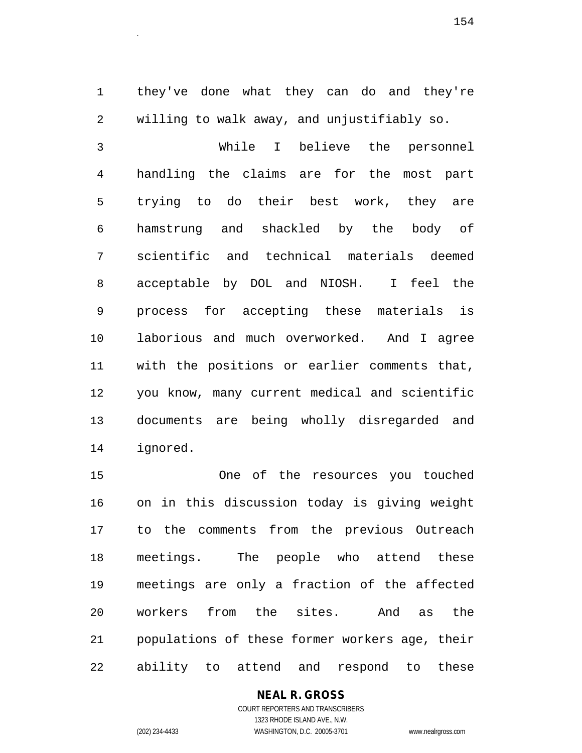1 they've done what they can do and they're 2 willing to walk away, and unjustifiably so.

3 While I believe the personnel 4 handling the claims are for the most part 5 trying to do their best work, they are 6 hamstrung and shackled by the body of 7 scientific and technical materials deemed 8 acceptable by DOL and NIOSH. I feel the 9 process for accepting these materials is 10 laborious and much overworked. And I agree 11 with the positions or earlier comments that, 12 you know, many current medical and scientific 13 documents are being wholly disregarded and 14 ignored.

15 One of the resources you touched 16 on in this discussion today is giving weight 17 to the comments from the previous Outreach 18 meetings. The people who attend these 19 meetings are only a fraction of the affected 20 workers from the sites. And as the 21 populations of these former workers age, their 22 ability to attend and respond to these

## **NEAL R. GROSS**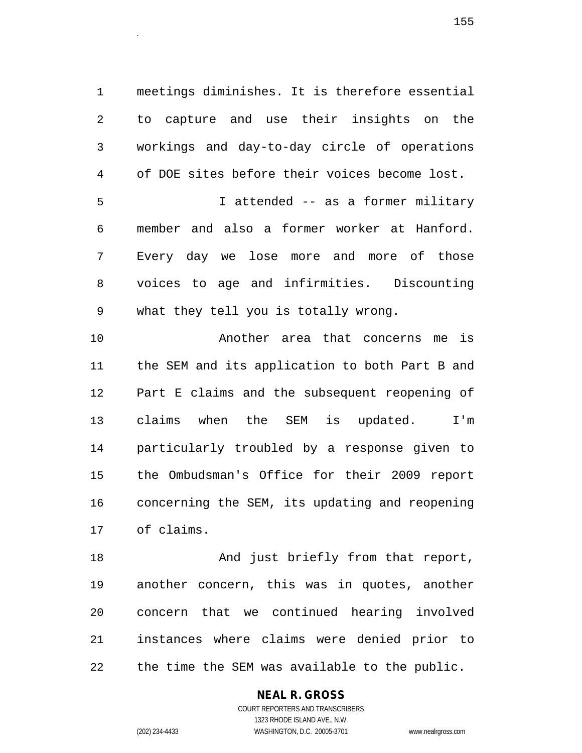1 meetings diminishes. It is therefore essential 2 to capture and use their insights on the 3 workings and day-to-day circle of operations 4 of DOE sites before their voices become lost. 5 I attended -- as a former military 6 member and also a former worker at Hanford. 7 Every day we lose more and more of those 8 voices to age and infirmities. Discounting 9 what they tell you is totally wrong.

10 Another area that concerns me is 11 the SEM and its application to both Part B and 12 Part E claims and the subsequent reopening of 13 claims when the SEM is updated. I'm 14 particularly troubled by a response given to 15 the Ombudsman's Office for their 2009 report 16 concerning the SEM, its updating and reopening 17 of claims.

18 And just briefly from that report, 19 another concern, this was in quotes, another 20 concern that we continued hearing involved 21 instances where claims were denied prior to 22 the time the SEM was available to the public.

**NEAL R. GROSS**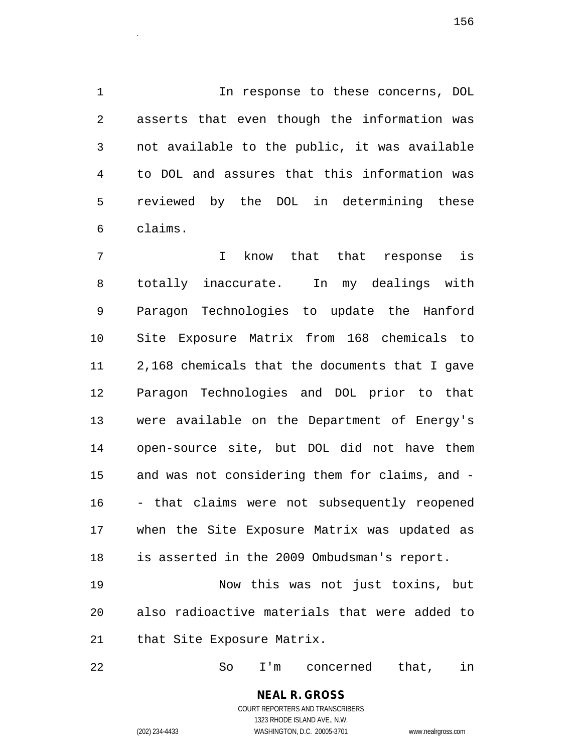1 1 In response to these concerns, DOL 2 asserts that even though the information was 3 not available to the public, it was available 4 to DOL and assures that this information was 5 reviewed by the DOL in determining these 6 claims.

7 I know that that response is 8 totally inaccurate. In my dealings with 9 Paragon Technologies to update the Hanford 10 Site Exposure Matrix from 168 chemicals to 11 2,168 chemicals that the documents that I gave 12 Paragon Technologies and DOL prior to that 13 were available on the Department of Energy's 14 open-source site, but DOL did not have them 15 and was not considering them for claims, and - 16 - that claims were not subsequently reopened 17 when the Site Exposure Matrix was updated as 18 is asserted in the 2009 Ombudsman's report.

19 Now this was not just toxins, but 20 also radioactive materials that were added to 21 that Site Exposure Matrix.

22 So I'm concerned that, in

**NEAL R. GROSS** COURT REPORTERS AND TRANSCRIBERS

1323 RHODE ISLAND AVE., N.W.

(202) 234-4433 WASHINGTON, D.C. 20005-3701 www.nealrgross.com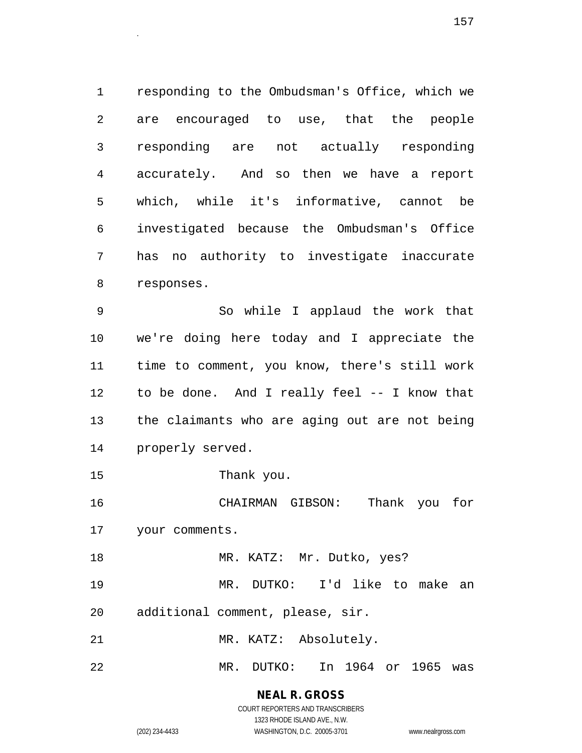1 responding to the Ombudsman's Office, which we 2 are encouraged to use, that the people 3 responding are not actually responding 4 accurately. And so then we have a report 5 which, while it's informative, cannot be 6 investigated because the Ombudsman's Office 7 has no authority to investigate inaccurate 8 responses.

9 So while I applaud the work that 10 we're doing here today and I appreciate the 11 time to comment, you know, there's still work 12 to be done. And I really feel -- I know that 13 the claimants who are aging out are not being 14 properly served.

15 Thank you.

16 CHAIRMAN GIBSON: Thank you for 17 your comments.

18 MR. KATZ: Mr. Dutko, yes? 19 MR. DUTKO: I'd like to make an

- 20 additional comment, please, sir.
- 21 MR. KATZ: Absolutely.
- 22 MR. DUTKO: In 1964 or 1965 was

### **NEAL R. GROSS** COURT REPORTERS AND TRANSCRIBERS

1323 RHODE ISLAND AVE., N.W.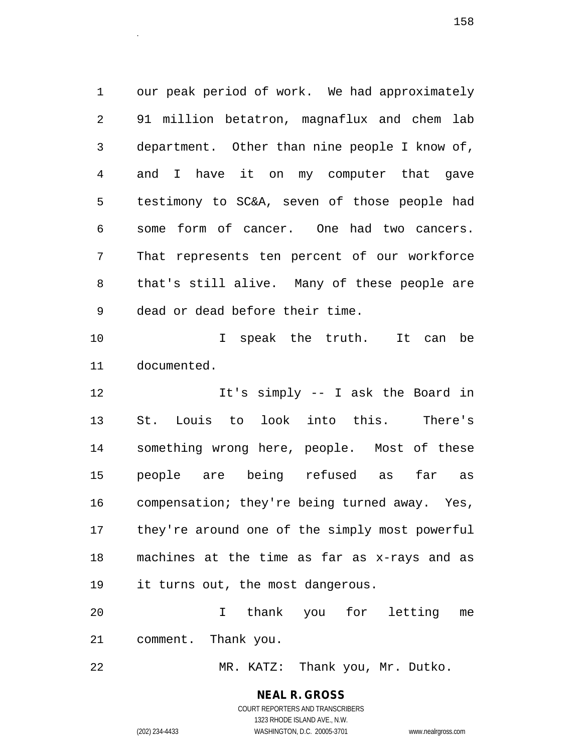1 our peak period of work. We had approximately 2 91 million betatron, magnaflux and chem lab 3 department. Other than nine people I know of, 4 and I have it on my computer that gave 5 testimony to SC&A, seven of those people had 6 some form of cancer. One had two cancers. 7 That represents ten percent of our workforce 8 that's still alive. Many of these people are 9 dead or dead before their time.

10 I speak the truth. It can be 11 documented.

12 It's simply -- I ask the Board in 13 St. Louis to look into this. There's 14 something wrong here, people. Most of these 15 people are being refused as far as 16 compensation; they're being turned away. Yes, 17 they're around one of the simply most powerful 18 machines at the time as far as x-rays and as 19 it turns out, the most dangerous.

20 I thank you for letting me 21 comment. Thank you.

22 MR. KATZ: Thank you, Mr. Dutko.

# **NEAL R. GROSS**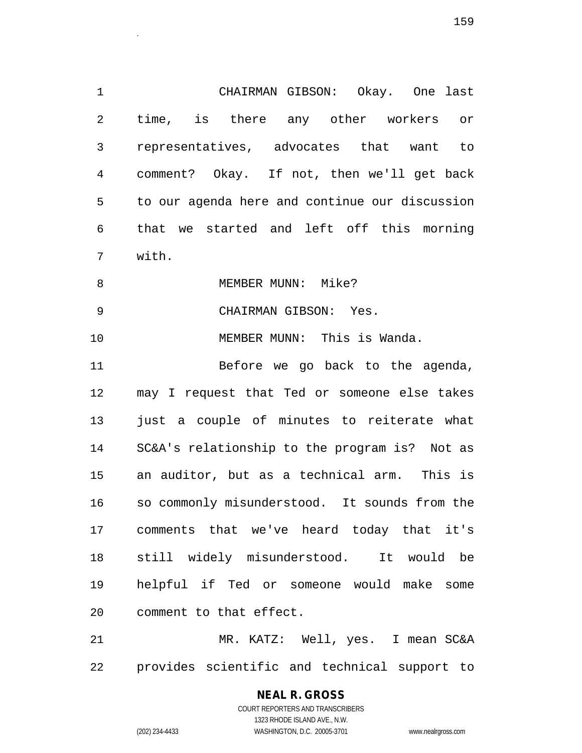1 CHAIRMAN GIBSON: Okay. One last 2 time, is there any other workers or 3 representatives, advocates that want to 4 comment? Okay. If not, then we'll get back 5 to our agenda here and continue our discussion 6 that we started and left off this morning 7 with. 8 MEMBER MUNN: Mike? 9 CHAIRMAN GIBSON: Yes. 10 MEMBER MUNN: This is Wanda. 11 Before we go back to the agenda,

12 may I request that Ted or someone else takes 13 just a couple of minutes to reiterate what 14 SC&A's relationship to the program is? Not as 15 an auditor, but as a technical arm. This is 16 so commonly misunderstood. It sounds from the 17 comments that we've heard today that it's 18 still widely misunderstood. It would be 19 helpful if Ted or someone would make some 20 comment to that effect.

21 MR. KATZ: Well, yes. I mean SC&A 22 provides scientific and technical support to

# **NEAL R. GROSS**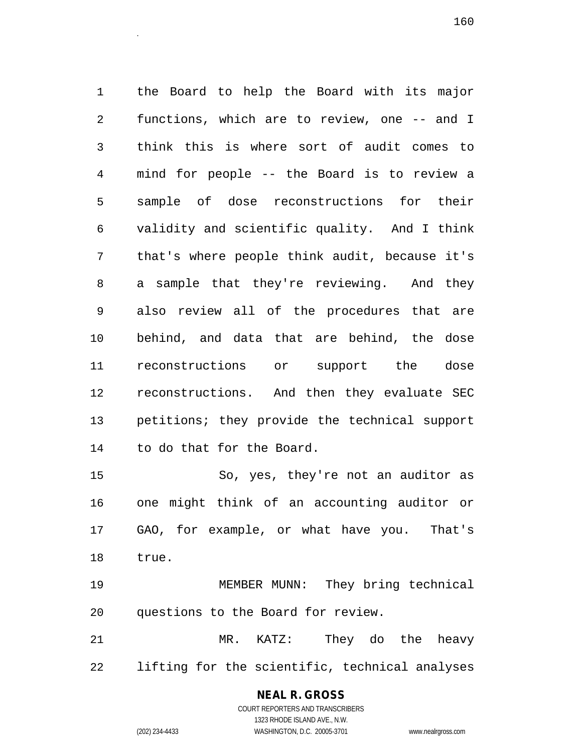1 the Board to help the Board with its major 2 functions, which are to review, one -- and I 3 think this is where sort of audit comes to 4 mind for people -- the Board is to review a 5 sample of dose reconstructions for their 6 validity and scientific quality. And I think 7 that's where people think audit, because it's 8 a sample that they're reviewing. And they 9 also review all of the procedures that are 10 behind, and data that are behind, the dose 11 reconstructions or support the dose 12 reconstructions. And then they evaluate SEC 13 petitions; they provide the technical support 14 to do that for the Board.

15 So, yes, they're not an auditor as 16 one might think of an accounting auditor or 17 GAO, for example, or what have you. That's 18 true.

19 MEMBER MUNN: They bring technical 20 questions to the Board for review.

21 MR. KATZ: They do the heavy 22 lifting for the scientific, technical analyses

# **NEAL R. GROSS**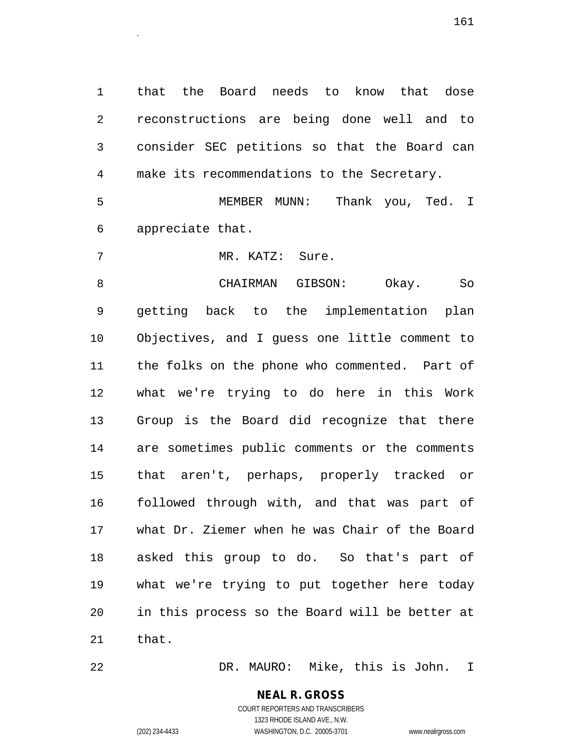1 that the Board needs to know that dose 2 reconstructions are being done well and to 3 consider SEC petitions so that the Board can 4 make its recommendations to the Secretary.

<sup>161</sup>.

5 MEMBER MUNN: Thank you, Ted. I 6 appreciate that.

7 MR. KATZ: Sure.

8 CHAIRMAN GIBSON: Okay. So 9 getting back to the implementation plan 10 Objectives, and I guess one little comment to 11 the folks on the phone who commented. Part of 12 what we're trying to do here in this Work 13 Group is the Board did recognize that there 14 are sometimes public comments or the comments 15 that aren't, perhaps, properly tracked or 16 followed through with, and that was part of 17 what Dr. Ziemer when he was Chair of the Board 18 asked this group to do. So that's part of 19 what we're trying to put together here today 20 in this process so the Board will be better at 21 that.

22 DR. MAURO: Mike, this is John. I

### **NEAL R. GROSS** COURT REPORTERS AND TRANSCRIBERS

1323 RHODE ISLAND AVE., N.W. (202) 234-4433 WASHINGTON, D.C. 20005-3701 www.nealrgross.com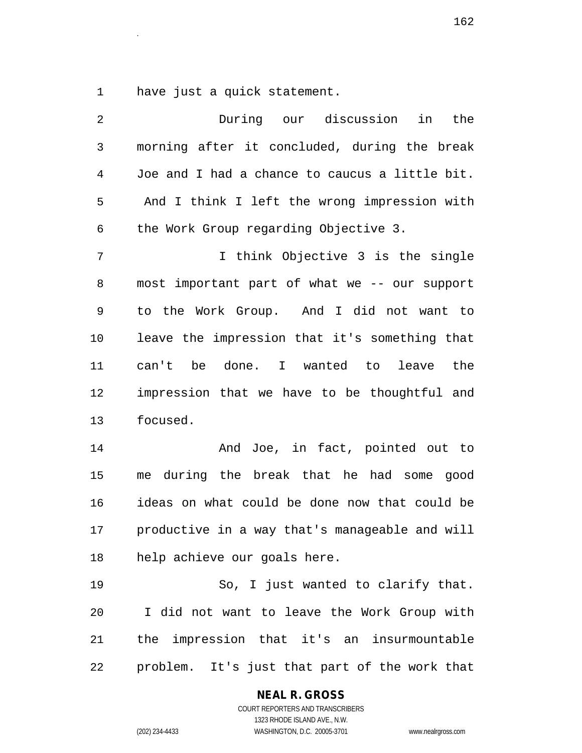1 have just a quick statement.

| 2  | During our discussion<br>in<br>the             |
|----|------------------------------------------------|
| 3  | morning after it concluded, during the break   |
| 4  | Joe and I had a chance to caucus a little bit. |
| 5  | And I think I left the wrong impression with   |
| 6  | the Work Group regarding Objective 3.          |
| 7  | I think Objective 3 is the single              |
| 8  | most important part of what we -- our support  |
| 9  | to the Work Group. And I did not want to       |
| 10 | leave the impression that it's something that  |
| 11 | can't be done. I wanted to leave the           |
| 12 | impression that we have to be thoughtful and   |
| 13 | focused.                                       |
| 14 | And Joe, in fact, pointed out to               |
| 15 | me during the break that he had some good      |
| 16 | ideas on what could be done now that could be  |
| 17 | productive in a way that's manageable and will |
| 18 | help achieve our goals here.                   |
| 19 | So, I just wanted to clarify that.             |
| 20 | I did not want to leave the Work Group with    |
| 21 | the impression that it's an insurmountable     |
| 22 | problem. It's just that part of the work that  |

**NEAL R. GROSS**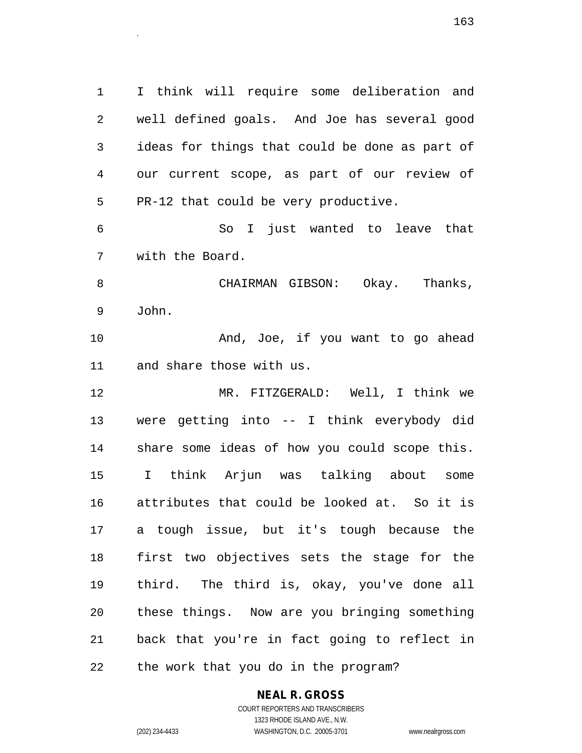1 I think will require some deliberation and 2 well defined goals. And Joe has several good 3 ideas for things that could be done as part of 4 our current scope, as part of our review of 5 PR-12 that could be very productive. 6 So I just wanted to leave that 7 with the Board. 8 CHAIRMAN GIBSON: Okay. Thanks, 9 John. 10 And, Joe, if you want to go ahead 11 and share those with us. 12 MR. FITZGERALD: Well, I think we 13 were getting into -- I think everybody did 14 share some ideas of how you could scope this. 15 I think Arjun was talking about some 16 attributes that could be looked at. So it is 17 a tough issue, but it's tough because the 18 first two objectives sets the stage for the 19 third. The third is, okay, you've done all 20 these things. Now are you bringing something 21 back that you're in fact going to reflect in 22 the work that you do in the program?

## **NEAL R. GROSS**

COURT REPORTERS AND TRANSCRIBERS 1323 RHODE ISLAND AVE., N.W. (202) 234-4433 WASHINGTON, D.C. 20005-3701 www.nealrgross.com

 $163$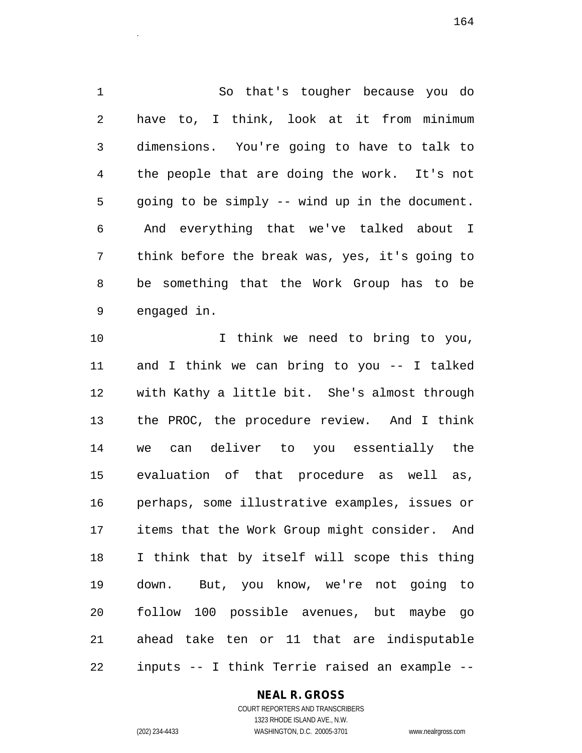1 So that's tougher because you do 2 have to, I think, look at it from minimum 3 dimensions. You're going to have to talk to 4 the people that are doing the work. It's not 5 going to be simply -- wind up in the document. 6 And everything that we've talked about I 7 think before the break was, yes, it's going to 8 be something that the Work Group has to be 9 engaged in.

 $164$ 

10 10 I think we need to bring to you, 11 and I think we can bring to you -- I talked 12 with Kathy a little bit. She's almost through 13 the PROC, the procedure review. And I think 14 we can deliver to you essentially the 15 evaluation of that procedure as well as, 16 perhaps, some illustrative examples, issues or 17 items that the Work Group might consider. And 18 I think that by itself will scope this thing 19 down. But, you know, we're not going to 20 follow 100 possible avenues, but maybe go 21 ahead take ten or 11 that are indisputable 22 inputs -- I think Terrie raised an example --

#### **NEAL R. GROSS**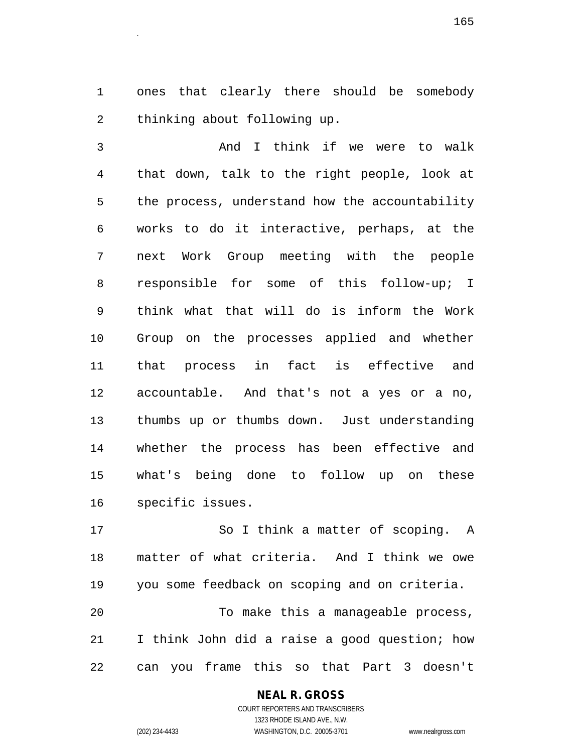1 ones that clearly there should be somebody 2 thinking about following up.

3 And I think if we were to walk 4 that down, talk to the right people, look at 5 the process, understand how the accountability 6 works to do it interactive, perhaps, at the 7 next Work Group meeting with the people 8 responsible for some of this follow-up; I 9 think what that will do is inform the Work 10 Group on the processes applied and whether 11 that process in fact is effective and 12 accountable. And that's not a yes or a no, 13 thumbs up or thumbs down. Just understanding 14 whether the process has been effective and 15 what's being done to follow up on these 16 specific issues.

17 So I think a matter of scoping. A 18 matter of what criteria. And I think we owe 19 you some feedback on scoping and on criteria. 20 To make this a manageable process, 21 I think John did a raise a good question; how 22 can you frame this so that Part 3 doesn't

# **NEAL R. GROSS**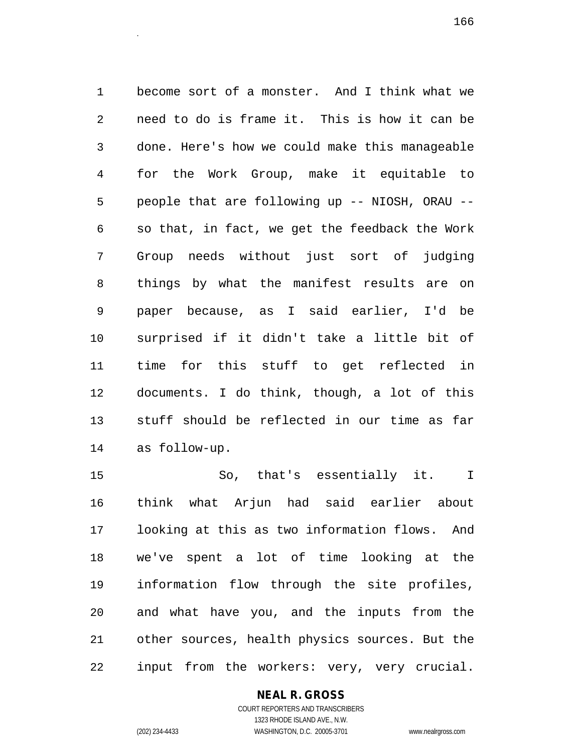1 become sort of a monster. And I think what we 2 need to do is frame it. This is how it can be 3 done. Here's how we could make this manageable 4 for the Work Group, make it equitable to 5 people that are following up -- NIOSH, ORAU -- 6 so that, in fact, we get the feedback the Work 7 Group needs without just sort of judging 8 things by what the manifest results are on 9 paper because, as I said earlier, I'd be 10 surprised if it didn't take a little bit of 11 time for this stuff to get reflected in 12 documents. I do think, though, a lot of this 13 stuff should be reflected in our time as far 14 as follow-up.

15 So, that's essentially it. I 16 think what Arjun had said earlier about 17 looking at this as two information flows. And 18 we've spent a lot of time looking at the 19 information flow through the site profiles, 20 and what have you, and the inputs from the 21 other sources, health physics sources. But the 22 input from the workers: very, very crucial.

#### **NEAL R. GROSS**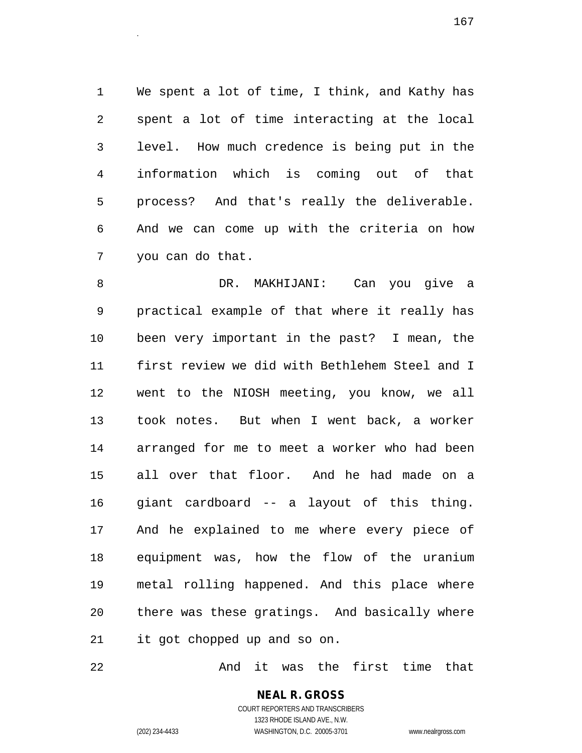1 We spent a lot of time, I think, and Kathy has 2 spent a lot of time interacting at the local 3 level. How much credence is being put in the 4 information which is coming out of that 5 process? And that's really the deliverable. 6 And we can come up with the criteria on how 7 you can do that.

8 DR. MAKHIJANI: Can you give a 9 practical example of that where it really has 10 been very important in the past? I mean, the 11 first review we did with Bethlehem Steel and I 12 went to the NIOSH meeting, you know, we all 13 took notes. But when I went back, a worker 14 arranged for me to meet a worker who had been 15 all over that floor. And he had made on a 16 giant cardboard -- a layout of this thing. 17 And he explained to me where every piece of 18 equipment was, how the flow of the uranium 19 metal rolling happened. And this place where 20 there was these gratings. And basically where 21 it got chopped up and so on.

22 And it was the first time that

**NEAL R. GROSS** COURT REPORTERS AND TRANSCRIBERS 1323 RHODE ISLAND AVE., N.W.

(202) 234-4433 WASHINGTON, D.C. 20005-3701 www.nealrgross.com

 $167$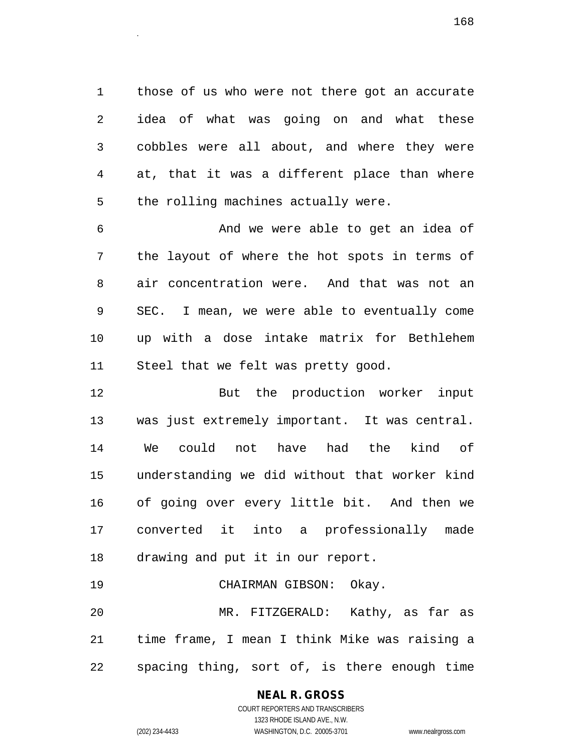1 those of us who were not there got an accurate 2 idea of what was going on and what these 3 cobbles were all about, and where they were 4 at, that it was a different place than where 5 the rolling machines actually were.

6 And we were able to get an idea of 7 the layout of where the hot spots in terms of 8 air concentration were. And that was not an 9 SEC. I mean, we were able to eventually come 10 up with a dose intake matrix for Bethlehem 11 Steel that we felt was pretty good.

12 But the production worker input 13 was just extremely important. It was central. 14 We could not have had the kind of 15 understanding we did without that worker kind 16 of going over every little bit. And then we 17 converted it into a professionally made 18 drawing and put it in our report.

19 CHAIRMAN GIBSON: Okay. 20 MR. FITZGERALD: Kathy, as far as 21 time frame, I mean I think Mike was raising a 22 spacing thing, sort of, is there enough time

# **NEAL R. GROSS**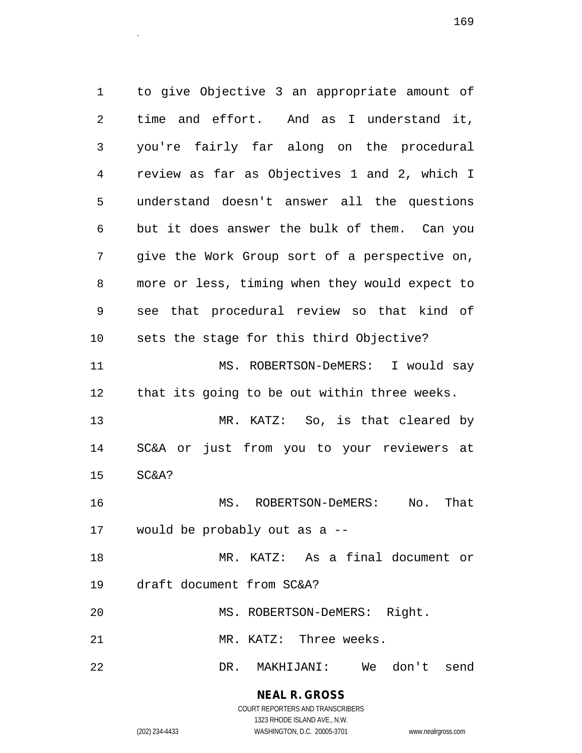1 to give Objective 3 an appropriate amount of 2 time and effort. And as I understand it, 3 you're fairly far along on the procedural 4 review as far as Objectives 1 and 2, which I 5 understand doesn't answer all the questions 6 but it does answer the bulk of them. Can you 7 give the Work Group sort of a perspective on, 8 more or less, timing when they would expect to 9 see that procedural review so that kind of 10 sets the stage for this third Objective? 11 MS. ROBERTSON-DeMERS: I would say 12 that its going to be out within three weeks. 13 MR. KATZ: So, is that cleared by 14 SC&A or just from you to your reviewers at 15 SC&A? 16 MS. ROBERTSON-DeMERS: No. That 17 would be probably out as a -- 18 MR. KATZ: As a final document or 19 draft document from SC&A? 20 MS. ROBERTSON-DeMERS: Right. 21 MR. KATZ: Three weeks. 22 DR. MAKHIJANI: We don't send

### **NEAL R. GROSS** COURT REPORTERS AND TRANSCRIBERS

1323 RHODE ISLAND AVE., N.W. (202) 234-4433 WASHINGTON, D.C. 20005-3701 www.nealrgross.com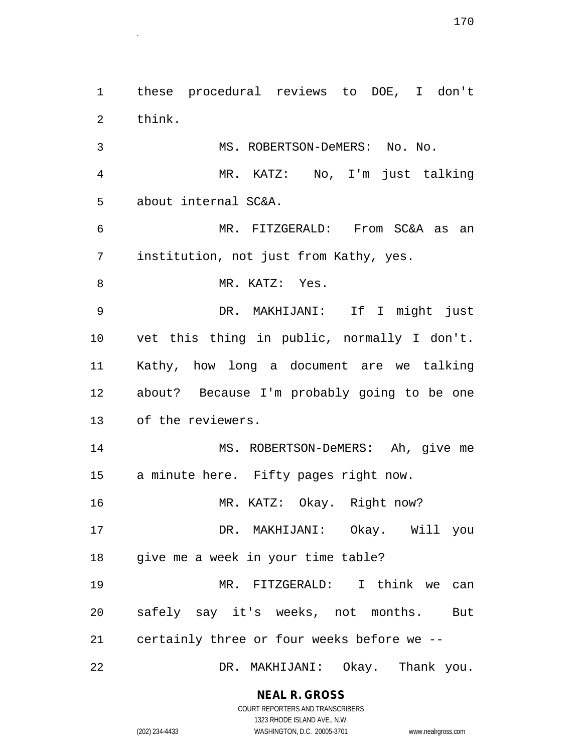1 these procedural reviews to DOE, I don't 2 think. 3 MS. ROBERTSON-DeMERS: No. No. 4 MR. KATZ: No, I'm just talking 5 about internal SC&A. 6 MR. FITZGERALD: From SC&A as an 7 institution, not just from Kathy, yes. 8 MR. KATZ: Yes. 9 DR. MAKHIJANI: If I might just 10 vet this thing in public, normally I don't. 11 Kathy, how long a document are we talking 12 about? Because I'm probably going to be one 13 of the reviewers. 14 MS. ROBERTSON-DeMERS: Ah, give me 15 a minute here. Fifty pages right now. 16 MR. KATZ: Okay. Right now? 17 DR. MAKHIJANI: Okay. Will you 18 give me a week in your time table? 19 MR. FITZGERALD: I think we can 20 safely say it's weeks, not months. But 21 certainly three or four weeks before we -- 22 DR. MAKHIJANI: Okay. Thank you.

> **NEAL R. GROSS** COURT REPORTERS AND TRANSCRIBERS

1323 RHODE ISLAND AVE., N.W. (202) 234-4433 WASHINGTON, D.C. 20005-3701 www.nealrgross.com

<sup>170</sup>.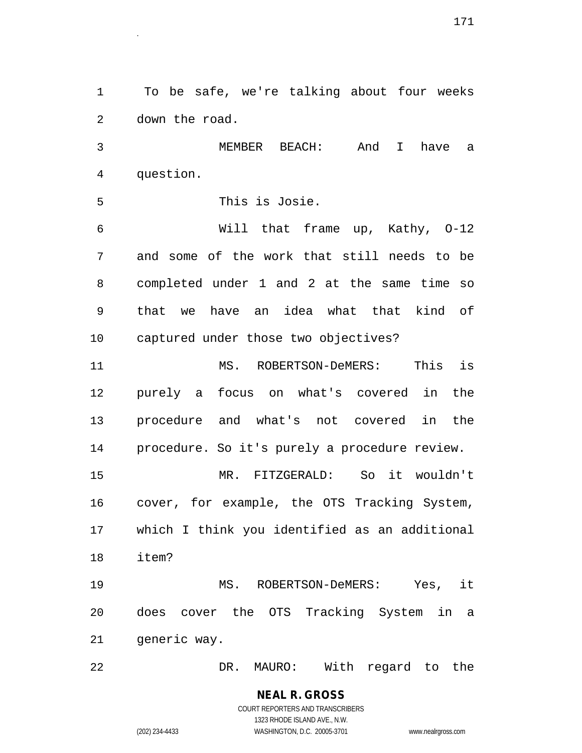1 To be safe, we're talking about four weeks 2 down the road.

3 MEMBER BEACH: And I have a 4 question.

5 This is Josie.

6 Will that frame up, Kathy, O-12 7 and some of the work that still needs to be 8 completed under 1 and 2 at the same time so 9 that we have an idea what that kind of 10 captured under those two objectives?

11 MS. ROBERTSON-DeMERS: This is 12 purely a focus on what's covered in the 13 procedure and what's not covered in the 14 procedure. So it's purely a procedure review. 15 MR. FITZGERALD: So it wouldn't

16 cover, for example, the OTS Tracking System, 17 which I think you identified as an additional 18 item?

19 MS. ROBERTSON-DeMERS: Yes, it 20 does cover the OTS Tracking System in a 21 generic way.

22 DR. MAURO: With regard to the

**NEAL R. GROSS** COURT REPORTERS AND TRANSCRIBERS 1323 RHODE ISLAND AVE., N.W.

(202) 234-4433 WASHINGTON, D.C. 20005-3701 www.nealrgross.com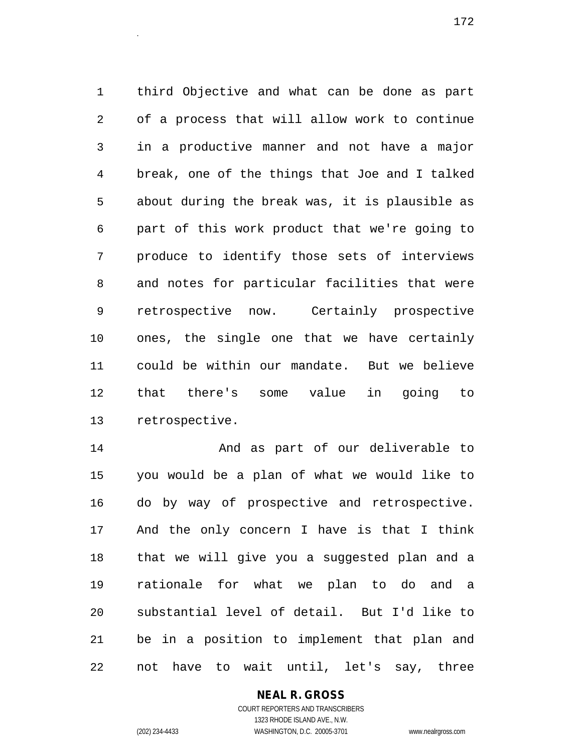1 third Objective and what can be done as part 2 of a process that will allow work to continue 3 in a productive manner and not have a major 4 break, one of the things that Joe and I talked 5 about during the break was, it is plausible as 6 part of this work product that we're going to 7 produce to identify those sets of interviews 8 and notes for particular facilities that were 9 retrospective now. Certainly prospective 10 ones, the single one that we have certainly 11 could be within our mandate. But we believe 12 that there's some value in going to 13 retrospective.

14 And as part of our deliverable to 15 you would be a plan of what we would like to 16 do by way of prospective and retrospective. 17 And the only concern I have is that I think 18 that we will give you a suggested plan and a 19 rationale for what we plan to do and a 20 substantial level of detail. But I'd like to 21 be in a position to implement that plan and 22 not have to wait until, let's say, three

## **NEAL R. GROSS**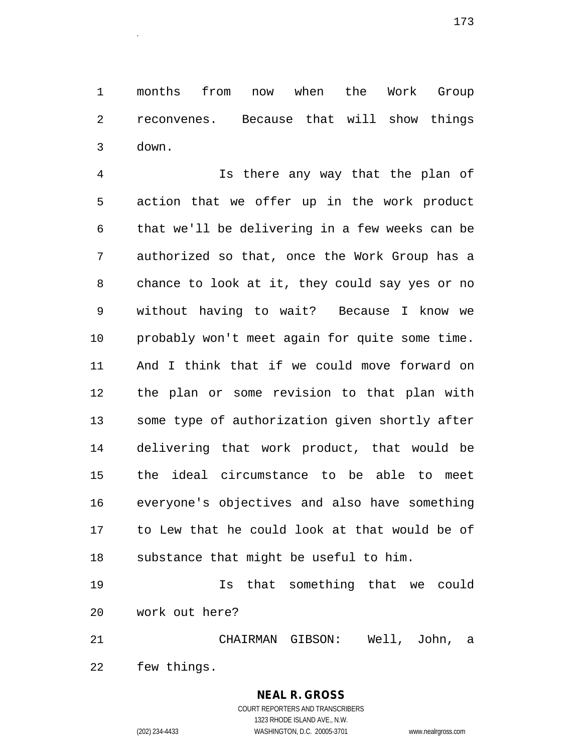1 months from now when the Work Group 2 reconvenes. Because that will show things 3 down.

4 Is there any way that the plan of 5 action that we offer up in the work product 6 that we'll be delivering in a few weeks can be 7 authorized so that, once the Work Group has a 8 chance to look at it, they could say yes or no 9 without having to wait? Because I know we 10 probably won't meet again for quite some time. 11 And I think that if we could move forward on 12 the plan or some revision to that plan with 13 some type of authorization given shortly after 14 delivering that work product, that would be 15 the ideal circumstance to be able to meet 16 everyone's objectives and also have something 17 to Lew that he could look at that would be of 18 substance that might be useful to him.

19 Is that something that we could 20 work out here?

21 CHAIRMAN GIBSON: Well, John, a

22 few things.

# **NEAL R. GROSS**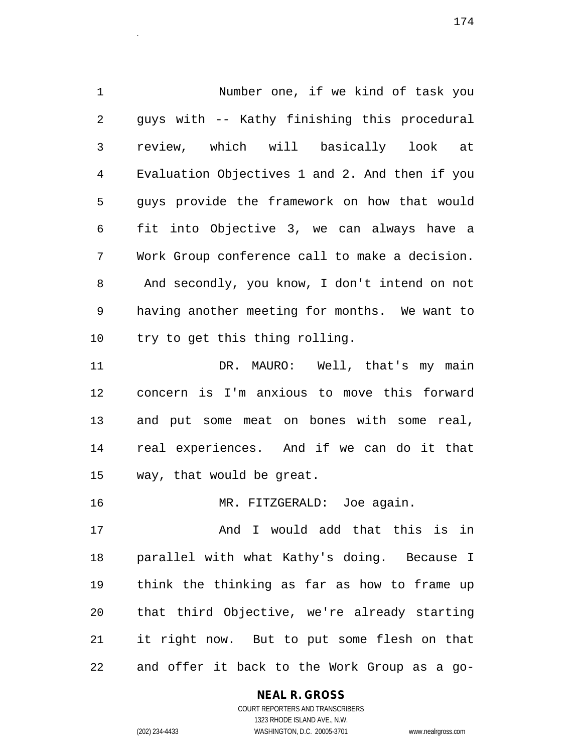1 Number one, if we kind of task you 2 guys with -- Kathy finishing this procedural 3 review, which will basically look at 4 Evaluation Objectives 1 and 2. And then if you 5 guys provide the framework on how that would 6 fit into Objective 3, we can always have a 7 Work Group conference call to make a decision. 8 And secondly, you know, I don't intend on not 9 having another meeting for months. We want to 10 try to get this thing rolling. 11 DR. MAURO: Well, that's my main 12 concern is I'm anxious to move this forward 13 and put some meat on bones with some real, 14 real experiences. And if we can do it that 15 way, that would be great.

16 MR. FITZGERALD: Joe again.

17 And I would add that this is in 18 parallel with what Kathy's doing. Because I 19 think the thinking as far as how to frame up 20 that third Objective, we're already starting 21 it right now. But to put some flesh on that 22 and offer it back to the Work Group as a go-

#### **NEAL R. GROSS**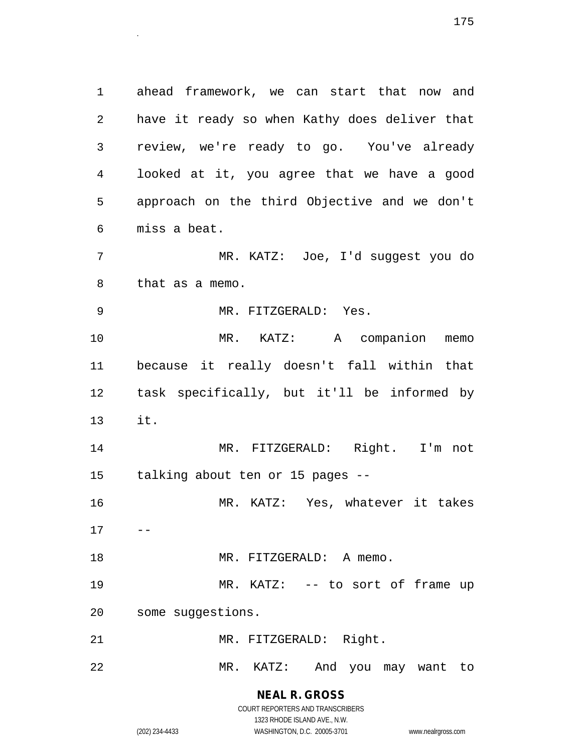1 ahead framework, we can start that now and 2 have it ready so when Kathy does deliver that 3 review, we're ready to go. You've already 4 looked at it, you agree that we have a good 5 approach on the third Objective and we don't 6 miss a beat.

7 MR. KATZ: Joe, I'd suggest you do 8 that as a memo.

9 MR. FITZGERALD: Yes.

10 MR. KATZ: A companion memo 11 because it really doesn't fall within that 12 task specifically, but it'll be informed by 13 it.

14 MR. FITZGERALD: Right. I'm not 15 talking about ten or 15 pages --

16 MR. KATZ: Yes, whatever it takes  $17 - -$ 

18 MR. FITZGERALD: A memo.

19 MR. KATZ: -- to sort of frame up 20 some suggestions.

21 MR. FITZGERALD: Right.

22 MR. KATZ: And you may want to

**NEAL R. GROSS** COURT REPORTERS AND TRANSCRIBERS

1323 RHODE ISLAND AVE., N.W. (202) 234-4433 WASHINGTON, D.C. 20005-3701 www.nealrgross.com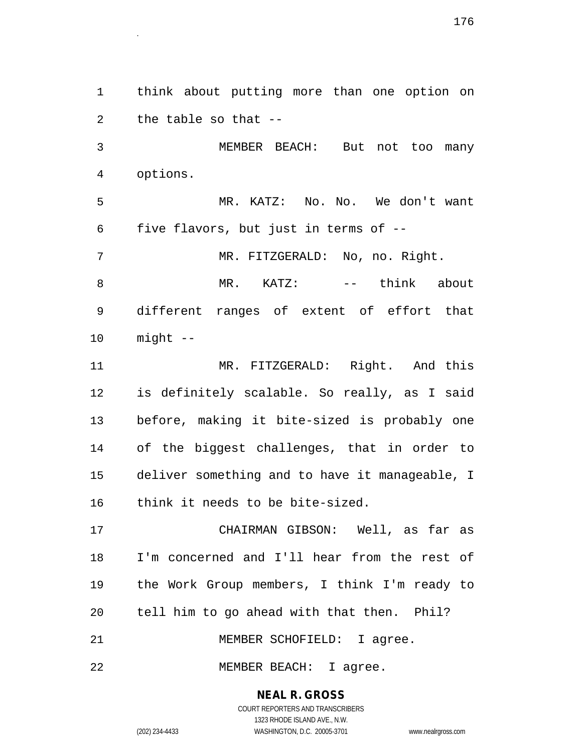2 the table so that -- 3 MEMBER BEACH: But not too many 4 options. 5 MR. KATZ: No. No. We don't want 6 five flavors, but just in terms of -- 7 MR. FITZGERALD: No, no. Right. 10 might -- 11 MR. FITZGERALD: Right. And this 17 CHAIRMAN GIBSON: Well, as far as

18 I'm concerned and I'll hear from the rest of 19 the Work Group members, I think I'm ready to 20 tell him to go ahead with that then. Phil? 21 MEMBER SCHOFIELD: I agree.

22 MEMBER BEACH: I agree.

**NEAL R. GROSS** COURT REPORTERS AND TRANSCRIBERS

1 think about putting more than one option on

8 MR. KATZ: -- think about 9 different ranges of extent of effort that

12 is definitely scalable. So really, as I said 13 before, making it bite-sized is probably one 14 of the biggest challenges, that in order to 15 deliver something and to have it manageable, I 16 think it needs to be bite-sized.

1323 RHODE ISLAND AVE., N.W. (202) 234-4433 WASHINGTON, D.C. 20005-3701 www.nealrgross.com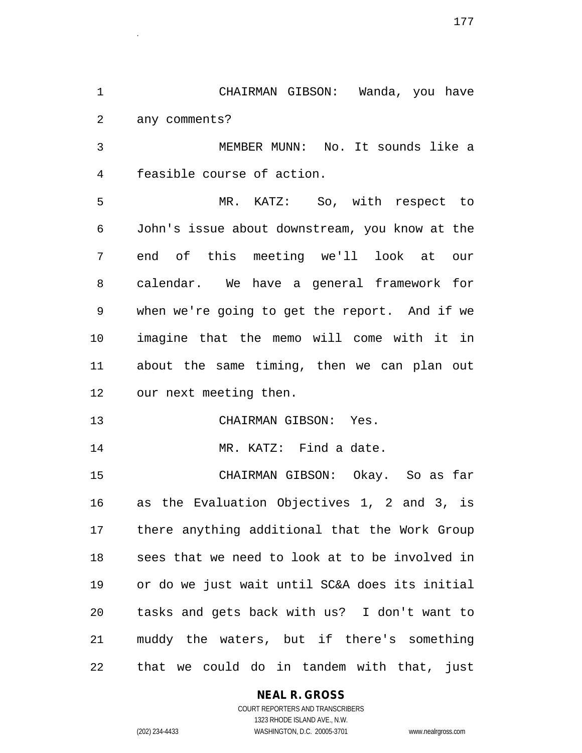1 CHAIRMAN GIBSON: Wanda, you have 2 any comments?

3 MEMBER MUNN: No. It sounds like a 4 feasible course of action.

5 MR. KATZ: So, with respect to 6 John's issue about downstream, you know at the 7 end of this meeting we'll look at our 8 calendar. We have a general framework for 9 when we're going to get the report. And if we 10 imagine that the memo will come with it in 11 about the same timing, then we can plan out 12 our next meeting then.

13 CHAIRMAN GIBSON: Yes.

14 MR. KATZ: Find a date.

15 CHAIRMAN GIBSON: Okay. So as far 16 as the Evaluation Objectives 1, 2 and 3, is 17 there anything additional that the Work Group 18 sees that we need to look at to be involved in 19 or do we just wait until SC&A does its initial 20 tasks and gets back with us? I don't want to 21 muddy the waters, but if there's something 22 that we could do in tandem with that, just

## **NEAL R. GROSS**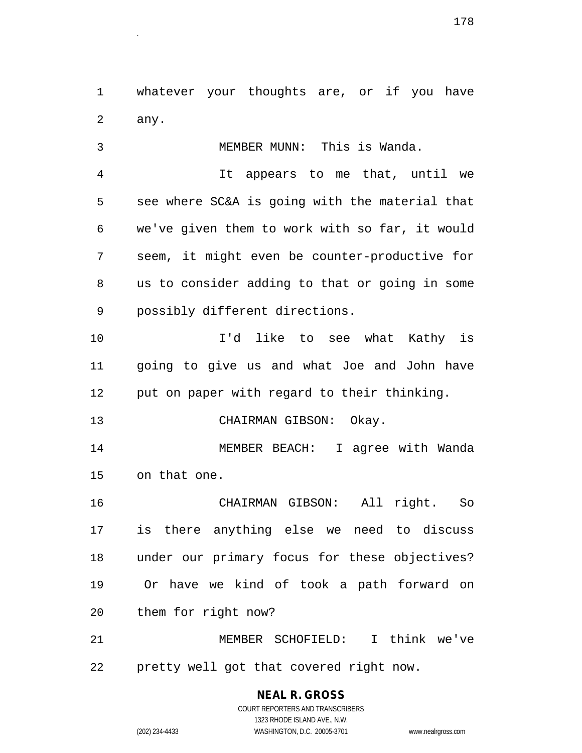1 whatever your thoughts are, or if you have 2 any.

3 MEMBER MUNN: This is Wanda. 4 It appears to me that, until we 5 see where SC&A is going with the material that 6 we've given them to work with so far, it would 7 seem, it might even be counter-productive for 8 us to consider adding to that or going in some 9 possibly different directions. 10 I'd like to see what Kathy is 11 going to give us and what Joe and John have

12 put on paper with regard to their thinking.

13 CHAIRMAN GIBSON: Okay.

14 MEMBER BEACH: I agree with Wanda 15 on that one.

16 CHAIRMAN GIBSON: All right. So 17 is there anything else we need to discuss 18 under our primary focus for these objectives? 19 Or have we kind of took a path forward on 20 them for right now?

21 MEMBER SCHOFIELD: I think we've 22 pretty well got that covered right now.

> **NEAL R. GROSS** COURT REPORTERS AND TRANSCRIBERS

> > 1323 RHODE ISLAND AVE., N.W.

(202) 234-4433 WASHINGTON, D.C. 20005-3701 www.nealrgross.com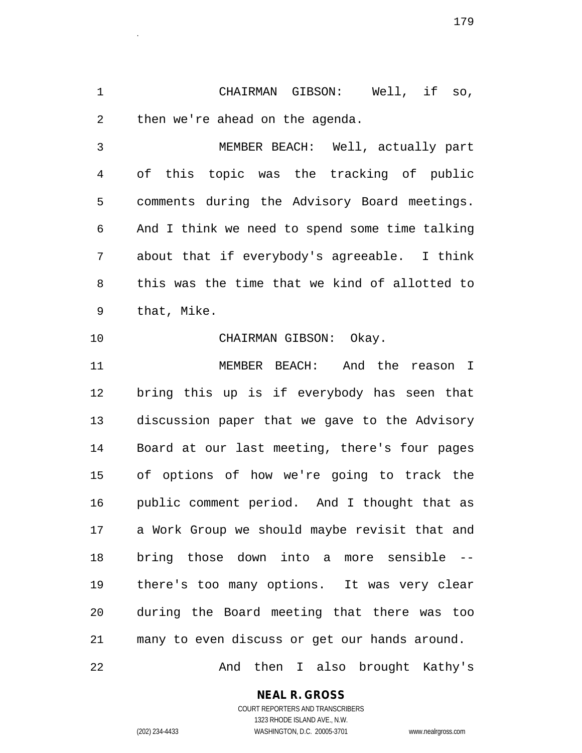1 CHAIRMAN GIBSON: Well, if so, 2 then we're ahead on the agenda.

3 MEMBER BEACH: Well, actually part 4 of this topic was the tracking of public 5 comments during the Advisory Board meetings. 6 And I think we need to spend some time talking 7 about that if everybody's agreeable. I think 8 this was the time that we kind of allotted to 9 that, Mike.

10 CHAIRMAN GIBSON: Okay.

11 MEMBER BEACH: And the reason I 12 bring this up is if everybody has seen that 13 discussion paper that we gave to the Advisory 14 Board at our last meeting, there's four pages 15 of options of how we're going to track the 16 public comment period. And I thought that as 17 a Work Group we should maybe revisit that and 18 bring those down into a more sensible -- 19 there's too many options. It was very clear 20 during the Board meeting that there was too 21 many to even discuss or get our hands around.

22 And then I also brought Kathy's

**NEAL R. GROSS**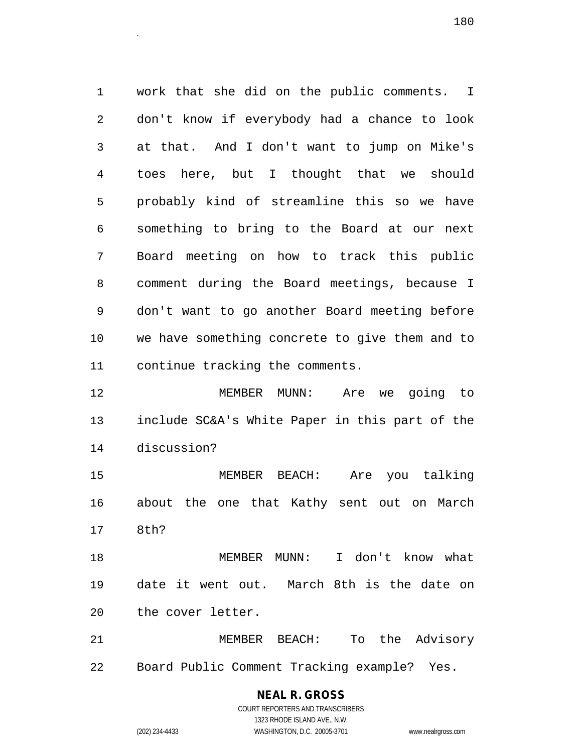1 work that she did on the public comments. I 2 don't know if everybody had a chance to look 3 at that. And I don't want to jump on Mike's 4 toes here, but I thought that we should 5 probably kind of streamline this so we have 6 something to bring to the Board at our next 7 Board meeting on how to track this public 8 comment during the Board meetings, because I 9 don't want to go another Board meeting before 10 we have something concrete to give them and to 11 continue tracking the comments.

12 MEMBER MUNN: Are we going to 13 include SC&A's White Paper in this part of the 14 discussion?

15 MEMBER BEACH: Are you talking 16 about the one that Kathy sent out on March 17 8th?

18 MEMBER MUNN: I don't know what 19 date it went out. March 8th is the date on 20 the cover letter.

21 MEMBER BEACH: To the Advisory 22 Board Public Comment Tracking example? Yes.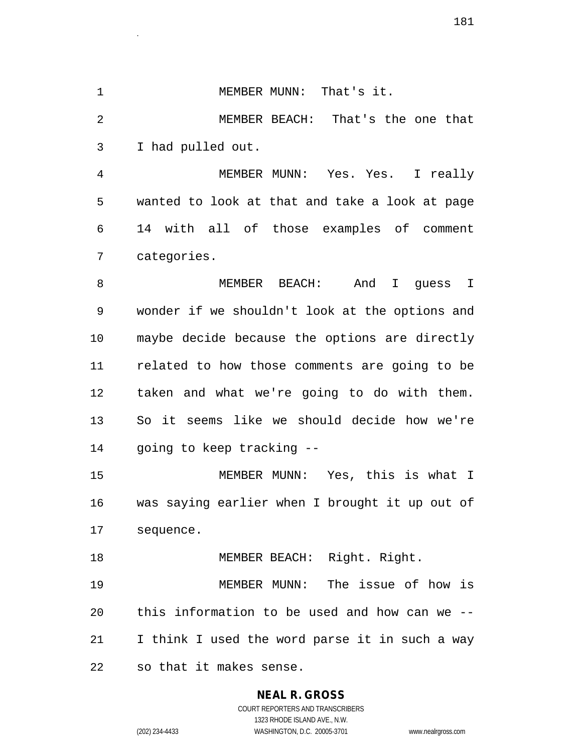1 MEMBER MUNN: That's it. 2 MEMBER BEACH: That's the one that 3 I had pulled out. 4 MEMBER MUNN: Yes. Yes. I really 5 wanted to look at that and take a look at page 6 14 with all of those examples of comment

8 MEMBER BEACH: And I guess I 9 wonder if we shouldn't look at the options and 10 maybe decide because the options are directly 11 related to how those comments are going to be 12 taken and what we're going to do with them. 13 So it seems like we should decide how we're 14 going to keep tracking --

15 MEMBER MUNN: Yes, this is what I 16 was saying earlier when I brought it up out of 17 sequence.

18 MEMBER BEACH: Right. Right. 19 MEMBER MUNN: The issue of how is 20 this information to be used and how can we -- 21 I think I used the word parse it in such a way 22 so that it makes sense.

## **NEAL R. GROSS**

7 categories.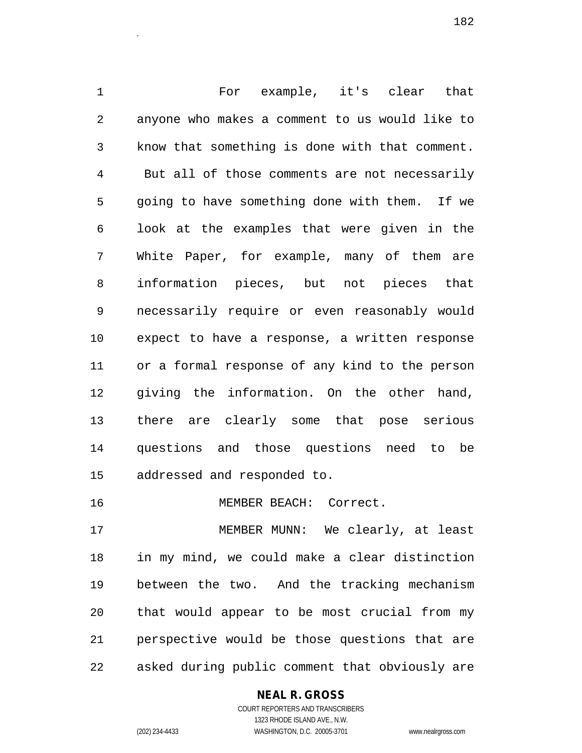1 For example, it's clear that 2 anyone who makes a comment to us would like to 3 know that something is done with that comment. 4 But all of those comments are not necessarily 5 going to have something done with them. If we 6 look at the examples that were given in the 7 White Paper, for example, many of them are 8 information pieces, but not pieces that 9 necessarily require or even reasonably would 10 expect to have a response, a written response 11 or a formal response of any kind to the person 12 giving the information. On the other hand, 13 there are clearly some that pose serious 14 questions and those questions need to be 15 addressed and responded to.

16 MEMBER BEACH: Correct.

17 MEMBER MUNN: We clearly, at least 18 in my mind, we could make a clear distinction 19 between the two. And the tracking mechanism 20 that would appear to be most crucial from my 21 perspective would be those questions that are 22 asked during public comment that obviously are

> **NEAL R. GROSS** COURT REPORTERS AND TRANSCRIBERS

> > 1323 RHODE ISLAND AVE., N.W.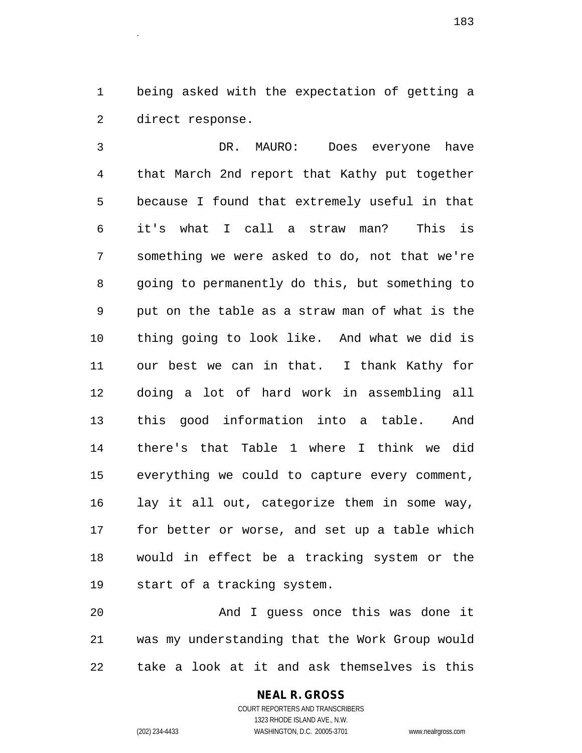1 being asked with the expectation of getting a 2 direct response.

3 DR. MAURO: Does everyone have 4 that March 2nd report that Kathy put together 5 because I found that extremely useful in that 6 it's what I call a straw man? This is 7 something we were asked to do, not that we're 8 going to permanently do this, but something to 9 put on the table as a straw man of what is the 10 thing going to look like. And what we did is 11 our best we can in that. I thank Kathy for 12 doing a lot of hard work in assembling all 13 this good information into a table. And 14 there's that Table 1 where I think we did 15 everything we could to capture every comment, 16 lay it all out, categorize them in some way, 17 for better or worse, and set up a table which 18 would in effect be a tracking system or the 19 start of a tracking system.

20 And I guess once this was done it 21 was my understanding that the Work Group would 22 take a look at it and ask themselves is this

1323 RHODE ISLAND AVE., N.W.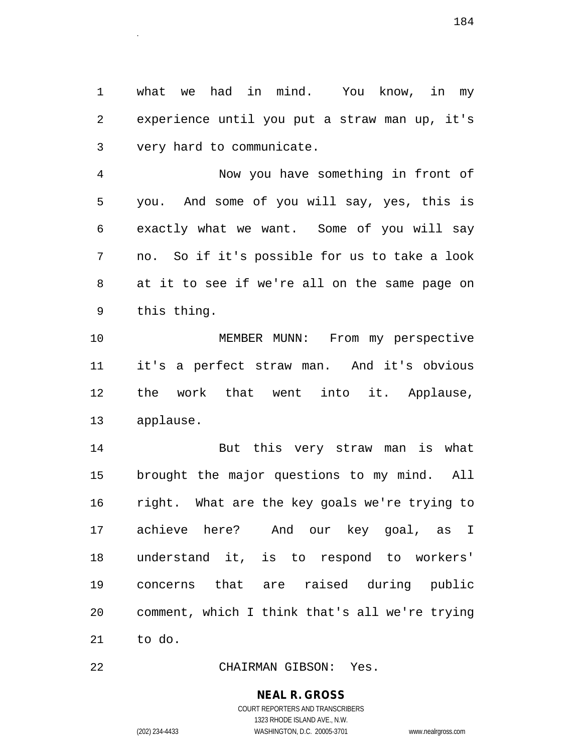1 what we had in mind. You know, in my 2 experience until you put a straw man up, it's 3 very hard to communicate.

4 Now you have something in front of 5 you. And some of you will say, yes, this is 6 exactly what we want. Some of you will say 7 no. So if it's possible for us to take a look 8 at it to see if we're all on the same page on 9 this thing.

10 MEMBER MUNN: From my perspective 11 it's a perfect straw man. And it's obvious 12 the work that went into it. Applause, 13 applause.

14 But this very straw man is what 15 brought the major questions to my mind. All 16 right. What are the key goals we're trying to 17 achieve here? And our key goal, as I 18 understand it, is to respond to workers' 19 concerns that are raised during public 20 comment, which I think that's all we're trying 21 to do.

22 CHAIRMAN GIBSON: Yes.

#### **NEAL R. GROSS**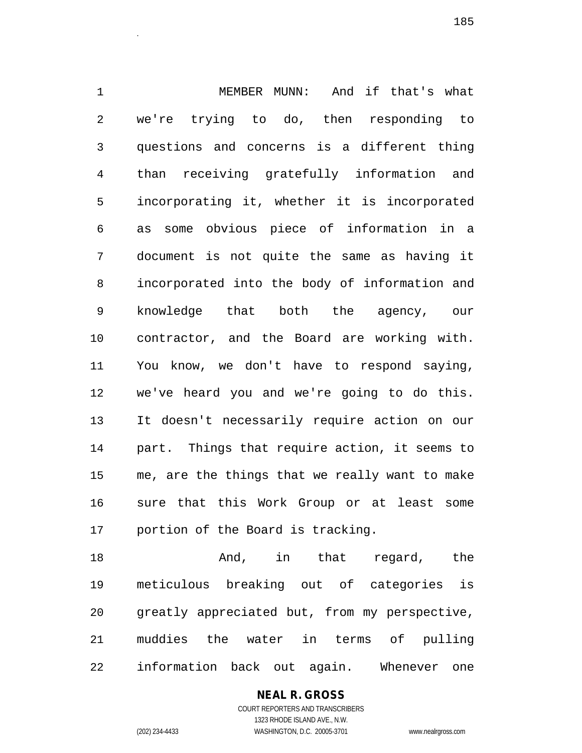1 MEMBER MUNN: And if that's what 2 we're trying to do, then responding to 3 questions and concerns is a different thing 4 than receiving gratefully information and 5 incorporating it, whether it is incorporated 6 as some obvious piece of information in a 7 document is not quite the same as having it 8 incorporated into the body of information and 9 knowledge that both the agency, our 10 contractor, and the Board are working with. 11 You know, we don't have to respond saying, 12 we've heard you and we're going to do this. 13 It doesn't necessarily require action on our 14 part. Things that require action, it seems to 15 me, are the things that we really want to make 16 sure that this Work Group or at least some 17 portion of the Board is tracking.

18 And, in that regard, the 19 meticulous breaking out of categories is 20 greatly appreciated but, from my perspective, 21 muddies the water in terms of pulling 22 information back out again. Whenever one

> COURT REPORTERS AND TRANSCRIBERS 1323 RHODE ISLAND AVE., N.W. (202) 234-4433 WASHINGTON, D.C. 20005-3701 www.nealrgross.com

**NEAL R. GROSS**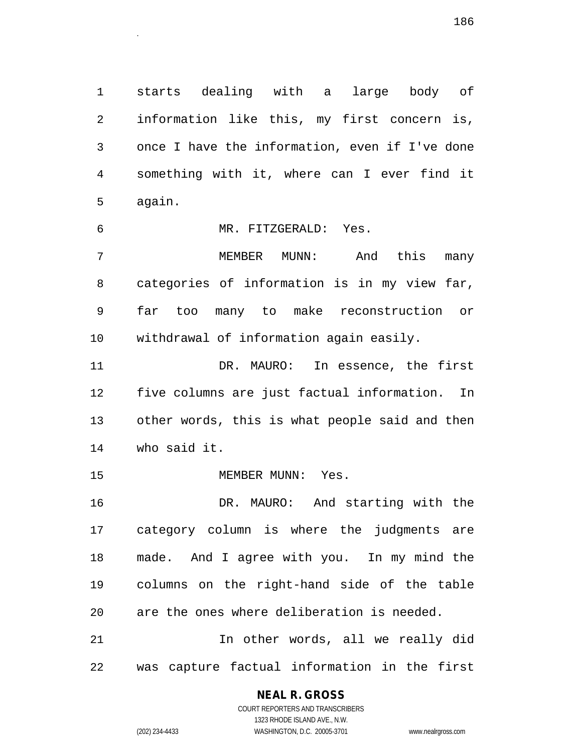1 starts dealing with a large body of 2 information like this, my first concern is, 3 once I have the information, even if I've done 4 something with it, where can I ever find it 5 again.

6 MR. FITZGERALD: Yes. 7 MEMBER MUNN: And this many 8 categories of information is in my view far, 9 far too many to make reconstruction or 10 withdrawal of information again easily. 11 DR. MAURO: In essence, the first 12 five columns are just factual information. In 13 other words, this is what people said and then 14 who said it. 15 MEMBER MUNN: Yes. 16 DR. MAURO: And starting with the

17 category column is where the judgments are 18 made. And I agree with you. In my mind the 19 columns on the right-hand side of the table 20 are the ones where deliberation is needed. 21 In other words, all we really did

22 was capture factual information in the first

#### **NEAL R. GROSS**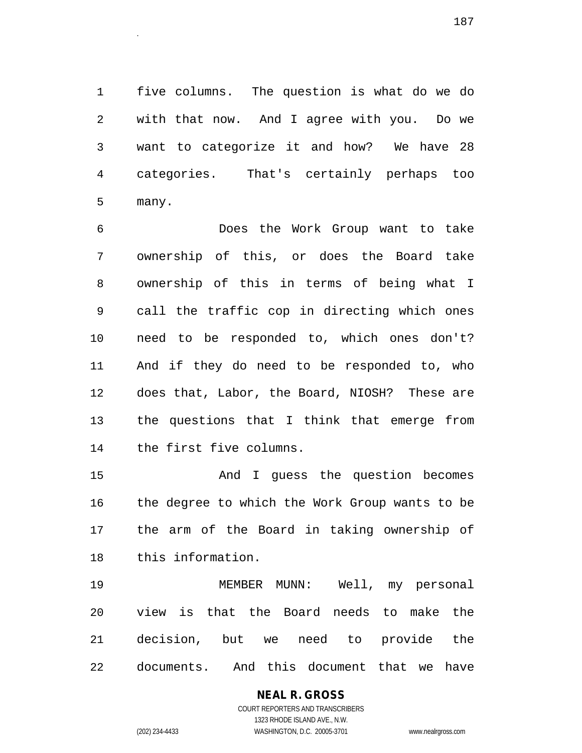1 five columns. The question is what do we do 2 with that now. And I agree with you. Do we 3 want to categorize it and how? We have 28 4 categories. That's certainly perhaps too 5 many.

6 Does the Work Group want to take 7 ownership of this, or does the Board take 8 ownership of this in terms of being what I 9 call the traffic cop in directing which ones 10 need to be responded to, which ones don't? 11 And if they do need to be responded to, who 12 does that, Labor, the Board, NIOSH? These are 13 the questions that I think that emerge from 14 the first five columns.

15 And I guess the question becomes 16 the degree to which the Work Group wants to be 17 the arm of the Board in taking ownership of 18 this information.

19 MEMBER MUNN: Well, my personal 20 view is that the Board needs to make the 21 decision, but we need to provide the 22 documents. And this document that we have

> **NEAL R. GROSS** COURT REPORTERS AND TRANSCRIBERS 1323 RHODE ISLAND AVE., N.W.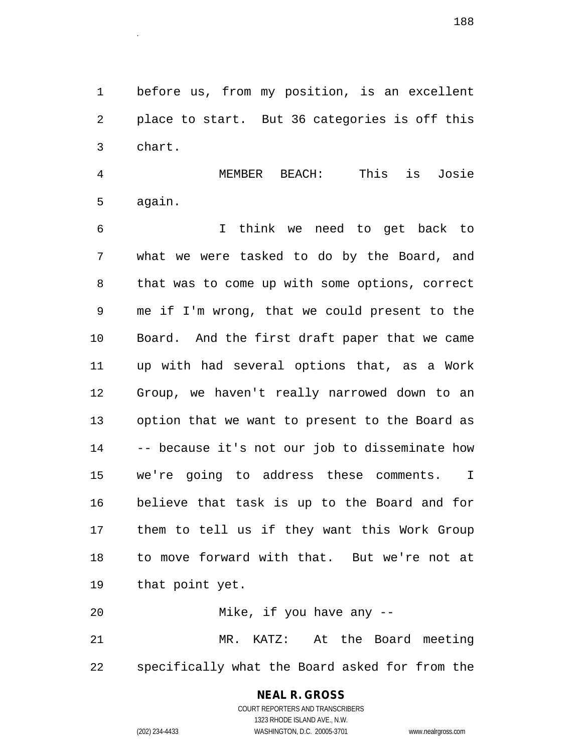1 before us, from my position, is an excellent 2 place to start. But 36 categories is off this 3 chart.

4 MEMBER BEACH: This is Josie 5 again.

6 I think we need to get back to 7 what we were tasked to do by the Board, and 8 that was to come up with some options, correct 9 me if I'm wrong, that we could present to the 10 Board. And the first draft paper that we came 11 up with had several options that, as a Work 12 Group, we haven't really narrowed down to an 13 option that we want to present to the Board as 14 -- because it's not our job to disseminate how 15 we're going to address these comments. I 16 believe that task is up to the Board and for 17 them to tell us if they want this Work Group 18 to move forward with that. But we're not at 19 that point yet.

```
20 Mike, if you have any --
21 MR. KATZ: At the Board meeting 
22 specifically what the Board asked for from the
```
## **NEAL R. GROSS**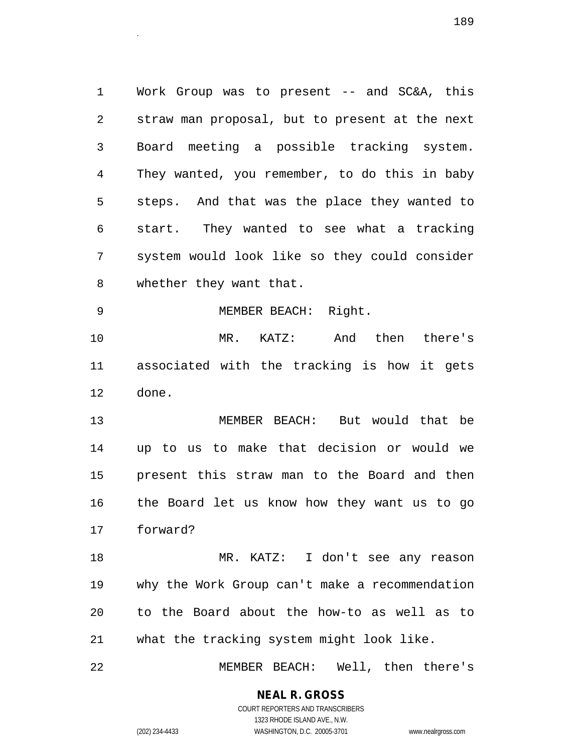1 Work Group was to present -- and SC&A, this 2 straw man proposal, but to present at the next 3 Board meeting a possible tracking system. 4 They wanted, you remember, to do this in baby 5 steps. And that was the place they wanted to 6 start. They wanted to see what a tracking 7 system would look like so they could consider 8 whether they want that.

9 MEMBER BEACH: Right.

10 MR. KATZ: And then there's 11 associated with the tracking is how it gets 12 done.

13 MEMBER BEACH: But would that be 14 up to us to make that decision or would we 15 present this straw man to the Board and then 16 the Board let us know how they want us to go 17 forward?

18 MR. KATZ: I don't see any reason 19 why the Work Group can't make a recommendation 20 to the Board about the how-to as well as to 21 what the tracking system might look like.

22 MEMBER BEACH: Well, then there's

**NEAL R. GROSS** COURT REPORTERS AND TRANSCRIBERS

1323 RHODE ISLAND AVE., N.W.

(202) 234-4433 WASHINGTON, D.C. 20005-3701 www.nealrgross.com

е процесс в последните при в 189 године в 189 године в 189 године в 189 године в 189 године в 189 године в 189<br>Село в 189 године в 189 године в 189 године в 189 године в 189 године в 189 године в 189 године в 189 године в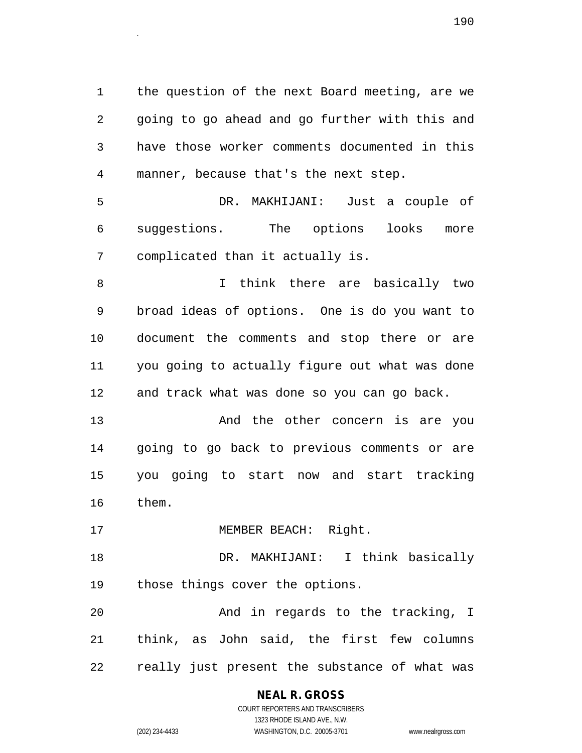1 the question of the next Board meeting, are we 2 going to go ahead and go further with this and 3 have those worker comments documented in this 4 manner, because that's the next step.

5 DR. MAKHIJANI: Just a couple of 6 suggestions. The options looks more 7 complicated than it actually is.

8 I think there are basically two 9 broad ideas of options. One is do you want to 10 document the comments and stop there or are 11 you going to actually figure out what was done 12 and track what was done so you can go back.

13 And the other concern is are you 14 going to go back to previous comments or are 15 you going to start now and start tracking 16 them.

17 MEMBER BEACH: Right.

18 DR. MAKHIJANI: I think basically 19 those things cover the options.

20 And in regards to the tracking, I 21 think, as John said, the first few columns 22 really just present the substance of what was

> **NEAL R. GROSS** COURT REPORTERS AND TRANSCRIBERS 1323 RHODE ISLAND AVE., N.W.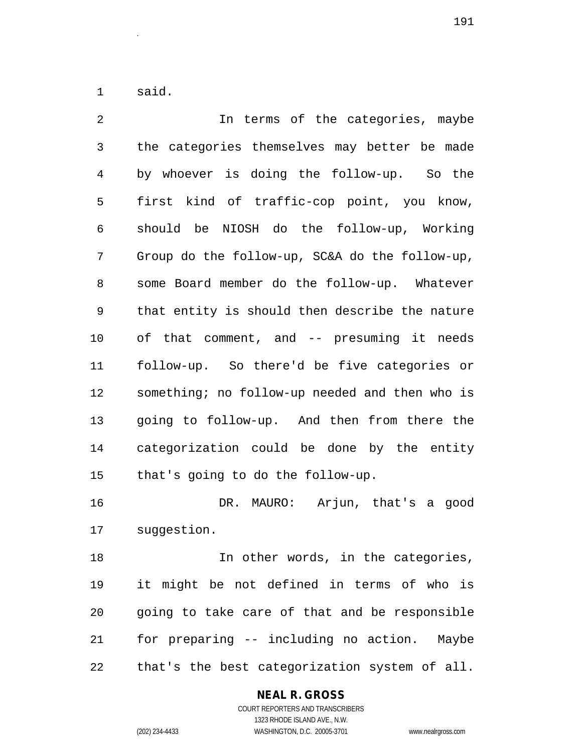1 said.

2 In terms of the categories, maybe 3 the categories themselves may better be made 4 by whoever is doing the follow-up. So the 5 first kind of traffic-cop point, you know, 6 should be NIOSH do the follow-up, Working 7 Group do the follow-up, SC&A do the follow-up, 8 some Board member do the follow-up. Whatever 9 that entity is should then describe the nature 10 of that comment, and -- presuming it needs 11 follow-up. So there'd be five categories or 12 something; no follow-up needed and then who is 13 going to follow-up. And then from there the 14 categorization could be done by the entity 15 that's going to do the follow-up.

16 DR. MAURO: Arjun, that's a good 17 suggestion.

18 **In other words, in the categories,** 19 it might be not defined in terms of who is 20 going to take care of that and be responsible 21 for preparing -- including no action. Maybe 22 that's the best categorization system of all.

#### **NEAL R. GROSS** COURT REPORTERS AND TRANSCRIBERS

1323 RHODE ISLAND AVE., N.W. (202) 234-4433 WASHINGTON, D.C. 20005-3701 www.nealrgross.com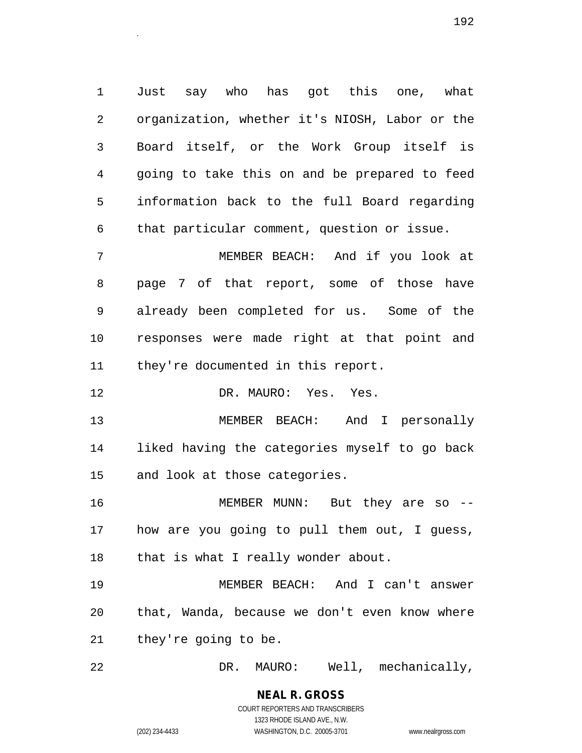1 Just say who has got this one, what 2 organization, whether it's NIOSH, Labor or the 3 Board itself, or the Work Group itself is 4 going to take this on and be prepared to feed 5 information back to the full Board regarding 6 that particular comment, question or issue.

7 MEMBER BEACH: And if you look at 8 page 7 of that report, some of those have 9 already been completed for us. Some of the 10 responses were made right at that point and 11 they're documented in this report.

12 DR. MAURO: Yes. Yes.

13 MEMBER BEACH: And I personally 14 liked having the categories myself to go back 15 and look at those categories.

16 MEMBER MUNN: But they are so -- 17 how are you going to pull them out, I guess, 18 that is what I really wonder about.

19 MEMBER BEACH: And I can't answer 20 that, Wanda, because we don't even know where 21 they're going to be.

22 DR. MAURO: Well, mechanically,

#### **NEAL R. GROSS** COURT REPORTERS AND TRANSCRIBERS 1323 RHODE ISLAND AVE., N.W.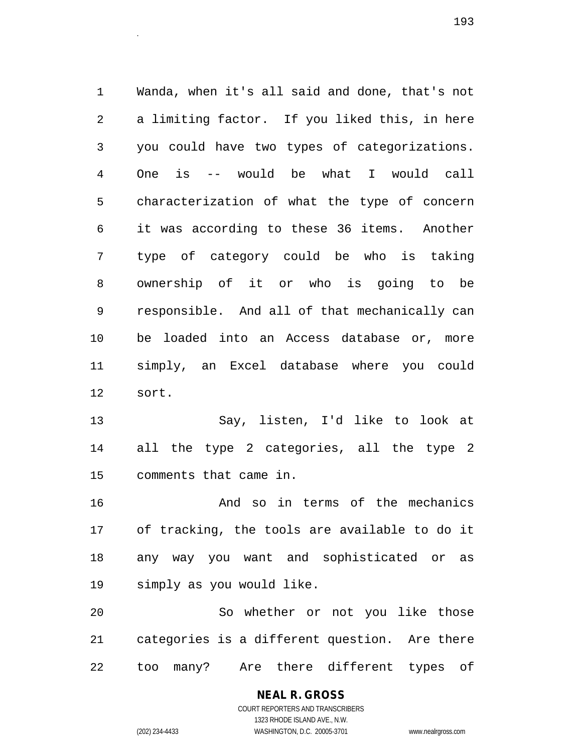1 Wanda, when it's all said and done, that's not 2 a limiting factor. If you liked this, in here 3 you could have two types of categorizations. 4 One is -- would be what I would call 5 characterization of what the type of concern 6 it was according to these 36 items. Another 7 type of category could be who is taking 8 ownership of it or who is going to be 9 responsible. And all of that mechanically can 10 be loaded into an Access database or, more 11 simply, an Excel database where you could 12 sort.

13 Say, listen, I'd like to look at 14 all the type 2 categories, all the type 2 15 comments that came in.

16 And so in terms of the mechanics 17 of tracking, the tools are available to do it 18 any way you want and sophisticated or as 19 simply as you would like.

20 So whether or not you like those 21 categories is a different question. Are there 22 too many? Are there different types of

> **NEAL R. GROSS** COURT REPORTERS AND TRANSCRIBERS

> > 1323 RHODE ISLAND AVE., N.W.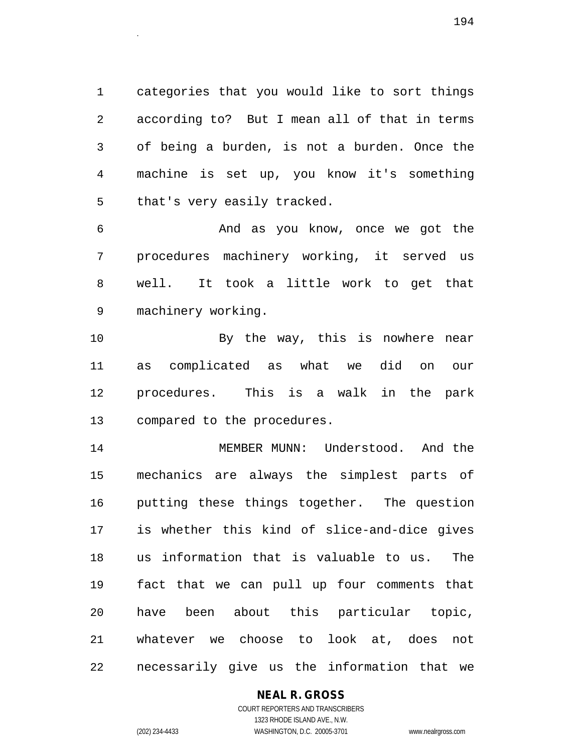1 categories that you would like to sort things 2 according to? But I mean all of that in terms 3 of being a burden, is not a burden. Once the 4 machine is set up, you know it's something 5 that's very easily tracked.

6 And as you know, once we got the 7 procedures machinery working, it served us 8 well. It took a little work to get that 9 machinery working.

10 By the way, this is nowhere near 11 as complicated as what we did on our 12 procedures. This is a walk in the park 13 compared to the procedures.

14 MEMBER MUNN: Understood. And the 15 mechanics are always the simplest parts of 16 putting these things together. The question 17 is whether this kind of slice-and-dice gives 18 us information that is valuable to us. The 19 fact that we can pull up four comments that 20 have been about this particular topic, 21 whatever we choose to look at, does not 22 necessarily give us the information that we

### **NEAL R. GROSS**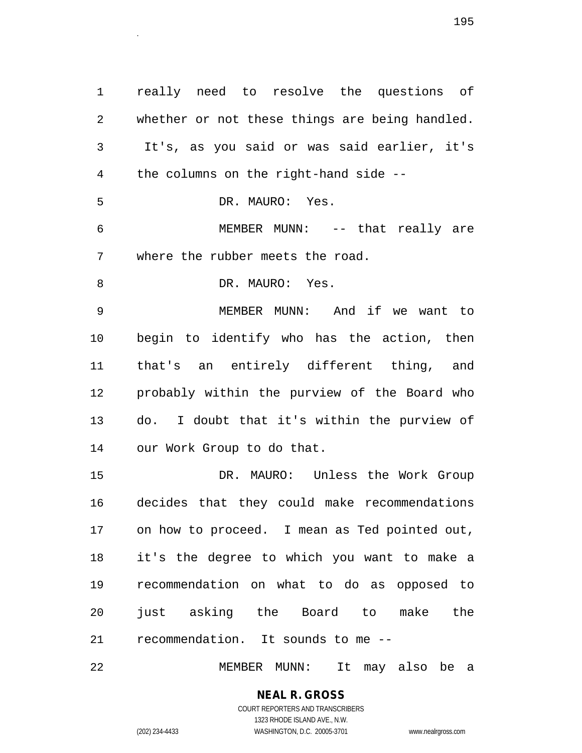1 really need to resolve the questions of 2 whether or not these things are being handled. 3 It's, as you said or was said earlier, it's 4 the columns on the right-hand side -- 5 DR. MAURO: Yes. 6 MEMBER MUNN: -- that really are 7 where the rubber meets the road. 8 DR. MAURO: Yes. 9 MEMBER MUNN: And if we want to 10 begin to identify who has the action, then 11 that's an entirely different thing, and 12 probably within the purview of the Board who 13 do. I doubt that it's within the purview of 14 our Work Group to do that. 15 DR. MAURO: Unless the Work Group 16 decides that they could make recommendations 17 on how to proceed. I mean as Ted pointed out, 18 it's the degree to which you want to make a 19 recommendation on what to do as opposed to 20 just asking the Board to make the 21 recommendation. It sounds to me --

22 MEMBER MUNN: It may also be a

#### **NEAL R. GROSS** COURT REPORTERS AND TRANSCRIBERS

1323 RHODE ISLAND AVE., N.W. (202) 234-4433 WASHINGTON, D.C. 20005-3701 www.nealrgross.com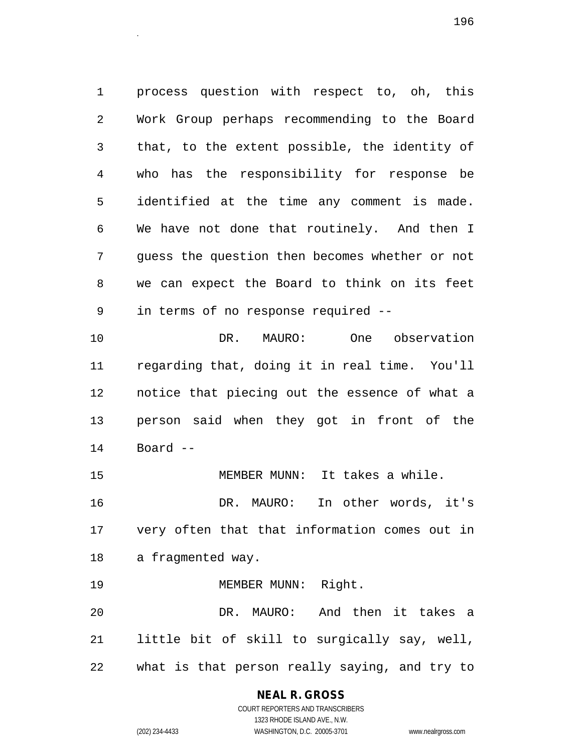1 process question with respect to, oh, this 2 Work Group perhaps recommending to the Board 3 that, to the extent possible, the identity of 4 who has the responsibility for response be 5 identified at the time any comment is made. 6 We have not done that routinely. And then I 7 guess the question then becomes whether or not 8 we can expect the Board to think on its feet 9 in terms of no response required --

10 DR. MAURO: One observation 11 regarding that, doing it in real time. You'll 12 notice that piecing out the essence of what a 13 person said when they got in front of the 14 Board --

15 MEMBER MUNN: It takes a while. 16 DR. MAURO: In other words, it's 17 very often that that information comes out in 18 a fragmented way.

19 MEMBER MUNN: Right. 20 DR. MAURO: And then it takes a 21 little bit of skill to surgically say, well, 22 what is that person really saying, and try to

#### **NEAL R. GROSS**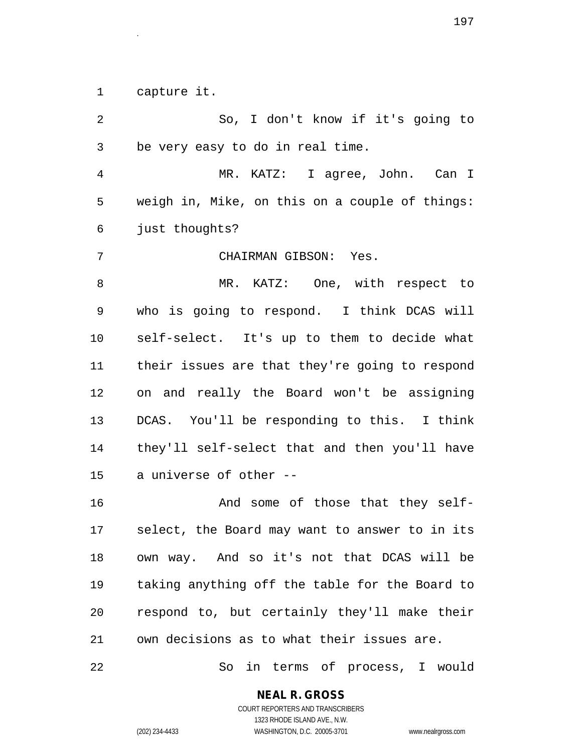1 capture it.

2 So, I don't know if it's going to 3 be very easy to do in real time. 4 MR. KATZ: I agree, John. Can I 5 weigh in, Mike, on this on a couple of things: 6 just thoughts? 7 CHAIRMAN GIBSON: Yes. 8 MR. KATZ: One, with respect to 9 who is going to respond. I think DCAS will 10 self-select. It's up to them to decide what 11 their issues are that they're going to respond 12 on and really the Board won't be assigning 13 DCAS. You'll be responding to this. I think 14 they'll self-select that and then you'll have 15 a universe of other --

16 And some of those that they self-17 select, the Board may want to answer to in its 18 own way. And so it's not that DCAS will be 19 taking anything off the table for the Board to 20 respond to, but certainly they'll make their 21 own decisions as to what their issues are.

22 So in terms of process, I would

**NEAL R. GROSS**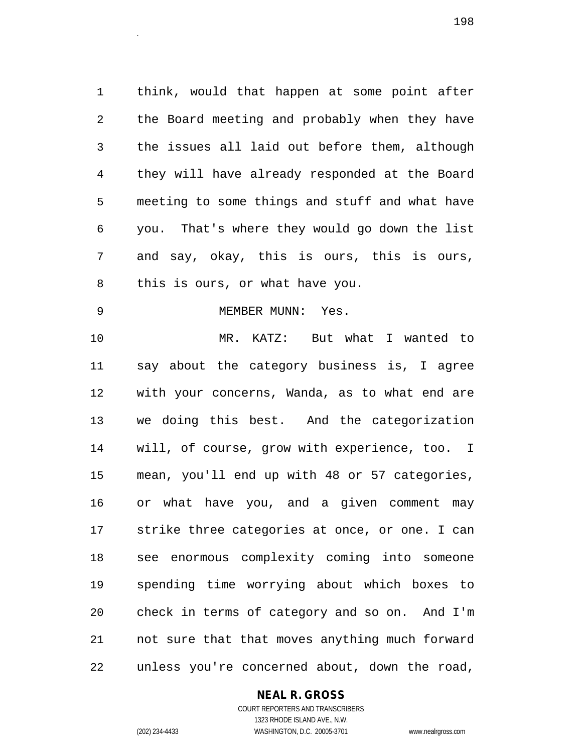1 think, would that happen at some point after 2 the Board meeting and probably when they have 3 the issues all laid out before them, although 4 they will have already responded at the Board 5 meeting to some things and stuff and what have 6 you. That's where they would go down the list 7 and say, okay, this is ours, this is ours, 8 this is ours, or what have you.

9 MEMBER MUNN: Yes.

10 MR. KATZ: But what I wanted to 11 say about the category business is, I agree 12 with your concerns, Wanda, as to what end are 13 we doing this best. And the categorization 14 will, of course, grow with experience, too. I 15 mean, you'll end up with 48 or 57 categories, 16 or what have you, and a given comment may 17 strike three categories at once, or one. I can 18 see enormous complexity coming into someone 19 spending time worrying about which boxes to 20 check in terms of category and so on. And I'm 21 not sure that that moves anything much forward 22 unless you're concerned about, down the road,

#### **NEAL R. GROSS**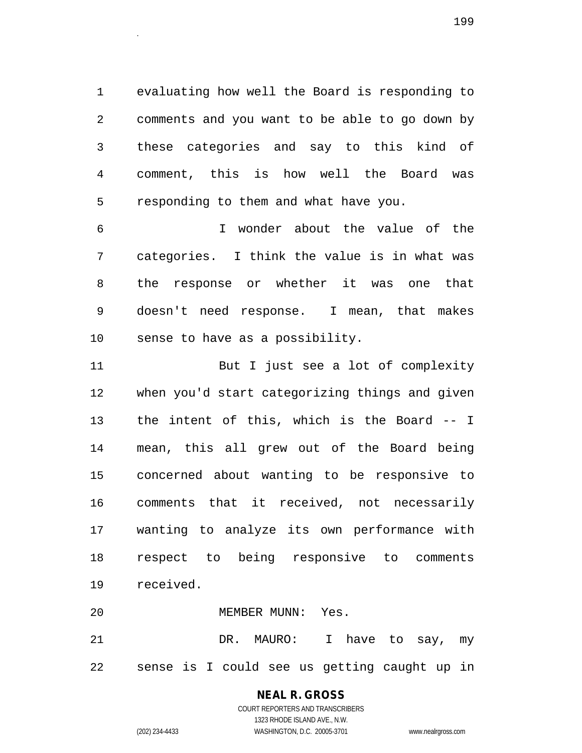1 evaluating how well the Board is responding to 2 comments and you want to be able to go down by 3 these categories and say to this kind of 4 comment, this is how well the Board was 5 responding to them and what have you.

6 I wonder about the value of the 7 categories. I think the value is in what was 8 the response or whether it was one that 9 doesn't need response. I mean, that makes 10 sense to have as a possibility.

11 But I just see a lot of complexity 12 when you'd start categorizing things and given 13 the intent of this, which is the Board -- I 14 mean, this all grew out of the Board being 15 concerned about wanting to be responsive to 16 comments that it received, not necessarily 17 wanting to analyze its own performance with 18 respect to being responsive to comments 19 received.

20 MEMBER MUNN: Yes.

21 DR. MAURO: I have to say, my 22 sense is I could see us getting caught up in

## **NEAL R. GROSS**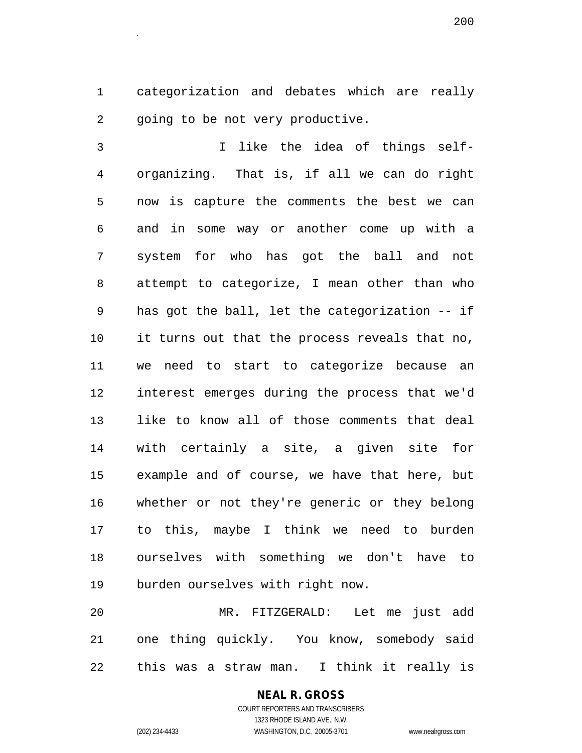1 categorization and debates which are really 2 going to be not very productive.

3 I like the idea of things self-4 organizing. That is, if all we can do right 5 now is capture the comments the best we can 6 and in some way or another come up with a 7 system for who has got the ball and not 8 attempt to categorize, I mean other than who 9 has got the ball, let the categorization -- if 10 it turns out that the process reveals that no, 11 we need to start to categorize because an 12 interest emerges during the process that we'd 13 like to know all of those comments that deal 14 with certainly a site, a given site for 15 example and of course, we have that here, but 16 whether or not they're generic or they belong 17 to this, maybe I think we need to burden 18 ourselves with something we don't have to 19 burden ourselves with right now.

20 MR. FITZGERALD: Let me just add 21 one thing quickly. You know, somebody said 22 this was a straw man. I think it really is

#### **NEAL R. GROSS** COURT REPORTERS AND TRANSCRIBERS

1323 RHODE ISLAND AVE., N.W. (202) 234-4433 WASHINGTON, D.C. 20005-3701 www.nealrgross.com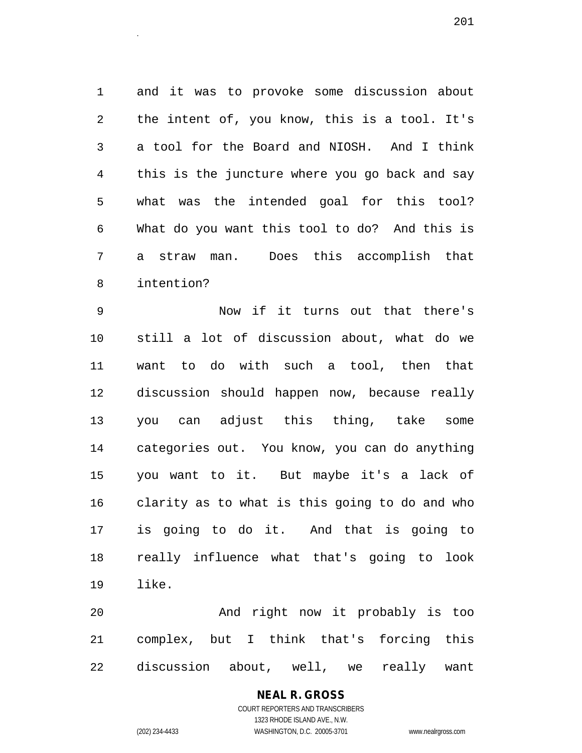1 and it was to provoke some discussion about 2 the intent of, you know, this is a tool. It's 3 a tool for the Board and NIOSH. And I think 4 this is the juncture where you go back and say 5 what was the intended goal for this tool? 6 What do you want this tool to do? And this is 7 a straw man. Does this accomplish that 8 intention?

9 Now if it turns out that there's 10 still a lot of discussion about, what do we 11 want to do with such a tool, then that 12 discussion should happen now, because really 13 you can adjust this thing, take some 14 categories out. You know, you can do anything 15 you want to it. But maybe it's a lack of 16 clarity as to what is this going to do and who 17 is going to do it. And that is going to 18 really influence what that's going to look 19 like.

20 And right now it probably is too 21 complex, but I think that's forcing this 22 discussion about, well, we really want

## **NEAL R. GROSS**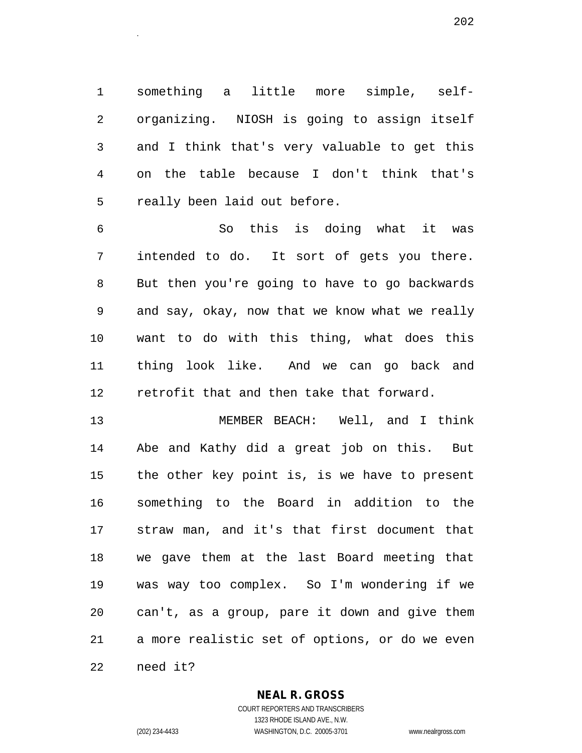1 something a little more simple, self-2 organizing. NIOSH is going to assign itself 3 and I think that's very valuable to get this 4 on the table because I don't think that's 5 really been laid out before.

6 So this is doing what it was 7 intended to do. It sort of gets you there. 8 But then you're going to have to go backwards 9 and say, okay, now that we know what we really 10 want to do with this thing, what does this 11 thing look like. And we can go back and 12 retrofit that and then take that forward.

13 MEMBER BEACH: Well, and I think 14 Abe and Kathy did a great job on this. But 15 the other key point is, is we have to present 16 something to the Board in addition to the 17 straw man, and it's that first document that 18 we gave them at the last Board meeting that 19 was way too complex. So I'm wondering if we 20 can't, as a group, pare it down and give them 21 a more realistic set of options, or do we even

22 need it?

**NEAL R. GROSS** COURT REPORTERS AND TRANSCRIBERS

1323 RHODE ISLAND AVE., N.W. (202) 234-4433 WASHINGTON, D.C. 20005-3701 www.nealrgross.com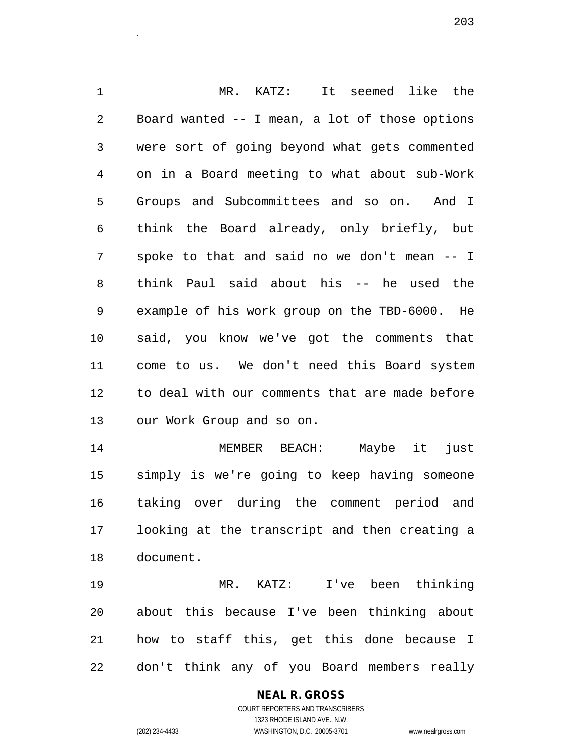1 MR. KATZ: It seemed like the 2 Board wanted -- I mean, a lot of those options 3 were sort of going beyond what gets commented 4 on in a Board meeting to what about sub-Work 5 Groups and Subcommittees and so on. And I 6 think the Board already, only briefly, but 7 spoke to that and said no we don't mean -- I 8 think Paul said about his -- he used the 9 example of his work group on the TBD-6000. He 10 said, you know we've got the comments that 11 come to us. We don't need this Board system 12 to deal with our comments that are made before 13 our Work Group and so on.

14 MEMBER BEACH: Maybe it just 15 simply is we're going to keep having someone 16 taking over during the comment period and 17 looking at the transcript and then creating a 18 document.

19 MR. KATZ: I've been thinking 20 about this because I've been thinking about 21 how to staff this, get this done because I 22 don't think any of you Board members really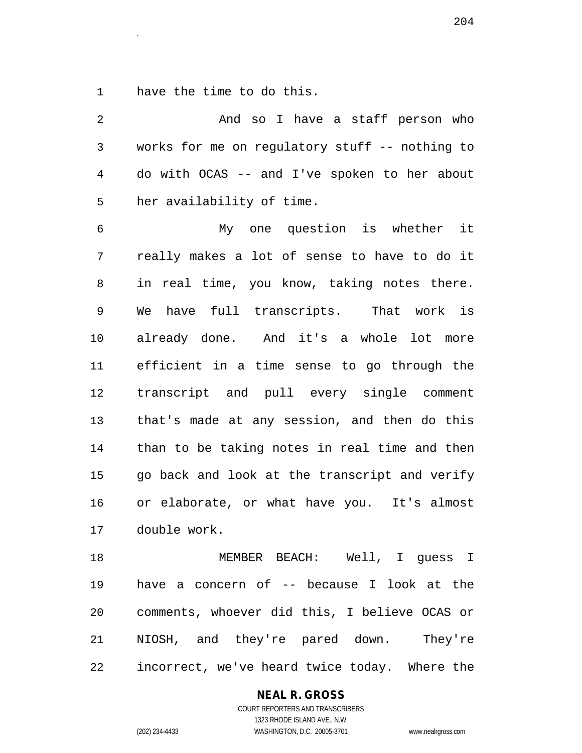1 have the time to do this.

2 And so I have a staff person who 3 works for me on regulatory stuff -- nothing to 4 do with OCAS -- and I've spoken to her about 5 her availability of time. 6 My one question is whether it 7 really makes a lot of sense to have to do it 8 in real time, you know, taking notes there. 9 We have full transcripts. That work is 10 already done. And it's a whole lot more 11 efficient in a time sense to go through the 12 transcript and pull every single comment 13 that's made at any session, and then do this 14 than to be taking notes in real time and then 15 go back and look at the transcript and verify 16 or elaborate, or what have you. It's almost 17 double work. 18 MEMBER BEACH: Well, I guess I 19 have a concern of -- because I look at the 20 comments, whoever did this, I believe OCAS or

21 NIOSH, and they're pared down. They're 22 incorrect, we've heard twice today. Where the

#### **NEAL R. GROSS**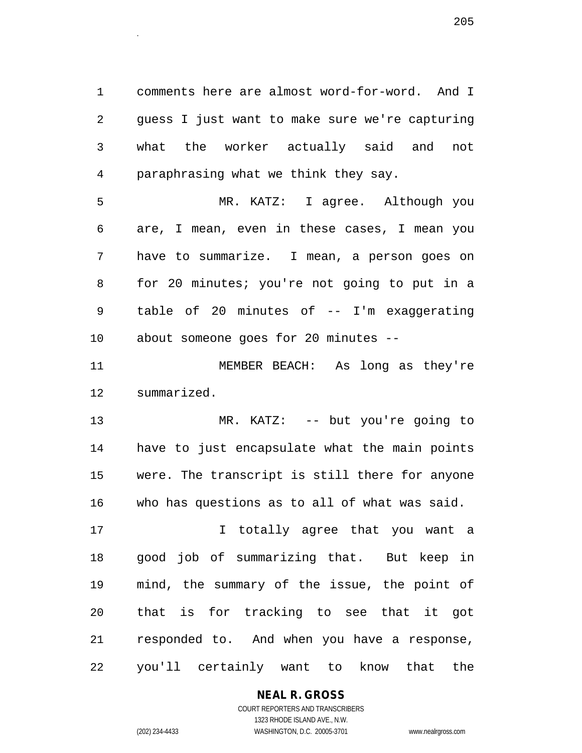1 comments here are almost word-for-word. And I 2 guess I just want to make sure we're capturing 3 what the worker actually said and not 4 paraphrasing what we think they say.

5 MR. KATZ: I agree. Although you 6 are, I mean, even in these cases, I mean you 7 have to summarize. I mean, a person goes on 8 for 20 minutes; you're not going to put in a 9 table of 20 minutes of -- I'm exaggerating 10 about someone goes for 20 minutes --

11 MEMBER BEACH: As long as they're 12 summarized.

13 MR. KATZ: -- but you're going to 14 have to just encapsulate what the main points 15 were. The transcript is still there for anyone 16 who has questions as to all of what was said.

17 I totally agree that you want a 18 good job of summarizing that. But keep in 19 mind, the summary of the issue, the point of 20 that is for tracking to see that it got 21 responded to. And when you have a response, 22 you'll certainly want to know that the

**NEAL R. GROSS**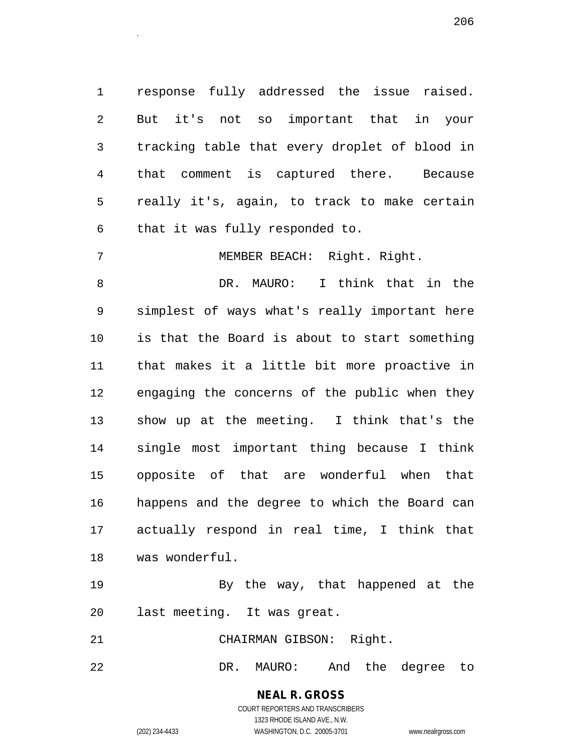1 response fully addressed the issue raised. 2 But it's not so important that in your 3 tracking table that every droplet of blood in 4 that comment is captured there. Because 5 really it's, again, to track to make certain 6 that it was fully responded to.

7 MEMBER BEACH: Right. Right.

8 DR. MAURO: I think that in the 9 simplest of ways what's really important here 10 is that the Board is about to start something 11 that makes it a little bit more proactive in 12 engaging the concerns of the public when they 13 show up at the meeting. I think that's the 14 single most important thing because I think 15 opposite of that are wonderful when that 16 happens and the degree to which the Board can 17 actually respond in real time, I think that 18 was wonderful.

19 By the way, that happened at the 20 last meeting. It was great.

21 CHAIRMAN GIBSON: Right.

22 DR. MAURO: And the degree to

**NEAL R. GROSS** COURT REPORTERS AND TRANSCRIBERS 1323 RHODE ISLAND AVE., N.W.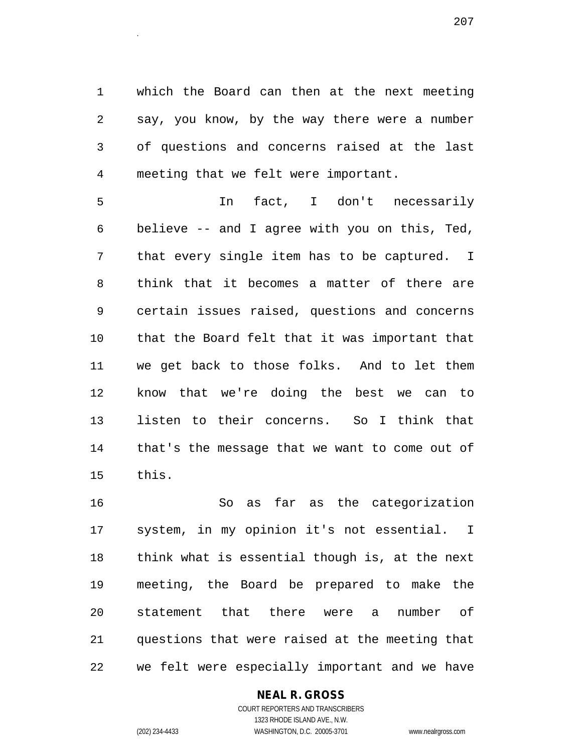1 which the Board can then at the next meeting 2 say, you know, by the way there were a number 3 of questions and concerns raised at the last 4 meeting that we felt were important.

5 In fact, I don't necessarily 6 believe -- and I agree with you on this, Ted, 7 that every single item has to be captured. I 8 think that it becomes a matter of there are 9 certain issues raised, questions and concerns 10 that the Board felt that it was important that 11 we get back to those folks. And to let them 12 know that we're doing the best we can to 13 listen to their concerns. So I think that 14 that's the message that we want to come out of 15 this.

16 So as far as the categorization 17 system, in my opinion it's not essential. I 18 think what is essential though is, at the next 19 meeting, the Board be prepared to make the 20 statement that there were a number of 21 questions that were raised at the meeting that 22 we felt were especially important and we have

#### **NEAL R. GROSS**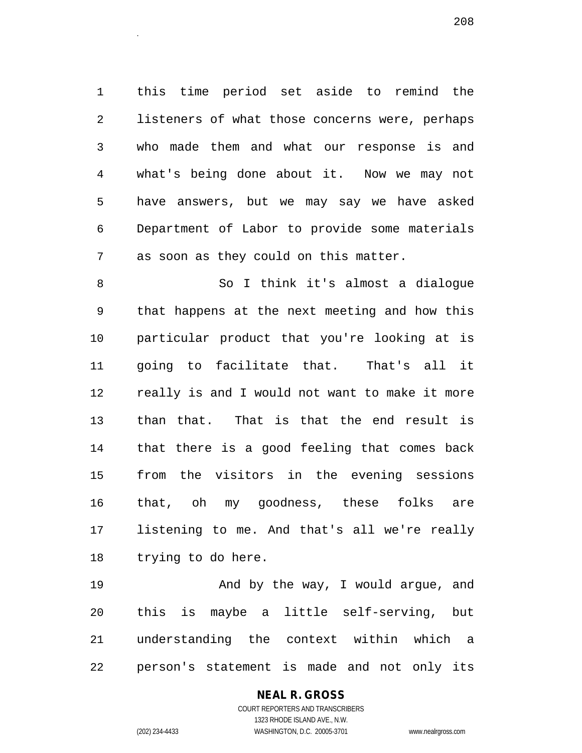1 this time period set aside to remind the 2 listeners of what those concerns were, perhaps 3 who made them and what our response is and 4 what's being done about it. Now we may not 5 have answers, but we may say we have asked 6 Department of Labor to provide some materials 7 as soon as they could on this matter.

8 So I think it's almost a dialogue 9 that happens at the next meeting and how this 10 particular product that you're looking at is 11 going to facilitate that. That's all it 12 really is and I would not want to make it more 13 than that. That is that the end result is 14 that there is a good feeling that comes back 15 from the visitors in the evening sessions 16 that, oh my goodness, these folks are 17 listening to me. And that's all we're really 18 trying to do here.

19 And by the way, I would argue, and 20 this is maybe a little self-serving, but 21 understanding the context within which a 22 person's statement is made and not only its

## **NEAL R. GROSS**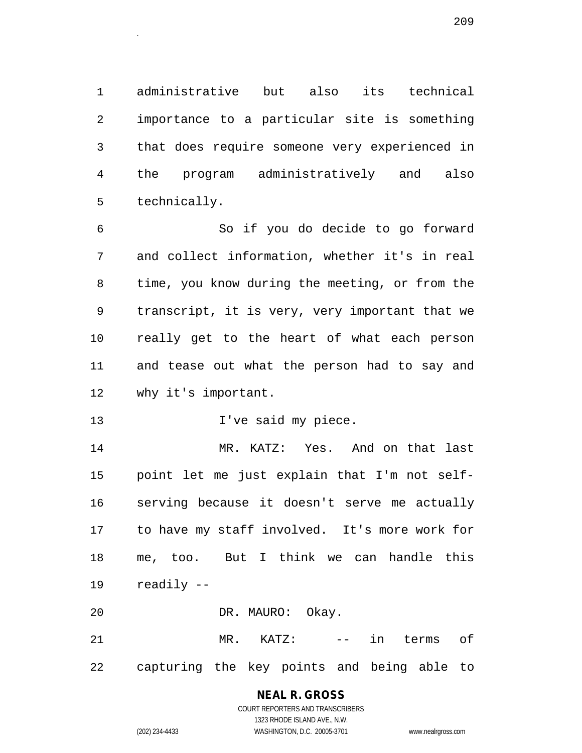1 administrative but also its technical 2 importance to a particular site is something 3 that does require someone very experienced in 4 the program administratively and also 5 technically.

6 So if you do decide to go forward 7 and collect information, whether it's in real 8 time, you know during the meeting, or from the 9 transcript, it is very, very important that we 10 really get to the heart of what each person 11 and tease out what the person had to say and 12 why it's important.

13 1've said my piece.

14 MR. KATZ: Yes. And on that last 15 point let me just explain that I'm not self-16 serving because it doesn't serve me actually 17 to have my staff involved. It's more work for 18 me, too. But I think we can handle this 19 readily --

20 DR. MAURO: Okay.

21 MR. KATZ: -- in terms of 22 capturing the key points and being able to

## **NEAL R. GROSS**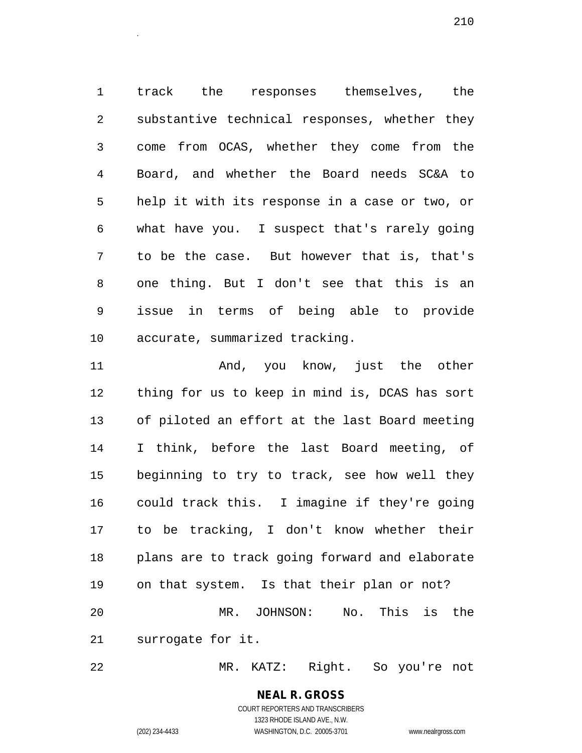1 track the responses themselves, the 2 substantive technical responses, whether they 3 come from OCAS, whether they come from the 4 Board, and whether the Board needs SC&A to 5 help it with its response in a case or two, or 6 what have you. I suspect that's rarely going 7 to be the case. But however that is, that's 8 one thing. But I don't see that this is an 9 issue in terms of being able to provide 10 accurate, summarized tracking.

11 And, you know, just the other 12 thing for us to keep in mind is, DCAS has sort 13 of piloted an effort at the last Board meeting 14 I think, before the last Board meeting, of 15 beginning to try to track, see how well they 16 could track this. I imagine if they're going 17 to be tracking, I don't know whether their 18 plans are to track going forward and elaborate 19 on that system. Is that their plan or not? 20 MR. JOHNSON: No. This is the 21 surrogate for it.

22 MR. KATZ: Right. So you're not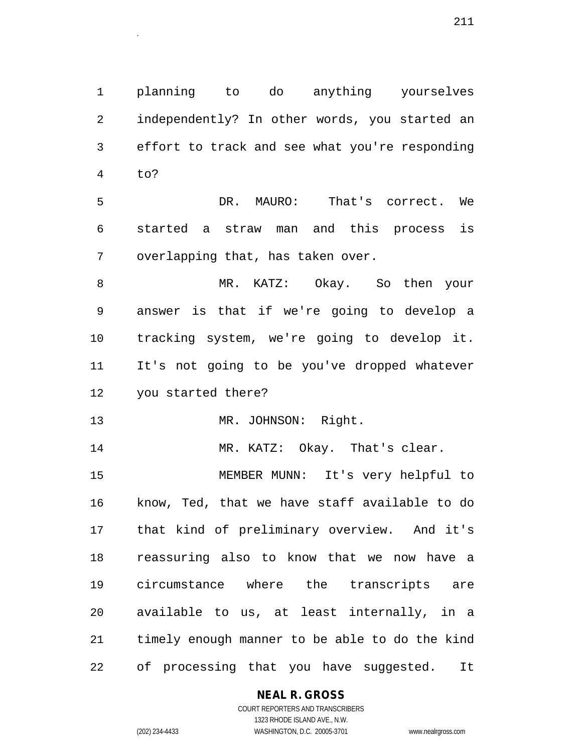1 planning to do anything yourselves 2 independently? In other words, you started an 3 effort to track and see what you're responding 4 to?

5 DR. MAURO: That's correct. We 6 started a straw man and this process is 7 overlapping that, has taken over.

8 MR. KATZ: Okay. So then your 9 answer is that if we're going to develop a 10 tracking system, we're going to develop it. 11 It's not going to be you've dropped whatever 12 you started there?

13 MR. JOHNSON: Right.

14 MR. KATZ: Okay. That's clear.

15 MEMBER MUNN: It's very helpful to 16 know, Ted, that we have staff available to do 17 that kind of preliminary overview. And it's 18 reassuring also to know that we now have a 19 circumstance where the transcripts are 20 available to us, at least internally, in a 21 timely enough manner to be able to do the kind 22 of processing that you have suggested. It

**NEAL R. GROSS**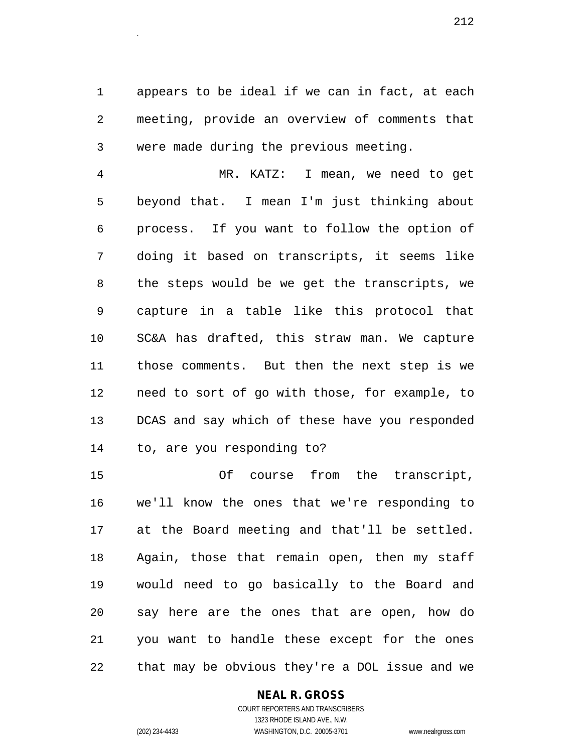1 appears to be ideal if we can in fact, at each 2 meeting, provide an overview of comments that 3 were made during the previous meeting.

4 MR. KATZ: I mean, we need to get 5 beyond that. I mean I'm just thinking about 6 process. If you want to follow the option of 7 doing it based on transcripts, it seems like 8 the steps would be we get the transcripts, we 9 capture in a table like this protocol that 10 SC&A has drafted, this straw man. We capture 11 those comments. But then the next step is we 12 need to sort of go with those, for example, to 13 DCAS and say which of these have you responded 14 to, are you responding to?

15 Of course from the transcript, 16 we'll know the ones that we're responding to 17 at the Board meeting and that'll be settled. 18 Again, those that remain open, then my staff 19 would need to go basically to the Board and 20 say here are the ones that are open, how do 21 you want to handle these except for the ones 22 that may be obvious they're a DOL issue and we

#### **NEAL R. GROSS**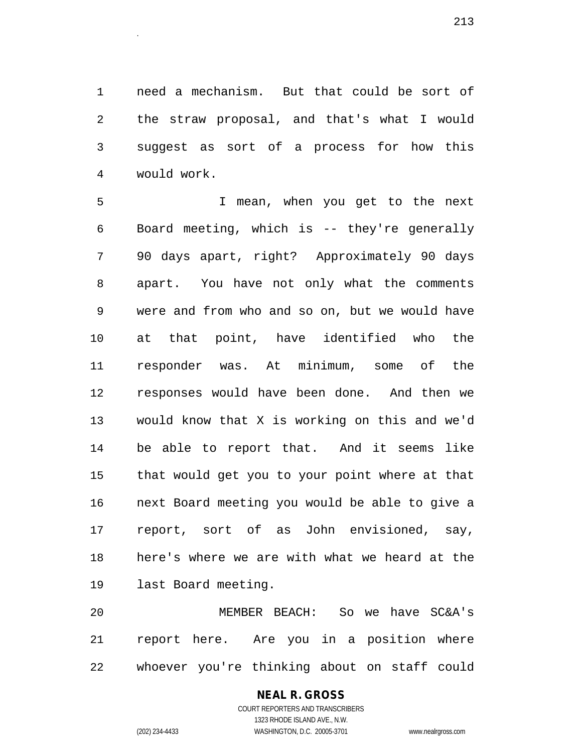1 need a mechanism. But that could be sort of 2 the straw proposal, and that's what I would 3 suggest as sort of a process for how this 4 would work.

5 I mean, when you get to the next 6 Board meeting, which is -- they're generally 7 90 days apart, right? Approximately 90 days 8 apart. You have not only what the comments 9 were and from who and so on, but we would have 10 at that point, have identified who the 11 responder was. At minimum, some of the 12 responses would have been done. And then we 13 would know that X is working on this and we'd 14 be able to report that. And it seems like 15 that would get you to your point where at that 16 next Board meeting you would be able to give a 17 report, sort of as John envisioned, say, 18 here's where we are with what we heard at the 19 last Board meeting.

20 MEMBER BEACH: So we have SC&A's 21 report here. Are you in a position where 22 whoever you're thinking about on staff could

# **NEAL R. GROSS**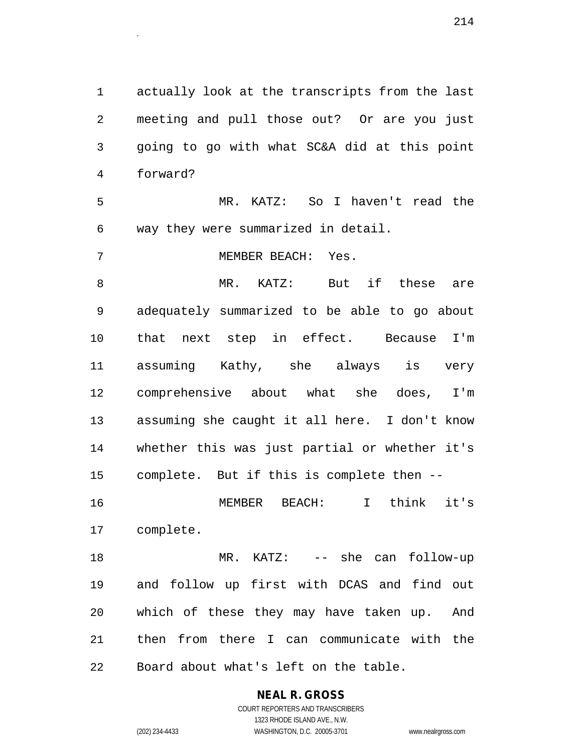1 actually look at the transcripts from the last 2 meeting and pull those out? Or are you just 3 going to go with what SC&A did at this point 4 forward?

5 MR. KATZ: So I haven't read the 6 way they were summarized in detail.

7 MEMBER BEACH: Yes.

8 MR. KATZ: But if these are 9 adequately summarized to be able to go about 10 that next step in effect. Because I'm 11 assuming Kathy, she always is very 12 comprehensive about what she does, I'm 13 assuming she caught it all here. I don't know 14 whether this was just partial or whether it's 15 complete. But if this is complete then -- 16 MEMBER BEACH: I think it's

17 complete.

18 MR. KATZ: -- she can follow-up 19 and follow up first with DCAS and find out 20 which of these they may have taken up. And 21 then from there I can communicate with the 22 Board about what's left on the table.

> **NEAL R. GROSS** COURT REPORTERS AND TRANSCRIBERS 1323 RHODE ISLAND AVE., N.W.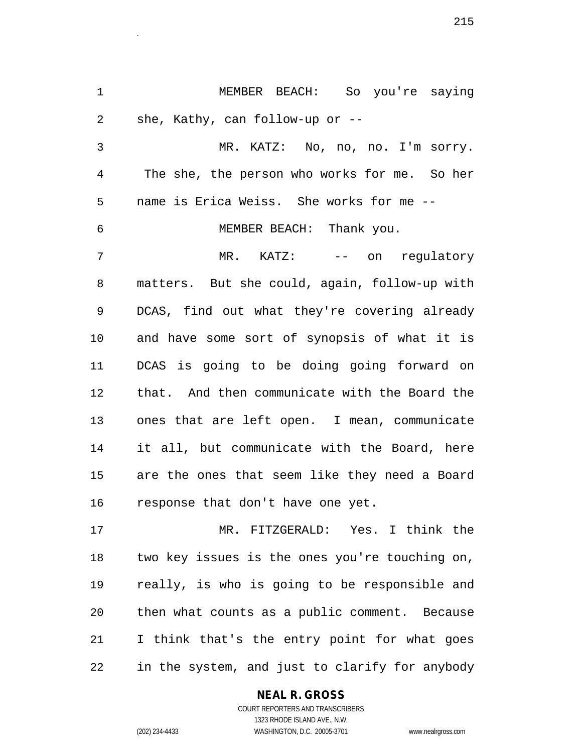1 MEMBER BEACH: So you're saying 2 she, Kathy, can follow-up or --

3 MR. KATZ: No, no, no. I'm sorry. 4 The she, the person who works for me. So her 5 name is Erica Weiss. She works for me --

6 MEMBER BEACH: Thank you.

7 MR. KATZ: -- on requlatory 8 matters. But she could, again, follow-up with 9 DCAS, find out what they're covering already 10 and have some sort of synopsis of what it is 11 DCAS is going to be doing going forward on 12 that. And then communicate with the Board the 13 ones that are left open. I mean, communicate 14 it all, but communicate with the Board, here 15 are the ones that seem like they need a Board 16 response that don't have one yet.

17 MR. FITZGERALD: Yes. I think the 18 two key issues is the ones you're touching on, 19 really, is who is going to be responsible and 20 then what counts as a public comment. Because 21 I think that's the entry point for what goes 22 in the system, and just to clarify for anybody

#### **NEAL R. GROSS**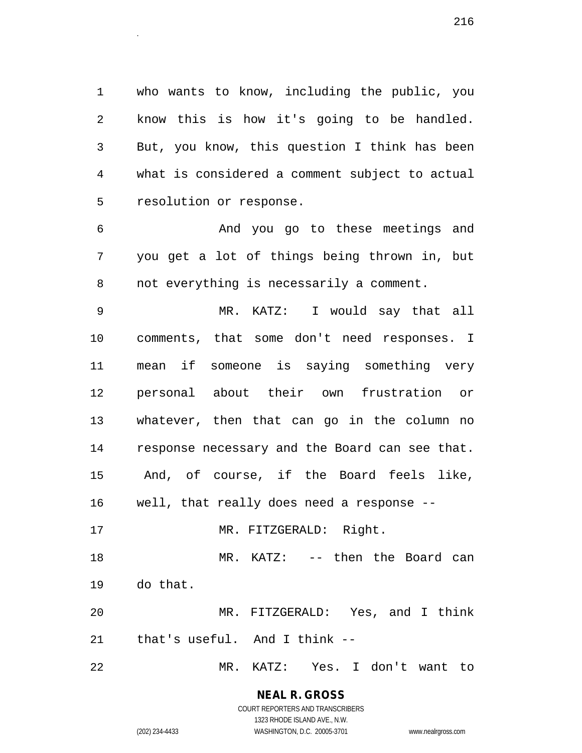1 who wants to know, including the public, you 2 know this is how it's going to be handled. 3 But, you know, this question I think has been 4 what is considered a comment subject to actual 5 resolution or response.

6 And you go to these meetings and 7 you get a lot of things being thrown in, but 8 not everything is necessarily a comment.

9 MR. KATZ: I would say that all 10 comments, that some don't need responses. I 11 mean if someone is saying something very 12 personal about their own frustration or 13 whatever, then that can go in the column no 14 response necessary and the Board can see that. 15 And, of course, if the Board feels like, 16 well, that really does need a response -- 17 MR. FITZGERALD: Right. 18 MR. KATZ: -- then the Board can 19 do that. 20 MR. FITZGERALD: Yes, and I think

21 that's useful. And I think --

22 MR. KATZ: Yes. I don't want to

**NEAL R. GROSS** COURT REPORTERS AND TRANSCRIBERS

1323 RHODE ISLAND AVE., N.W.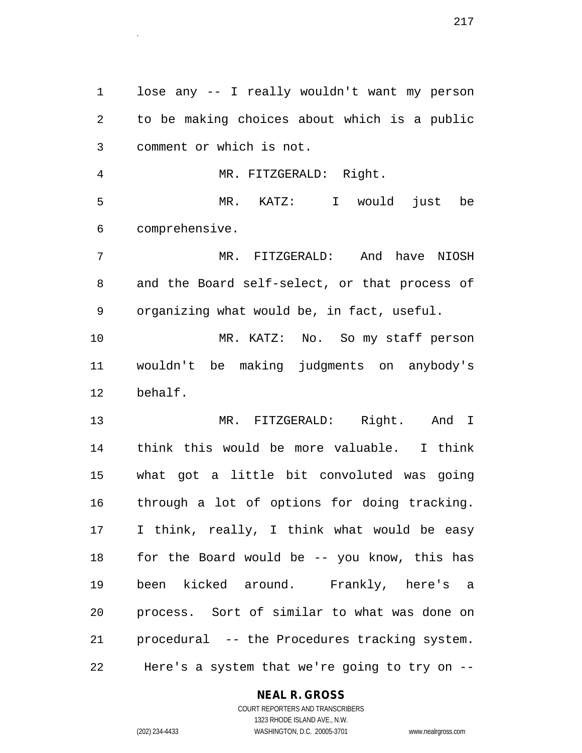1 lose any -- I really wouldn't want my person 2 to be making choices about which is a public 3 comment or which is not. 4 MR. FITZGERALD: Right. 5 MR. KATZ: I would just be 6 comprehensive. 7 MR. FITZGERALD: And have NIOSH 8 and the Board self-select, or that process of 9 organizing what would be, in fact, useful. 10 MR. KATZ: No. So my staff person 11 wouldn't be making judgments on anybody's 12 behalf. 13 MR. FITZGERALD: Right. And I 14 think this would be more valuable. I think 15 what got a little bit convoluted was going 16 through a lot of options for doing tracking. 17 I think, really, I think what would be easy 18 for the Board would be -- you know, this has 19 been kicked around. Frankly, here's a 20 process. Sort of similar to what was done on 21 procedural -- the Procedures tracking system. 22 Here's a system that we're going to try on --

#### **NEAL R. GROSS** COURT REPORTERS AND TRANSCRIBERS

1323 RHODE ISLAND AVE., N.W. (202) 234-4433 WASHINGTON, D.C. 20005-3701 www.nealrgross.com

 $217$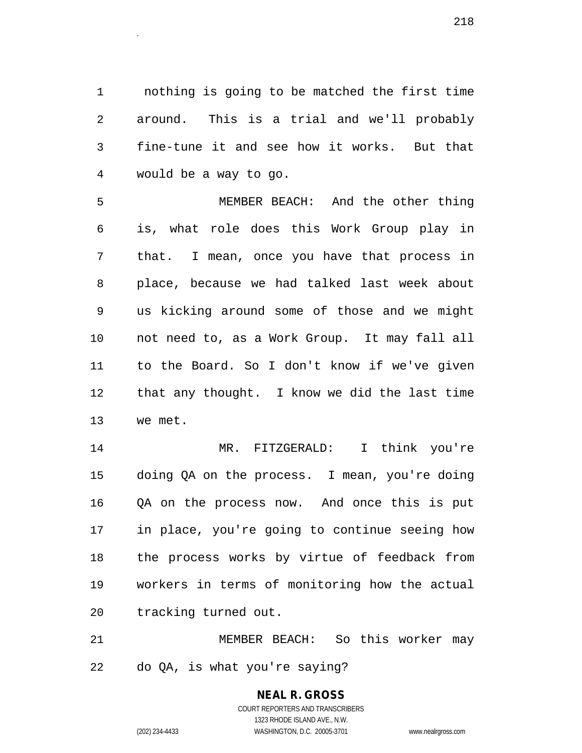1 nothing is going to be matched the first time 2 around. This is a trial and we'll probably 3 fine-tune it and see how it works. But that 4 would be a way to go.

5 MEMBER BEACH: And the other thing 6 is, what role does this Work Group play in 7 that. I mean, once you have that process in 8 place, because we had talked last week about 9 us kicking around some of those and we might 10 not need to, as a Work Group. It may fall all 11 to the Board. So I don't know if we've given 12 that any thought. I know we did the last time 13 we met.

14 MR. FITZGERALD: I think you're 15 doing QA on the process. I mean, you're doing 16 QA on the process now. And once this is put 17 in place, you're going to continue seeing how 18 the process works by virtue of feedback from 19 workers in terms of monitoring how the actual 20 tracking turned out.

21 MEMBER BEACH: So this worker may 22 do QA, is what you're saying?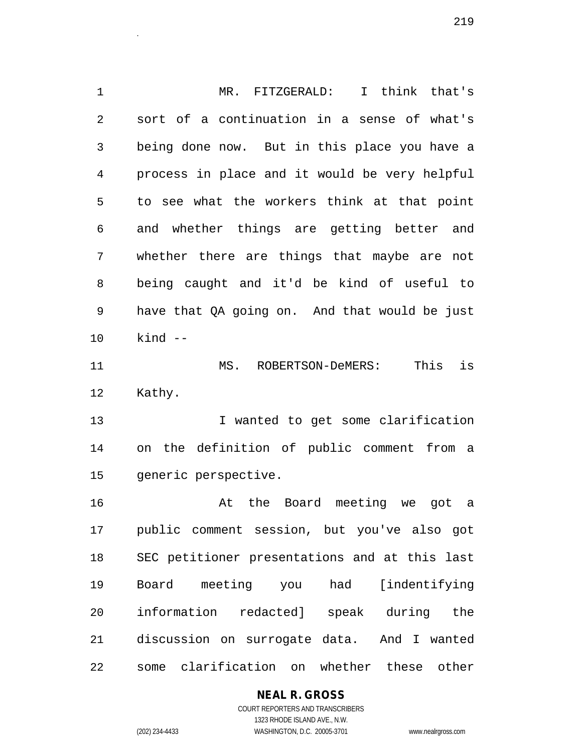1 MR. FITZGERALD: I think that's 2 sort of a continuation in a sense of what's 3 being done now. But in this place you have a 4 process in place and it would be very helpful 5 to see what the workers think at that point 6 and whether things are getting better and 7 whether there are things that maybe are not 8 being caught and it'd be kind of useful to 9 have that QA going on. And that would be just 10 kind -- 11 MS. ROBERTSON-DeMERS: This is 12 Kathy. 13 I wanted to get some clarification 14 on the definition of public comment from a 15 generic perspective. 16 At the Board meeting we got a 17 public comment session, but you've also got 18 SEC petitioner presentations and at this last 19 Board meeting you had [indentifying 20 information redacted] speak during the 21 discussion on surrogate data. And I wanted 22 some clarification on whether these other

 $219$ 

# **NEAL R. GROSS**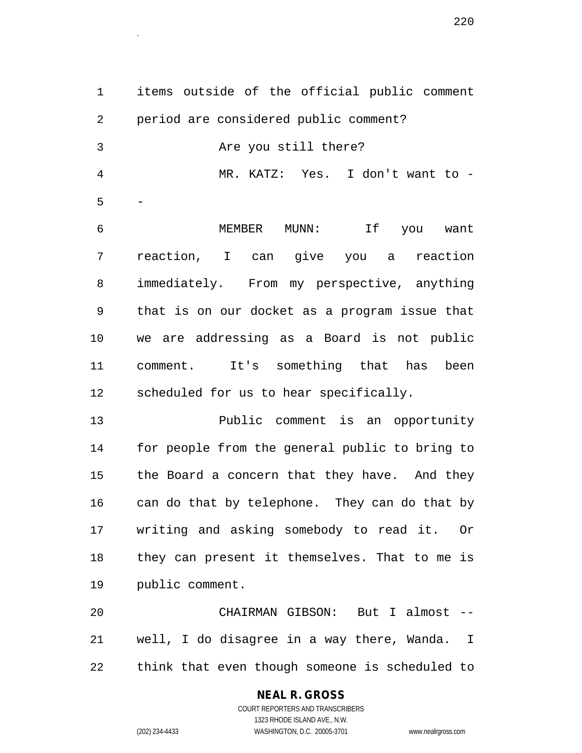1 items outside of the official public comment 2 period are considered public comment? 3 Are you still there? 4 MR. KATZ: Yes. I don't want to -  $5 -$ 6 MEMBER MUNN: If you want 7 reaction, I can give you a reaction 8 immediately. From my perspective, anything 9 that is on our docket as a program issue that 10 we are addressing as a Board is not public 11 comment. It's something that has been 12 scheduled for us to hear specifically.

13 Public comment is an opportunity 14 for people from the general public to bring to 15 the Board a concern that they have. And they 16 can do that by telephone. They can do that by 17 writing and asking somebody to read it. Or 18 they can present it themselves. That to me is 19 public comment.

20 CHAIRMAN GIBSON: But I almost -- 21 well, I do disagree in a way there, Wanda. I 22 think that even though someone is scheduled to

# **NEAL R. GROSS**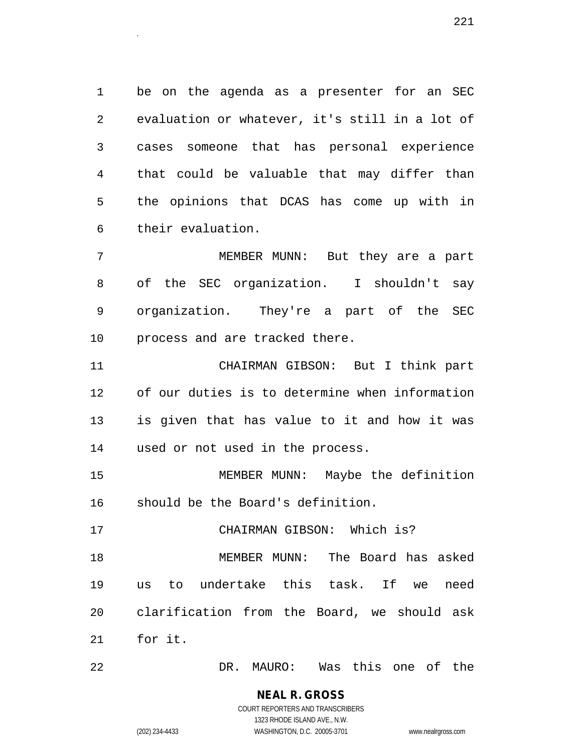1 be on the agenda as a presenter for an SEC 2 evaluation or whatever, it's still in a lot of 3 cases someone that has personal experience 4 that could be valuable that may differ than 5 the opinions that DCAS has come up with in 6 their evaluation.

7 MEMBER MUNN: But they are a part 8 of the SEC organization. I shouldn't say 9 organization. They're a part of the SEC 10 process and are tracked there.

11 CHAIRMAN GIBSON: But I think part 12 of our duties is to determine when information 13 is given that has value to it and how it was 14 used or not used in the process.

15 MEMBER MUNN: Maybe the definition 16 should be the Board's definition.

17 CHAIRMAN GIBSON: Which is?

18 MEMBER MUNN: The Board has asked 19 us to undertake this task. If we need 20 clarification from the Board, we should ask 21 for it.

22 DR. MAURO: Was this one of the

**NEAL R. GROSS** COURT REPORTERS AND TRANSCRIBERS

1323 RHODE ISLAND AVE., N.W.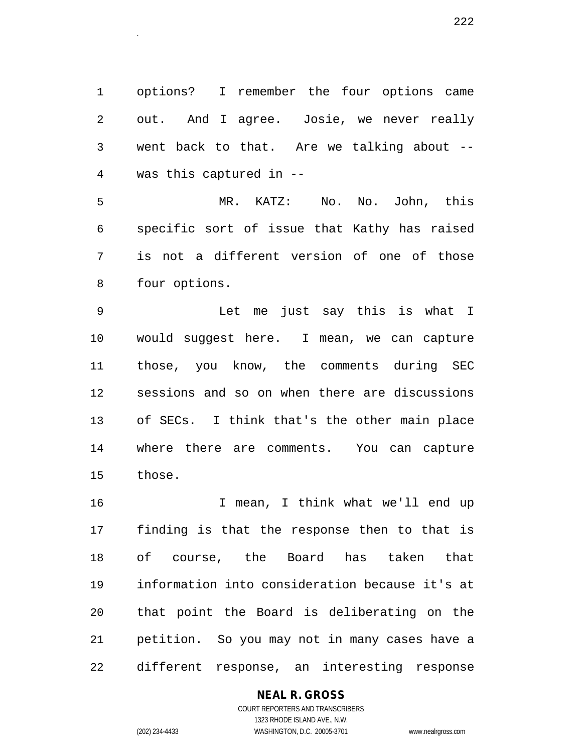1 options? I remember the four options came 2 out. And I agree. Josie, we never really 3 went back to that. Are we talking about -- 4 was this captured in --

5 MR. KATZ: No. No. John, this 6 specific sort of issue that Kathy has raised 7 is not a different version of one of those 8 four options.

9 Let me just say this is what I 10 would suggest here. I mean, we can capture 11 those, you know, the comments during SEC 12 sessions and so on when there are discussions 13 of SECs. I think that's the other main place 14 where there are comments. You can capture 15 those.

16 I mean, I think what we'll end up 17 finding is that the response then to that is 18 of course, the Board has taken that 19 information into consideration because it's at 20 that point the Board is deliberating on the 21 petition. So you may not in many cases have a 22 different response, an interesting response

# **NEAL R. GROSS**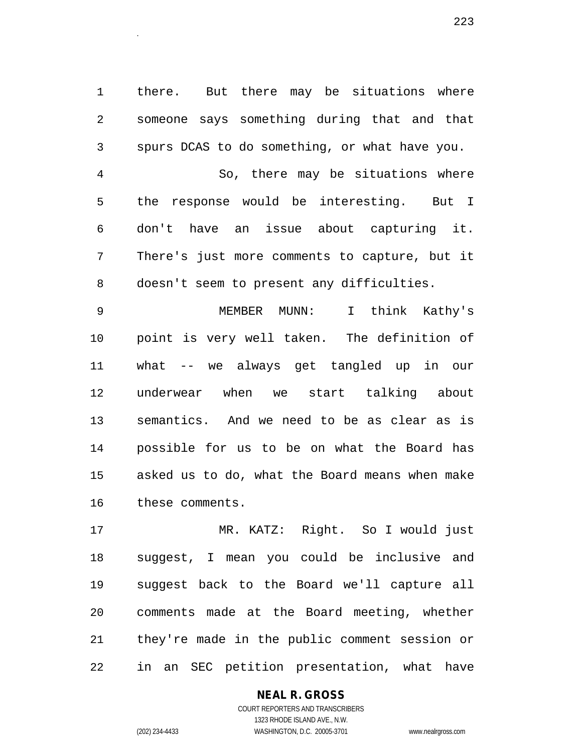1 there. But there may be situations where 2 someone says something during that and that 3 spurs DCAS to do something, or what have you. 4 So, there may be situations where 5 the response would be interesting. But I 6 don't have an issue about capturing it. 7 There's just more comments to capture, but it 8 doesn't seem to present any difficulties.

9 MEMBER MUNN: I think Kathy's 10 point is very well taken. The definition of 11 what -- we always get tangled up in our 12 underwear when we start talking about 13 semantics. And we need to be as clear as is 14 possible for us to be on what the Board has 15 asked us to do, what the Board means when make 16 these comments.

17 MR. KATZ: Right. So I would just 18 suggest, I mean you could be inclusive and 19 suggest back to the Board we'll capture all 20 comments made at the Board meeting, whether 21 they're made in the public comment session or 22 in an SEC petition presentation, what have

# **NEAL R. GROSS**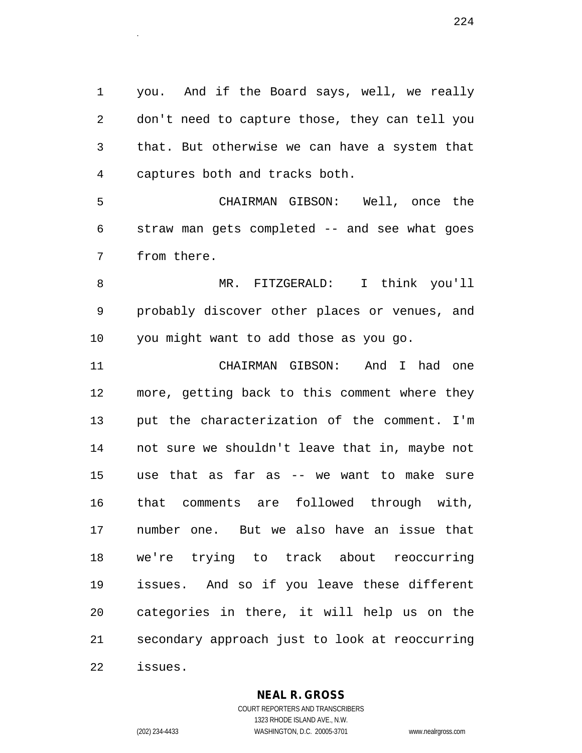1 you. And if the Board says, well, we really 2 don't need to capture those, they can tell you 3 that. But otherwise we can have a system that 4 captures both and tracks both.

5 CHAIRMAN GIBSON: Well, once the 6 straw man gets completed -- and see what goes 7 from there.

8 MR. FITZGERALD: I think you'll 9 probably discover other places or venues, and 10 you might want to add those as you go.

11 CHAIRMAN GIBSON: And I had one 12 more, getting back to this comment where they 13 put the characterization of the comment. I'm 14 not sure we shouldn't leave that in, maybe not 15 use that as far as -- we want to make sure 16 that comments are followed through with, 17 number one. But we also have an issue that 18 we're trying to track about reoccurring 19 issues. And so if you leave these different 20 categories in there, it will help us on the 21 secondary approach just to look at reoccurring 22 issues.

# **NEAL R. GROSS**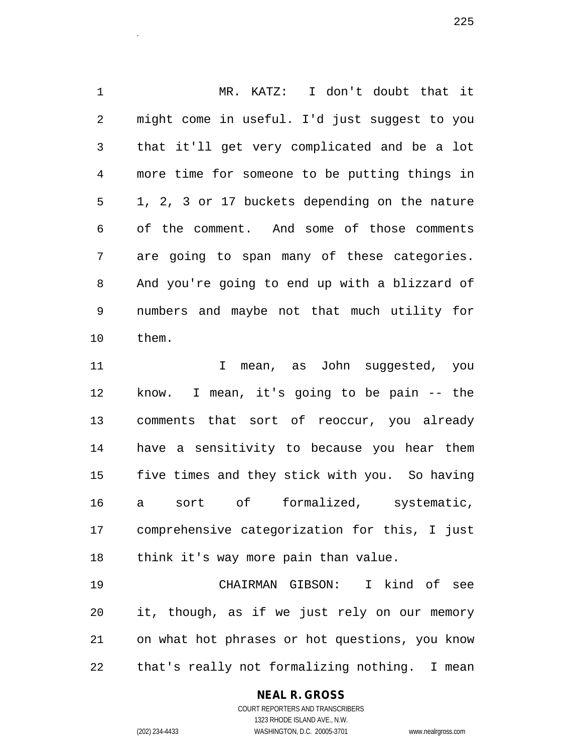1 MR. KATZ: I don't doubt that it 2 might come in useful. I'd just suggest to you 3 that it'll get very complicated and be a lot 4 more time for someone to be putting things in 5 1, 2, 3 or 17 buckets depending on the nature 6 of the comment. And some of those comments 7 are going to span many of these categories. 8 And you're going to end up with a blizzard of 9 numbers and maybe not that much utility for 10 them. 11 I mean, as John suggested, you

12 know. I mean, it's going to be pain -- the 13 comments that sort of reoccur, you already 14 have a sensitivity to because you hear them 15 five times and they stick with you. So having 16 a sort of formalized, systematic, 17 comprehensive categorization for this, I just 18 think it's way more pain than value.

19 CHAIRMAN GIBSON: I kind of see 20 it, though, as if we just rely on our memory 21 on what hot phrases or hot questions, you know 22 that's really not formalizing nothing. I mean

# **NEAL R. GROSS**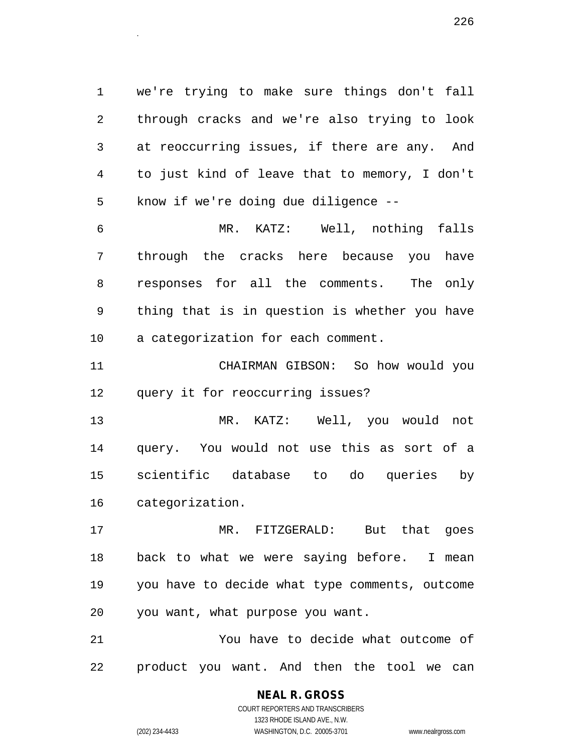1 we're trying to make sure things don't fall 2 through cracks and we're also trying to look 3 at reoccurring issues, if there are any. And 4 to just kind of leave that to memory, I don't 5 know if we're doing due diligence --

 $226$ 

6 MR. KATZ: Well, nothing falls 7 through the cracks here because you have 8 responses for all the comments. The only 9 thing that is in question is whether you have 10 a categorization for each comment.

11 CHAIRMAN GIBSON: So how would you 12 query it for reoccurring issues?

13 MR. KATZ: Well, you would not 14 query. You would not use this as sort of a 15 scientific database to do queries by 16 categorization.

17 MR. FITZGERALD: But that goes 18 back to what we were saying before. I mean 19 you have to decide what type comments, outcome 20 you want, what purpose you want.

21 You have to decide what outcome of 22 product you want. And then the tool we can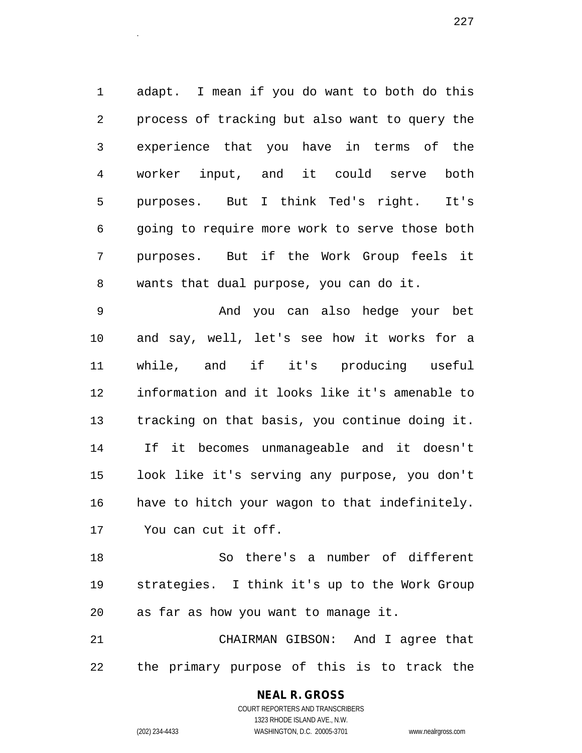1 adapt. I mean if you do want to both do this 2 process of tracking but also want to query the 3 experience that you have in terms of the 4 worker input, and it could serve both 5 purposes. But I think Ted's right. It's 6 going to require more work to serve those both 7 purposes. But if the Work Group feels it 8 wants that dual purpose, you can do it.

9 And you can also hedge your bet 10 and say, well, let's see how it works for a 11 while, and if it's producing useful 12 information and it looks like it's amenable to 13 tracking on that basis, you continue doing it. 14 If it becomes unmanageable and it doesn't 15 look like it's serving any purpose, you don't 16 have to hitch your wagon to that indefinitely. 17 You can cut it off.

18 So there's a number of different 19 strategies. I think it's up to the Work Group 20 as far as how you want to manage it.

21 CHAIRMAN GIBSON: And I agree that 22 the primary purpose of this is to track the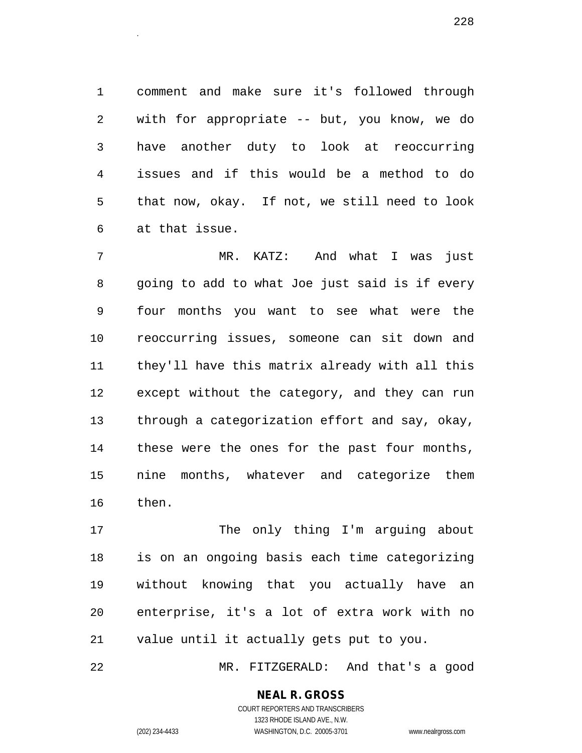1 comment and make sure it's followed through 2 with for appropriate -- but, you know, we do 3 have another duty to look at reoccurring 4 issues and if this would be a method to do 5 that now, okay. If not, we still need to look 6 at that issue.

7 MR. KATZ: And what I was just 8 going to add to what Joe just said is if every 9 four months you want to see what were the 10 reoccurring issues, someone can sit down and 11 they'll have this matrix already with all this 12 except without the category, and they can run 13 through a categorization effort and say, okay, 14 these were the ones for the past four months, 15 nine months, whatever and categorize them 16 then.

17 The only thing I'm arguing about 18 is on an ongoing basis each time categorizing 19 without knowing that you actually have an 20 enterprise, it's a lot of extra work with no 21 value until it actually gets put to you.

22 MR. FITZGERALD: And that's a good

# **NEAL R. GROSS**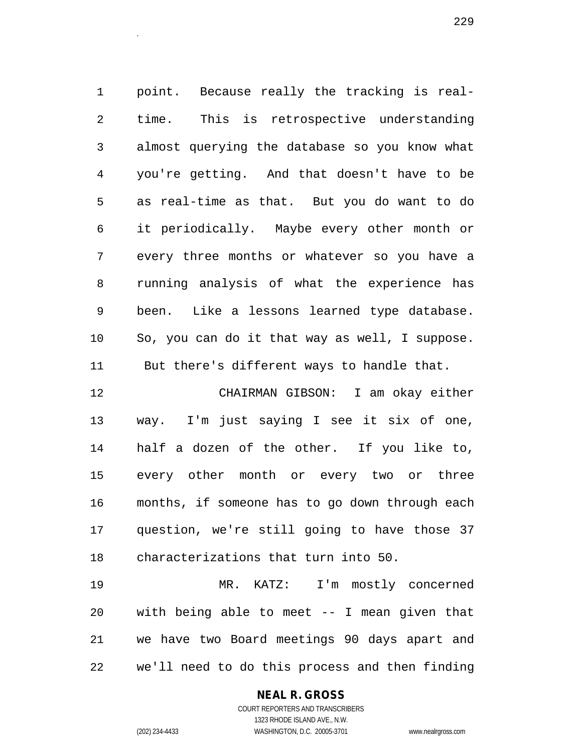1 point. Because really the tracking is real-2 time. This is retrospective understanding 3 almost querying the database so you know what 4 you're getting. And that doesn't have to be 5 as real-time as that. But you do want to do 6 it periodically. Maybe every other month or 7 every three months or whatever so you have a 8 running analysis of what the experience has 9 been. Like a lessons learned type database. 10 So, you can do it that way as well, I suppose. 11 But there's different ways to handle that. 12 CHAIRMAN GIBSON: I am okay either

13 way. I'm just saying I see it six of one, 14 half a dozen of the other. If you like to, 15 every other month or every two or three 16 months, if someone has to go down through each 17 question, we're still going to have those 37 18 characterizations that turn into 50.

19 MR. KATZ: I'm mostly concerned 20 with being able to meet -- I mean given that 21 we have two Board meetings 90 days apart and 22 we'll need to do this process and then finding

# **NEAL R. GROSS**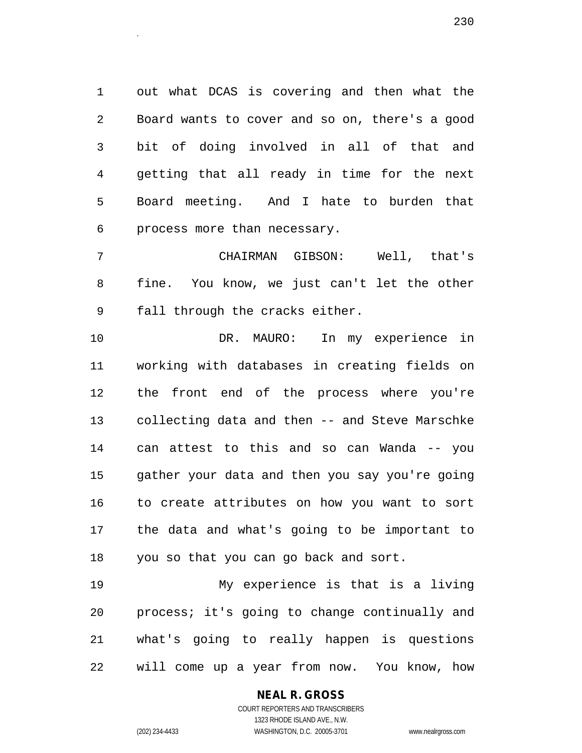1 out what DCAS is covering and then what the 2 Board wants to cover and so on, there's a good 3 bit of doing involved in all of that and 4 getting that all ready in time for the next 5 Board meeting. And I hate to burden that 6 process more than necessary.

7 CHAIRMAN GIBSON: Well, that's 8 fine. You know, we just can't let the other 9 fall through the cracks either.

10 DR. MAURO: In my experience in 11 working with databases in creating fields on 12 the front end of the process where you're 13 collecting data and then -- and Steve Marschke 14 can attest to this and so can Wanda -- you 15 gather your data and then you say you're going 16 to create attributes on how you want to sort 17 the data and what's going to be important to 18 you so that you can go back and sort.

19 My experience is that is a living 20 process; it's going to change continually and 21 what's going to really happen is questions 22 will come up a year from now. You know, how

> **NEAL R. GROSS** COURT REPORTERS AND TRANSCRIBERS

1323 RHODE ISLAND AVE., N.W. (202) 234-4433 WASHINGTON, D.C. 20005-3701 www.nealrgross.com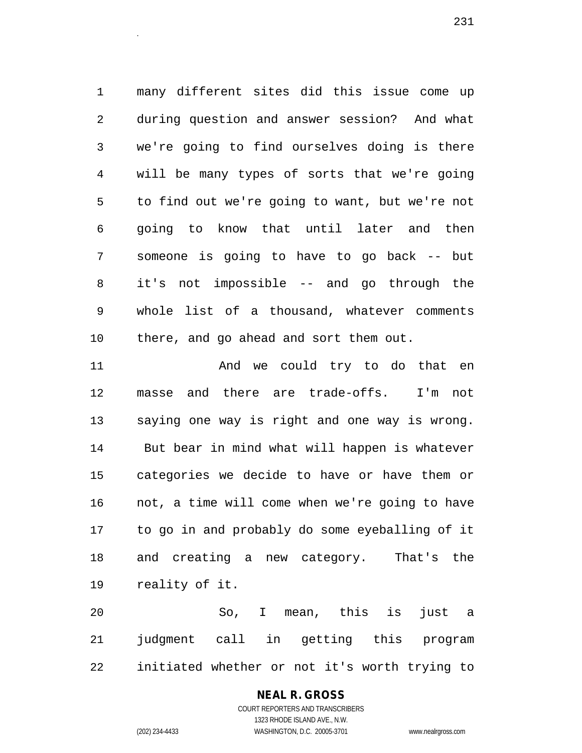1 many different sites did this issue come up 2 during question and answer session? And what 3 we're going to find ourselves doing is there 4 will be many types of sorts that we're going 5 to find out we're going to want, but we're not 6 going to know that until later and then 7 someone is going to have to go back -- but 8 it's not impossible -- and go through the 9 whole list of a thousand, whatever comments 10 there, and go ahead and sort them out.

11 And we could try to do that en 12 masse and there are trade-offs. I'm not 13 saying one way is right and one way is wrong. 14 But bear in mind what will happen is whatever 15 categories we decide to have or have them or 16 not, a time will come when we're going to have 17 to go in and probably do some eyeballing of it 18 and creating a new category. That's the 19 reality of it.

20 So, I mean, this is just a 21 judgment call in getting this program 22 initiated whether or not it's worth trying to

#### **NEAL R. GROSS**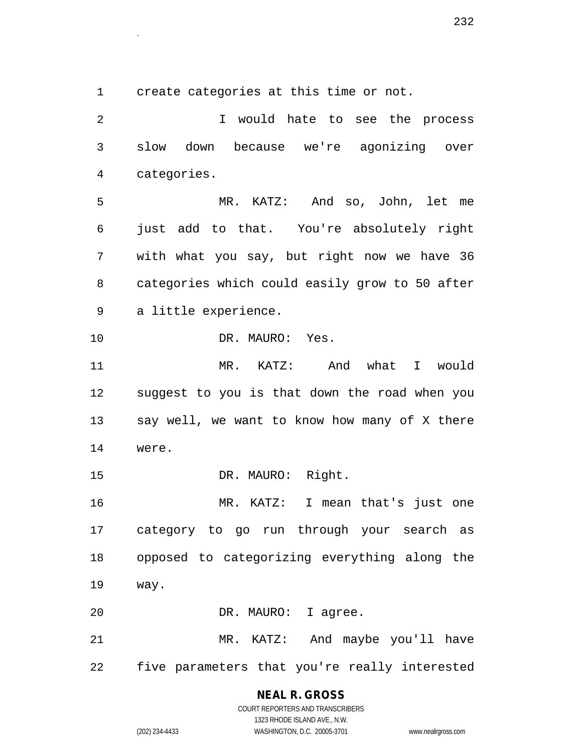1 create categories at this time or not.

2 I would hate to see the process 3 slow down because we're agonizing over 4 categories. 5 MR. KATZ: And so, John, let me 6 just add to that. You're absolutely right 7 with what you say, but right now we have 36 8 categories which could easily grow to 50 after 9 a little experience. 10 DR. MAURO: Yes. 11 MR. KATZ: And what I would 12 suggest to you is that down the road when you 13 say well, we want to know how many of X there 14 were. 15 DR. MAURO: Right. 16 MR. KATZ: I mean that's just one 17 category to go run through your search as 18 opposed to categorizing everything along the 19 way. 20 DR. MAURO: I agree. 21 MR. KATZ: And maybe you'll have 22 five parameters that you're really interested

# **NEAL R. GROSS**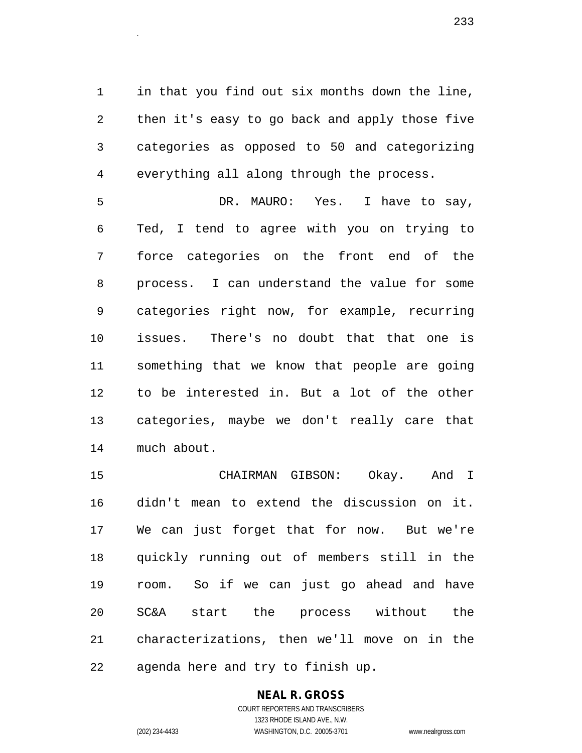1 in that you find out six months down the line, 2 then it's easy to go back and apply those five 3 categories as opposed to 50 and categorizing 4 everything all along through the process.

5 DR. MAURO: Yes. I have to say, 6 Ted, I tend to agree with you on trying to 7 force categories on the front end of the 8 process. I can understand the value for some 9 categories right now, for example, recurring 10 issues. There's no doubt that that one is 11 something that we know that people are going 12 to be interested in. But a lot of the other 13 categories, maybe we don't really care that 14 much about.

15 CHAIRMAN GIBSON: Okay. And I 16 didn't mean to extend the discussion on it. 17 We can just forget that for now. But we're 18 quickly running out of members still in the 19 room. So if we can just go ahead and have 20 SC&A start the process without the 21 characterizations, then we'll move on in the 22 agenda here and try to finish up.

#### **NEAL R. GROSS** COURT REPORTERS AND TRANSCRIBERS

1323 RHODE ISLAND AVE., N.W.

(202) 234-4433 WASHINGTON, D.C. 20005-3701 www.nealrgross.com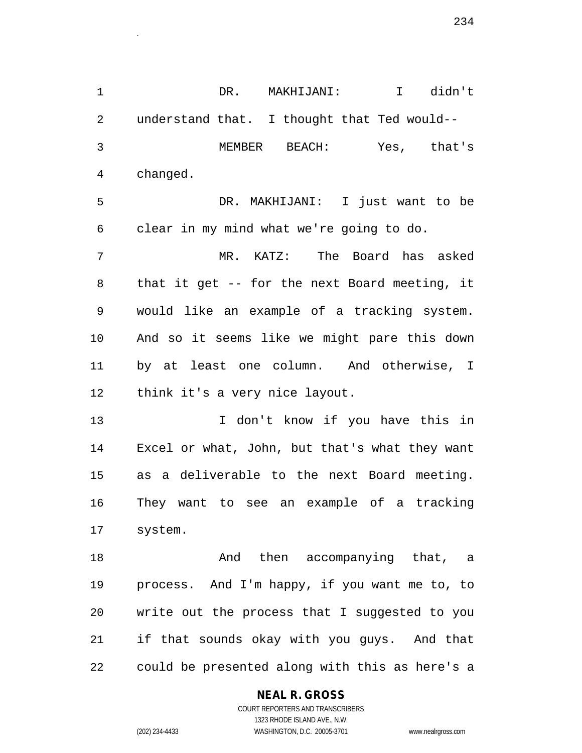1 DR. MAKHIJANI: I didn't 2 understand that. I thought that Ted would-- 3 MEMBER BEACH: Yes, that's 4 changed. 5 DR. MAKHIJANI: I just want to be 6 clear in my mind what we're going to do. 7 MR. KATZ: The Board has asked 8 that it get -- for the next Board meeting, it 9 would like an example of a tracking system. 10 And so it seems like we might pare this down 11 by at least one column. And otherwise, I 12 think it's a very nice layout. 13 I don't know if you have this in 14 Excel or what, John, but that's what they want 15 as a deliverable to the next Board meeting. 16 They want to see an example of a tracking 17 system. 18 And then accompanying that, a 19 process. And I'm happy, if you want me to, to 20 write out the process that I suggested to you 21 if that sounds okay with you guys. And that 22 could be presented along with this as here's a

#### **NEAL R. GROSS**

COURT REPORTERS AND TRANSCRIBERS 1323 RHODE ISLAND AVE., N.W. (202) 234-4433 WASHINGTON, D.C. 20005-3701 www.nealrgross.com

 $234$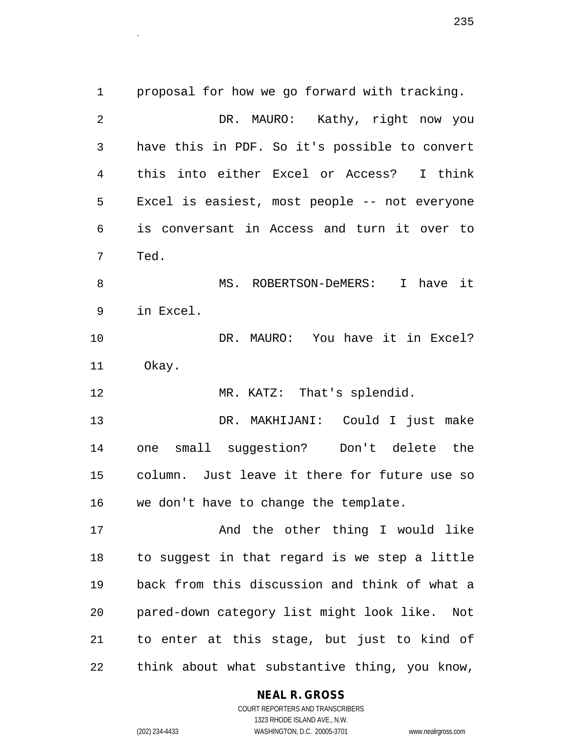1 proposal for how we go forward with tracking. 2 DR. MAURO: Kathy, right now you 3 have this in PDF. So it's possible to convert 4 this into either Excel or Access? I think 5 Excel is easiest, most people -- not everyone 6 is conversant in Access and turn it over to 7 Ted. 8 MS. ROBERTSON-DeMERS: I have it 9 in Excel. 10 DR. MAURO: You have it in Excel? 11 Okay. 12 MR. KATZ: That's splendid. 13 DR. MAKHIJANI: Could I just make 14 one small suggestion? Don't delete the 15 column. Just leave it there for future use so 16 we don't have to change the template. 17 And the other thing I would like 18 to suggest in that regard is we step a little 19 back from this discussion and think of what a 20 pared-down category list might look like. Not

21 to enter at this stage, but just to kind of 22 think about what substantive thing, you know,

# **NEAL R. GROSS**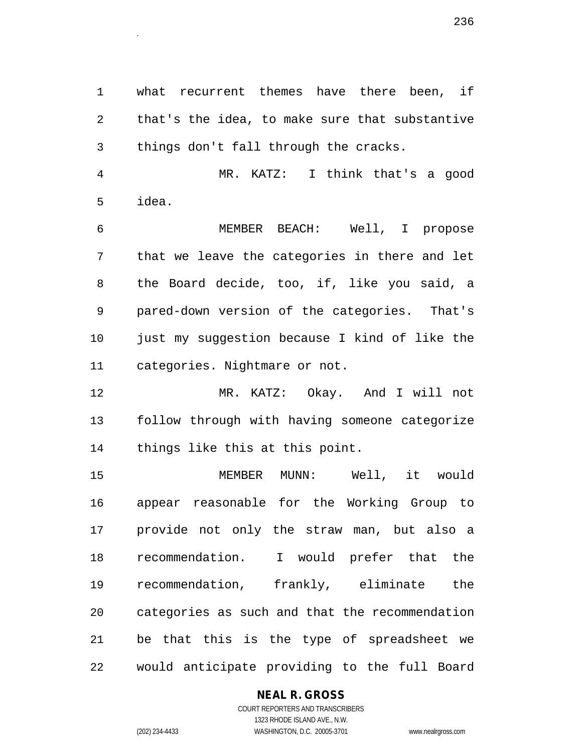1 what recurrent themes have there been, if 2 that's the idea, to make sure that substantive 3 things don't fall through the cracks.

4 MR. KATZ: I think that's a good 5 idea.

6 MEMBER BEACH: Well, I propose 7 that we leave the categories in there and let 8 the Board decide, too, if, like you said, a 9 pared-down version of the categories. That's 10 just my suggestion because I kind of like the 11 categories. Nightmare or not.

12 MR. KATZ: Okay. And I will not 13 follow through with having someone categorize 14 things like this at this point.

15 MEMBER MUNN: Well, it would 16 appear reasonable for the Working Group to 17 provide not only the straw man, but also a 18 recommendation. I would prefer that the 19 recommendation, frankly, eliminate the 20 categories as such and that the recommendation 21 be that this is the type of spreadsheet we 22 would anticipate providing to the full Board

# **NEAL R. GROSS**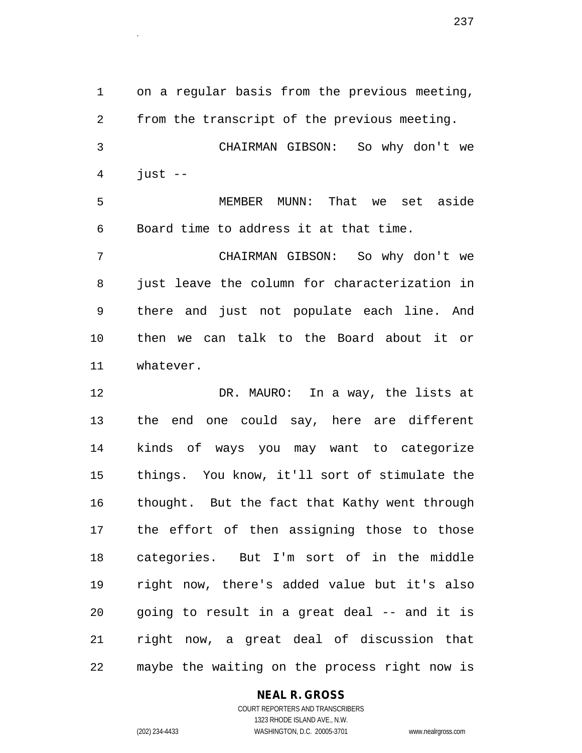1 on a regular basis from the previous meeting, 2 from the transcript of the previous meeting. 3 CHAIRMAN GIBSON: So why don't we  $4$  just  $-$ 5 MEMBER MUNN: That we set aside 6 Board time to address it at that time. 7 CHAIRMAN GIBSON: So why don't we 8 just leave the column for characterization in 9 there and just not populate each line. And 10 then we can talk to the Board about it or 11 whatever. 12 DR. MAURO: In a way, the lists at 13 the end one could say, here are different 14 kinds of ways you may want to categorize 15 things. You know, it'll sort of stimulate the 16 thought. But the fact that Kathy went through 17 the effort of then assigning those to those 18 categories. But I'm sort of in the middle

19 right now, there's added value but it's also 20 going to result in a great deal -- and it is 21 right now, a great deal of discussion that 22 maybe the waiting on the process right now is

# **NEAL R. GROSS**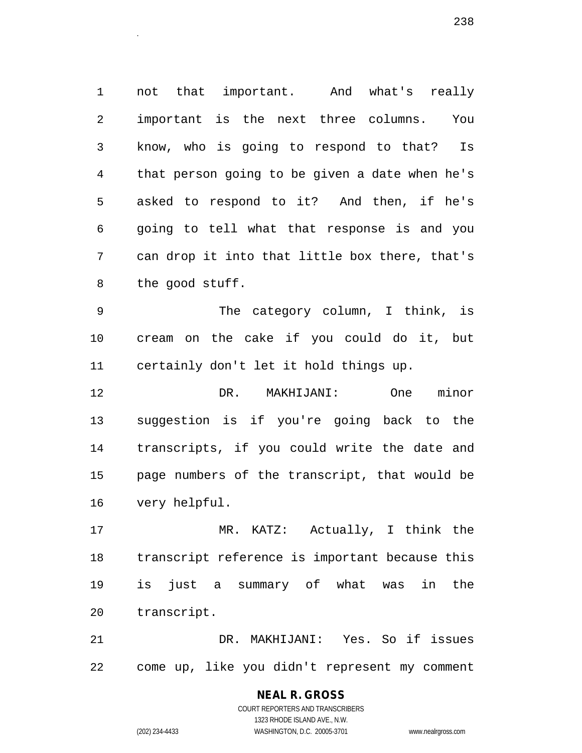1 not that important. And what's really 2 important is the next three columns. You 3 know, who is going to respond to that? Is 4 that person going to be given a date when he's 5 asked to respond to it? And then, if he's 6 going to tell what that response is and you 7 can drop it into that little box there, that's 8 the good stuff.

9 The category column, I think, is 10 cream on the cake if you could do it, but 11 certainly don't let it hold things up.

12 DR. MAKHIJANI: One minor 13 suggestion is if you're going back to the 14 transcripts, if you could write the date and 15 page numbers of the transcript, that would be 16 very helpful.

17 MR. KATZ: Actually, I think the 18 transcript reference is important because this 19 is just a summary of what was in the 20 transcript.

21 DR. MAKHIJANI: Yes. So if issues 22 come up, like you didn't represent my comment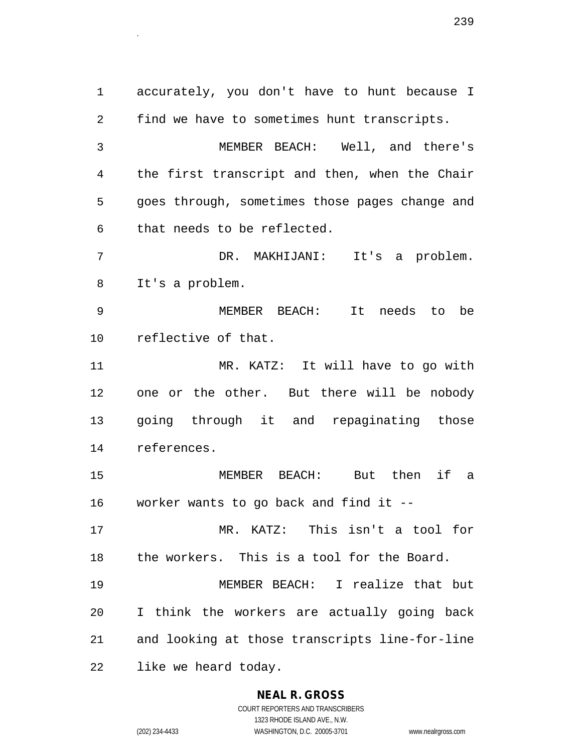1 accurately, you don't have to hunt because I 2 find we have to sometimes hunt transcripts. 3 MEMBER BEACH: Well, and there's 4 the first transcript and then, when the Chair 5 goes through, sometimes those pages change and 6 that needs to be reflected. 7 DR. MAKHIJANI: It's a problem. 8 It's a problem. 9 MEMBER BEACH: It needs to be 10 reflective of that. 11 MR. KATZ: It will have to go with 12 one or the other. But there will be nobody 13 going through it and repaginating those 14 references. 15 MEMBER BEACH: But then if a 16 worker wants to go back and find it -- 17 MR. KATZ: This isn't a tool for 18 the workers. This is a tool for the Board. 19 MEMBER BEACH: I realize that but 20 I think the workers are actually going back 21 and looking at those transcripts line-for-line 22 like we heard today.

#### **NEAL R. GROSS**

COURT REPORTERS AND TRANSCRIBERS 1323 RHODE ISLAND AVE., N.W. (202) 234-4433 WASHINGTON, D.C. 20005-3701 www.nealrgross.com

 $239$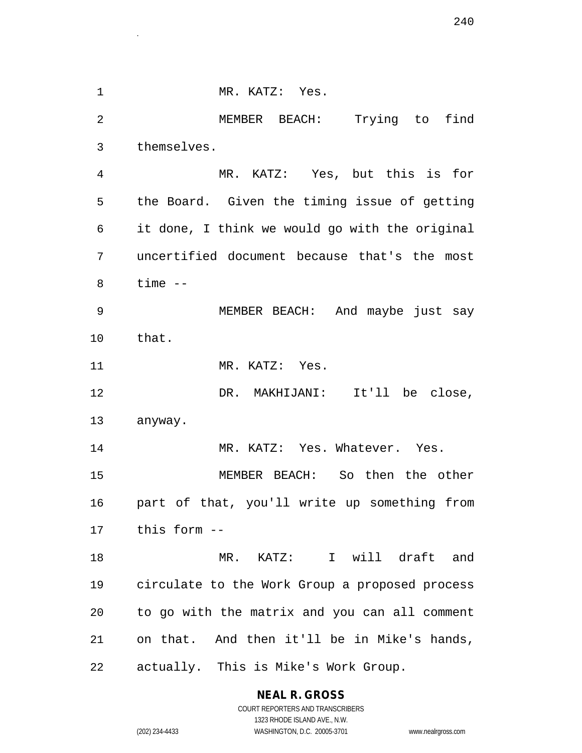1 MR. KATZ: Yes. 2 MEMBER BEACH: Trying to find 3 themselves. 4 MR. KATZ: Yes, but this is for 5 the Board. Given the timing issue of getting 6 it done, I think we would go with the original 7 uncertified document because that's the most 8 time -- 9 MEMBER BEACH: And maybe just say 10 that. 11 MR. KATZ: Yes. 12 DR. MAKHIJANI: It'll be close, 13 anyway. 14 MR. KATZ: Yes. Whatever. Yes. 15 MEMBER BEACH: So then the other 16 part of that, you'll write up something from 17 this form -- 18 MR. KATZ: I will draft and 19 circulate to the Work Group a proposed process 20 to go with the matrix and you can all comment 21 on that. And then it'll be in Mike's hands, 22 actually. This is Mike's Work Group.

# **NEAL R. GROSS**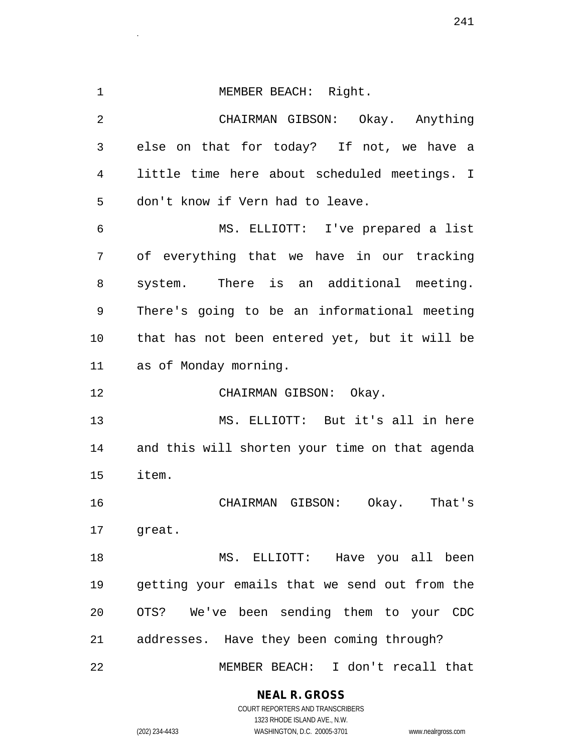| $\mathbf 1$    | MEMBER BEACH: Right.                           |
|----------------|------------------------------------------------|
| $\overline{2}$ | CHAIRMAN GIBSON: Okay. Anything                |
| 3              | else on that for today? If not, we have a      |
| 4              | little time here about scheduled meetings. I   |
| 5              | don't know if Vern had to leave.               |
| 6              | MS. ELLIOTT: I've prepared a list              |
| 7              | of everything that we have in our tracking     |
| 8              | system. There is an additional meeting.        |
| 9              | There's going to be an informational meeting   |
| 10             | that has not been entered yet, but it will be  |
| 11             | as of Monday morning.                          |
| 12             | CHAIRMAN GIBSON: Okay.                         |
| 13             | MS. ELLIOTT: But it's all in here              |
| 14             | and this will shorten your time on that agenda |
| 15             | item.                                          |
| 16             | CHAIRMAN GIBSON: Okay.<br>That's               |
| 17             | great.                                         |
| 18             | MS. ELLIOTT: Have you all been                 |
| 19             | getting your emails that we send out from the  |
| 20             | OTS? We've been sending them to your CDC       |
| 21             | addresses. Have they been coming through?      |
| 22             | MEMBER BEACH: I don't recall that              |

 $241$ 

**NEAL R. GROSS** COURT REPORTERS AND TRANSCRIBERS

1323 RHODE ISLAND AVE., N.W. (202) 234-4433 WASHINGTON, D.C. 20005-3701 www.nealrgross.com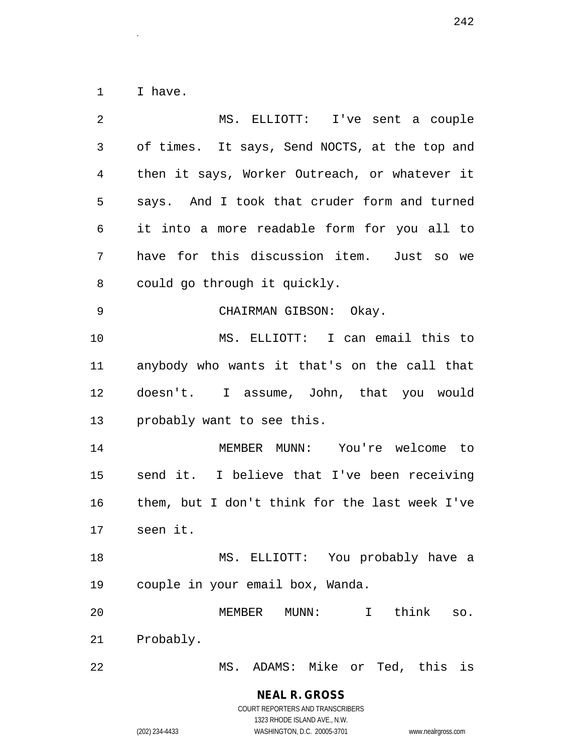1 I have.

| $\overline{2}$ | MS. ELLIOTT: I've sent a couple                |
|----------------|------------------------------------------------|
| $\mathfrak{Z}$ | of times. It says, Send NOCTS, at the top and  |
| $\overline{4}$ | then it says, Worker Outreach, or whatever it  |
| 5              | says. And I took that cruder form and turned   |
| 6              | it into a more readable form for you all to    |
| 7              | have for this discussion item. Just so we      |
| 8              | could go through it quickly.                   |
| 9              | CHAIRMAN GIBSON: Okay.                         |
| 10             | MS. ELLIOTT: I can email this to               |
| 11             | anybody who wants it that's on the call that   |
| 12             | doesn't. I assume, John, that you would        |
| 13             | probably want to see this.                     |
| 14             | MEMBER MUNN: You're welcome to                 |
| 15             | send it. I believe that I've been receiving    |
| 16             | them, but I don't think for the last week I've |
| 17             | seen it.                                       |
| 18             | MS. ELLIOTT: You probably have a               |
| 19             | couple in your email box, Wanda.               |
| 20             | think<br>MEMBER MUNN:<br>$\mathbf{I}$<br>SO.   |
| 21             | Probably.                                      |
| 22             | MS. ADAMS: Mike or Ted, this is                |

**NEAL R. GROSS** COURT REPORTERS AND TRANSCRIBERS

1323 RHODE ISLAND AVE., N.W.

(202) 234-4433 WASHINGTON, D.C. 20005-3701 www.nealrgross.com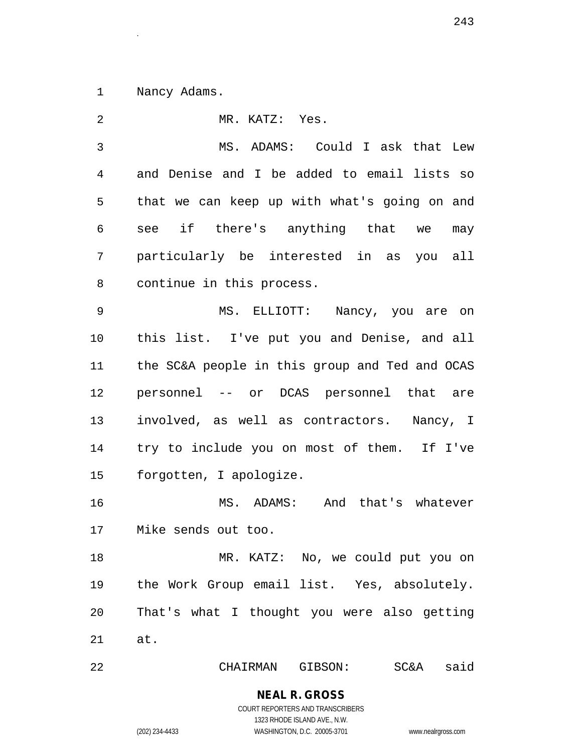1 Nancy Adams.

2 MR. KATZ: Yes. 3 MS. ADAMS: Could I ask that Lew 4 and Denise and I be added to email lists so 5 that we can keep up with what's going on and 6 see if there's anything that we may 7 particularly be interested in as you all 8 continue in this process. 9 MS. ELLIOTT: Nancy, you are on 10 this list. I've put you and Denise, and all 11 the SC&A people in this group and Ted and OCAS 12 personnel -- or DCAS personnel that are 13 involved, as well as contractors. Nancy, I 14 try to include you on most of them. If I've 15 forgotten, I apologize. 16 MS. ADAMS: And that's whatever 17 Mike sends out too. 18 MR. KATZ: No, we could put you on 19 the Work Group email list. Yes, absolutely. 20 That's what I thought you were also getting 21 at. 22 CHAIRMAN GIBSON: SC&A said

> **NEAL R. GROSS** COURT REPORTERS AND TRANSCRIBERS

> > 1323 RHODE ISLAND AVE., N.W.

(202) 234-4433 WASHINGTON, D.C. 20005-3701 www.nealrgross.com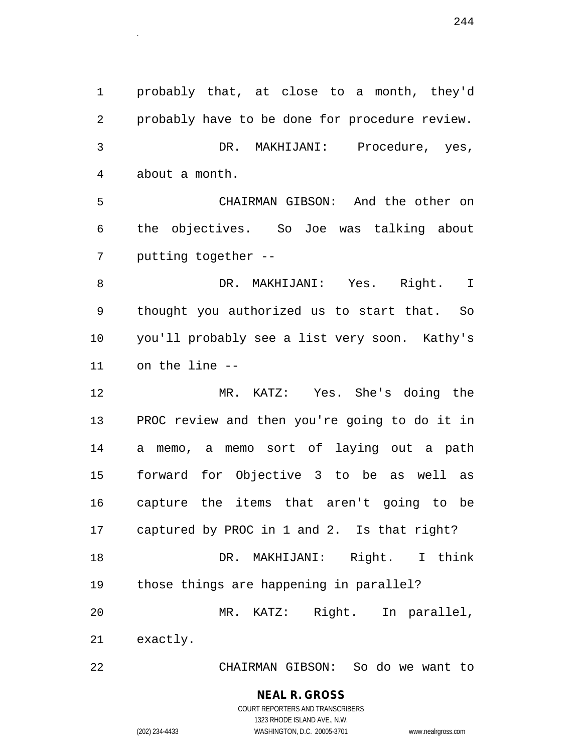1 probably that, at close to a month, they'd 2 probably have to be done for procedure review. 3 DR. MAKHIJANI: Procedure, yes, 4 about a month. 5 CHAIRMAN GIBSON: And the other on 6 the objectives. So Joe was talking about 7 putting together -- 8 DR. MAKHIJANI: Yes. Right. I 9 thought you authorized us to start that. So 10 you'll probably see a list very soon. Kathy's 11 on the line -- 12 MR. KATZ: Yes. She's doing the 13 PROC review and then you're going to do it in 14 a memo, a memo sort of laying out a path 15 forward for Objective 3 to be as well as 16 capture the items that aren't going to be 17 captured by PROC in 1 and 2. Is that right? 18 DR. MAKHIJANI: Right. I think

 $244$ 

20 MR. KATZ: Right. In parallel,

19 those things are happening in parallel?

21 exactly.

22 CHAIRMAN GIBSON: So do we want to

# **NEAL R. GROSS**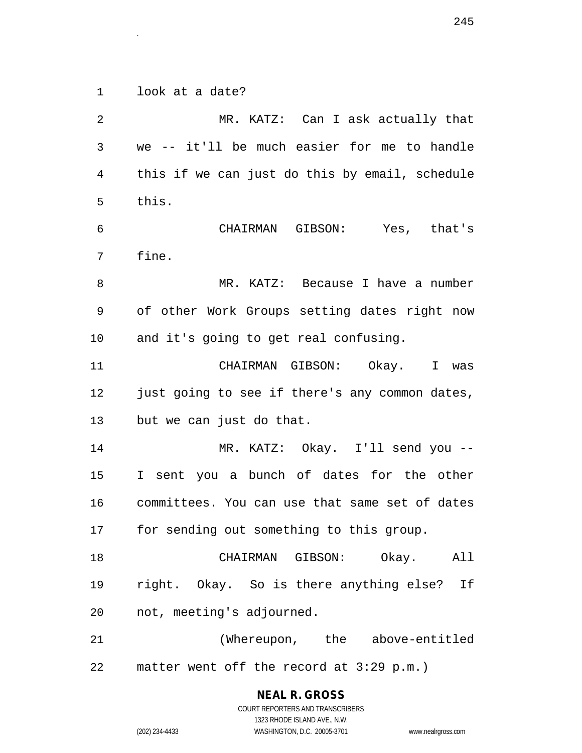1 look at a date?

2 MR. KATZ: Can I ask actually that 3 we -- it'll be much easier for me to handle 4 this if we can just do this by email, schedule 5 this. 6 CHAIRMAN GIBSON: Yes, that's 7 fine. 8 MR. KATZ: Because I have a number 9 of other Work Groups setting dates right now 10 and it's going to get real confusing. 11 CHAIRMAN GIBSON: Okay. I was 12 just going to see if there's any common dates, 13 but we can just do that. 14 MR. KATZ: Okay. I'll send you -- 15 I sent you a bunch of dates for the other 16 committees. You can use that same set of dates 17 for sending out something to this group. 18 CHAIRMAN GIBSON: Okay. All 19 right. Okay. So is there anything else? If 20 not, meeting's adjourned. 21 (Whereupon, the above-entitled 22 matter went off the record at 3:29 p.m.)